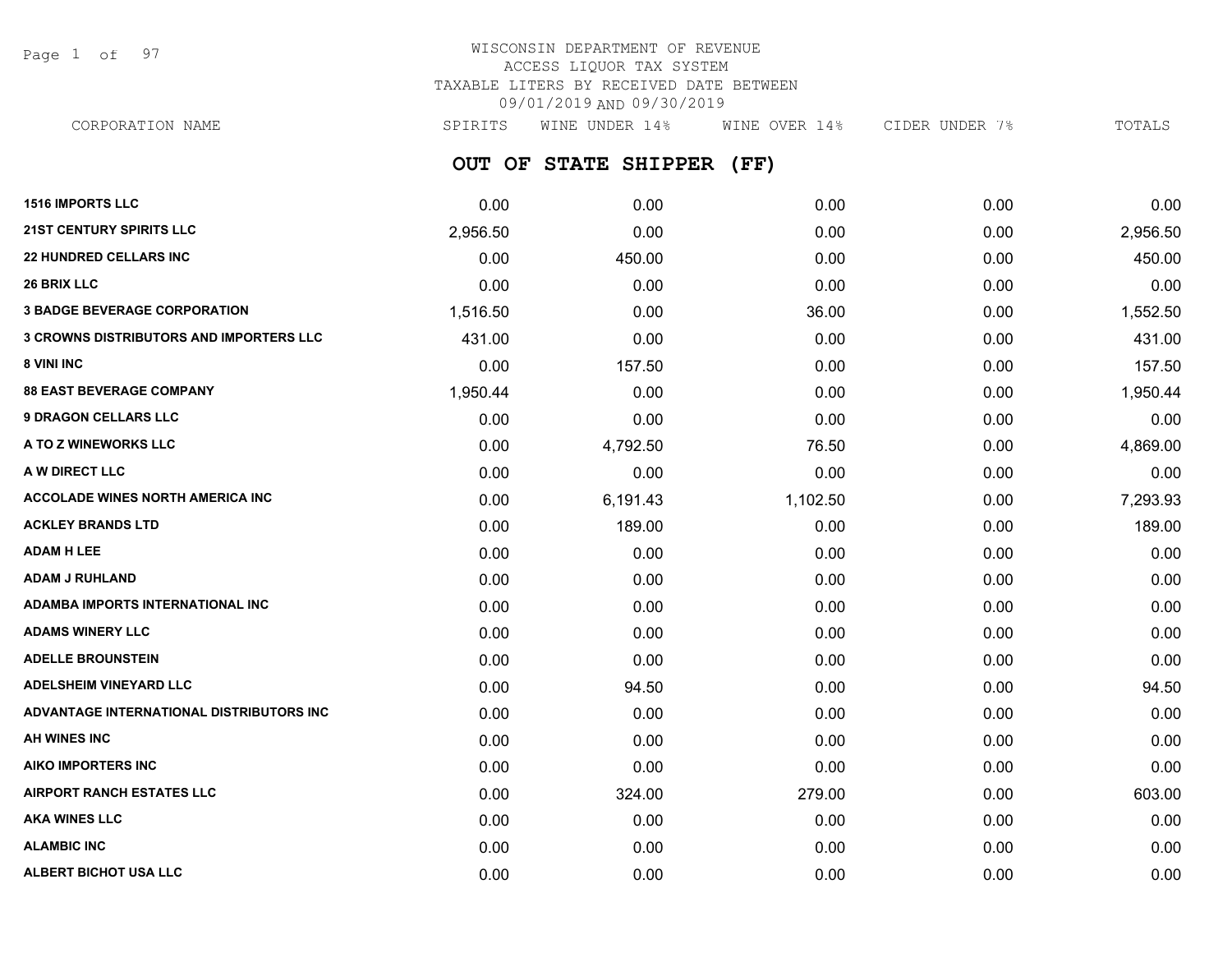Page 1 of 97

# WISCONSIN DEPARTMENT OF REVENUE ACCESS LIQUOR TAX SYSTEM TAXABLE LITERS BY RECEIVED DATE BETWEEN 09/01/2019 AND 09/30/2019

**OUT OF STATE SHIPPER (FF)** CORPORATION NAME SPIRITS WINE UNDER 14% WINE OVER 14% CIDER UNDER 7% TOTALS

| <b>1516 IMPORTS LLC</b>                        | 0.00     | 0.00     | 0.00     | 0.00 | 0.00     |
|------------------------------------------------|----------|----------|----------|------|----------|
| <b>21ST CENTURY SPIRITS LLC</b>                | 2,956.50 | 0.00     | 0.00     | 0.00 | 2,956.50 |
| <b>22 HUNDRED CELLARS INC</b>                  | 0.00     | 450.00   | 0.00     | 0.00 | 450.00   |
| <b>26 BRIX LLC</b>                             | 0.00     | 0.00     | 0.00     | 0.00 | 0.00     |
| <b>3 BADGE BEVERAGE CORPORATION</b>            | 1,516.50 | 0.00     | 36.00    | 0.00 | 1,552.50 |
| <b>3 CROWNS DISTRIBUTORS AND IMPORTERS LLC</b> | 431.00   | 0.00     | 0.00     | 0.00 | 431.00   |
| 8 VINI INC                                     | 0.00     | 157.50   | 0.00     | 0.00 | 157.50   |
| <b>88 EAST BEVERAGE COMPANY</b>                | 1,950.44 | 0.00     | 0.00     | 0.00 | 1,950.44 |
| <b>9 DRAGON CELLARS LLC</b>                    | 0.00     | 0.00     | 0.00     | 0.00 | 0.00     |
| A TO Z WINEWORKS LLC                           | 0.00     | 4,792.50 | 76.50    | 0.00 | 4,869.00 |
| A W DIRECT LLC                                 | 0.00     | 0.00     | 0.00     | 0.00 | 0.00     |
| <b>ACCOLADE WINES NORTH AMERICA INC</b>        | 0.00     | 6,191.43 | 1,102.50 | 0.00 | 7,293.93 |
| <b>ACKLEY BRANDS LTD</b>                       | 0.00     | 189.00   | 0.00     | 0.00 | 189.00   |
| <b>ADAM H LEE</b>                              | 0.00     | 0.00     | 0.00     | 0.00 | 0.00     |
| <b>ADAM J RUHLAND</b>                          | 0.00     | 0.00     | 0.00     | 0.00 | 0.00     |
| ADAMBA IMPORTS INTERNATIONAL INC               | 0.00     | 0.00     | 0.00     | 0.00 | 0.00     |
| <b>ADAMS WINERY LLC</b>                        | 0.00     | 0.00     | 0.00     | 0.00 | 0.00     |
| <b>ADELLE BROUNSTEIN</b>                       | 0.00     | 0.00     | 0.00     | 0.00 | 0.00     |
| <b>ADELSHEIM VINEYARD LLC</b>                  | 0.00     | 94.50    | 0.00     | 0.00 | 94.50    |
| ADVANTAGE INTERNATIONAL DISTRIBUTORS INC       | 0.00     | 0.00     | 0.00     | 0.00 | 0.00     |
| <b>AH WINES INC</b>                            | 0.00     | 0.00     | 0.00     | 0.00 | 0.00     |
| <b>AIKO IMPORTERS INC</b>                      | 0.00     | 0.00     | 0.00     | 0.00 | 0.00     |
| <b>AIRPORT RANCH ESTATES LLC</b>               | 0.00     | 324.00   | 279.00   | 0.00 | 603.00   |
| <b>AKA WINES LLC</b>                           | 0.00     | 0.00     | 0.00     | 0.00 | 0.00     |
| <b>ALAMBIC INC</b>                             | 0.00     | 0.00     | 0.00     | 0.00 | 0.00     |
| ALBERT BICHOT USA LLC                          | 0.00     | 0.00     | 0.00     | 0.00 | 0.00     |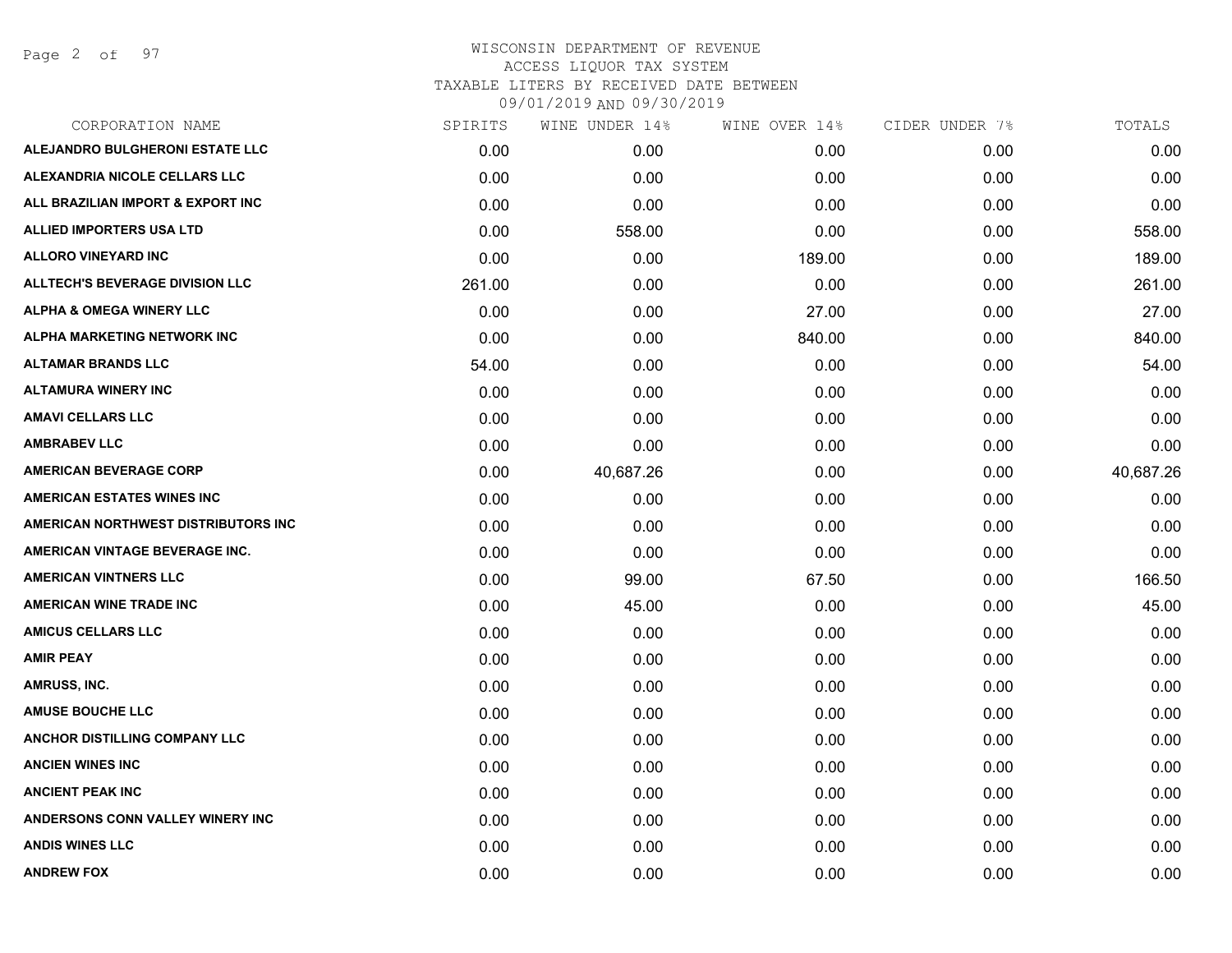Page 2 of 97

| CORPORATION NAME                       | SPIRITS | WINE UNDER 14% | WINE OVER 14% | CIDER UNDER 7% | TOTALS    |
|----------------------------------------|---------|----------------|---------------|----------------|-----------|
| ALEJANDRO BULGHERONI ESTATE LLC        | 0.00    | 0.00           | 0.00          | 0.00           | 0.00      |
| ALEXANDRIA NICOLE CELLARS LLC          | 0.00    | 0.00           | 0.00          | 0.00           | 0.00      |
| ALL BRAZILIAN IMPORT & EXPORT INC      | 0.00    | 0.00           | 0.00          | 0.00           | 0.00      |
| <b>ALLIED IMPORTERS USA LTD</b>        | 0.00    | 558.00         | 0.00          | 0.00           | 558.00    |
| <b>ALLORO VINEYARD INC</b>             | 0.00    | 0.00           | 189.00        | 0.00           | 189.00    |
| <b>ALLTECH'S BEVERAGE DIVISION LLC</b> | 261.00  | 0.00           | 0.00          | 0.00           | 261.00    |
| <b>ALPHA &amp; OMEGA WINERY LLC</b>    | 0.00    | 0.00           | 27.00         | 0.00           | 27.00     |
| ALPHA MARKETING NETWORK INC            | 0.00    | 0.00           | 840.00        | 0.00           | 840.00    |
| <b>ALTAMAR BRANDS LLC</b>              | 54.00   | 0.00           | 0.00          | 0.00           | 54.00     |
| <b>ALTAMURA WINERY INC</b>             | 0.00    | 0.00           | 0.00          | 0.00           | 0.00      |
| <b>AMAVI CELLARS LLC</b>               | 0.00    | 0.00           | 0.00          | 0.00           | 0.00      |
| <b>AMBRABEV LLC</b>                    | 0.00    | 0.00           | 0.00          | 0.00           | 0.00      |
| <b>AMERICAN BEVERAGE CORP</b>          | 0.00    | 40,687.26      | 0.00          | 0.00           | 40,687.26 |
| <b>AMERICAN ESTATES WINES INC</b>      | 0.00    | 0.00           | 0.00          | 0.00           | 0.00      |
| AMERICAN NORTHWEST DISTRIBUTORS INC    | 0.00    | 0.00           | 0.00          | 0.00           | 0.00      |
| AMERICAN VINTAGE BEVERAGE INC.         | 0.00    | 0.00           | 0.00          | 0.00           | 0.00      |
| <b>AMERICAN VINTNERS LLC</b>           | 0.00    | 99.00          | 67.50         | 0.00           | 166.50    |
| <b>AMERICAN WINE TRADE INC</b>         | 0.00    | 45.00          | 0.00          | 0.00           | 45.00     |
| <b>AMICUS CELLARS LLC</b>              | 0.00    | 0.00           | 0.00          | 0.00           | 0.00      |
| <b>AMIR PEAY</b>                       | 0.00    | 0.00           | 0.00          | 0.00           | 0.00      |
| AMRUSS, INC.                           | 0.00    | 0.00           | 0.00          | 0.00           | 0.00      |
| <b>AMUSE BOUCHE LLC</b>                | 0.00    | 0.00           | 0.00          | 0.00           | 0.00      |
| <b>ANCHOR DISTILLING COMPANY LLC</b>   | 0.00    | 0.00           | 0.00          | 0.00           | 0.00      |
| <b>ANCIEN WINES INC</b>                | 0.00    | 0.00           | 0.00          | 0.00           | 0.00      |
| <b>ANCIENT PEAK INC</b>                | 0.00    | 0.00           | 0.00          | 0.00           | 0.00      |
| ANDERSONS CONN VALLEY WINERY INC       | 0.00    | 0.00           | 0.00          | 0.00           | 0.00      |
| <b>ANDIS WINES LLC</b>                 | 0.00    | 0.00           | 0.00          | 0.00           | 0.00      |
| <b>ANDREW FOX</b>                      | 0.00    | 0.00           | 0.00          | 0.00           | 0.00      |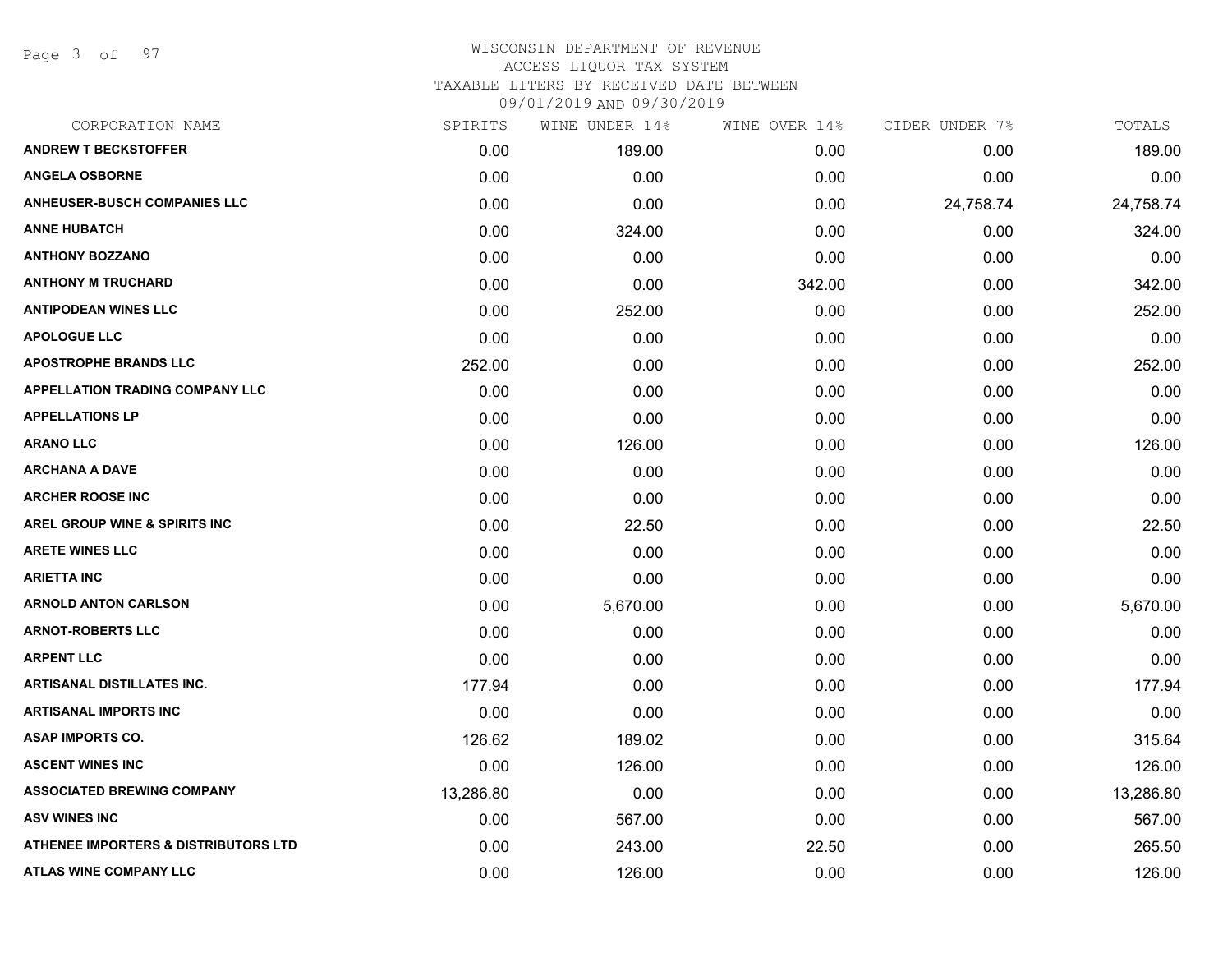Page 3 of 97

| CORPORATION NAME                                | SPIRITS   | WINE UNDER 14% | WINE OVER 14% | CIDER UNDER 7% | TOTALS    |
|-------------------------------------------------|-----------|----------------|---------------|----------------|-----------|
| <b>ANDREW T BECKSTOFFER</b>                     | 0.00      | 189.00         | 0.00          | 0.00           | 189.00    |
| <b>ANGELA OSBORNE</b>                           | 0.00      | 0.00           | 0.00          | 0.00           | 0.00      |
| <b>ANHEUSER-BUSCH COMPANIES LLC</b>             | 0.00      | 0.00           | 0.00          | 24,758.74      | 24,758.74 |
| <b>ANNE HUBATCH</b>                             | 0.00      | 324.00         | 0.00          | 0.00           | 324.00    |
| <b>ANTHONY BOZZANO</b>                          | 0.00      | 0.00           | 0.00          | 0.00           | 0.00      |
| <b>ANTHONY M TRUCHARD</b>                       | 0.00      | 0.00           | 342.00        | 0.00           | 342.00    |
| <b>ANTIPODEAN WINES LLC</b>                     | 0.00      | 252.00         | 0.00          | 0.00           | 252.00    |
| <b>APOLOGUE LLC</b>                             | 0.00      | 0.00           | 0.00          | 0.00           | 0.00      |
| <b>APOSTROPHE BRANDS LLC</b>                    | 252.00    | 0.00           | 0.00          | 0.00           | 252.00    |
| <b>APPELLATION TRADING COMPANY LLC</b>          | 0.00      | 0.00           | 0.00          | 0.00           | 0.00      |
| <b>APPELLATIONS LP</b>                          | 0.00      | 0.00           | 0.00          | 0.00           | 0.00      |
| <b>ARANO LLC</b>                                | 0.00      | 126.00         | 0.00          | 0.00           | 126.00    |
| <b>ARCHANA A DAVE</b>                           | 0.00      | 0.00           | 0.00          | 0.00           | 0.00      |
| <b>ARCHER ROOSE INC</b>                         | 0.00      | 0.00           | 0.00          | 0.00           | 0.00      |
| <b>AREL GROUP WINE &amp; SPIRITS INC</b>        | 0.00      | 22.50          | 0.00          | 0.00           | 22.50     |
| <b>ARETE WINES LLC</b>                          | 0.00      | 0.00           | 0.00          | 0.00           | 0.00      |
| <b>ARIETTA INC</b>                              | 0.00      | 0.00           | 0.00          | 0.00           | 0.00      |
| <b>ARNOLD ANTON CARLSON</b>                     | 0.00      | 5,670.00       | 0.00          | 0.00           | 5,670.00  |
| <b>ARNOT-ROBERTS LLC</b>                        | 0.00      | 0.00           | 0.00          | 0.00           | 0.00      |
| <b>ARPENT LLC</b>                               | 0.00      | 0.00           | 0.00          | 0.00           | 0.00      |
| <b>ARTISANAL DISTILLATES INC.</b>               | 177.94    | 0.00           | 0.00          | 0.00           | 177.94    |
| <b>ARTISANAL IMPORTS INC</b>                    | 0.00      | 0.00           | 0.00          | 0.00           | 0.00      |
| <b>ASAP IMPORTS CO.</b>                         | 126.62    | 189.02         | 0.00          | 0.00           | 315.64    |
| <b>ASCENT WINES INC</b>                         | 0.00      | 126.00         | 0.00          | 0.00           | 126.00    |
| <b>ASSOCIATED BREWING COMPANY</b>               | 13,286.80 | 0.00           | 0.00          | 0.00           | 13,286.80 |
| <b>ASV WINES INC</b>                            | 0.00      | 567.00         | 0.00          | 0.00           | 567.00    |
| <b>ATHENEE IMPORTERS &amp; DISTRIBUTORS LTD</b> | 0.00      | 243.00         | 22.50         | 0.00           | 265.50    |
| <b>ATLAS WINE COMPANY LLC</b>                   | 0.00      | 126.00         | 0.00          | 0.00           | 126.00    |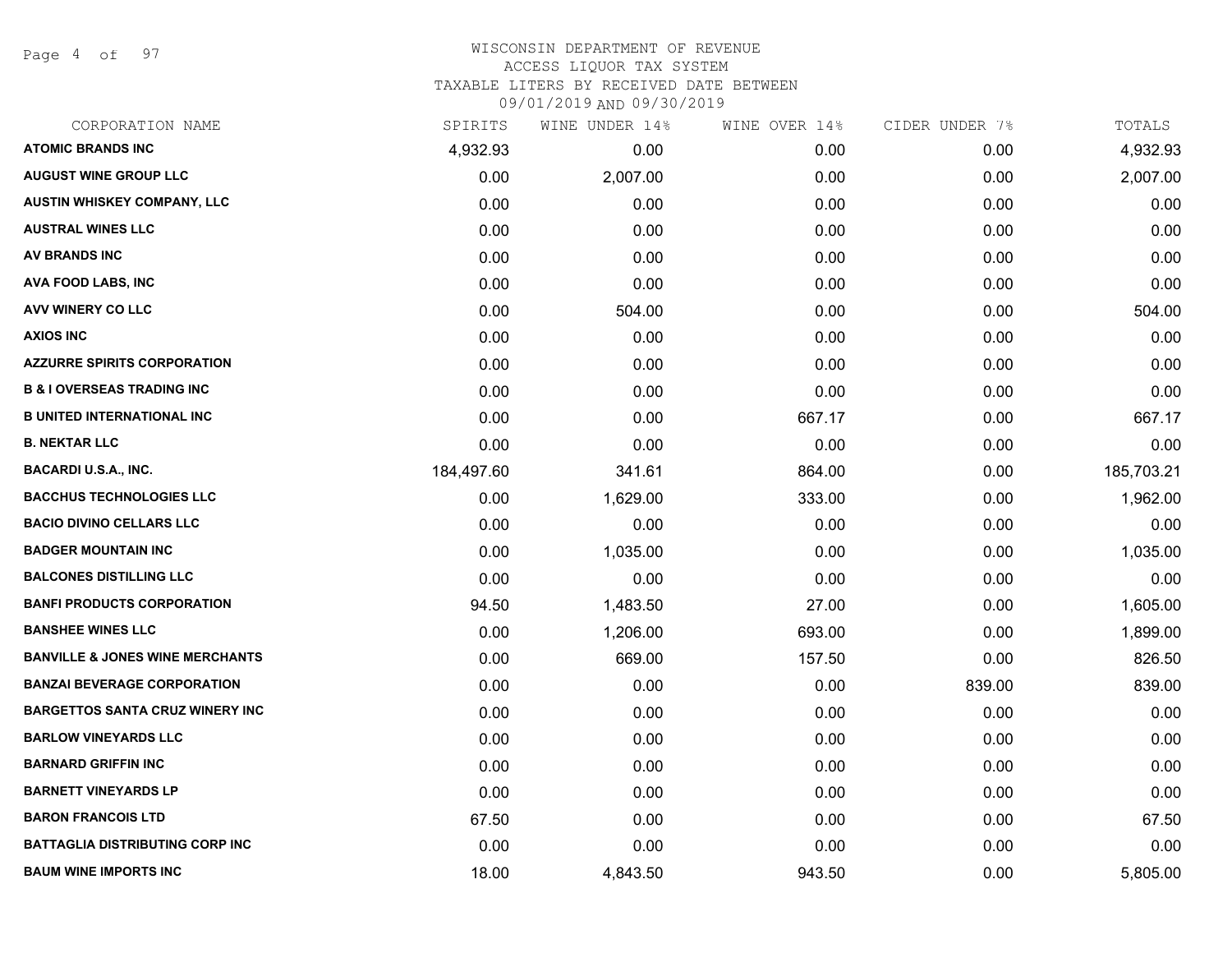Page 4 of 97

# WISCONSIN DEPARTMENT OF REVENUE ACCESS LIQUOR TAX SYSTEM TAXABLE LITERS BY RECEIVED DATE BETWEEN

| CORPORATION NAME                           | SPIRITS    | WINE UNDER 14% | WINE OVER 14% | CIDER UNDER 7% | TOTALS     |
|--------------------------------------------|------------|----------------|---------------|----------------|------------|
| <b>ATOMIC BRANDS INC</b>                   | 4,932.93   | 0.00           | 0.00          | 0.00           | 4,932.93   |
| <b>AUGUST WINE GROUP LLC</b>               | 0.00       | 2,007.00       | 0.00          | 0.00           | 2,007.00   |
| <b>AUSTIN WHISKEY COMPANY, LLC</b>         | 0.00       | 0.00           | 0.00          | 0.00           | 0.00       |
| <b>AUSTRAL WINES LLC</b>                   | 0.00       | 0.00           | 0.00          | 0.00           | 0.00       |
| <b>AV BRANDS INC</b>                       | 0.00       | 0.00           | 0.00          | 0.00           | 0.00       |
| AVA FOOD LABS, INC                         | 0.00       | 0.00           | 0.00          | 0.00           | 0.00       |
| AVV WINERY CO LLC                          | 0.00       | 504.00         | 0.00          | 0.00           | 504.00     |
| <b>AXIOS INC</b>                           | 0.00       | 0.00           | 0.00          | 0.00           | 0.00       |
| <b>AZZURRE SPIRITS CORPORATION</b>         | 0.00       | 0.00           | 0.00          | 0.00           | 0.00       |
| <b>B &amp; I OVERSEAS TRADING INC</b>      | 0.00       | 0.00           | 0.00          | 0.00           | 0.00       |
| <b>B UNITED INTERNATIONAL INC</b>          | 0.00       | 0.00           | 667.17        | 0.00           | 667.17     |
| <b>B. NEKTAR LLC</b>                       | 0.00       | 0.00           | 0.00          | 0.00           | 0.00       |
| BACARDI U.S.A., INC.                       | 184,497.60 | 341.61         | 864.00        | 0.00           | 185,703.21 |
| <b>BACCHUS TECHNOLOGIES LLC</b>            | 0.00       | 1,629.00       | 333.00        | 0.00           | 1,962.00   |
| <b>BACIO DIVINO CELLARS LLC</b>            | 0.00       | 0.00           | 0.00          | 0.00           | 0.00       |
| <b>BADGER MOUNTAIN INC</b>                 | 0.00       | 1,035.00       | 0.00          | 0.00           | 1,035.00   |
| <b>BALCONES DISTILLING LLC</b>             | 0.00       | 0.00           | 0.00          | 0.00           | 0.00       |
| <b>BANFI PRODUCTS CORPORATION</b>          | 94.50      | 1,483.50       | 27.00         | 0.00           | 1,605.00   |
| <b>BANSHEE WINES LLC</b>                   | 0.00       | 1,206.00       | 693.00        | 0.00           | 1,899.00   |
| <b>BANVILLE &amp; JONES WINE MERCHANTS</b> | 0.00       | 669.00         | 157.50        | 0.00           | 826.50     |
| <b>BANZAI BEVERAGE CORPORATION</b>         | 0.00       | 0.00           | 0.00          | 839.00         | 839.00     |
| <b>BARGETTOS SANTA CRUZ WINERY INC</b>     | 0.00       | 0.00           | 0.00          | 0.00           | 0.00       |
| <b>BARLOW VINEYARDS LLC</b>                | 0.00       | 0.00           | 0.00          | 0.00           | 0.00       |
| <b>BARNARD GRIFFIN INC</b>                 | 0.00       | 0.00           | 0.00          | 0.00           | 0.00       |
| <b>BARNETT VINEYARDS LP</b>                | 0.00       | 0.00           | 0.00          | 0.00           | 0.00       |
| <b>BARON FRANCOIS LTD</b>                  | 67.50      | 0.00           | 0.00          | 0.00           | 67.50      |
| <b>BATTAGLIA DISTRIBUTING CORP INC</b>     | 0.00       | 0.00           | 0.00          | 0.00           | 0.00       |
| <b>BAUM WINE IMPORTS INC</b>               | 18.00      | 4,843.50       | 943.50        | 0.00           | 5,805.00   |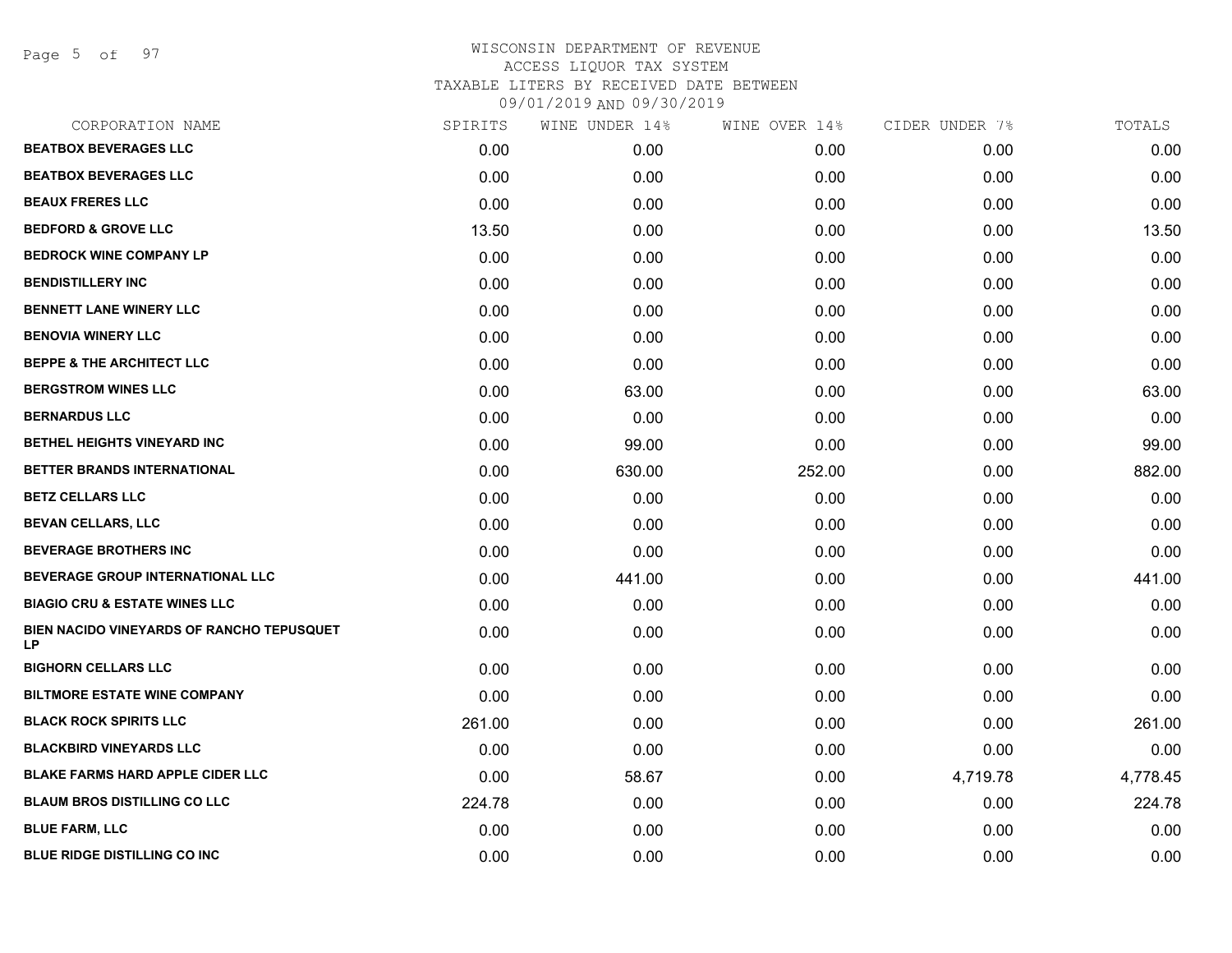Page 5 of 97

| CORPORATION NAME                                | SPIRITS | WINE UNDER 14% | WINE OVER 14% | CIDER UNDER 7% | TOTALS   |
|-------------------------------------------------|---------|----------------|---------------|----------------|----------|
| <b>BEATBOX BEVERAGES LLC</b>                    | 0.00    | 0.00           | 0.00          | 0.00           | 0.00     |
| <b>BEATBOX BEVERAGES LLC</b>                    | 0.00    | 0.00           | 0.00          | 0.00           | 0.00     |
| <b>BEAUX FRERES LLC</b>                         | 0.00    | 0.00           | 0.00          | 0.00           | 0.00     |
| <b>BEDFORD &amp; GROVE LLC</b>                  | 13.50   | 0.00           | 0.00          | 0.00           | 13.50    |
| <b>BEDROCK WINE COMPANY LP</b>                  | 0.00    | 0.00           | 0.00          | 0.00           | 0.00     |
| <b>BENDISTILLERY INC</b>                        | 0.00    | 0.00           | 0.00          | 0.00           | 0.00     |
| <b>BENNETT LANE WINERY LLC</b>                  | 0.00    | 0.00           | 0.00          | 0.00           | 0.00     |
| <b>BENOVIA WINERY LLC</b>                       | 0.00    | 0.00           | 0.00          | 0.00           | 0.00     |
| <b>BEPPE &amp; THE ARCHITECT LLC</b>            | 0.00    | 0.00           | 0.00          | 0.00           | 0.00     |
| <b>BERGSTROM WINES LLC</b>                      | 0.00    | 63.00          | 0.00          | 0.00           | 63.00    |
| <b>BERNARDUS LLC</b>                            | 0.00    | 0.00           | 0.00          | 0.00           | 0.00     |
| BETHEL HEIGHTS VINEYARD INC                     | 0.00    | 99.00          | 0.00          | 0.00           | 99.00    |
| <b>BETTER BRANDS INTERNATIONAL</b>              | 0.00    | 630.00         | 252.00        | 0.00           | 882.00   |
| <b>BETZ CELLARS LLC</b>                         | 0.00    | 0.00           | 0.00          | 0.00           | 0.00     |
| <b>BEVAN CELLARS, LLC</b>                       | 0.00    | 0.00           | 0.00          | 0.00           | 0.00     |
| <b>BEVERAGE BROTHERS INC</b>                    | 0.00    | 0.00           | 0.00          | 0.00           | 0.00     |
| BEVERAGE GROUP INTERNATIONAL LLC                | 0.00    | 441.00         | 0.00          | 0.00           | 441.00   |
| <b>BIAGIO CRU &amp; ESTATE WINES LLC</b>        | 0.00    | 0.00           | 0.00          | 0.00           | 0.00     |
| BIEN NACIDO VINEYARDS OF RANCHO TEPUSQUET<br>LP | 0.00    | 0.00           | 0.00          | 0.00           | 0.00     |
| <b>BIGHORN CELLARS LLC</b>                      | 0.00    | 0.00           | 0.00          | 0.00           | 0.00     |
| <b>BILTMORE ESTATE WINE COMPANY</b>             | 0.00    | 0.00           | 0.00          | 0.00           | 0.00     |
| <b>BLACK ROCK SPIRITS LLC</b>                   | 261.00  | 0.00           | 0.00          | 0.00           | 261.00   |
| <b>BLACKBIRD VINEYARDS LLC</b>                  | 0.00    | 0.00           | 0.00          | 0.00           | 0.00     |
| <b>BLAKE FARMS HARD APPLE CIDER LLC</b>         | 0.00    | 58.67          | 0.00          | 4,719.78       | 4,778.45 |
| <b>BLAUM BROS DISTILLING CO LLC</b>             | 224.78  | 0.00           | 0.00          | 0.00           | 224.78   |
| <b>BLUE FARM, LLC</b>                           | 0.00    | 0.00           | 0.00          | 0.00           | 0.00     |
| <b>BLUE RIDGE DISTILLING CO INC</b>             | 0.00    | 0.00           | 0.00          | 0.00           | 0.00     |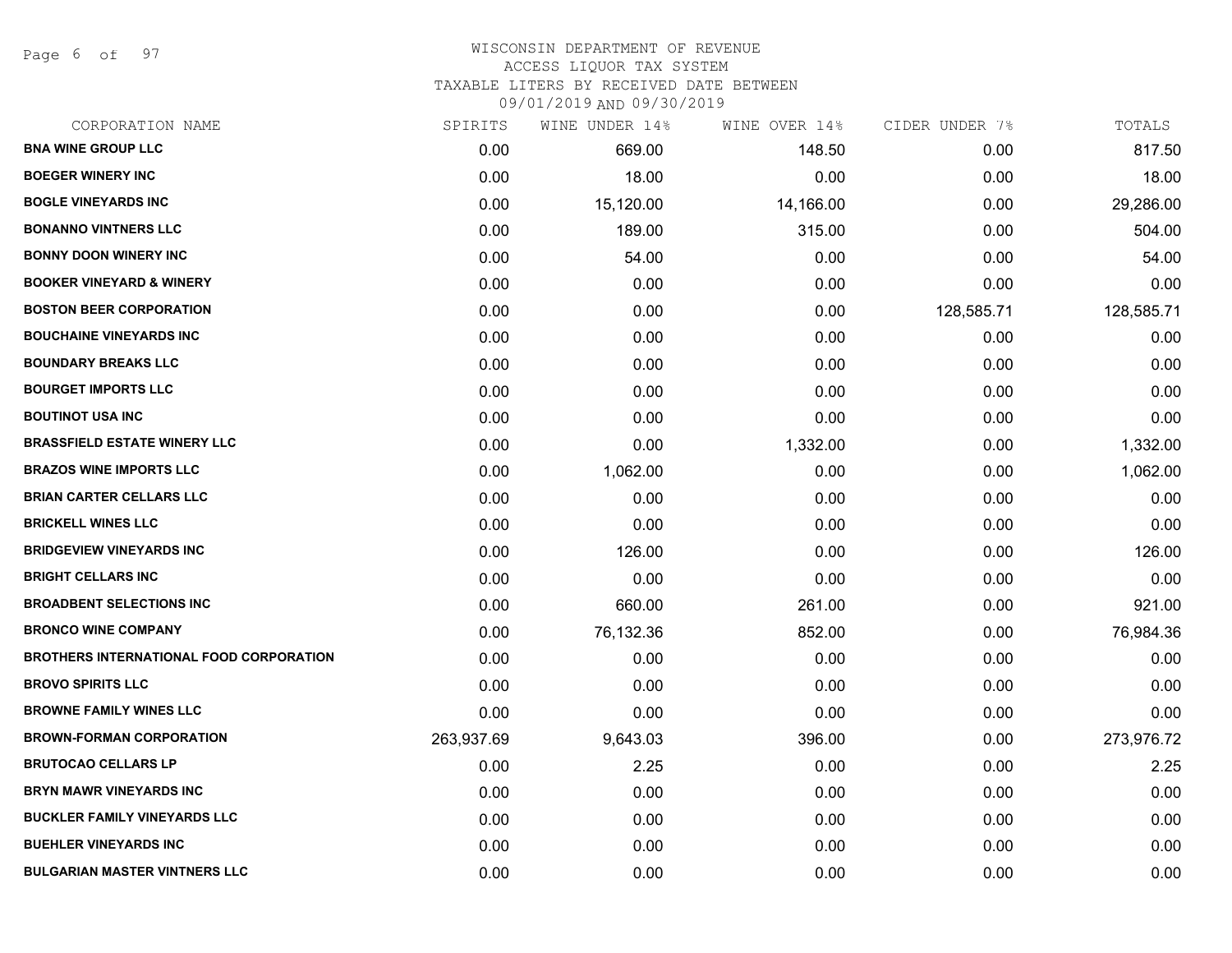Page 6 of 97

| CORPORATION NAME                        | SPIRITS    | WINE UNDER 14% | WINE OVER 14% | CIDER UNDER 7% | TOTALS     |
|-----------------------------------------|------------|----------------|---------------|----------------|------------|
| <b>BNA WINE GROUP LLC</b>               | 0.00       | 669.00         | 148.50        | 0.00           | 817.50     |
| <b>BOEGER WINERY INC</b>                | 0.00       | 18.00          | 0.00          | 0.00           | 18.00      |
| <b>BOGLE VINEYARDS INC</b>              | 0.00       | 15,120.00      | 14,166.00     | 0.00           | 29,286.00  |
| <b>BONANNO VINTNERS LLC</b>             | 0.00       | 189.00         | 315.00        | 0.00           | 504.00     |
| <b>BONNY DOON WINERY INC</b>            | 0.00       | 54.00          | 0.00          | 0.00           | 54.00      |
| <b>BOOKER VINEYARD &amp; WINERY</b>     | 0.00       | 0.00           | 0.00          | 0.00           | 0.00       |
| <b>BOSTON BEER CORPORATION</b>          | 0.00       | 0.00           | 0.00          | 128,585.71     | 128,585.71 |
| <b>BOUCHAINE VINEYARDS INC</b>          | 0.00       | 0.00           | 0.00          | 0.00           | 0.00       |
| <b>BOUNDARY BREAKS LLC</b>              | 0.00       | 0.00           | 0.00          | 0.00           | 0.00       |
| <b>BOURGET IMPORTS LLC</b>              | 0.00       | 0.00           | 0.00          | 0.00           | 0.00       |
| <b>BOUTINOT USA INC</b>                 | 0.00       | 0.00           | 0.00          | 0.00           | 0.00       |
| <b>BRASSFIELD ESTATE WINERY LLC</b>     | 0.00       | 0.00           | 1,332.00      | 0.00           | 1,332.00   |
| <b>BRAZOS WINE IMPORTS LLC</b>          | 0.00       | 1,062.00       | 0.00          | 0.00           | 1,062.00   |
| <b>BRIAN CARTER CELLARS LLC</b>         | 0.00       | 0.00           | 0.00          | 0.00           | 0.00       |
| <b>BRICKELL WINES LLC</b>               | 0.00       | 0.00           | 0.00          | 0.00           | 0.00       |
| <b>BRIDGEVIEW VINEYARDS INC</b>         | 0.00       | 126.00         | 0.00          | 0.00           | 126.00     |
| <b>BRIGHT CELLARS INC</b>               | 0.00       | 0.00           | 0.00          | 0.00           | 0.00       |
| <b>BROADBENT SELECTIONS INC</b>         | 0.00       | 660.00         | 261.00        | 0.00           | 921.00     |
| <b>BRONCO WINE COMPANY</b>              | 0.00       | 76,132.36      | 852.00        | 0.00           | 76,984.36  |
| BROTHERS INTERNATIONAL FOOD CORPORATION | 0.00       | 0.00           | 0.00          | 0.00           | 0.00       |
| <b>BROVO SPIRITS LLC</b>                | 0.00       | 0.00           | 0.00          | 0.00           | 0.00       |
| <b>BROWNE FAMILY WINES LLC</b>          | 0.00       | 0.00           | 0.00          | 0.00           | 0.00       |
| <b>BROWN-FORMAN CORPORATION</b>         | 263,937.69 | 9,643.03       | 396.00        | 0.00           | 273,976.72 |
| <b>BRUTOCAO CELLARS LP</b>              | 0.00       | 2.25           | 0.00          | 0.00           | 2.25       |
| <b>BRYN MAWR VINEYARDS INC</b>          | 0.00       | 0.00           | 0.00          | 0.00           | 0.00       |
| <b>BUCKLER FAMILY VINEYARDS LLC</b>     | 0.00       | 0.00           | 0.00          | 0.00           | 0.00       |
| <b>BUEHLER VINEYARDS INC</b>            | 0.00       | 0.00           | 0.00          | 0.00           | 0.00       |
| <b>BULGARIAN MASTER VINTNERS LLC</b>    | 0.00       | 0.00           | 0.00          | 0.00           | 0.00       |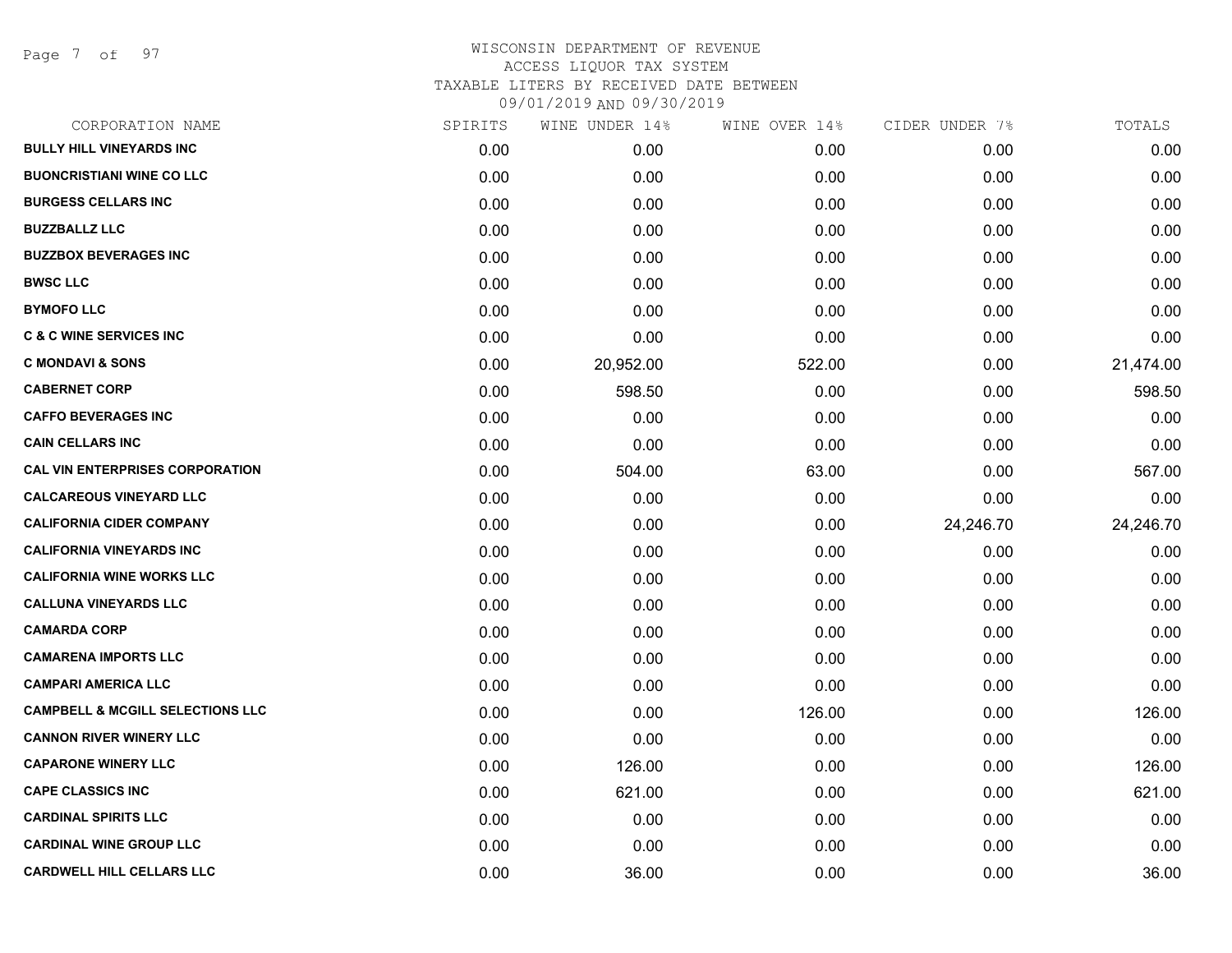Page 7 of 97

| CORPORATION NAME                            | SPIRITS | WINE UNDER 14% | WINE OVER 14% | CIDER UNDER 7% | TOTALS    |
|---------------------------------------------|---------|----------------|---------------|----------------|-----------|
| <b>BULLY HILL VINEYARDS INC</b>             | 0.00    | 0.00           | 0.00          | 0.00           | 0.00      |
| <b>BUONCRISTIANI WINE CO LLC</b>            | 0.00    | 0.00           | 0.00          | 0.00           | 0.00      |
| <b>BURGESS CELLARS INC</b>                  | 0.00    | 0.00           | 0.00          | 0.00           | 0.00      |
| <b>BUZZBALLZ LLC</b>                        | 0.00    | 0.00           | 0.00          | 0.00           | 0.00      |
| <b>BUZZBOX BEVERAGES INC</b>                | 0.00    | 0.00           | 0.00          | 0.00           | 0.00      |
| <b>BWSC LLC</b>                             | 0.00    | 0.00           | 0.00          | 0.00           | 0.00      |
| <b>BYMOFO LLC</b>                           | 0.00    | 0.00           | 0.00          | 0.00           | 0.00      |
| <b>C &amp; C WINE SERVICES INC</b>          | 0.00    | 0.00           | 0.00          | 0.00           | 0.00      |
| <b>C MONDAVI &amp; SONS</b>                 | 0.00    | 20,952.00      | 522.00        | 0.00           | 21,474.00 |
| <b>CABERNET CORP</b>                        | 0.00    | 598.50         | 0.00          | 0.00           | 598.50    |
| <b>CAFFO BEVERAGES INC</b>                  | 0.00    | 0.00           | 0.00          | 0.00           | 0.00      |
| <b>CAIN CELLARS INC</b>                     | 0.00    | 0.00           | 0.00          | 0.00           | 0.00      |
| <b>CAL VIN ENTERPRISES CORPORATION</b>      | 0.00    | 504.00         | 63.00         | 0.00           | 567.00    |
| <b>CALCAREOUS VINEYARD LLC</b>              | 0.00    | 0.00           | 0.00          | 0.00           | 0.00      |
| <b>CALIFORNIA CIDER COMPANY</b>             | 0.00    | 0.00           | 0.00          | 24,246.70      | 24,246.70 |
| <b>CALIFORNIA VINEYARDS INC</b>             | 0.00    | 0.00           | 0.00          | 0.00           | 0.00      |
| <b>CALIFORNIA WINE WORKS LLC</b>            | 0.00    | 0.00           | 0.00          | 0.00           | 0.00      |
| <b>CALLUNA VINEYARDS LLC</b>                | 0.00    | 0.00           | 0.00          | 0.00           | 0.00      |
| <b>CAMARDA CORP</b>                         | 0.00    | 0.00           | 0.00          | 0.00           | 0.00      |
| <b>CAMARENA IMPORTS LLC</b>                 | 0.00    | 0.00           | 0.00          | 0.00           | 0.00      |
| <b>CAMPARI AMERICA LLC</b>                  | 0.00    | 0.00           | 0.00          | 0.00           | 0.00      |
| <b>CAMPBELL &amp; MCGILL SELECTIONS LLC</b> | 0.00    | 0.00           | 126.00        | 0.00           | 126.00    |
| <b>CANNON RIVER WINERY LLC</b>              | 0.00    | 0.00           | 0.00          | 0.00           | 0.00      |
| <b>CAPARONE WINERY LLC</b>                  | 0.00    | 126.00         | 0.00          | 0.00           | 126.00    |
| <b>CAPE CLASSICS INC</b>                    | 0.00    | 621.00         | 0.00          | 0.00           | 621.00    |
| <b>CARDINAL SPIRITS LLC</b>                 | 0.00    | 0.00           | 0.00          | 0.00           | 0.00      |
| <b>CARDINAL WINE GROUP LLC</b>              | 0.00    | 0.00           | 0.00          | 0.00           | 0.00      |
| <b>CARDWELL HILL CELLARS LLC</b>            | 0.00    | 36.00          | 0.00          | 0.00           | 36.00     |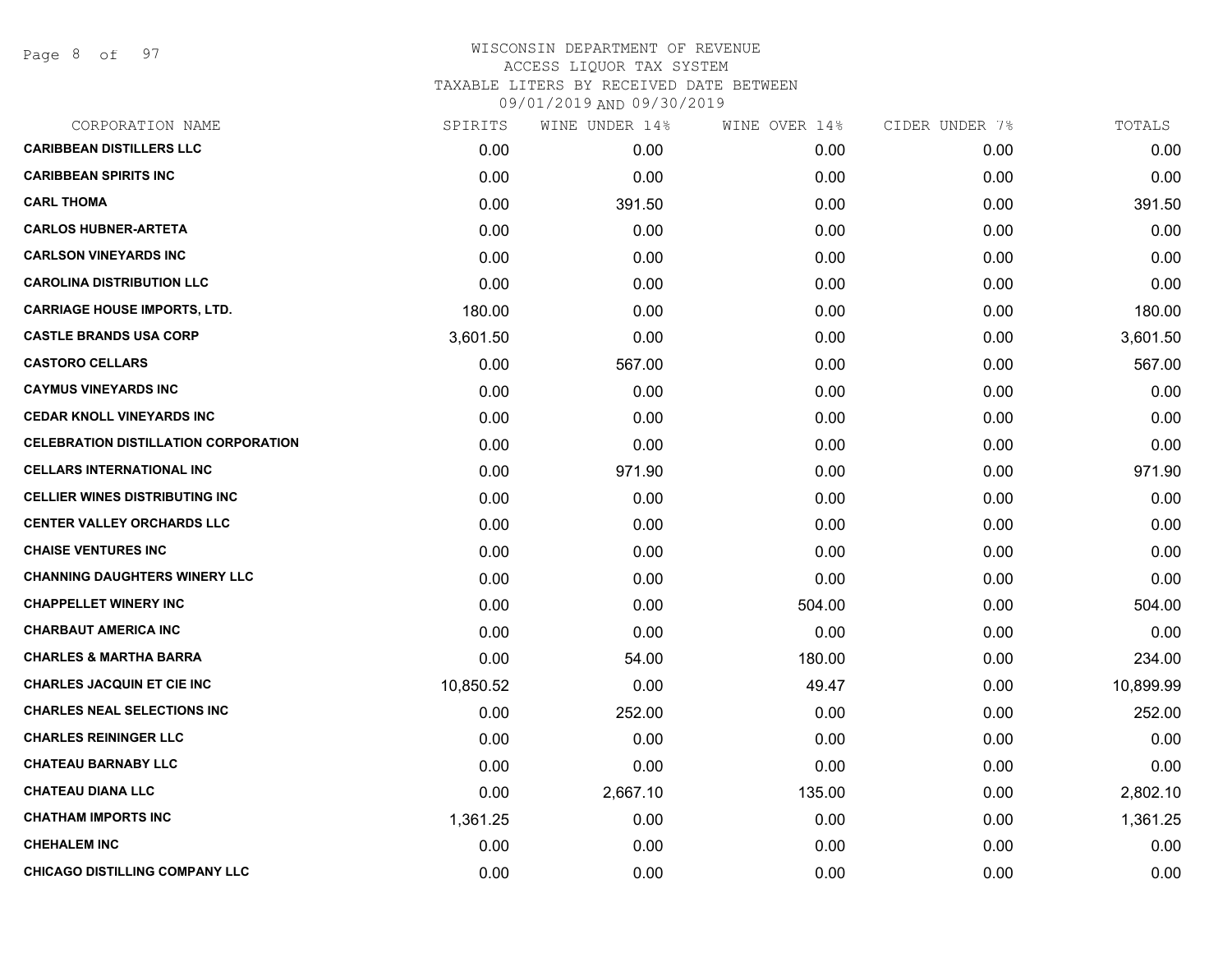Page 8 of 97

| CORPORATION NAME                            | SPIRITS   | WINE UNDER 14% | WINE OVER 14% | CIDER UNDER 7% | TOTALS    |
|---------------------------------------------|-----------|----------------|---------------|----------------|-----------|
| <b>CARIBBEAN DISTILLERS LLC</b>             | 0.00      | 0.00           | 0.00          | 0.00           | 0.00      |
| <b>CARIBBEAN SPIRITS INC</b>                | 0.00      | 0.00           | 0.00          | 0.00           | 0.00      |
| <b>CARL THOMA</b>                           | 0.00      | 391.50         | 0.00          | 0.00           | 391.50    |
| <b>CARLOS HUBNER-ARTETA</b>                 | 0.00      | 0.00           | 0.00          | 0.00           | 0.00      |
| <b>CARLSON VINEYARDS INC</b>                | 0.00      | 0.00           | 0.00          | 0.00           | 0.00      |
| <b>CAROLINA DISTRIBUTION LLC</b>            | 0.00      | 0.00           | 0.00          | 0.00           | 0.00      |
| <b>CARRIAGE HOUSE IMPORTS, LTD.</b>         | 180.00    | 0.00           | 0.00          | 0.00           | 180.00    |
| <b>CASTLE BRANDS USA CORP</b>               | 3,601.50  | 0.00           | 0.00          | 0.00           | 3,601.50  |
| <b>CASTORO CELLARS</b>                      | 0.00      | 567.00         | 0.00          | 0.00           | 567.00    |
| <b>CAYMUS VINEYARDS INC</b>                 | 0.00      | 0.00           | 0.00          | 0.00           | 0.00      |
| <b>CEDAR KNOLL VINEYARDS INC</b>            | 0.00      | 0.00           | 0.00          | 0.00           | 0.00      |
| <b>CELEBRATION DISTILLATION CORPORATION</b> | 0.00      | 0.00           | 0.00          | 0.00           | 0.00      |
| <b>CELLARS INTERNATIONAL INC</b>            | 0.00      | 971.90         | 0.00          | 0.00           | 971.90    |
| <b>CELLIER WINES DISTRIBUTING INC</b>       | 0.00      | 0.00           | 0.00          | 0.00           | 0.00      |
| <b>CENTER VALLEY ORCHARDS LLC</b>           | 0.00      | 0.00           | 0.00          | 0.00           | 0.00      |
| <b>CHAISE VENTURES INC</b>                  | 0.00      | 0.00           | 0.00          | 0.00           | 0.00      |
| <b>CHANNING DAUGHTERS WINERY LLC</b>        | 0.00      | 0.00           | 0.00          | 0.00           | 0.00      |
| <b>CHAPPELLET WINERY INC</b>                | 0.00      | 0.00           | 504.00        | 0.00           | 504.00    |
| <b>CHARBAUT AMERICA INC</b>                 | 0.00      | 0.00           | 0.00          | 0.00           | 0.00      |
| <b>CHARLES &amp; MARTHA BARRA</b>           | 0.00      | 54.00          | 180.00        | 0.00           | 234.00    |
| <b>CHARLES JACQUIN ET CIE INC</b>           | 10,850.52 | 0.00           | 49.47         | 0.00           | 10,899.99 |
| <b>CHARLES NEAL SELECTIONS INC</b>          | 0.00      | 252.00         | 0.00          | 0.00           | 252.00    |
| <b>CHARLES REININGER LLC</b>                | 0.00      | 0.00           | 0.00          | 0.00           | 0.00      |
| <b>CHATEAU BARNABY LLC</b>                  | 0.00      | 0.00           | 0.00          | 0.00           | 0.00      |
| <b>CHATEAU DIANA LLC</b>                    | 0.00      | 2,667.10       | 135.00        | 0.00           | 2,802.10  |
| <b>CHATHAM IMPORTS INC</b>                  | 1,361.25  | 0.00           | 0.00          | 0.00           | 1,361.25  |
| <b>CHEHALEM INC</b>                         | 0.00      | 0.00           | 0.00          | 0.00           | 0.00      |
| <b>CHICAGO DISTILLING COMPANY LLC</b>       | 0.00      | 0.00           | 0.00          | 0.00           | 0.00      |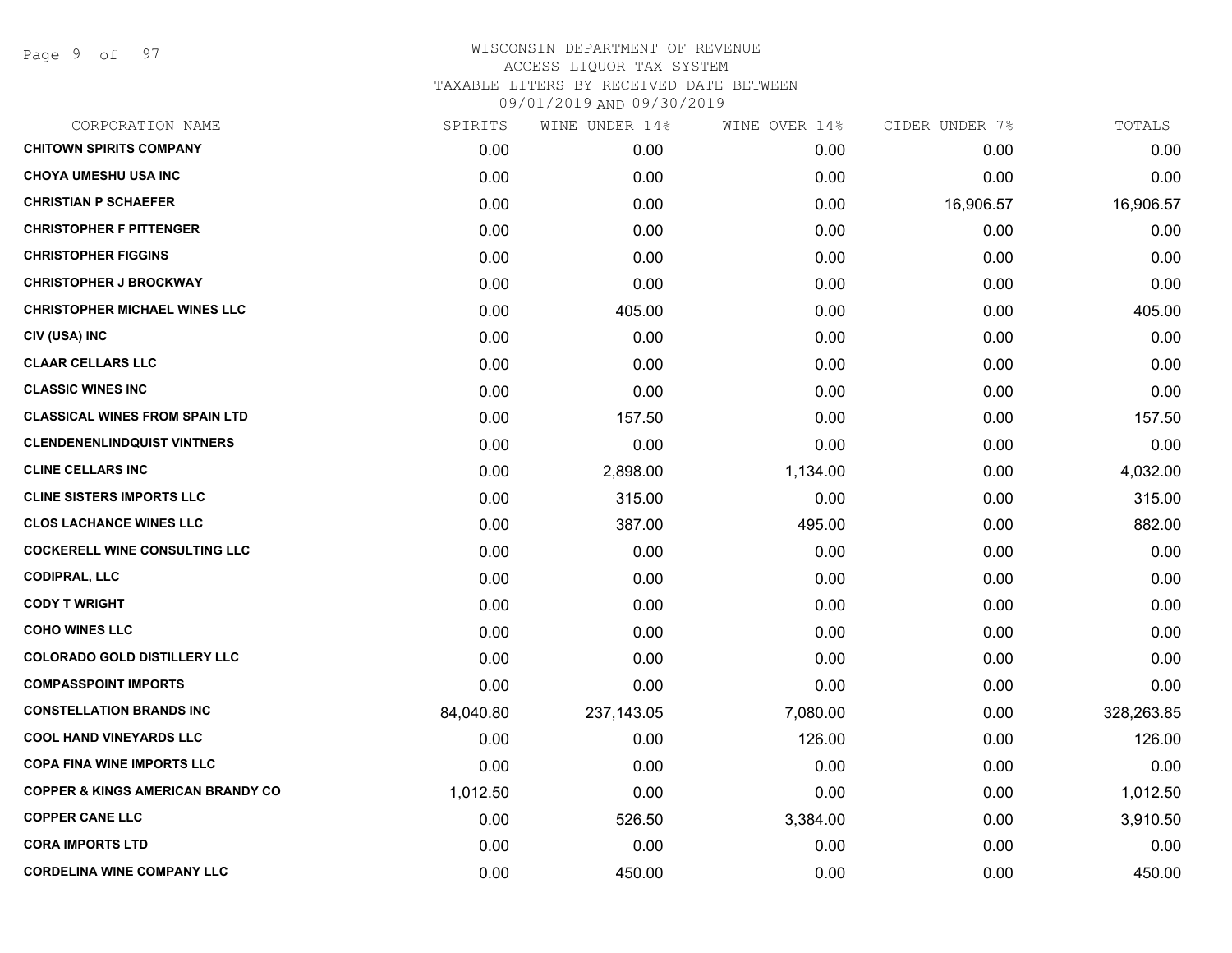Page 9 of 97

| SPIRITS   | WINE UNDER 14% | WINE OVER 14% |           | TOTALS         |
|-----------|----------------|---------------|-----------|----------------|
| 0.00      | 0.00           | 0.00          | 0.00      | 0.00           |
| 0.00      | 0.00           | 0.00          | 0.00      | 0.00           |
| 0.00      | 0.00           | 0.00          | 16,906.57 | 16,906.57      |
| 0.00      | 0.00           | 0.00          | 0.00      | 0.00           |
| 0.00      | 0.00           | 0.00          | 0.00      | 0.00           |
| 0.00      | 0.00           | 0.00          | 0.00      | 0.00           |
| 0.00      | 405.00         | 0.00          | 0.00      | 405.00         |
| 0.00      | 0.00           | 0.00          | 0.00      | 0.00           |
| 0.00      | 0.00           | 0.00          | 0.00      | 0.00           |
| 0.00      | 0.00           | 0.00          | 0.00      | 0.00           |
| 0.00      | 157.50         | 0.00          | 0.00      | 157.50         |
| 0.00      | 0.00           | 0.00          | 0.00      | 0.00           |
| 0.00      | 2,898.00       | 1,134.00      | 0.00      | 4,032.00       |
| 0.00      | 315.00         | 0.00          | 0.00      | 315.00         |
| 0.00      | 387.00         | 495.00        | 0.00      | 882.00         |
| 0.00      | 0.00           | 0.00          | 0.00      | 0.00           |
| 0.00      | 0.00           | 0.00          | 0.00      | 0.00           |
| 0.00      | 0.00           | 0.00          | 0.00      | 0.00           |
| 0.00      | 0.00           | 0.00          | 0.00      | 0.00           |
| 0.00      | 0.00           | 0.00          | 0.00      | 0.00           |
| 0.00      | 0.00           | 0.00          | 0.00      | 0.00           |
| 84,040.80 | 237, 143.05    | 7,080.00      | 0.00      | 328,263.85     |
| 0.00      | 0.00           | 126.00        | 0.00      | 126.00         |
| 0.00      | 0.00           | 0.00          | 0.00      | 0.00           |
| 1,012.50  | 0.00           | 0.00          | 0.00      | 1,012.50       |
| 0.00      | 526.50         | 3,384.00      | 0.00      | 3,910.50       |
| 0.00      | 0.00           | 0.00          | 0.00      | 0.00           |
| 0.00      | 450.00         | 0.00          | 0.00      | 450.00         |
|           |                |               |           | CIDER UNDER 7% |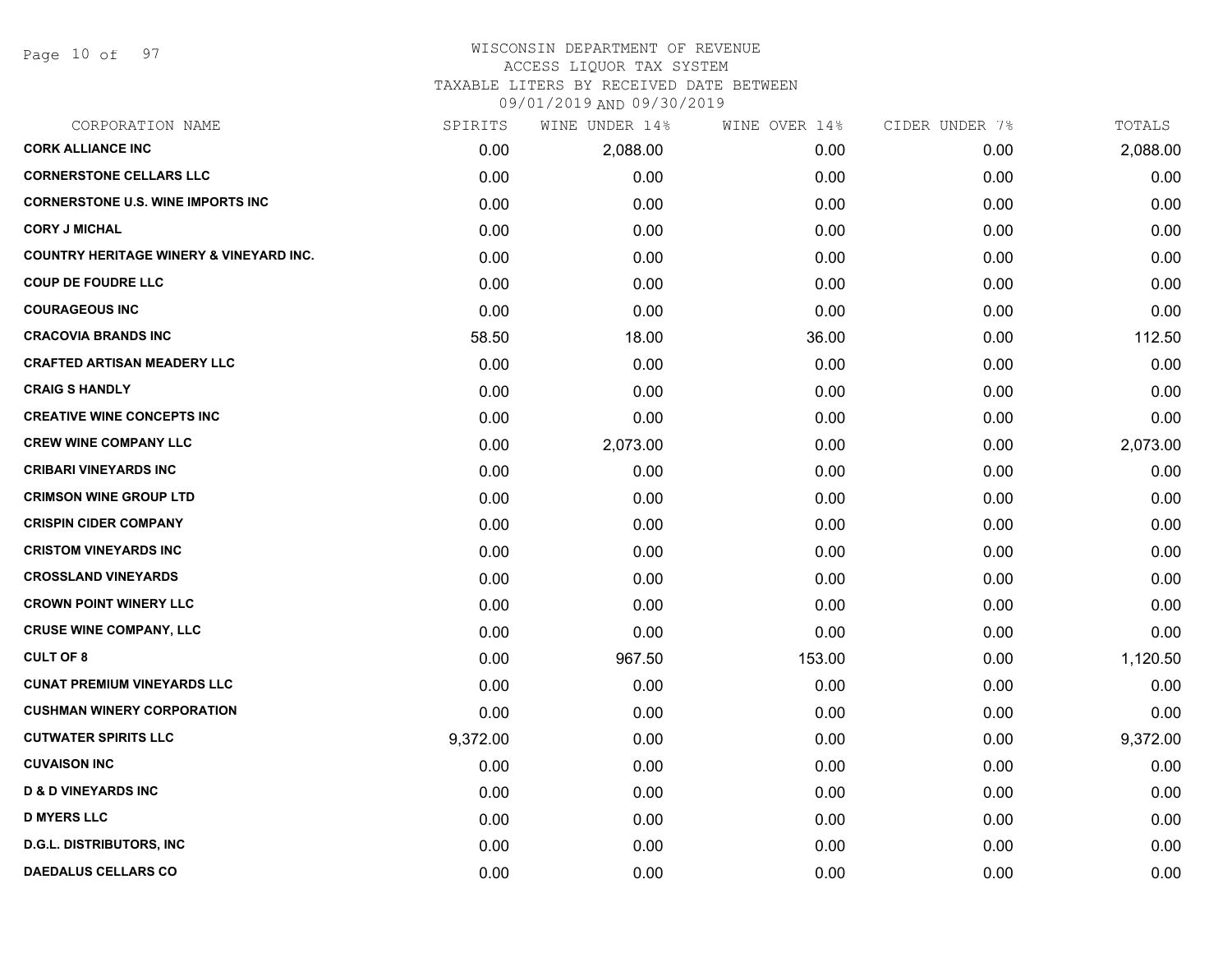Page 10 of 97

#### WISCONSIN DEPARTMENT OF REVENUE ACCESS LIQUOR TAX SYSTEM

TAXABLE LITERS BY RECEIVED DATE BETWEEN

| CORPORATION NAME                                   | SPIRITS  | WINE UNDER 14% | WINE OVER 14% | CIDER UNDER 7% | TOTALS   |
|----------------------------------------------------|----------|----------------|---------------|----------------|----------|
| <b>CORK ALLIANCE INC</b>                           | 0.00     | 2,088.00       | 0.00          | 0.00           | 2,088.00 |
| <b>CORNERSTONE CELLARS LLC</b>                     | 0.00     | 0.00           | 0.00          | 0.00           | 0.00     |
| <b>CORNERSTONE U.S. WINE IMPORTS INC</b>           | 0.00     | 0.00           | 0.00          | 0.00           | 0.00     |
| <b>CORY J MICHAL</b>                               | 0.00     | 0.00           | 0.00          | 0.00           | 0.00     |
| <b>COUNTRY HERITAGE WINERY &amp; VINEYARD INC.</b> | 0.00     | 0.00           | 0.00          | 0.00           | 0.00     |
| <b>COUP DE FOUDRE LLC</b>                          | 0.00     | 0.00           | 0.00          | 0.00           | 0.00     |
| <b>COURAGEOUS INC</b>                              | 0.00     | 0.00           | 0.00          | 0.00           | 0.00     |
| <b>CRACOVIA BRANDS INC</b>                         | 58.50    | 18.00          | 36.00         | 0.00           | 112.50   |
| <b>CRAFTED ARTISAN MEADERY LLC</b>                 | 0.00     | 0.00           | 0.00          | 0.00           | 0.00     |
| <b>CRAIG S HANDLY</b>                              | 0.00     | 0.00           | 0.00          | 0.00           | 0.00     |
| <b>CREATIVE WINE CONCEPTS INC</b>                  | 0.00     | 0.00           | 0.00          | 0.00           | 0.00     |
| <b>CREW WINE COMPANY LLC</b>                       | 0.00     | 2,073.00       | 0.00          | 0.00           | 2,073.00 |
| <b>CRIBARI VINEYARDS INC</b>                       | 0.00     | 0.00           | 0.00          | 0.00           | 0.00     |
| <b>CRIMSON WINE GROUP LTD</b>                      | 0.00     | 0.00           | 0.00          | 0.00           | 0.00     |
| <b>CRISPIN CIDER COMPANY</b>                       | 0.00     | 0.00           | 0.00          | 0.00           | 0.00     |
| <b>CRISTOM VINEYARDS INC</b>                       | 0.00     | 0.00           | 0.00          | 0.00           | 0.00     |
| <b>CROSSLAND VINEYARDS</b>                         | 0.00     | 0.00           | 0.00          | 0.00           | 0.00     |
| <b>CROWN POINT WINERY LLC</b>                      | 0.00     | 0.00           | 0.00          | 0.00           | 0.00     |
| <b>CRUSE WINE COMPANY, LLC</b>                     | 0.00     | 0.00           | 0.00          | 0.00           | 0.00     |
| <b>CULT OF 8</b>                                   | 0.00     | 967.50         | 153.00        | 0.00           | 1,120.50 |
| <b>CUNAT PREMIUM VINEYARDS LLC</b>                 | 0.00     | 0.00           | 0.00          | 0.00           | 0.00     |
| <b>CUSHMAN WINERY CORPORATION</b>                  | 0.00     | 0.00           | 0.00          | 0.00           | 0.00     |
| <b>CUTWATER SPIRITS LLC</b>                        | 9,372.00 | 0.00           | 0.00          | 0.00           | 9,372.00 |
| <b>CUVAISON INC</b>                                | 0.00     | 0.00           | 0.00          | 0.00           | 0.00     |
| <b>D &amp; D VINEYARDS INC</b>                     | 0.00     | 0.00           | 0.00          | 0.00           | 0.00     |
| <b>D MYERS LLC</b>                                 | 0.00     | 0.00           | 0.00          | 0.00           | 0.00     |
| <b>D.G.L. DISTRIBUTORS, INC</b>                    | 0.00     | 0.00           | 0.00          | 0.00           | 0.00     |
| <b>DAEDALUS CELLARS CO</b>                         | 0.00     | 0.00           | 0.00          | 0.00           | 0.00     |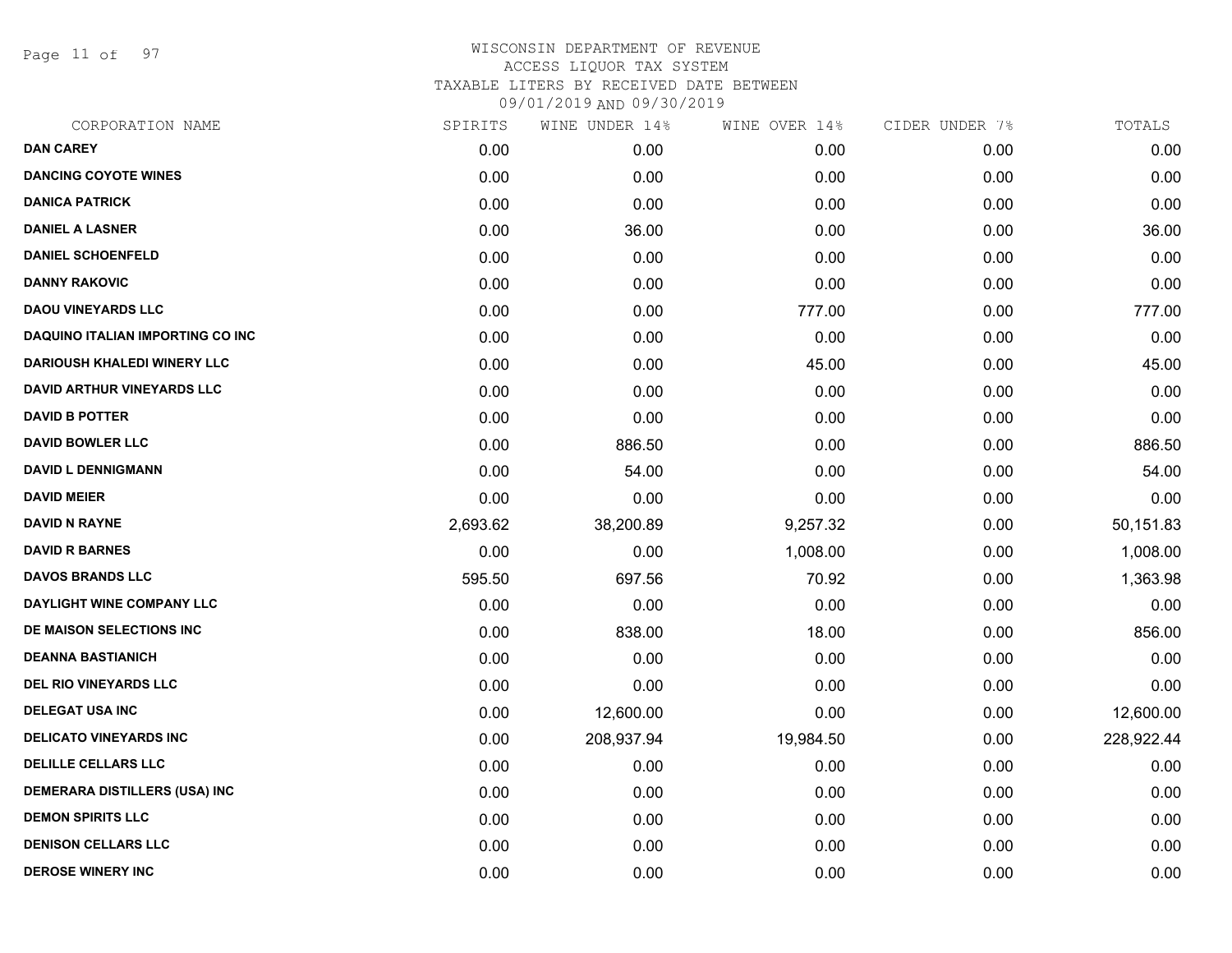Page 11 of 97

|          | WINE UNDER 14% |           |               | TOTALS         |
|----------|----------------|-----------|---------------|----------------|
| 0.00     | 0.00           | 0.00      | 0.00          | 0.00           |
| 0.00     | 0.00           | 0.00      | 0.00          | 0.00           |
| 0.00     | 0.00           | 0.00      | 0.00          | 0.00           |
| 0.00     | 36.00          | 0.00      | 0.00          | 36.00          |
| 0.00     | 0.00           | 0.00      | 0.00          | 0.00           |
| 0.00     | 0.00           | 0.00      | 0.00          | 0.00           |
| 0.00     | 0.00           | 777.00    | 0.00          | 777.00         |
| 0.00     | 0.00           | 0.00      | 0.00          | 0.00           |
| 0.00     | 0.00           | 45.00     | 0.00          | 45.00          |
| 0.00     | 0.00           | 0.00      | 0.00          | 0.00           |
| 0.00     | 0.00           | 0.00      | 0.00          | 0.00           |
| 0.00     | 886.50         | 0.00      | 0.00          | 886.50         |
| 0.00     | 54.00          | 0.00      | 0.00          | 54.00          |
| 0.00     | 0.00           | 0.00      | 0.00          | 0.00           |
| 2,693.62 | 38,200.89      | 9,257.32  | 0.00          | 50,151.83      |
| 0.00     | 0.00           | 1,008.00  | 0.00          | 1,008.00       |
| 595.50   | 697.56         | 70.92     | 0.00          | 1,363.98       |
| 0.00     | 0.00           | 0.00      | 0.00          | 0.00           |
| 0.00     | 838.00         | 18.00     | 0.00          | 856.00         |
| 0.00     | 0.00           | 0.00      | 0.00          | 0.00           |
| 0.00     | 0.00           | 0.00      | 0.00          | 0.00           |
| 0.00     | 12,600.00      | 0.00      | 0.00          | 12,600.00      |
| 0.00     | 208,937.94     | 19,984.50 | 0.00          | 228,922.44     |
| 0.00     | 0.00           | 0.00      | 0.00          | 0.00           |
| 0.00     | 0.00           | 0.00      | 0.00          | 0.00           |
| 0.00     | 0.00           | 0.00      | 0.00          | 0.00           |
| 0.00     | 0.00           | 0.00      | 0.00          | 0.00           |
| 0.00     | 0.00           | 0.00      | 0.00          | 0.00           |
|          | SPIRITS        |           | WINE OVER 14% | CIDER UNDER 7% |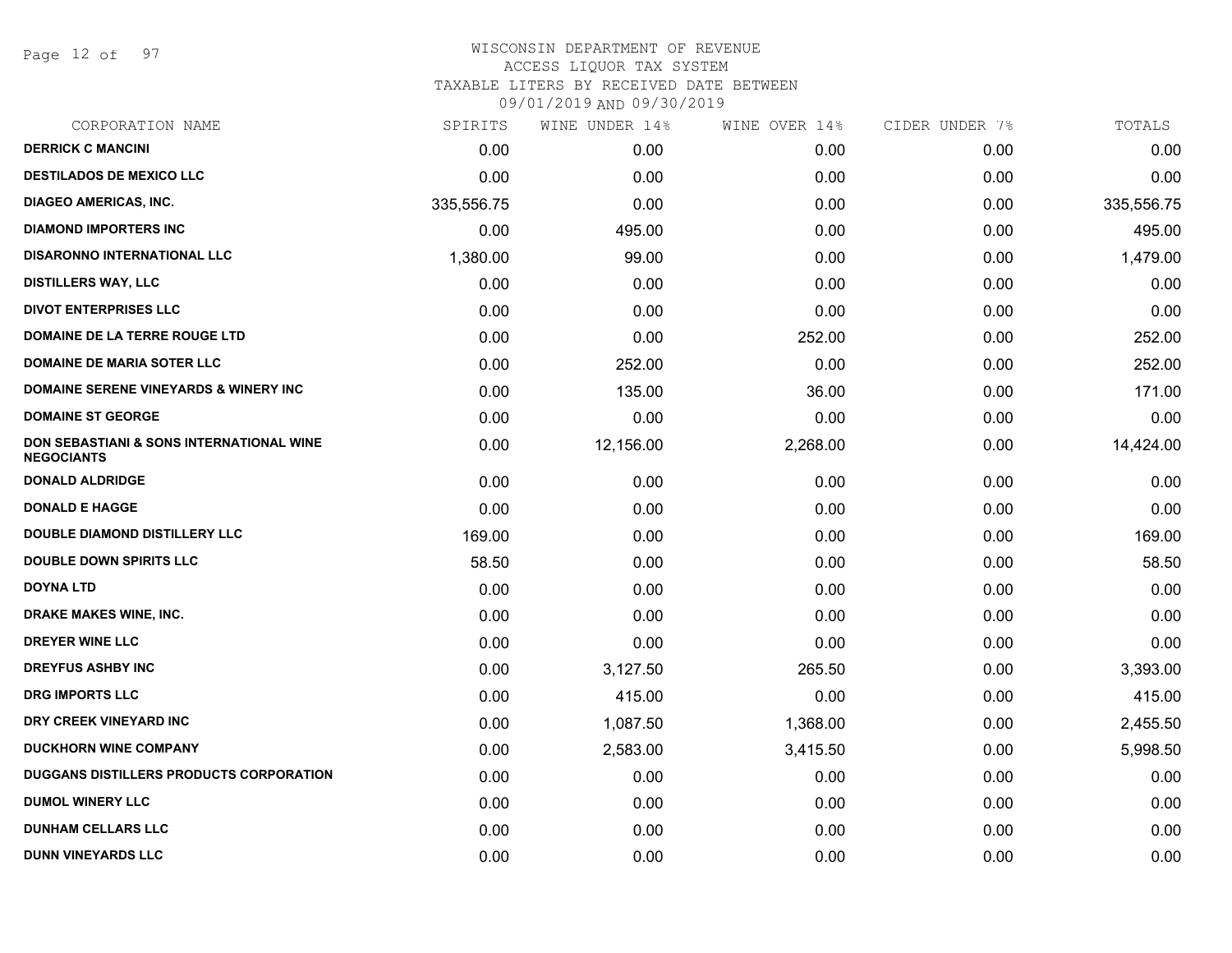Page 12 of 97

| CORPORATION NAME                                              | SPIRITS    | WINE UNDER 14% | WINE OVER 14% | CIDER UNDER 7% | TOTALS     |
|---------------------------------------------------------------|------------|----------------|---------------|----------------|------------|
| <b>DERRICK C MANCINI</b>                                      | 0.00       | 0.00           | 0.00          | 0.00           | 0.00       |
| <b>DESTILADOS DE MEXICO LLC</b>                               | 0.00       | 0.00           | 0.00          | 0.00           | 0.00       |
| <b>DIAGEO AMERICAS, INC.</b>                                  | 335,556.75 | 0.00           | 0.00          | 0.00           | 335,556.75 |
| <b>DIAMOND IMPORTERS INC</b>                                  | 0.00       | 495.00         | 0.00          | 0.00           | 495.00     |
| <b>DISARONNO INTERNATIONAL LLC</b>                            | 1,380.00   | 99.00          | 0.00          | 0.00           | 1,479.00   |
| <b>DISTILLERS WAY, LLC</b>                                    | 0.00       | 0.00           | 0.00          | 0.00           | 0.00       |
| <b>DIVOT ENTERPRISES LLC</b>                                  | 0.00       | 0.00           | 0.00          | 0.00           | 0.00       |
| DOMAINE DE LA TERRE ROUGE LTD                                 | 0.00       | 0.00           | 252.00        | 0.00           | 252.00     |
| <b>DOMAINE DE MARIA SOTER LLC</b>                             | 0.00       | 252.00         | 0.00          | 0.00           | 252.00     |
| <b>DOMAINE SERENE VINEYARDS &amp; WINERY INC</b>              | 0.00       | 135.00         | 36.00         | 0.00           | 171.00     |
| <b>DOMAINE ST GEORGE</b>                                      | 0.00       | 0.00           | 0.00          | 0.00           | 0.00       |
| DON SEBASTIANI & SONS INTERNATIONAL WINE<br><b>NEGOCIANTS</b> | 0.00       | 12,156.00      | 2,268.00      | 0.00           | 14,424.00  |
| <b>DONALD ALDRIDGE</b>                                        | 0.00       | 0.00           | 0.00          | 0.00           | 0.00       |
| <b>DONALD E HAGGE</b>                                         | 0.00       | 0.00           | 0.00          | 0.00           | 0.00       |
| DOUBLE DIAMOND DISTILLERY LLC                                 | 169.00     | 0.00           | 0.00          | 0.00           | 169.00     |
| <b>DOUBLE DOWN SPIRITS LLC</b>                                | 58.50      | 0.00           | 0.00          | 0.00           | 58.50      |
| <b>DOYNA LTD</b>                                              | 0.00       | 0.00           | 0.00          | 0.00           | 0.00       |
| <b>DRAKE MAKES WINE, INC.</b>                                 | 0.00       | 0.00           | 0.00          | 0.00           | 0.00       |
| DREYER WINE LLC                                               | 0.00       | 0.00           | 0.00          | 0.00           | 0.00       |
| <b>DREYFUS ASHBY INC</b>                                      | 0.00       | 3,127.50       | 265.50        | 0.00           | 3,393.00   |
| <b>DRG IMPORTS LLC</b>                                        | 0.00       | 415.00         | 0.00          | 0.00           | 415.00     |
| DRY CREEK VINEYARD INC                                        | 0.00       | 1,087.50       | 1,368.00      | 0.00           | 2,455.50   |
| <b>DUCKHORN WINE COMPANY</b>                                  | 0.00       | 2,583.00       | 3,415.50      | 0.00           | 5,998.50   |
| <b>DUGGANS DISTILLERS PRODUCTS CORPORATION</b>                | 0.00       | 0.00           | 0.00          | 0.00           | 0.00       |
| <b>DUMOL WINERY LLC</b>                                       | 0.00       | 0.00           | 0.00          | 0.00           | 0.00       |
| <b>DUNHAM CELLARS LLC</b>                                     | 0.00       | 0.00           | 0.00          | 0.00           | 0.00       |
| <b>DUNN VINEYARDS LLC</b>                                     | 0.00       | 0.00           | 0.00          | 0.00           | 0.00       |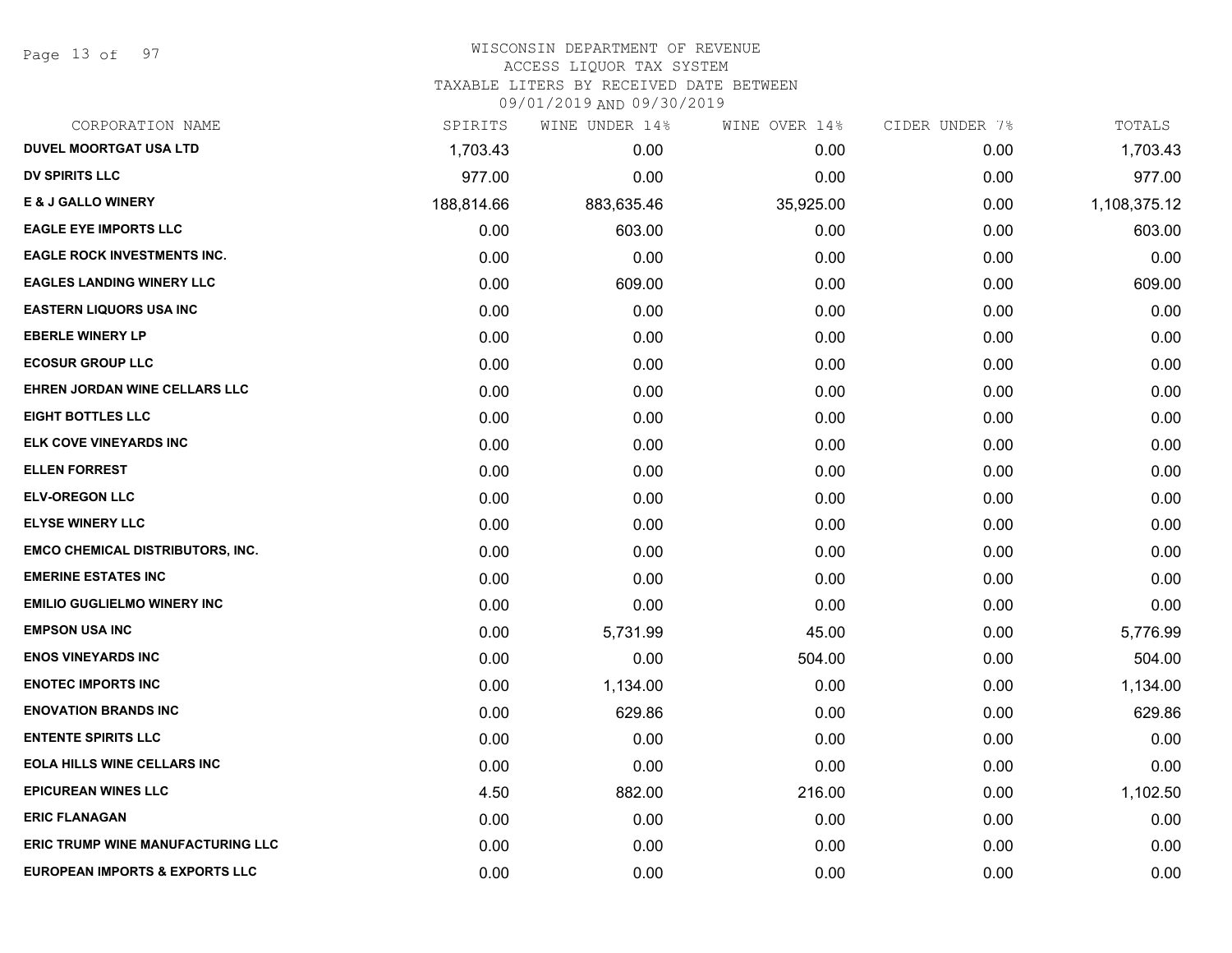Page 13 of 97

#### WISCONSIN DEPARTMENT OF REVENUE ACCESS LIQUOR TAX SYSTEM

TAXABLE LITERS BY RECEIVED DATE BETWEEN

| CORPORATION NAME                          | SPIRITS    | WINE UNDER 14% | WINE OVER 14% | CIDER UNDER 7% | TOTALS       |
|-------------------------------------------|------------|----------------|---------------|----------------|--------------|
| <b>DUVEL MOORTGAT USA LTD</b>             | 1,703.43   | 0.00           | 0.00          | 0.00           | 1,703.43     |
| <b>DV SPIRITS LLC</b>                     | 977.00     | 0.00           | 0.00          | 0.00           | 977.00       |
| E & J GALLO WINERY                        | 188,814.66 | 883,635.46     | 35,925.00     | 0.00           | 1,108,375.12 |
| <b>EAGLE EYE IMPORTS LLC</b>              | 0.00       | 603.00         | 0.00          | 0.00           | 603.00       |
| <b>EAGLE ROCK INVESTMENTS INC.</b>        | 0.00       | 0.00           | 0.00          | 0.00           | 0.00         |
| <b>EAGLES LANDING WINERY LLC</b>          | 0.00       | 609.00         | 0.00          | 0.00           | 609.00       |
| <b>EASTERN LIQUORS USA INC</b>            | 0.00       | 0.00           | 0.00          | 0.00           | 0.00         |
| <b>EBERLE WINERY LP</b>                   | 0.00       | 0.00           | 0.00          | 0.00           | 0.00         |
| <b>ECOSUR GROUP LLC</b>                   | 0.00       | 0.00           | 0.00          | 0.00           | 0.00         |
| EHREN JORDAN WINE CELLARS LLC             | 0.00       | 0.00           | 0.00          | 0.00           | 0.00         |
| <b>EIGHT BOTTLES LLC</b>                  | 0.00       | 0.00           | 0.00          | 0.00           | 0.00         |
| <b>ELK COVE VINEYARDS INC</b>             | 0.00       | 0.00           | 0.00          | 0.00           | 0.00         |
| <b>ELLEN FORREST</b>                      | 0.00       | 0.00           | 0.00          | 0.00           | 0.00         |
| <b>ELV-OREGON LLC</b>                     | 0.00       | 0.00           | 0.00          | 0.00           | 0.00         |
| <b>ELYSE WINERY LLC</b>                   | 0.00       | 0.00           | 0.00          | 0.00           | 0.00         |
| <b>EMCO CHEMICAL DISTRIBUTORS, INC.</b>   | 0.00       | 0.00           | 0.00          | 0.00           | 0.00         |
| <b>EMERINE ESTATES INC</b>                | 0.00       | 0.00           | 0.00          | 0.00           | 0.00         |
| <b>EMILIO GUGLIELMO WINERY INC</b>        | 0.00       | 0.00           | 0.00          | 0.00           | 0.00         |
| <b>EMPSON USA INC</b>                     | 0.00       | 5,731.99       | 45.00         | 0.00           | 5,776.99     |
| <b>ENOS VINEYARDS INC</b>                 | 0.00       | 0.00           | 504.00        | 0.00           | 504.00       |
| <b>ENOTEC IMPORTS INC</b>                 | 0.00       | 1,134.00       | 0.00          | 0.00           | 1,134.00     |
| <b>ENOVATION BRANDS INC</b>               | 0.00       | 629.86         | 0.00          | 0.00           | 629.86       |
| <b>ENTENTE SPIRITS LLC</b>                | 0.00       | 0.00           | 0.00          | 0.00           | 0.00         |
| <b>EOLA HILLS WINE CELLARS INC</b>        | 0.00       | 0.00           | 0.00          | 0.00           | 0.00         |
| <b>EPICUREAN WINES LLC</b>                | 4.50       | 882.00         | 216.00        | 0.00           | 1,102.50     |
| <b>ERIC FLANAGAN</b>                      | 0.00       | 0.00           | 0.00          | 0.00           | 0.00         |
| <b>ERIC TRUMP WINE MANUFACTURING LLC</b>  | 0.00       | 0.00           | 0.00          | 0.00           | 0.00         |
| <b>EUROPEAN IMPORTS &amp; EXPORTS LLC</b> | 0.00       | 0.00           | 0.00          | 0.00           | 0.00         |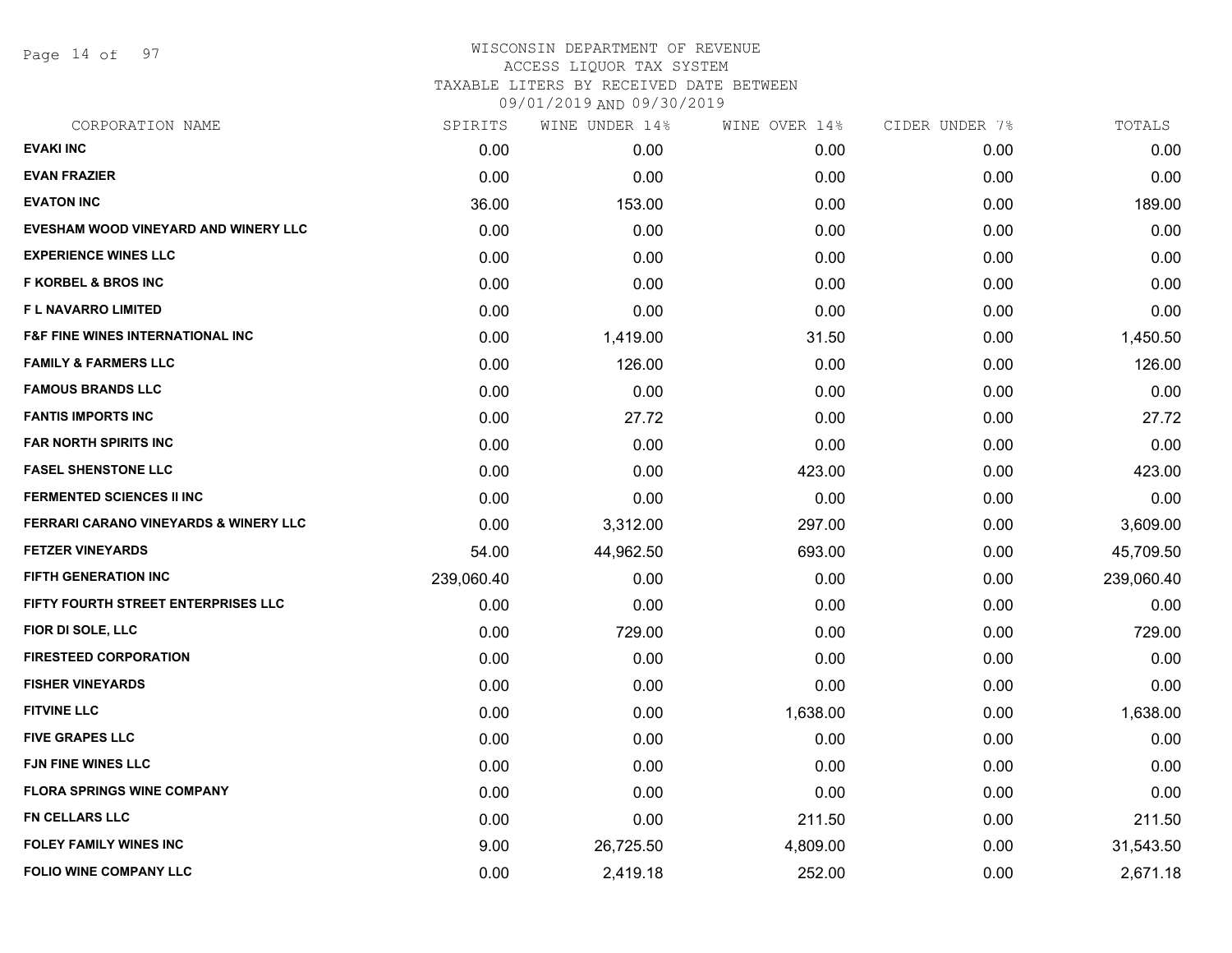Page 14 of 97

### WISCONSIN DEPARTMENT OF REVENUE ACCESS LIQUOR TAX SYSTEM TAXABLE LITERS BY RECEIVED DATE BETWEEN

| CORPORATION NAME                                 | SPIRITS    | WINE UNDER 14% | WINE OVER 14% | CIDER UNDER 7% | TOTALS     |
|--------------------------------------------------|------------|----------------|---------------|----------------|------------|
| <b>EVAKI INC</b>                                 | 0.00       | 0.00           | 0.00          | 0.00           | 0.00       |
| <b>EVAN FRAZIER</b>                              | 0.00       | 0.00           | 0.00          | 0.00           | 0.00       |
| <b>EVATON INC</b>                                | 36.00      | 153.00         | 0.00          | 0.00           | 189.00     |
| EVESHAM WOOD VINEYARD AND WINERY LLC             | 0.00       | 0.00           | 0.00          | 0.00           | 0.00       |
| <b>EXPERIENCE WINES LLC</b>                      | 0.00       | 0.00           | 0.00          | 0.00           | 0.00       |
| <b>F KORBEL &amp; BROS INC</b>                   | 0.00       | 0.00           | 0.00          | 0.00           | 0.00       |
| F L NAVARRO LIMITED                              | 0.00       | 0.00           | 0.00          | 0.00           | 0.00       |
| <b>F&amp;F FINE WINES INTERNATIONAL INC</b>      | 0.00       | 1,419.00       | 31.50         | 0.00           | 1,450.50   |
| <b>FAMILY &amp; FARMERS LLC</b>                  | 0.00       | 126.00         | 0.00          | 0.00           | 126.00     |
| <b>FAMOUS BRANDS LLC</b>                         | 0.00       | 0.00           | 0.00          | 0.00           | 0.00       |
| <b>FANTIS IMPORTS INC</b>                        | 0.00       | 27.72          | 0.00          | 0.00           | 27.72      |
| <b>FAR NORTH SPIRITS INC</b>                     | 0.00       | 0.00           | 0.00          | 0.00           | 0.00       |
| <b>FASEL SHENSTONE LLC</b>                       | 0.00       | 0.00           | 423.00        | 0.00           | 423.00     |
| <b>FERMENTED SCIENCES II INC</b>                 | 0.00       | 0.00           | 0.00          | 0.00           | 0.00       |
| <b>FERRARI CARANO VINEYARDS &amp; WINERY LLC</b> | 0.00       | 3,312.00       | 297.00        | 0.00           | 3,609.00   |
| <b>FETZER VINEYARDS</b>                          | 54.00      | 44,962.50      | 693.00        | 0.00           | 45,709.50  |
| <b>FIFTH GENERATION INC</b>                      | 239,060.40 | 0.00           | 0.00          | 0.00           | 239,060.40 |
| FIFTY FOURTH STREET ENTERPRISES LLC              | 0.00       | 0.00           | 0.00          | 0.00           | 0.00       |
| FIOR DI SOLE, LLC                                | 0.00       | 729.00         | 0.00          | 0.00           | 729.00     |
| <b>FIRESTEED CORPORATION</b>                     | 0.00       | 0.00           | 0.00          | 0.00           | 0.00       |
| <b>FISHER VINEYARDS</b>                          | 0.00       | 0.00           | 0.00          | 0.00           | 0.00       |
| <b>FITVINE LLC</b>                               | 0.00       | 0.00           | 1,638.00      | 0.00           | 1,638.00   |
| <b>FIVE GRAPES LLC</b>                           | 0.00       | 0.00           | 0.00          | 0.00           | 0.00       |
| <b>FJN FINE WINES LLC</b>                        | 0.00       | 0.00           | 0.00          | 0.00           | 0.00       |
| <b>FLORA SPRINGS WINE COMPANY</b>                | 0.00       | 0.00           | 0.00          | 0.00           | 0.00       |
| <b>FN CELLARS LLC</b>                            | 0.00       | 0.00           | 211.50        | 0.00           | 211.50     |
| <b>FOLEY FAMILY WINES INC</b>                    | 9.00       | 26,725.50      | 4,809.00      | 0.00           | 31,543.50  |
| <b>FOLIO WINE COMPANY LLC</b>                    | 0.00       | 2,419.18       | 252.00        | 0.00           | 2,671.18   |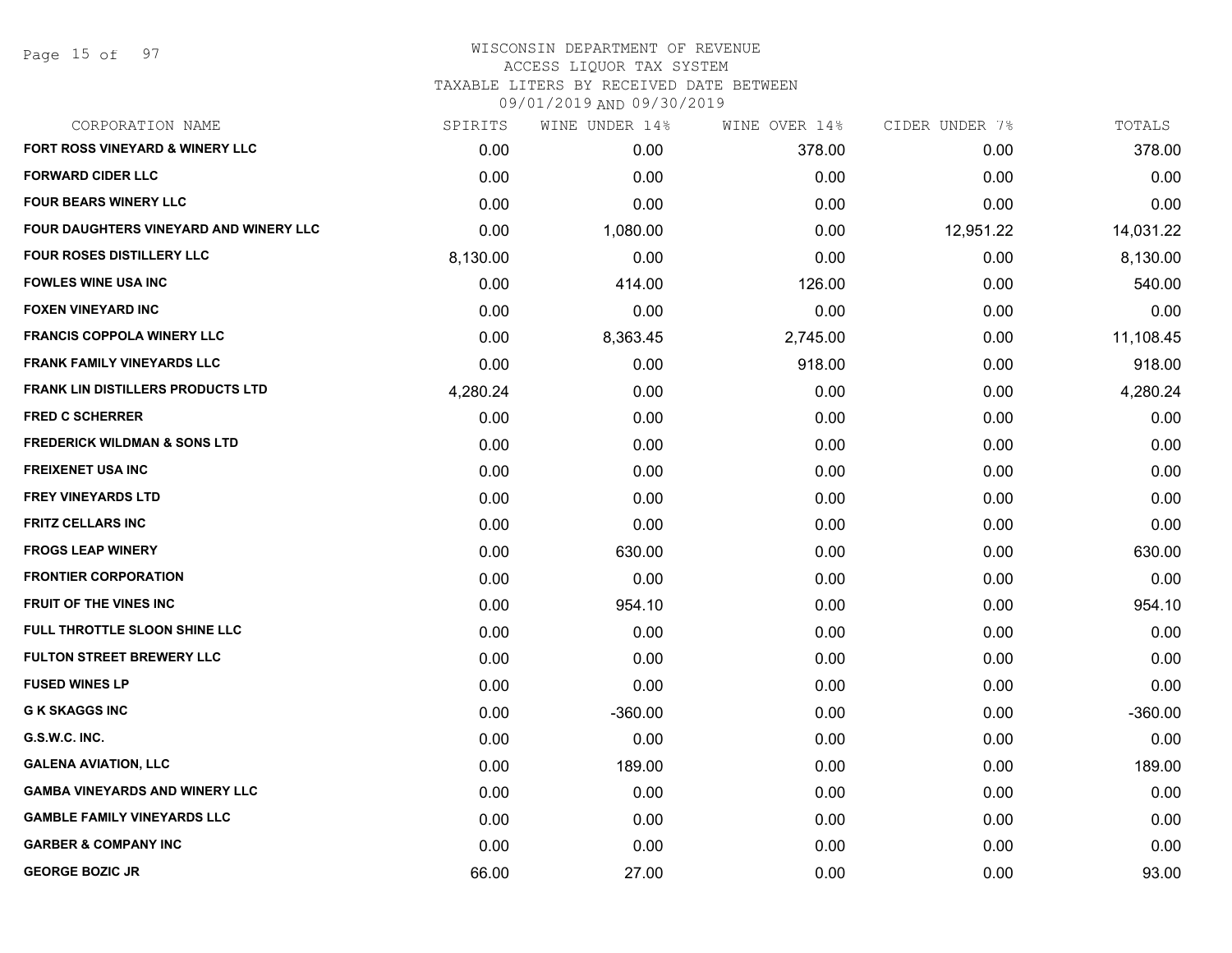Page 15 of 97

### WISCONSIN DEPARTMENT OF REVENUE ACCESS LIQUOR TAX SYSTEM TAXABLE LITERS BY RECEIVED DATE BETWEEN

| CORPORATION NAME                              | SPIRITS  | WINE UNDER 14% | WINE OVER 14% | CIDER UNDER 7% | TOTALS    |
|-----------------------------------------------|----------|----------------|---------------|----------------|-----------|
| FORT ROSS VINEYARD & WINERY LLC               | 0.00     | 0.00           | 378.00        | 0.00           | 378.00    |
| <b>FORWARD CIDER LLC</b>                      | 0.00     | 0.00           | 0.00          | 0.00           | 0.00      |
| <b>FOUR BEARS WINERY LLC</b>                  | 0.00     | 0.00           | 0.00          | 0.00           | 0.00      |
| <b>FOUR DAUGHTERS VINEYARD AND WINERY LLC</b> | 0.00     | 1,080.00       | 0.00          | 12,951.22      | 14,031.22 |
| <b>FOUR ROSES DISTILLERY LLC</b>              | 8,130.00 | 0.00           | 0.00          | 0.00           | 8,130.00  |
| <b>FOWLES WINE USA INC</b>                    | 0.00     | 414.00         | 126.00        | 0.00           | 540.00    |
| <b>FOXEN VINEYARD INC</b>                     | 0.00     | 0.00           | 0.00          | 0.00           | 0.00      |
| <b>FRANCIS COPPOLA WINERY LLC</b>             | 0.00     | 8,363.45       | 2,745.00      | 0.00           | 11,108.45 |
| <b>FRANK FAMILY VINEYARDS LLC</b>             | 0.00     | 0.00           | 918.00        | 0.00           | 918.00    |
| <b>FRANK LIN DISTILLERS PRODUCTS LTD</b>      | 4,280.24 | 0.00           | 0.00          | 0.00           | 4,280.24  |
| <b>FRED C SCHERRER</b>                        | 0.00     | 0.00           | 0.00          | 0.00           | 0.00      |
| <b>FREDERICK WILDMAN &amp; SONS LTD</b>       | 0.00     | 0.00           | 0.00          | 0.00           | 0.00      |
| <b>FREIXENET USA INC</b>                      | 0.00     | 0.00           | 0.00          | 0.00           | 0.00      |
| <b>FREY VINEYARDS LTD</b>                     | 0.00     | 0.00           | 0.00          | 0.00           | 0.00      |
| <b>FRITZ CELLARS INC</b>                      | 0.00     | 0.00           | 0.00          | 0.00           | 0.00      |
| <b>FROGS LEAP WINERY</b>                      | 0.00     | 630.00         | 0.00          | 0.00           | 630.00    |
| <b>FRONTIER CORPORATION</b>                   | 0.00     | 0.00           | 0.00          | 0.00           | 0.00      |
| <b>FRUIT OF THE VINES INC.</b>                | 0.00     | 954.10         | 0.00          | 0.00           | 954.10    |
| FULL THROTTLE SLOON SHINE LLC                 | 0.00     | 0.00           | 0.00          | 0.00           | 0.00      |
| <b>FULTON STREET BREWERY LLC</b>              | 0.00     | 0.00           | 0.00          | 0.00           | 0.00      |
| <b>FUSED WINES LP</b>                         | 0.00     | 0.00           | 0.00          | 0.00           | 0.00      |
| <b>G K SKAGGS INC</b>                         | 0.00     | $-360.00$      | 0.00          | 0.00           | $-360.00$ |
| G.S.W.C. INC.                                 | 0.00     | 0.00           | 0.00          | 0.00           | 0.00      |
| <b>GALENA AVIATION, LLC</b>                   | 0.00     | 189.00         | 0.00          | 0.00           | 189.00    |
| <b>GAMBA VINEYARDS AND WINERY LLC</b>         | 0.00     | 0.00           | 0.00          | 0.00           | 0.00      |
| <b>GAMBLE FAMILY VINEYARDS LLC</b>            | 0.00     | 0.00           | 0.00          | 0.00           | 0.00      |
| <b>GARBER &amp; COMPANY INC</b>               | 0.00     | 0.00           | 0.00          | 0.00           | 0.00      |
| <b>GEORGE BOZIC JR</b>                        | 66.00    | 27.00          | 0.00          | 0.00           | 93.00     |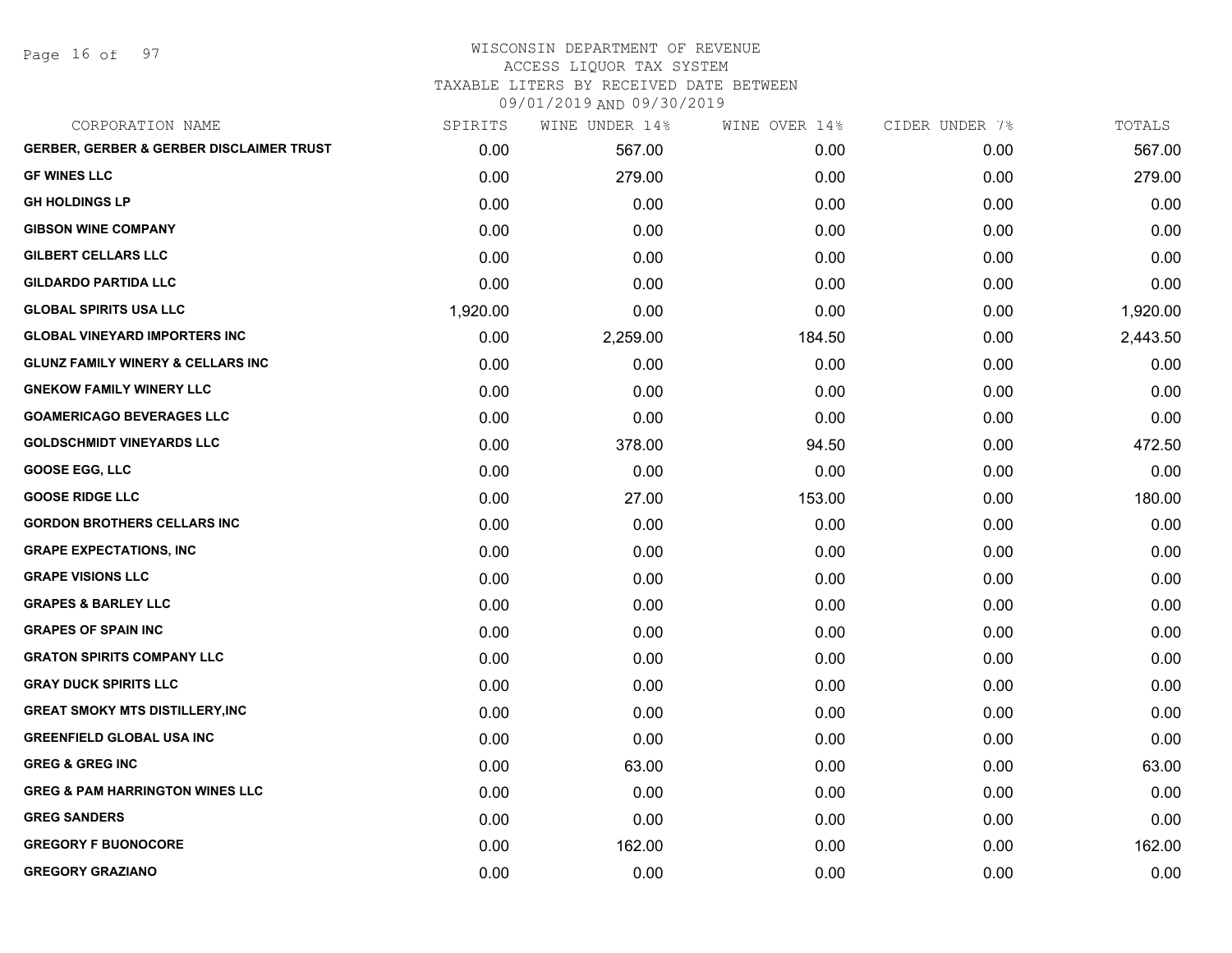Page 16 of 97

# WISCONSIN DEPARTMENT OF REVENUE ACCESS LIQUOR TAX SYSTEM

TAXABLE LITERS BY RECEIVED DATE BETWEEN

| CORPORATION NAME                                    | SPIRITS  | WINE UNDER 14% | WINE OVER 14% | CIDER UNDER 7% | TOTALS   |
|-----------------------------------------------------|----------|----------------|---------------|----------------|----------|
| <b>GERBER, GERBER &amp; GERBER DISCLAIMER TRUST</b> | 0.00     | 567.00         | 0.00          | 0.00           | 567.00   |
| <b>GF WINES LLC</b>                                 | 0.00     | 279.00         | 0.00          | 0.00           | 279.00   |
| <b>GH HOLDINGS LP</b>                               | 0.00     | 0.00           | 0.00          | 0.00           | 0.00     |
| <b>GIBSON WINE COMPANY</b>                          | 0.00     | 0.00           | 0.00          | 0.00           | 0.00     |
| <b>GILBERT CELLARS LLC</b>                          | 0.00     | 0.00           | 0.00          | 0.00           | 0.00     |
| <b>GILDARDO PARTIDA LLC</b>                         | 0.00     | 0.00           | 0.00          | 0.00           | 0.00     |
| <b>GLOBAL SPIRITS USA LLC</b>                       | 1,920.00 | 0.00           | 0.00          | 0.00           | 1,920.00 |
| <b>GLOBAL VINEYARD IMPORTERS INC</b>                | 0.00     | 2,259.00       | 184.50        | 0.00           | 2,443.50 |
| <b>GLUNZ FAMILY WINERY &amp; CELLARS INC</b>        | 0.00     | 0.00           | 0.00          | 0.00           | 0.00     |
| <b>GNEKOW FAMILY WINERY LLC</b>                     | 0.00     | 0.00           | 0.00          | 0.00           | 0.00     |
| <b>GOAMERICAGO BEVERAGES LLC</b>                    | 0.00     | 0.00           | 0.00          | 0.00           | 0.00     |
| <b>GOLDSCHMIDT VINEYARDS LLC</b>                    | 0.00     | 378.00         | 94.50         | 0.00           | 472.50   |
| <b>GOOSE EGG, LLC</b>                               | 0.00     | 0.00           | 0.00          | 0.00           | 0.00     |
| <b>GOOSE RIDGE LLC</b>                              | 0.00     | 27.00          | 153.00        | 0.00           | 180.00   |
| <b>GORDON BROTHERS CELLARS INC</b>                  | 0.00     | 0.00           | 0.00          | 0.00           | 0.00     |
| <b>GRAPE EXPECTATIONS, INC</b>                      | 0.00     | 0.00           | 0.00          | 0.00           | 0.00     |
| <b>GRAPE VISIONS LLC</b>                            | 0.00     | 0.00           | 0.00          | 0.00           | 0.00     |
| <b>GRAPES &amp; BARLEY LLC</b>                      | 0.00     | 0.00           | 0.00          | 0.00           | 0.00     |
| <b>GRAPES OF SPAIN INC</b>                          | 0.00     | 0.00           | 0.00          | 0.00           | 0.00     |
| <b>GRATON SPIRITS COMPANY LLC</b>                   | 0.00     | 0.00           | 0.00          | 0.00           | 0.00     |
| <b>GRAY DUCK SPIRITS LLC</b>                        | 0.00     | 0.00           | 0.00          | 0.00           | 0.00     |
| <b>GREAT SMOKY MTS DISTILLERY, INC</b>              | 0.00     | 0.00           | 0.00          | 0.00           | 0.00     |
| <b>GREENFIELD GLOBAL USA INC</b>                    | 0.00     | 0.00           | 0.00          | 0.00           | 0.00     |
| <b>GREG &amp; GREG INC</b>                          | 0.00     | 63.00          | 0.00          | 0.00           | 63.00    |
| <b>GREG &amp; PAM HARRINGTON WINES LLC</b>          | 0.00     | 0.00           | 0.00          | 0.00           | 0.00     |
| <b>GREG SANDERS</b>                                 | 0.00     | 0.00           | 0.00          | 0.00           | 0.00     |
| <b>GREGORY F BUONOCORE</b>                          | 0.00     | 162.00         | 0.00          | 0.00           | 162.00   |
| <b>GREGORY GRAZIANO</b>                             | 0.00     | 0.00           | 0.00          | 0.00           | 0.00     |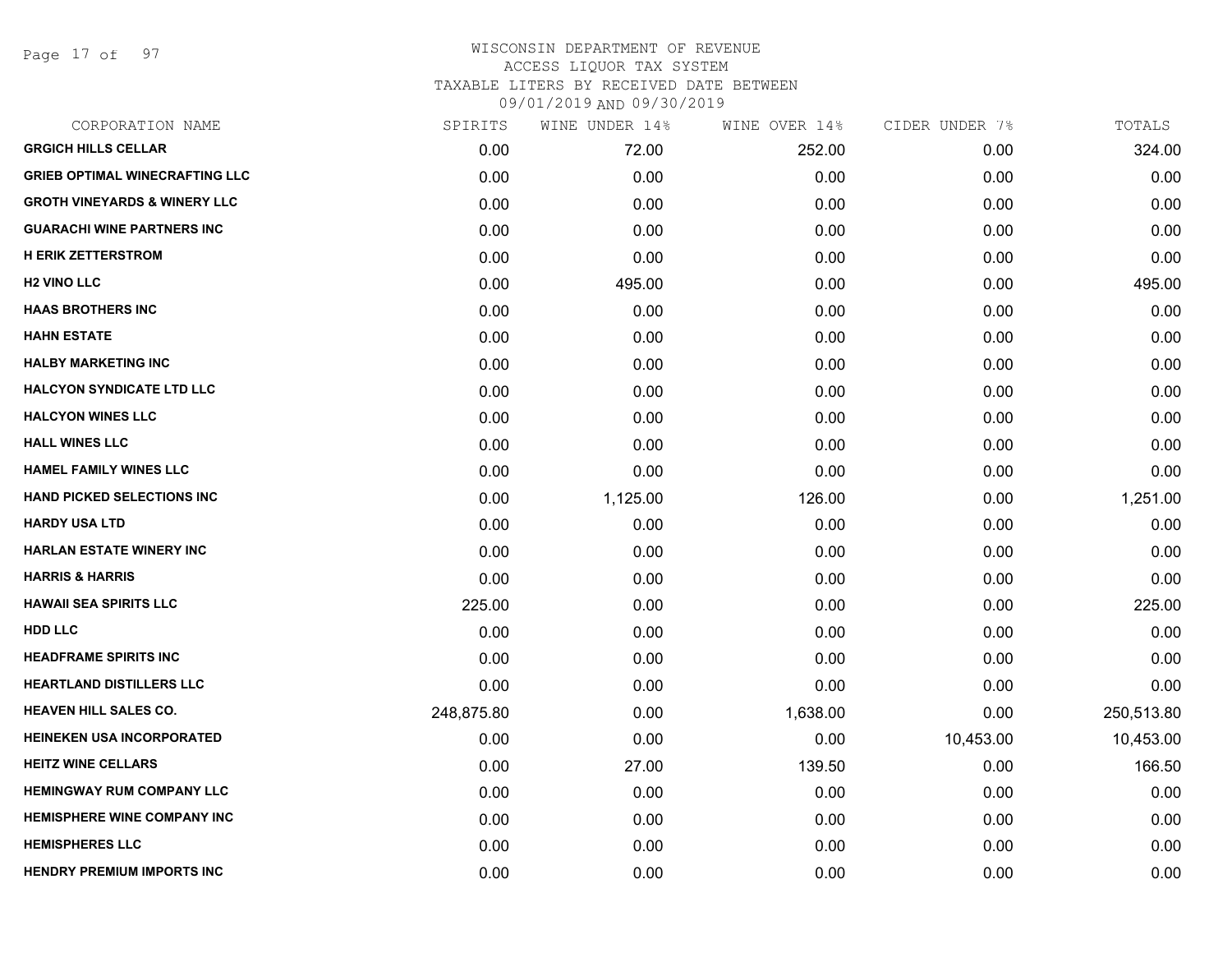Page 17 of 97

| CORPORATION NAME                        | SPIRITS    | WINE UNDER 14% | WINE OVER 14% | CIDER UNDER 7% | TOTALS     |
|-----------------------------------------|------------|----------------|---------------|----------------|------------|
| <b>GRGICH HILLS CELLAR</b>              | 0.00       | 72.00          | 252.00        | 0.00           | 324.00     |
| <b>GRIEB OPTIMAL WINECRAFTING LLC</b>   | 0.00       | 0.00           | 0.00          | 0.00           | 0.00       |
| <b>GROTH VINEYARDS &amp; WINERY LLC</b> | 0.00       | 0.00           | 0.00          | 0.00           | 0.00       |
| <b>GUARACHI WINE PARTNERS INC</b>       | 0.00       | 0.00           | 0.00          | 0.00           | 0.00       |
| <b>H ERIK ZETTERSTROM</b>               | 0.00       | 0.00           | 0.00          | 0.00           | 0.00       |
| <b>H2 VINO LLC</b>                      | 0.00       | 495.00         | 0.00          | 0.00           | 495.00     |
| <b>HAAS BROTHERS INC</b>                | 0.00       | 0.00           | 0.00          | 0.00           | 0.00       |
| <b>HAHN ESTATE</b>                      | 0.00       | 0.00           | 0.00          | 0.00           | 0.00       |
| <b>HALBY MARKETING INC</b>              | 0.00       | 0.00           | 0.00          | 0.00           | 0.00       |
| <b>HALCYON SYNDICATE LTD LLC</b>        | 0.00       | 0.00           | 0.00          | 0.00           | 0.00       |
| <b>HALCYON WINES LLC</b>                | 0.00       | 0.00           | 0.00          | 0.00           | 0.00       |
| <b>HALL WINES LLC</b>                   | 0.00       | 0.00           | 0.00          | 0.00           | 0.00       |
| <b>HAMEL FAMILY WINES LLC</b>           | 0.00       | 0.00           | 0.00          | 0.00           | 0.00       |
| <b>HAND PICKED SELECTIONS INC</b>       | 0.00       | 1,125.00       | 126.00        | 0.00           | 1,251.00   |
| <b>HARDY USA LTD</b>                    | 0.00       | 0.00           | 0.00          | 0.00           | 0.00       |
| <b>HARLAN ESTATE WINERY INC</b>         | 0.00       | 0.00           | 0.00          | 0.00           | 0.00       |
| <b>HARRIS &amp; HARRIS</b>              | 0.00       | 0.00           | 0.00          | 0.00           | 0.00       |
| <b>HAWAII SEA SPIRITS LLC</b>           | 225.00     | 0.00           | 0.00          | 0.00           | 225.00     |
| <b>HDD LLC</b>                          | 0.00       | 0.00           | 0.00          | 0.00           | 0.00       |
| <b>HEADFRAME SPIRITS INC</b>            | 0.00       | 0.00           | 0.00          | 0.00           | 0.00       |
| <b>HEARTLAND DISTILLERS LLC</b>         | 0.00       | 0.00           | 0.00          | 0.00           | 0.00       |
| <b>HEAVEN HILL SALES CO.</b>            | 248,875.80 | 0.00           | 1,638.00      | 0.00           | 250,513.80 |
| <b>HEINEKEN USA INCORPORATED</b>        | 0.00       | 0.00           | 0.00          | 10,453.00      | 10,453.00  |
| <b>HEITZ WINE CELLARS</b>               | 0.00       | 27.00          | 139.50        | 0.00           | 166.50     |
| <b>HEMINGWAY RUM COMPANY LLC</b>        | 0.00       | 0.00           | 0.00          | 0.00           | 0.00       |
| <b>HEMISPHERE WINE COMPANY INC</b>      | 0.00       | 0.00           | 0.00          | 0.00           | 0.00       |
| <b>HEMISPHERES LLC</b>                  | 0.00       | 0.00           | 0.00          | 0.00           | 0.00       |
| <b>HENDRY PREMIUM IMPORTS INC</b>       | 0.00       | 0.00           | 0.00          | 0.00           | 0.00       |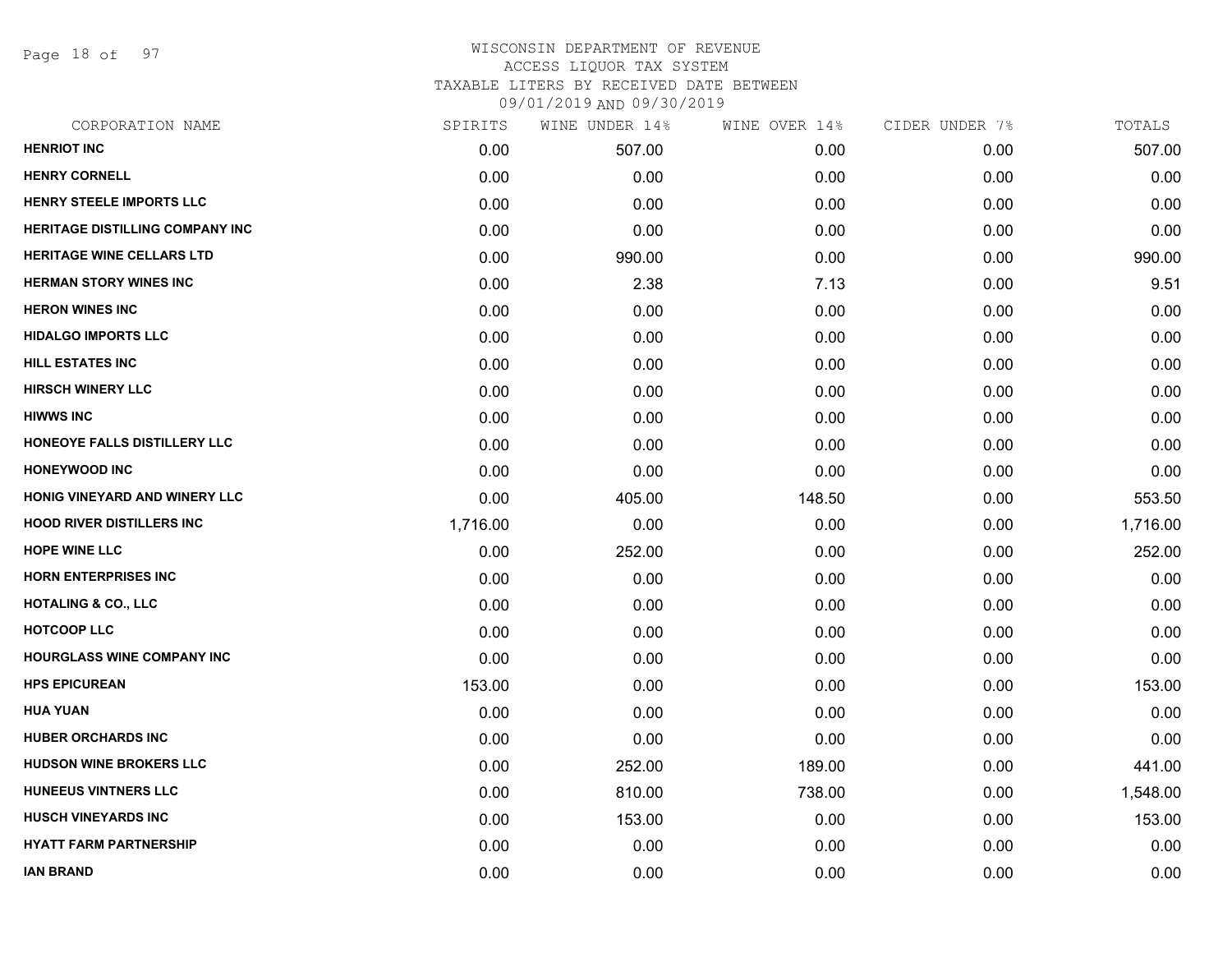Page 18 of 97

| CORPORATION NAME                       | SPIRITS  | WINE UNDER 14% | WINE OVER 14% | CIDER UNDER 7% | TOTALS   |
|----------------------------------------|----------|----------------|---------------|----------------|----------|
| <b>HENRIOT INC</b>                     | 0.00     | 507.00         | 0.00          | 0.00           | 507.00   |
| <b>HENRY CORNELL</b>                   | 0.00     | 0.00           | 0.00          | 0.00           | 0.00     |
| <b>HENRY STEELE IMPORTS LLC</b>        | 0.00     | 0.00           | 0.00          | 0.00           | 0.00     |
| <b>HERITAGE DISTILLING COMPANY INC</b> | 0.00     | 0.00           | 0.00          | 0.00           | 0.00     |
| <b>HERITAGE WINE CELLARS LTD</b>       | 0.00     | 990.00         | 0.00          | 0.00           | 990.00   |
| <b>HERMAN STORY WINES INC</b>          | 0.00     | 2.38           | 7.13          | 0.00           | 9.51     |
| <b>HERON WINES INC</b>                 | 0.00     | 0.00           | 0.00          | 0.00           | 0.00     |
| <b>HIDALGO IMPORTS LLC</b>             | 0.00     | 0.00           | 0.00          | 0.00           | 0.00     |
| <b>HILL ESTATES INC</b>                | 0.00     | 0.00           | 0.00          | 0.00           | 0.00     |
| <b>HIRSCH WINERY LLC</b>               | 0.00     | 0.00           | 0.00          | 0.00           | 0.00     |
| <b>HIWWS INC</b>                       | 0.00     | 0.00           | 0.00          | 0.00           | 0.00     |
| HONEOYE FALLS DISTILLERY LLC           | 0.00     | 0.00           | 0.00          | 0.00           | 0.00     |
| <b>HONEYWOOD INC</b>                   | 0.00     | 0.00           | 0.00          | 0.00           | 0.00     |
| HONIG VINEYARD AND WINERY LLC          | 0.00     | 405.00         | 148.50        | 0.00           | 553.50   |
| <b>HOOD RIVER DISTILLERS INC</b>       | 1,716.00 | 0.00           | 0.00          | 0.00           | 1,716.00 |
| <b>HOPE WINE LLC</b>                   | 0.00     | 252.00         | 0.00          | 0.00           | 252.00   |
| <b>HORN ENTERPRISES INC</b>            | 0.00     | 0.00           | 0.00          | 0.00           | 0.00     |
| <b>HOTALING &amp; CO., LLC</b>         | 0.00     | 0.00           | 0.00          | 0.00           | 0.00     |
| <b>HOTCOOP LLC</b>                     | 0.00     | 0.00           | 0.00          | 0.00           | 0.00     |
| <b>HOURGLASS WINE COMPANY INC</b>      | 0.00     | 0.00           | 0.00          | 0.00           | 0.00     |
| <b>HPS EPICUREAN</b>                   | 153.00   | 0.00           | 0.00          | 0.00           | 153.00   |
| <b>HUA YUAN</b>                        | 0.00     | 0.00           | 0.00          | 0.00           | 0.00     |
| <b>HUBER ORCHARDS INC</b>              | 0.00     | 0.00           | 0.00          | 0.00           | 0.00     |
| <b>HUDSON WINE BROKERS LLC</b>         | 0.00     | 252.00         | 189.00        | 0.00           | 441.00   |
| HUNEEUS VINTNERS LLC                   | 0.00     | 810.00         | 738.00        | 0.00           | 1,548.00 |
| <b>HUSCH VINEYARDS INC</b>             | 0.00     | 153.00         | 0.00          | 0.00           | 153.00   |
| <b>HYATT FARM PARTNERSHIP</b>          | 0.00     | 0.00           | 0.00          | 0.00           | 0.00     |
| <b>IAN BRAND</b>                       | 0.00     | 0.00           | 0.00          | 0.00           | 0.00     |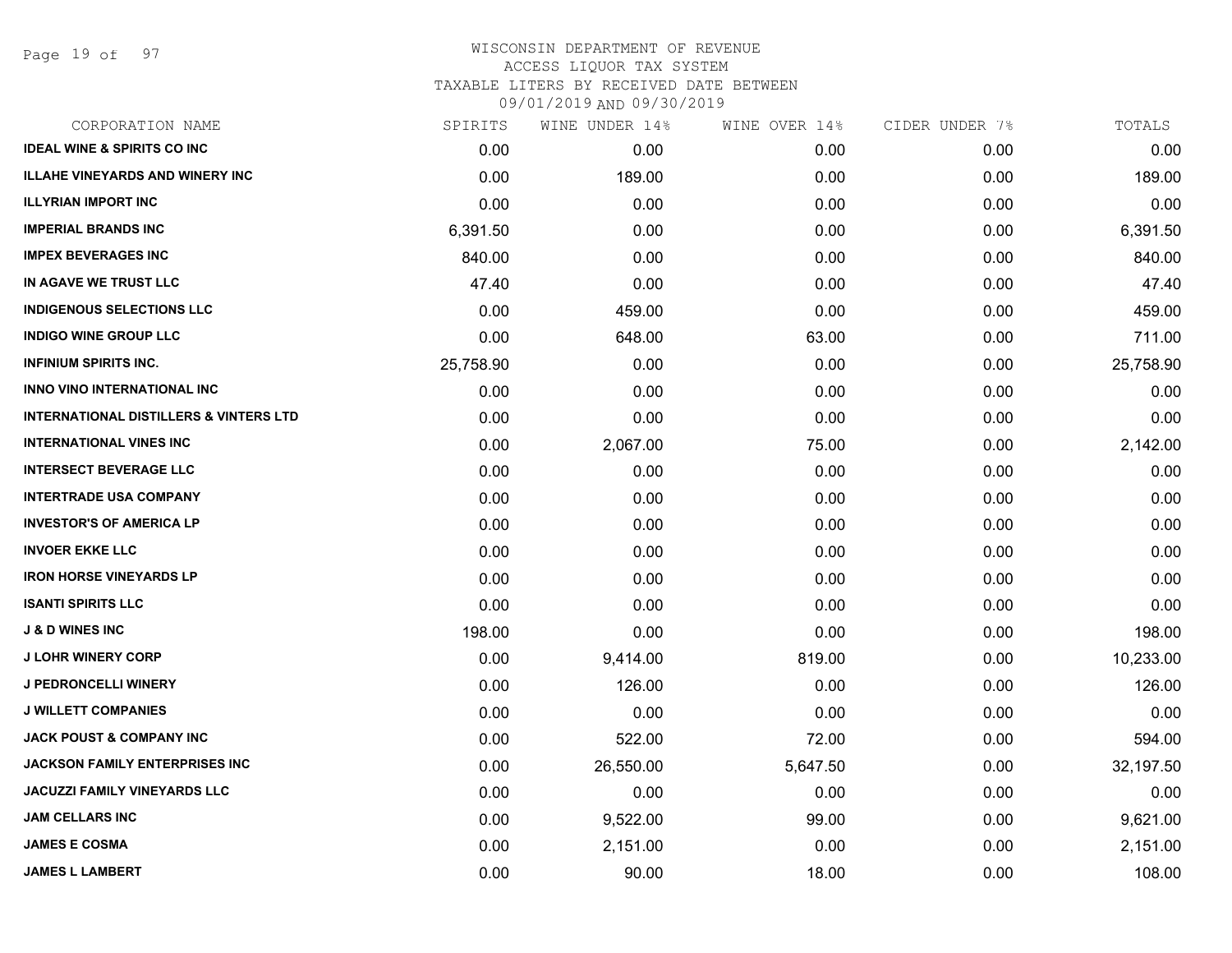Page 19 of 97

| CORPORATION NAME                                  | SPIRITS   | WINE UNDER 14% | WINE OVER 14% | CIDER UNDER 7% | TOTALS    |
|---------------------------------------------------|-----------|----------------|---------------|----------------|-----------|
| <b>IDEAL WINE &amp; SPIRITS CO INC</b>            | 0.00      | 0.00           | 0.00          | 0.00           | 0.00      |
| <b>ILLAHE VINEYARDS AND WINERY INC</b>            | 0.00      | 189.00         | 0.00          | 0.00           | 189.00    |
| <b>ILLYRIAN IMPORT INC</b>                        | 0.00      | 0.00           | 0.00          | 0.00           | 0.00      |
| <b>IMPERIAL BRANDS INC</b>                        | 6,391.50  | 0.00           | 0.00          | 0.00           | 6,391.50  |
| <b>IMPEX BEVERAGES INC</b>                        | 840.00    | 0.00           | 0.00          | 0.00           | 840.00    |
| IN AGAVE WE TRUST LLC                             | 47.40     | 0.00           | 0.00          | 0.00           | 47.40     |
| <b>INDIGENOUS SELECTIONS LLC</b>                  | 0.00      | 459.00         | 0.00          | 0.00           | 459.00    |
| <b>INDIGO WINE GROUP LLC</b>                      | 0.00      | 648.00         | 63.00         | 0.00           | 711.00    |
| <b>INFINIUM SPIRITS INC.</b>                      | 25,758.90 | 0.00           | 0.00          | 0.00           | 25,758.90 |
| <b>INNO VINO INTERNATIONAL INC</b>                | 0.00      | 0.00           | 0.00          | 0.00           | 0.00      |
| <b>INTERNATIONAL DISTILLERS &amp; VINTERS LTD</b> | 0.00      | 0.00           | 0.00          | 0.00           | 0.00      |
| <b>INTERNATIONAL VINES INC</b>                    | 0.00      | 2,067.00       | 75.00         | 0.00           | 2,142.00  |
| <b>INTERSECT BEVERAGE LLC</b>                     | 0.00      | 0.00           | 0.00          | 0.00           | 0.00      |
| <b>INTERTRADE USA COMPANY</b>                     | 0.00      | 0.00           | 0.00          | 0.00           | 0.00      |
| <b>INVESTOR'S OF AMERICA LP</b>                   | 0.00      | 0.00           | 0.00          | 0.00           | 0.00      |
| <b>INVOER EKKE LLC</b>                            | 0.00      | 0.00           | 0.00          | 0.00           | 0.00      |
| <b>IRON HORSE VINEYARDS LP</b>                    | 0.00      | 0.00           | 0.00          | 0.00           | 0.00      |
| <b>ISANTI SPIRITS LLC</b>                         | 0.00      | 0.00           | 0.00          | 0.00           | 0.00      |
| <b>J &amp; D WINES INC</b>                        | 198.00    | 0.00           | 0.00          | 0.00           | 198.00    |
| <b>J LOHR WINERY CORP</b>                         | 0.00      | 9,414.00       | 819.00        | 0.00           | 10,233.00 |
| J PEDRONCELLI WINERY                              | 0.00      | 126.00         | 0.00          | 0.00           | 126.00    |
| <b>J WILLETT COMPANIES</b>                        | 0.00      | 0.00           | 0.00          | 0.00           | 0.00      |
| <b>JACK POUST &amp; COMPANY INC</b>               | 0.00      | 522.00         | 72.00         | 0.00           | 594.00    |
| <b>JACKSON FAMILY ENTERPRISES INC</b>             | 0.00      | 26,550.00      | 5,647.50      | 0.00           | 32,197.50 |
| JACUZZI FAMILY VINEYARDS LLC                      | 0.00      | 0.00           | 0.00          | 0.00           | 0.00      |
| <b>JAM CELLARS INC</b>                            | 0.00      | 9,522.00       | 99.00         | 0.00           | 9,621.00  |
| <b>JAMES E COSMA</b>                              | 0.00      | 2,151.00       | 0.00          | 0.00           | 2,151.00  |
| <b>JAMES L LAMBERT</b>                            | 0.00      | 90.00          | 18.00         | 0.00           | 108.00    |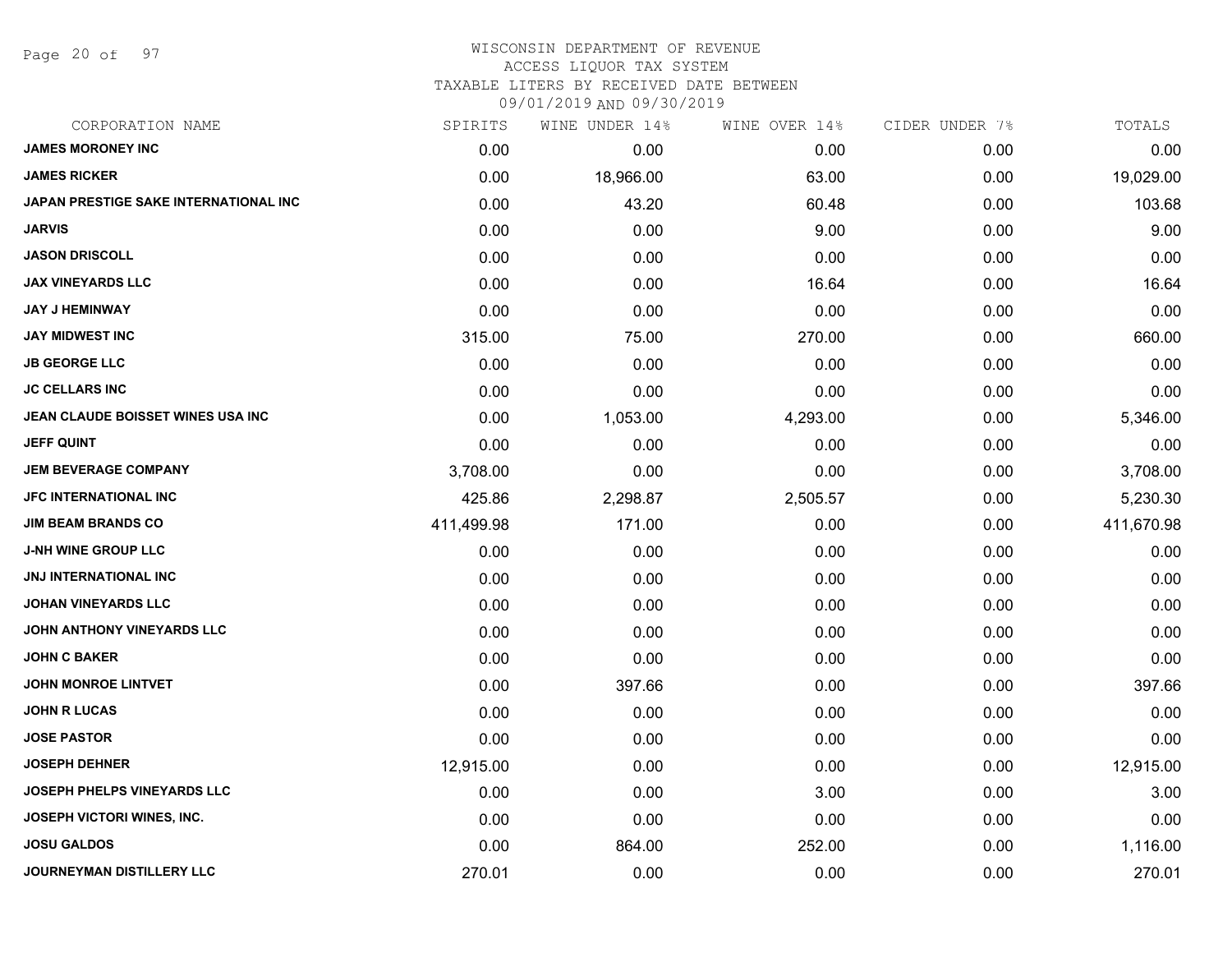Page 20 of 97

#### WISCONSIN DEPARTMENT OF REVENUE ACCESS LIQUOR TAX SYSTEM TAXABLE LITERS BY RECEIVED DATE BETWEEN

| CORPORATION NAME                         | SPIRITS    | WINE UNDER 14% | WINE OVER 14% | CIDER UNDER 7% | TOTALS     |
|------------------------------------------|------------|----------------|---------------|----------------|------------|
| <b>JAMES MORONEY INC</b>                 | 0.00       | 0.00           | 0.00          | 0.00           | 0.00       |
| <b>JAMES RICKER</b>                      | 0.00       | 18,966.00      | 63.00         | 0.00           | 19,029.00  |
| JAPAN PRESTIGE SAKE INTERNATIONAL INC    | 0.00       | 43.20          | 60.48         | 0.00           | 103.68     |
| <b>JARVIS</b>                            | 0.00       | 0.00           | 9.00          | 0.00           | 9.00       |
| <b>JASON DRISCOLL</b>                    | 0.00       | 0.00           | 0.00          | 0.00           | 0.00       |
| <b>JAX VINEYARDS LLC</b>                 | 0.00       | 0.00           | 16.64         | 0.00           | 16.64      |
| <b>JAY J HEMINWAY</b>                    | 0.00       | 0.00           | 0.00          | 0.00           | 0.00       |
| <b>JAY MIDWEST INC</b>                   | 315.00     | 75.00          | 270.00        | 0.00           | 660.00     |
| <b>JB GEORGE LLC</b>                     | 0.00       | 0.00           | 0.00          | 0.00           | 0.00       |
| <b>JC CELLARS INC</b>                    | 0.00       | 0.00           | 0.00          | 0.00           | 0.00       |
| <b>JEAN CLAUDE BOISSET WINES USA INC</b> | 0.00       | 1,053.00       | 4,293.00      | 0.00           | 5,346.00   |
| <b>JEFF QUINT</b>                        | 0.00       | 0.00           | 0.00          | 0.00           | 0.00       |
| <b>JEM BEVERAGE COMPANY</b>              | 3,708.00   | 0.00           | 0.00          | 0.00           | 3,708.00   |
| <b>JFC INTERNATIONAL INC</b>             | 425.86     | 2,298.87       | 2,505.57      | 0.00           | 5,230.30   |
| <b>JIM BEAM BRANDS CO</b>                | 411,499.98 | 171.00         | 0.00          | 0.00           | 411,670.98 |
| <b>J-NH WINE GROUP LLC</b>               | 0.00       | 0.00           | 0.00          | 0.00           | 0.00       |
| JNJ INTERNATIONAL INC                    | 0.00       | 0.00           | 0.00          | 0.00           | 0.00       |
| <b>JOHAN VINEYARDS LLC</b>               | 0.00       | 0.00           | 0.00          | 0.00           | 0.00       |
| JOHN ANTHONY VINEYARDS LLC               | 0.00       | 0.00           | 0.00          | 0.00           | 0.00       |
| <b>JOHN C BAKER</b>                      | 0.00       | 0.00           | 0.00          | 0.00           | 0.00       |
| <b>JOHN MONROE LINTVET</b>               | 0.00       | 397.66         | 0.00          | 0.00           | 397.66     |
| <b>JOHN R LUCAS</b>                      | 0.00       | 0.00           | 0.00          | 0.00           | 0.00       |
| <b>JOSE PASTOR</b>                       | 0.00       | 0.00           | 0.00          | 0.00           | 0.00       |
| <b>JOSEPH DEHNER</b>                     | 12,915.00  | 0.00           | 0.00          | 0.00           | 12,915.00  |
| <b>JOSEPH PHELPS VINEYARDS LLC</b>       | 0.00       | 0.00           | 3.00          | 0.00           | 3.00       |
| <b>JOSEPH VICTORI WINES, INC.</b>        | 0.00       | 0.00           | 0.00          | 0.00           | 0.00       |
| <b>JOSU GALDOS</b>                       | 0.00       | 864.00         | 252.00        | 0.00           | 1,116.00   |
| <b>JOURNEYMAN DISTILLERY LLC</b>         | 270.01     | 0.00           | 0.00          | 0.00           | 270.01     |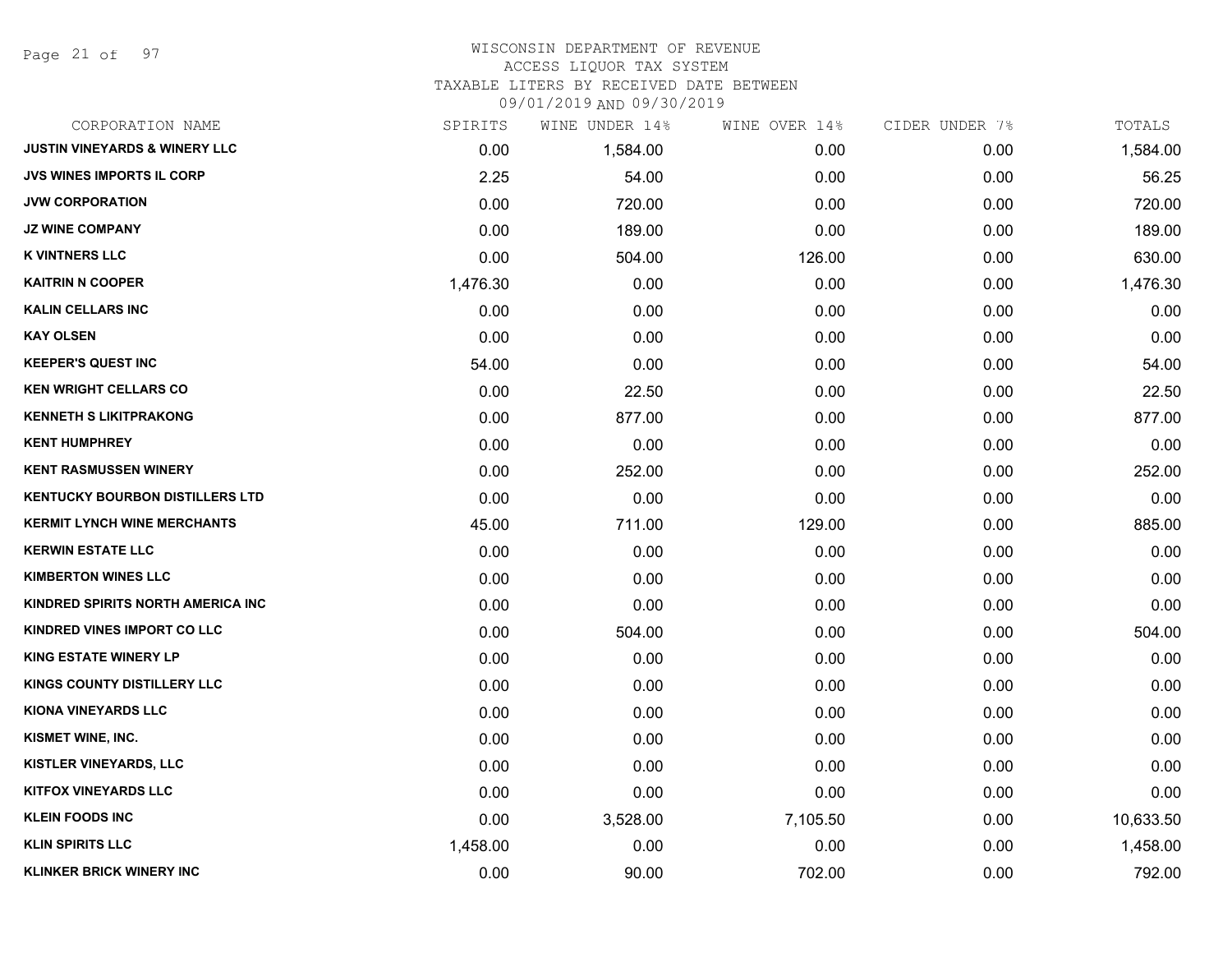Page 21 of 97

#### WISCONSIN DEPARTMENT OF REVENUE ACCESS LIQUOR TAX SYSTEM TAXABLE LITERS BY RECEIVED DATE BETWEEN

| CORPORATION NAME                         | SPIRITS  | WINE UNDER 14% | WINE OVER 14% | CIDER UNDER 7% | TOTALS    |
|------------------------------------------|----------|----------------|---------------|----------------|-----------|
| <b>JUSTIN VINEYARDS &amp; WINERY LLC</b> | 0.00     | 1,584.00       | 0.00          | 0.00           | 1,584.00  |
| <b>JVS WINES IMPORTS IL CORP</b>         | 2.25     | 54.00          | 0.00          | 0.00           | 56.25     |
| <b>JVW CORPORATION</b>                   | 0.00     | 720.00         | 0.00          | 0.00           | 720.00    |
| <b>JZ WINE COMPANY</b>                   | 0.00     | 189.00         | 0.00          | 0.00           | 189.00    |
| <b>K VINTNERS LLC</b>                    | 0.00     | 504.00         | 126.00        | 0.00           | 630.00    |
| <b>KAITRIN N COOPER</b>                  | 1,476.30 | 0.00           | 0.00          | 0.00           | 1,476.30  |
| <b>KALIN CELLARS INC</b>                 | 0.00     | 0.00           | 0.00          | 0.00           | 0.00      |
| <b>KAY OLSEN</b>                         | 0.00     | 0.00           | 0.00          | 0.00           | 0.00      |
| <b>KEEPER'S QUEST INC</b>                | 54.00    | 0.00           | 0.00          | 0.00           | 54.00     |
| <b>KEN WRIGHT CELLARS CO</b>             | 0.00     | 22.50          | 0.00          | 0.00           | 22.50     |
| <b>KENNETH S LIKITPRAKONG</b>            | 0.00     | 877.00         | 0.00          | 0.00           | 877.00    |
| <b>KENT HUMPHREY</b>                     | 0.00     | 0.00           | 0.00          | 0.00           | 0.00      |
| <b>KENT RASMUSSEN WINERY</b>             | 0.00     | 252.00         | 0.00          | 0.00           | 252.00    |
| <b>KENTUCKY BOURBON DISTILLERS LTD</b>   | 0.00     | 0.00           | 0.00          | 0.00           | 0.00      |
| <b>KERMIT LYNCH WINE MERCHANTS</b>       | 45.00    | 711.00         | 129.00        | 0.00           | 885.00    |
| <b>KERWIN ESTATE LLC</b>                 | 0.00     | 0.00           | 0.00          | 0.00           | 0.00      |
| <b>KIMBERTON WINES LLC</b>               | 0.00     | 0.00           | 0.00          | 0.00           | 0.00      |
| KINDRED SPIRITS NORTH AMERICA INC        | 0.00     | 0.00           | 0.00          | 0.00           | 0.00      |
| KINDRED VINES IMPORT CO LLC              | 0.00     | 504.00         | 0.00          | 0.00           | 504.00    |
| <b>KING ESTATE WINERY LP</b>             | 0.00     | 0.00           | 0.00          | 0.00           | 0.00      |
| <b>KINGS COUNTY DISTILLERY LLC</b>       | 0.00     | 0.00           | 0.00          | 0.00           | 0.00      |
| KIONA VINEYARDS LLC                      | 0.00     | 0.00           | 0.00          | 0.00           | 0.00      |
| KISMET WINE, INC.                        | 0.00     | 0.00           | 0.00          | 0.00           | 0.00      |
| KISTLER VINEYARDS, LLC                   | 0.00     | 0.00           | 0.00          | 0.00           | 0.00      |
| <b>KITFOX VINEYARDS LLC</b>              | 0.00     | 0.00           | 0.00          | 0.00           | 0.00      |
| <b>KLEIN FOODS INC</b>                   | 0.00     | 3,528.00       | 7,105.50      | 0.00           | 10,633.50 |
| <b>KLIN SPIRITS LLC</b>                  | 1,458.00 | 0.00           | 0.00          | 0.00           | 1,458.00  |
| <b>KLINKER BRICK WINERY INC</b>          | 0.00     | 90.00          | 702.00        | 0.00           | 792.00    |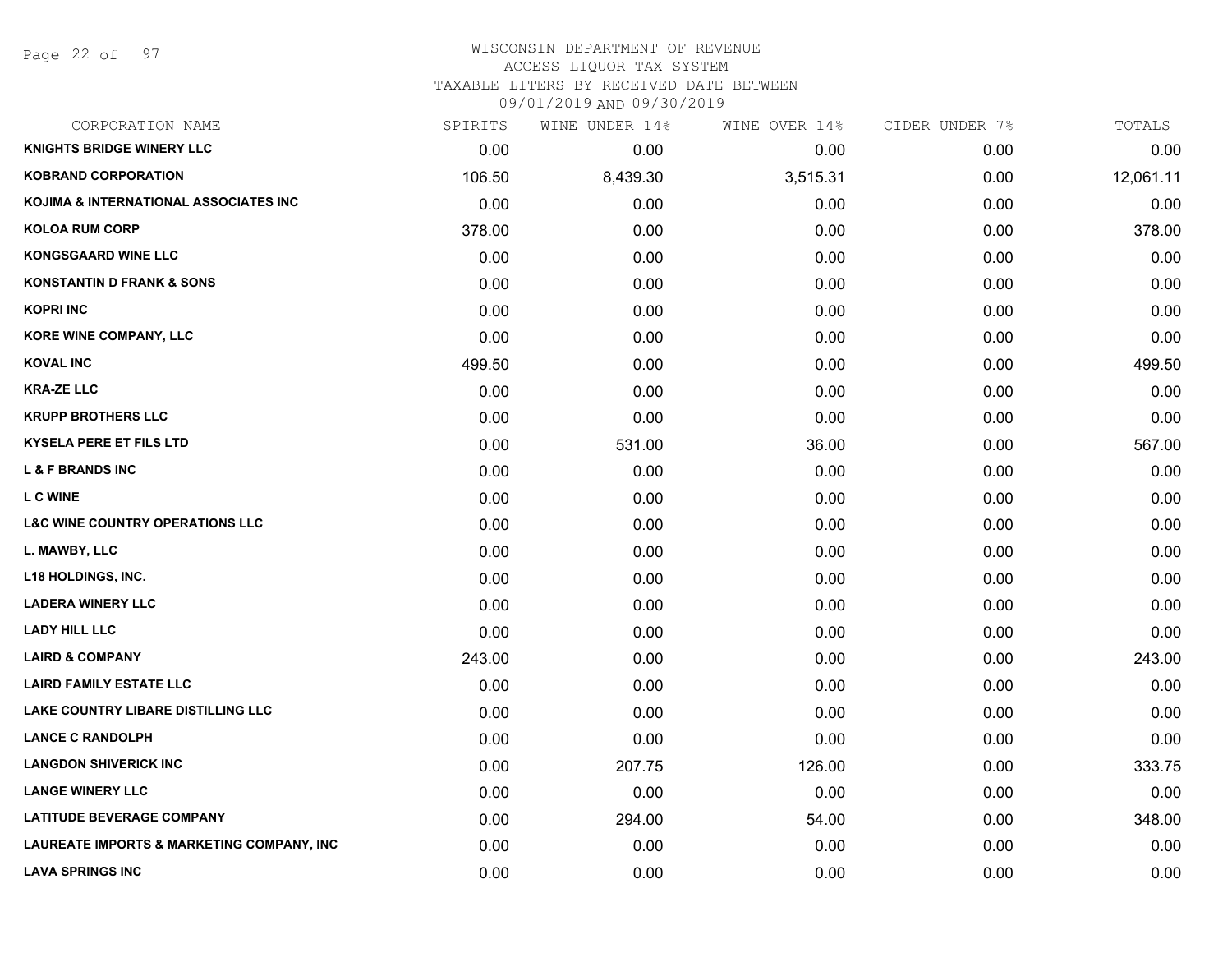Page 22 of 97

# WISCONSIN DEPARTMENT OF REVENUE ACCESS LIQUOR TAX SYSTEM TAXABLE LITERS BY RECEIVED DATE BETWEEN

| CORPORATION NAME                           | SPIRITS | WINE UNDER 14% | WINE OVER 14% | CIDER UNDER 7% | TOTALS    |
|--------------------------------------------|---------|----------------|---------------|----------------|-----------|
| <b>KNIGHTS BRIDGE WINERY LLC</b>           | 0.00    | 0.00           | 0.00          | 0.00           | 0.00      |
| <b>KOBRAND CORPORATION</b>                 | 106.50  | 8,439.30       | 3,515.31      | 0.00           | 12,061.11 |
| KOJIMA & INTERNATIONAL ASSOCIATES INC      | 0.00    | 0.00           | 0.00          | 0.00           | 0.00      |
| <b>KOLOA RUM CORP</b>                      | 378.00  | 0.00           | 0.00          | 0.00           | 378.00    |
| <b>KONGSGAARD WINE LLC</b>                 | 0.00    | 0.00           | 0.00          | 0.00           | 0.00      |
| <b>KONSTANTIN D FRANK &amp; SONS</b>       | 0.00    | 0.00           | 0.00          | 0.00           | 0.00      |
| <b>KOPRI INC</b>                           | 0.00    | 0.00           | 0.00          | 0.00           | 0.00      |
| KORE WINE COMPANY, LLC                     | 0.00    | 0.00           | 0.00          | 0.00           | 0.00      |
| <b>KOVAL INC</b>                           | 499.50  | 0.00           | 0.00          | 0.00           | 499.50    |
| <b>KRA-ZE LLC</b>                          | 0.00    | 0.00           | 0.00          | 0.00           | 0.00      |
| <b>KRUPP BROTHERS LLC</b>                  | 0.00    | 0.00           | 0.00          | 0.00           | 0.00      |
| <b>KYSELA PERE ET FILS LTD</b>             | 0.00    | 531.00         | 36.00         | 0.00           | 567.00    |
| <b>L &amp; F BRANDS INC</b>                | 0.00    | 0.00           | 0.00          | 0.00           | 0.00      |
| <b>L C WINE</b>                            | 0.00    | 0.00           | 0.00          | 0.00           | 0.00      |
| <b>L&amp;C WINE COUNTRY OPERATIONS LLC</b> | 0.00    | 0.00           | 0.00          | 0.00           | 0.00      |
| L. MAWBY, LLC                              | 0.00    | 0.00           | 0.00          | 0.00           | 0.00      |
| <b>L18 HOLDINGS, INC.</b>                  | 0.00    | 0.00           | 0.00          | 0.00           | 0.00      |
| <b>LADERA WINERY LLC</b>                   | 0.00    | 0.00           | 0.00          | 0.00           | 0.00      |
| <b>LADY HILL LLC</b>                       | 0.00    | 0.00           | 0.00          | 0.00           | 0.00      |
| <b>LAIRD &amp; COMPANY</b>                 | 243.00  | 0.00           | 0.00          | 0.00           | 243.00    |
| <b>LAIRD FAMILY ESTATE LLC</b>             | 0.00    | 0.00           | 0.00          | 0.00           | 0.00      |
| LAKE COUNTRY LIBARE DISTILLING LLC         | 0.00    | 0.00           | 0.00          | 0.00           | 0.00      |
| <b>LANCE C RANDOLPH</b>                    | 0.00    | 0.00           | 0.00          | 0.00           | 0.00      |
| <b>LANGDON SHIVERICK INC</b>               | 0.00    | 207.75         | 126.00        | 0.00           | 333.75    |
| <b>LANGE WINERY LLC</b>                    | 0.00    | 0.00           | 0.00          | 0.00           | 0.00      |
| <b>LATITUDE BEVERAGE COMPANY</b>           | 0.00    | 294.00         | 54.00         | 0.00           | 348.00    |
| LAUREATE IMPORTS & MARKETING COMPANY, INC  | 0.00    | 0.00           | 0.00          | 0.00           | 0.00      |
| <b>LAVA SPRINGS INC</b>                    | 0.00    | 0.00           | 0.00          | 0.00           | 0.00      |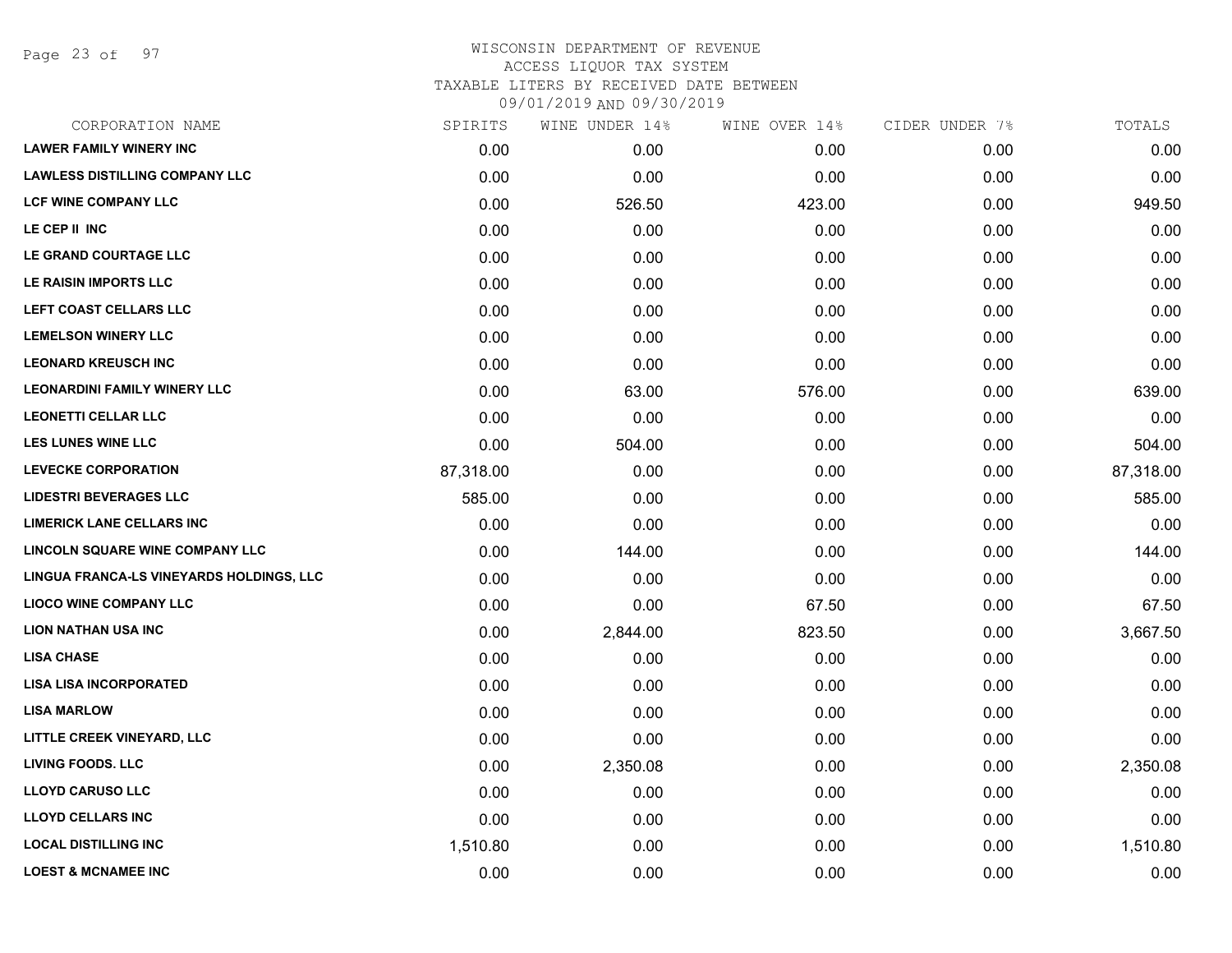Page 23 of 97

|           | WINE UNDER 14% |        |               | TOTALS         |
|-----------|----------------|--------|---------------|----------------|
| 0.00      | 0.00           | 0.00   | 0.00          | 0.00           |
| 0.00      | 0.00           | 0.00   | 0.00          | 0.00           |
| 0.00      | 526.50         | 423.00 | 0.00          | 949.50         |
| 0.00      | 0.00           | 0.00   | 0.00          | 0.00           |
| 0.00      | 0.00           | 0.00   | 0.00          | 0.00           |
| 0.00      | 0.00           | 0.00   | 0.00          | 0.00           |
| 0.00      | 0.00           | 0.00   | 0.00          | 0.00           |
| 0.00      | 0.00           | 0.00   | 0.00          | 0.00           |
| 0.00      | 0.00           | 0.00   | 0.00          | 0.00           |
| 0.00      | 63.00          | 576.00 | 0.00          | 639.00         |
| 0.00      | 0.00           | 0.00   | 0.00          | 0.00           |
| 0.00      | 504.00         | 0.00   | 0.00          | 504.00         |
| 87,318.00 | 0.00           | 0.00   | 0.00          | 87,318.00      |
| 585.00    | 0.00           | 0.00   | 0.00          | 585.00         |
| 0.00      | 0.00           | 0.00   | 0.00          | 0.00           |
| 0.00      | 144.00         | 0.00   | 0.00          | 144.00         |
| 0.00      | 0.00           | 0.00   | 0.00          | 0.00           |
| 0.00      | 0.00           | 67.50  | 0.00          | 67.50          |
| 0.00      | 2,844.00       | 823.50 | 0.00          | 3,667.50       |
| 0.00      | 0.00           | 0.00   | 0.00          | 0.00           |
| 0.00      | 0.00           | 0.00   | 0.00          | 0.00           |
| 0.00      | 0.00           | 0.00   | 0.00          | 0.00           |
| 0.00      | 0.00           | 0.00   | 0.00          | 0.00           |
| 0.00      | 2,350.08       | 0.00   | 0.00          | 2,350.08       |
| 0.00      | 0.00           | 0.00   | 0.00          | 0.00           |
| 0.00      | 0.00           | 0.00   | 0.00          | 0.00           |
| 1,510.80  | 0.00           | 0.00   | 0.00          | 1,510.80       |
| 0.00      | 0.00           | 0.00   | 0.00          | 0.00           |
|           | SPIRITS        |        | WINE OVER 14% | CIDER UNDER 7% |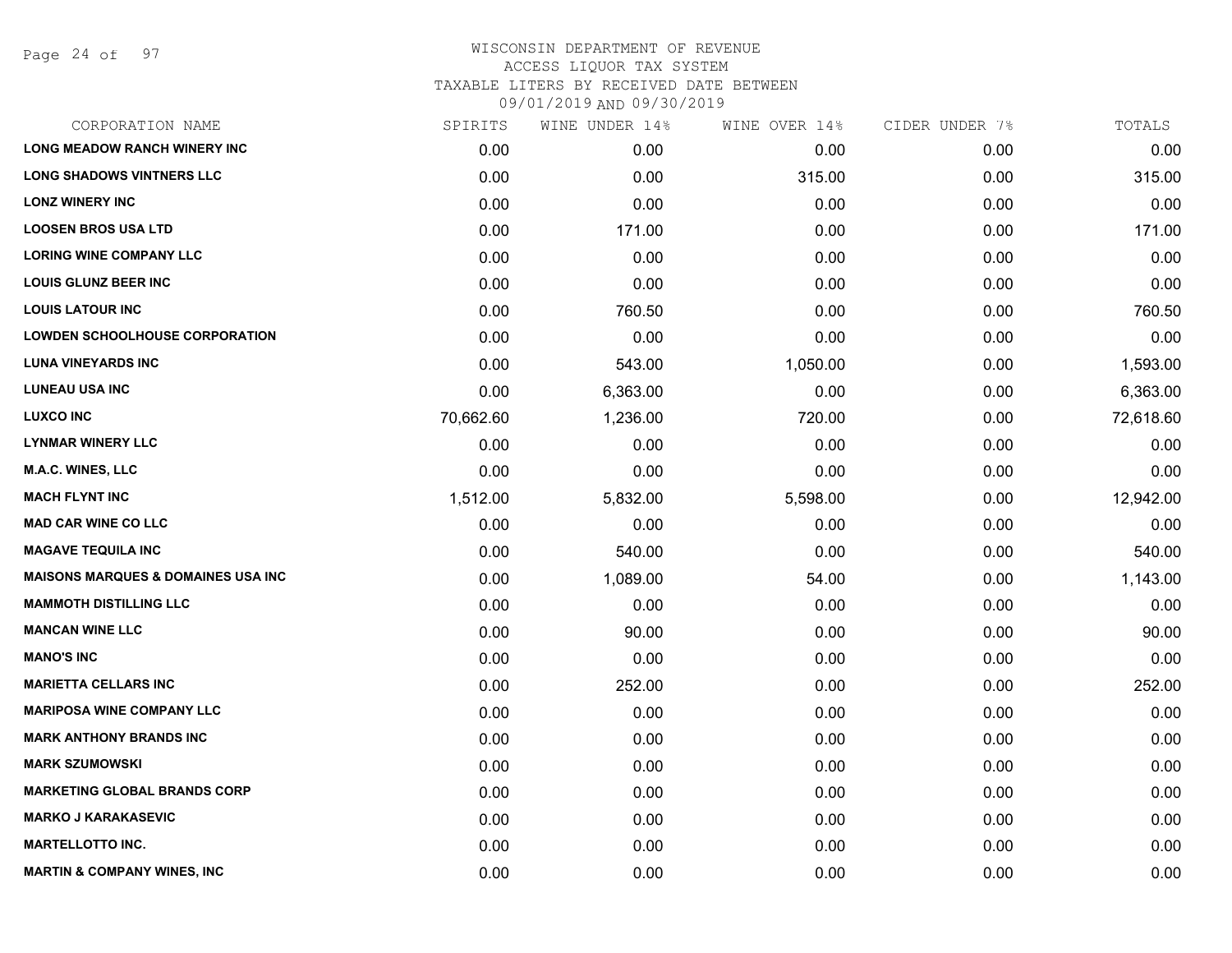Page 24 of 97

| CORPORATION NAME                               | SPIRITS   | WINE UNDER 14% | WINE OVER 14% | CIDER UNDER 7% | TOTALS    |
|------------------------------------------------|-----------|----------------|---------------|----------------|-----------|
| <b>LONG MEADOW RANCH WINERY INC</b>            | 0.00      | 0.00           | 0.00          | 0.00           | 0.00      |
| <b>LONG SHADOWS VINTNERS LLC</b>               | 0.00      | 0.00           | 315.00        | 0.00           | 315.00    |
| <b>LONZ WINERY INC</b>                         | 0.00      | 0.00           | 0.00          | 0.00           | 0.00      |
| <b>LOOSEN BROS USA LTD</b>                     | 0.00      | 171.00         | 0.00          | 0.00           | 171.00    |
| <b>LORING WINE COMPANY LLC</b>                 | 0.00      | 0.00           | 0.00          | 0.00           | 0.00      |
| <b>LOUIS GLUNZ BEER INC</b>                    | 0.00      | 0.00           | 0.00          | 0.00           | 0.00      |
| <b>LOUIS LATOUR INC</b>                        | 0.00      | 760.50         | 0.00          | 0.00           | 760.50    |
| <b>LOWDEN SCHOOLHOUSE CORPORATION</b>          | 0.00      | 0.00           | 0.00          | 0.00           | 0.00      |
| <b>LUNA VINEYARDS INC</b>                      | 0.00      | 543.00         | 1,050.00      | 0.00           | 1,593.00  |
| <b>LUNEAU USA INC</b>                          | 0.00      | 6,363.00       | 0.00          | 0.00           | 6,363.00  |
| <b>LUXCO INC</b>                               | 70,662.60 | 1,236.00       | 720.00        | 0.00           | 72,618.60 |
| <b>LYNMAR WINERY LLC</b>                       | 0.00      | 0.00           | 0.00          | 0.00           | 0.00      |
| <b>M.A.C. WINES, LLC</b>                       | 0.00      | 0.00           | 0.00          | 0.00           | 0.00      |
| <b>MACH FLYNT INC</b>                          | 1,512.00  | 5,832.00       | 5,598.00      | 0.00           | 12,942.00 |
| <b>MAD CAR WINE CO LLC</b>                     | 0.00      | 0.00           | 0.00          | 0.00           | 0.00      |
| <b>MAGAVE TEQUILA INC</b>                      | 0.00      | 540.00         | 0.00          | 0.00           | 540.00    |
| <b>MAISONS MARQUES &amp; DOMAINES USA INC.</b> | 0.00      | 1,089.00       | 54.00         | 0.00           | 1,143.00  |
| <b>MAMMOTH DISTILLING LLC</b>                  | 0.00      | 0.00           | 0.00          | 0.00           | 0.00      |
| <b>MANCAN WINE LLC</b>                         | 0.00      | 90.00          | 0.00          | 0.00           | 90.00     |
| <b>MANO'S INC</b>                              | 0.00      | 0.00           | 0.00          | 0.00           | 0.00      |
| <b>MARIETTA CELLARS INC</b>                    | 0.00      | 252.00         | 0.00          | 0.00           | 252.00    |
| <b>MARIPOSA WINE COMPANY LLC</b>               | 0.00      | 0.00           | 0.00          | 0.00           | 0.00      |
| <b>MARK ANTHONY BRANDS INC</b>                 | 0.00      | 0.00           | 0.00          | 0.00           | 0.00      |
| <b>MARK SZUMOWSKI</b>                          | 0.00      | 0.00           | 0.00          | 0.00           | 0.00      |
| <b>MARKETING GLOBAL BRANDS CORP</b>            | 0.00      | 0.00           | 0.00          | 0.00           | 0.00      |
| <b>MARKO J KARAKASEVIC</b>                     | 0.00      | 0.00           | 0.00          | 0.00           | 0.00      |
| <b>MARTELLOTTO INC.</b>                        | 0.00      | 0.00           | 0.00          | 0.00           | 0.00      |
| <b>MARTIN &amp; COMPANY WINES, INC</b>         | 0.00      | 0.00           | 0.00          | 0.00           | 0.00      |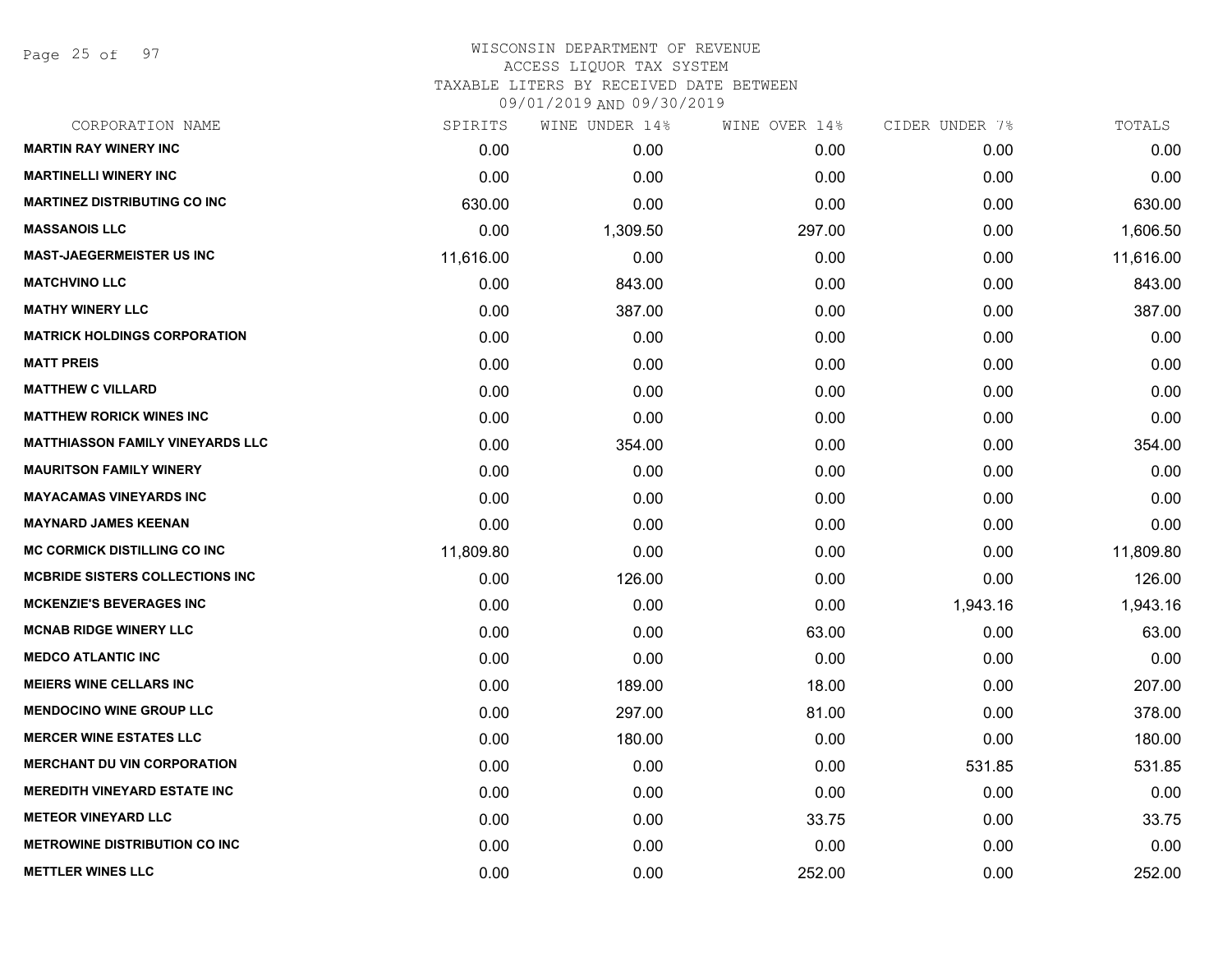Page 25 of 97

# WISCONSIN DEPARTMENT OF REVENUE ACCESS LIQUOR TAX SYSTEM TAXABLE LITERS BY RECEIVED DATE BETWEEN

| CORPORATION NAME                        | SPIRITS   | WINE UNDER 14% | WINE OVER 14% | CIDER UNDER 7% | TOTALS    |
|-----------------------------------------|-----------|----------------|---------------|----------------|-----------|
| <b>MARTIN RAY WINERY INC</b>            | 0.00      | 0.00           | 0.00          | 0.00           | 0.00      |
| <b>MARTINELLI WINERY INC</b>            | 0.00      | 0.00           | 0.00          | 0.00           | 0.00      |
| <b>MARTINEZ DISTRIBUTING CO INC</b>     | 630.00    | 0.00           | 0.00          | 0.00           | 630.00    |
| <b>MASSANOIS LLC</b>                    | 0.00      | 1,309.50       | 297.00        | 0.00           | 1,606.50  |
| <b>MAST-JAEGERMEISTER US INC</b>        | 11,616.00 | 0.00           | 0.00          | 0.00           | 11,616.00 |
| <b>MATCHVINO LLC</b>                    | 0.00      | 843.00         | 0.00          | 0.00           | 843.00    |
| <b>MATHY WINERY LLC</b>                 | 0.00      | 387.00         | 0.00          | 0.00           | 387.00    |
| <b>MATRICK HOLDINGS CORPORATION</b>     | 0.00      | 0.00           | 0.00          | 0.00           | 0.00      |
| <b>MATT PREIS</b>                       | 0.00      | 0.00           | 0.00          | 0.00           | 0.00      |
| <b>MATTHEW C VILLARD</b>                | 0.00      | 0.00           | 0.00          | 0.00           | 0.00      |
| <b>MATTHEW RORICK WINES INC</b>         | 0.00      | 0.00           | 0.00          | 0.00           | 0.00      |
| <b>MATTHIASSON FAMILY VINEYARDS LLC</b> | 0.00      | 354.00         | 0.00          | 0.00           | 354.00    |
| <b>MAURITSON FAMILY WINERY</b>          | 0.00      | 0.00           | 0.00          | 0.00           | 0.00      |
| <b>MAYACAMAS VINEYARDS INC</b>          | 0.00      | 0.00           | 0.00          | 0.00           | 0.00      |
| <b>MAYNARD JAMES KEENAN</b>             | 0.00      | 0.00           | 0.00          | 0.00           | 0.00      |
| <b>MC CORMICK DISTILLING CO INC</b>     | 11,809.80 | 0.00           | 0.00          | 0.00           | 11,809.80 |
| <b>MCBRIDE SISTERS COLLECTIONS INC</b>  | 0.00      | 126.00         | 0.00          | 0.00           | 126.00    |
| <b>MCKENZIE'S BEVERAGES INC</b>         | 0.00      | 0.00           | 0.00          | 1,943.16       | 1,943.16  |
| <b>MCNAB RIDGE WINERY LLC</b>           | 0.00      | 0.00           | 63.00         | 0.00           | 63.00     |
| <b>MEDCO ATLANTIC INC</b>               | 0.00      | 0.00           | 0.00          | 0.00           | 0.00      |
| <b>MEIERS WINE CELLARS INC</b>          | 0.00      | 189.00         | 18.00         | 0.00           | 207.00    |
| <b>MENDOCINO WINE GROUP LLC</b>         | 0.00      | 297.00         | 81.00         | 0.00           | 378.00    |
| <b>MERCER WINE ESTATES LLC</b>          | 0.00      | 180.00         | 0.00          | 0.00           | 180.00    |
| <b>MERCHANT DU VIN CORPORATION</b>      | 0.00      | 0.00           | 0.00          | 531.85         | 531.85    |
| <b>MEREDITH VINEYARD ESTATE INC</b>     | 0.00      | 0.00           | 0.00          | 0.00           | 0.00      |
| <b>METEOR VINEYARD LLC</b>              | 0.00      | 0.00           | 33.75         | 0.00           | 33.75     |
| <b>METROWINE DISTRIBUTION CO INC</b>    | 0.00      | 0.00           | 0.00          | 0.00           | 0.00      |
| <b>METTLER WINES LLC</b>                | 0.00      | 0.00           | 252.00        | 0.00           | 252.00    |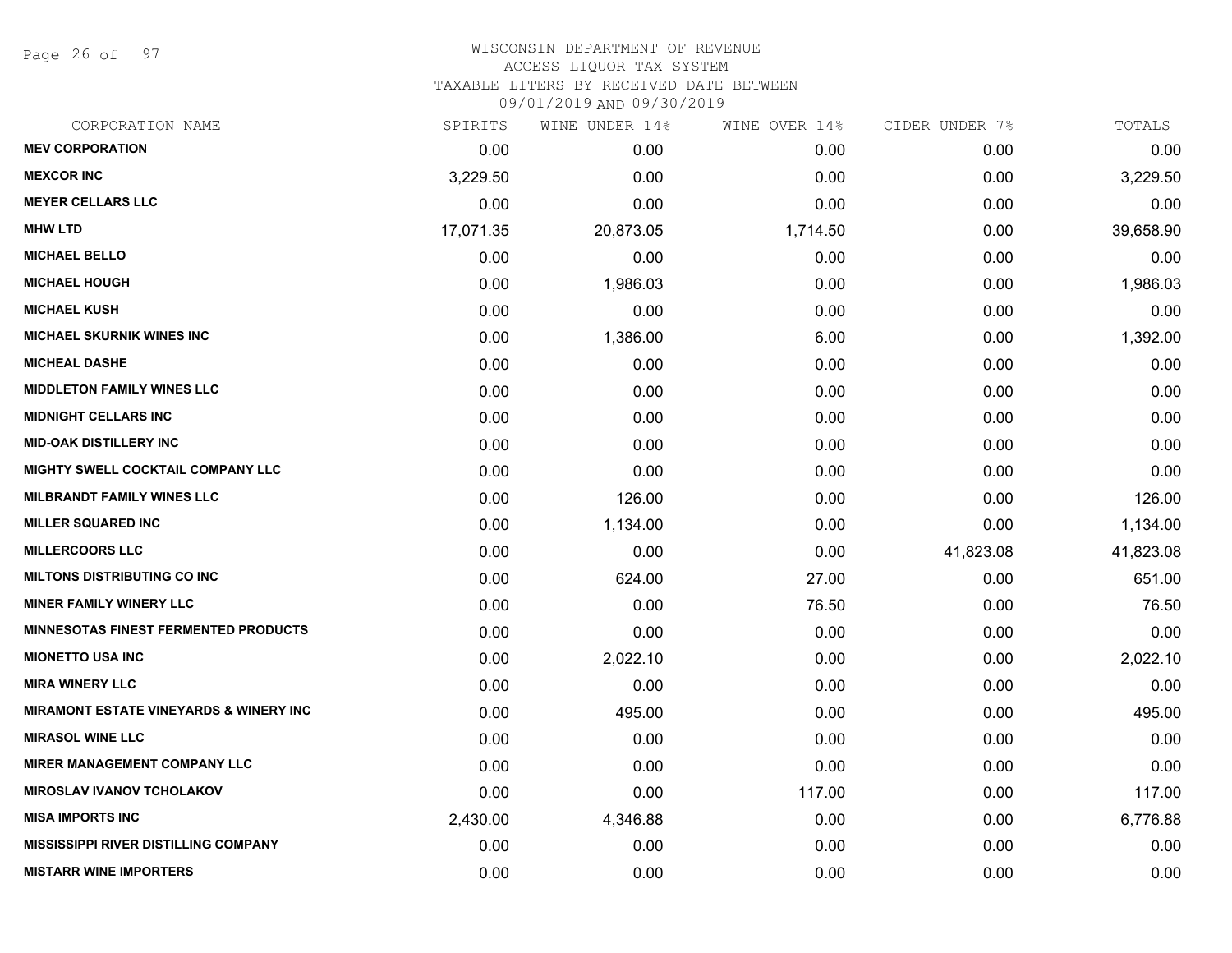Page 26 of 97

# WISCONSIN DEPARTMENT OF REVENUE ACCESS LIQUOR TAX SYSTEM

TAXABLE LITERS BY RECEIVED DATE BETWEEN

| CORPORATION NAME                                  | SPIRITS   | WINE UNDER 14% | WINE OVER 14% | CIDER UNDER 7% | TOTALS    |
|---------------------------------------------------|-----------|----------------|---------------|----------------|-----------|
| <b>MEV CORPORATION</b>                            | 0.00      | 0.00           | 0.00          | 0.00           | 0.00      |
| <b>MEXCOR INC</b>                                 | 3,229.50  | 0.00           | 0.00          | 0.00           | 3,229.50  |
| <b>MEYER CELLARS LLC</b>                          | 0.00      | 0.00           | 0.00          | 0.00           | 0.00      |
| <b>MHW LTD</b>                                    | 17,071.35 | 20,873.05      | 1,714.50      | 0.00           | 39,658.90 |
| <b>MICHAEL BELLO</b>                              | 0.00      | 0.00           | 0.00          | 0.00           | 0.00      |
| <b>MICHAEL HOUGH</b>                              | 0.00      | 1,986.03       | 0.00          | 0.00           | 1,986.03  |
| <b>MICHAEL KUSH</b>                               | 0.00      | 0.00           | 0.00          | 0.00           | 0.00      |
| MICHAEL SKURNIK WINES INC                         | 0.00      | 1,386.00       | 6.00          | 0.00           | 1,392.00  |
| <b>MICHEAL DASHE</b>                              | 0.00      | 0.00           | 0.00          | 0.00           | 0.00      |
| <b>MIDDLETON FAMILY WINES LLC</b>                 | 0.00      | 0.00           | 0.00          | 0.00           | 0.00      |
| <b>MIDNIGHT CELLARS INC</b>                       | 0.00      | 0.00           | 0.00          | 0.00           | 0.00      |
| <b>MID-OAK DISTILLERY INC</b>                     | 0.00      | 0.00           | 0.00          | 0.00           | 0.00      |
| MIGHTY SWELL COCKTAIL COMPANY LLC                 | 0.00      | 0.00           | 0.00          | 0.00           | 0.00      |
| <b>MILBRANDT FAMILY WINES LLC</b>                 | 0.00      | 126.00         | 0.00          | 0.00           | 126.00    |
| <b>MILLER SQUARED INC</b>                         | 0.00      | 1,134.00       | 0.00          | 0.00           | 1,134.00  |
| <b>MILLERCOORS LLC</b>                            | 0.00      | 0.00           | 0.00          | 41,823.08      | 41,823.08 |
| <b>MILTONS DISTRIBUTING CO INC</b>                | 0.00      | 624.00         | 27.00         | 0.00           | 651.00    |
| <b>MINER FAMILY WINERY LLC</b>                    | 0.00      | 0.00           | 76.50         | 0.00           | 76.50     |
| <b>MINNESOTAS FINEST FERMENTED PRODUCTS</b>       | 0.00      | 0.00           | 0.00          | 0.00           | 0.00      |
| <b>MIONETTO USA INC</b>                           | 0.00      | 2,022.10       | 0.00          | 0.00           | 2,022.10  |
| <b>MIRA WINERY LLC</b>                            | 0.00      | 0.00           | 0.00          | 0.00           | 0.00      |
| <b>MIRAMONT ESTATE VINEYARDS &amp; WINERY INC</b> | 0.00      | 495.00         | 0.00          | 0.00           | 495.00    |
| <b>MIRASOL WINE LLC</b>                           | 0.00      | 0.00           | 0.00          | 0.00           | 0.00      |
| <b>MIRER MANAGEMENT COMPANY LLC</b>               | 0.00      | 0.00           | 0.00          | 0.00           | 0.00      |
| <b>MIROSLAV IVANOV TCHOLAKOV</b>                  | 0.00      | 0.00           | 117.00        | 0.00           | 117.00    |
| <b>MISA IMPORTS INC</b>                           | 2,430.00  | 4,346.88       | 0.00          | 0.00           | 6,776.88  |
| <b>MISSISSIPPI RIVER DISTILLING COMPANY</b>       | 0.00      | 0.00           | 0.00          | 0.00           | 0.00      |
| <b>MISTARR WINE IMPORTERS</b>                     | 0.00      | 0.00           | 0.00          | 0.00           | 0.00      |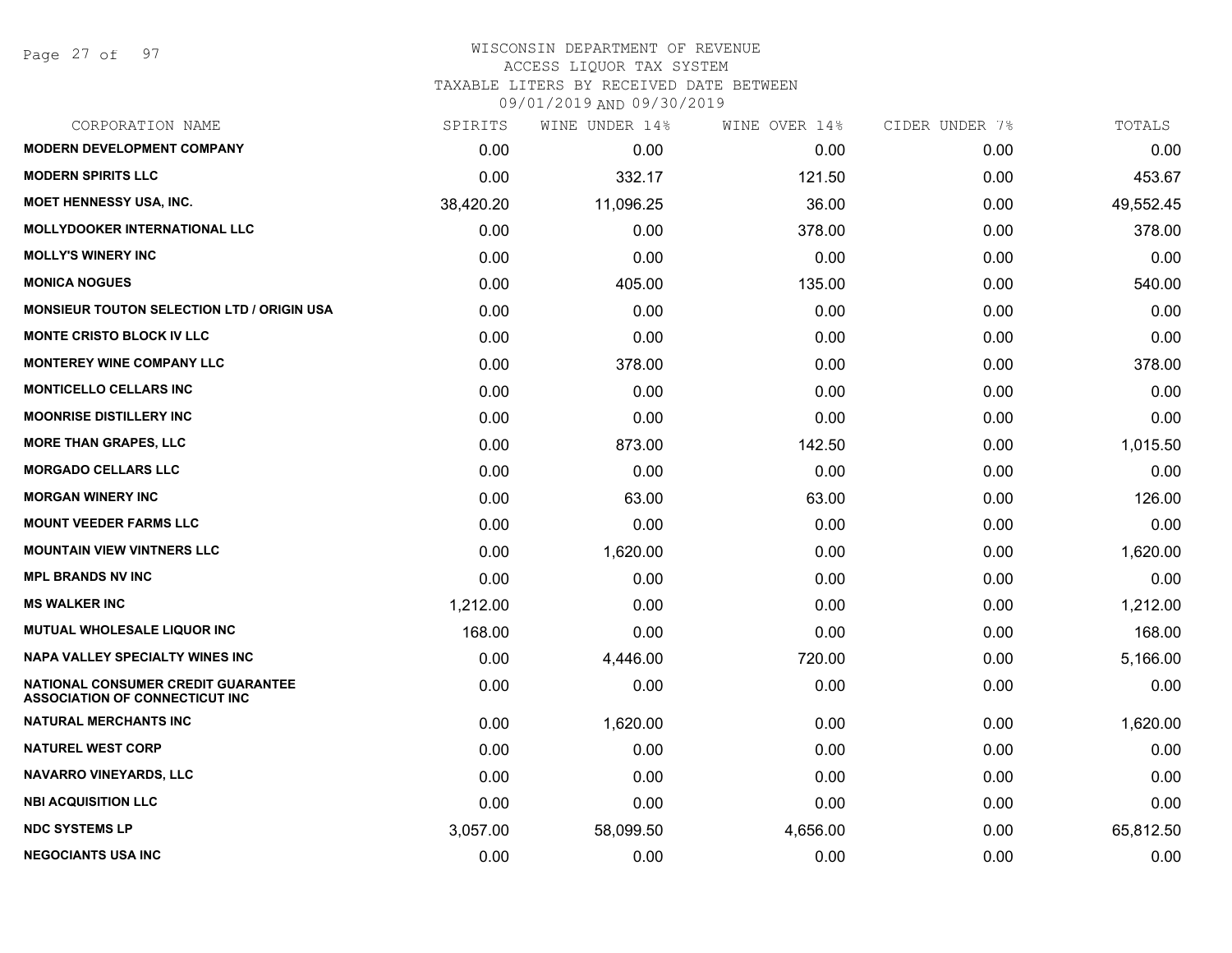| CORPORATION NAME                                                                   | SPIRITS   | WINE UNDER 14% | WINE OVER 14% | CIDER UNDER 7% | TOTALS    |
|------------------------------------------------------------------------------------|-----------|----------------|---------------|----------------|-----------|
| <b>MODERN DEVELOPMENT COMPANY</b>                                                  | 0.00      | 0.00           | 0.00          | 0.00           | 0.00      |
| <b>MODERN SPIRITS LLC</b>                                                          | 0.00      | 332.17         | 121.50        | 0.00           | 453.67    |
| <b>MOET HENNESSY USA, INC.</b>                                                     | 38,420.20 | 11,096.25      | 36.00         | 0.00           | 49,552.45 |
| <b>MOLLYDOOKER INTERNATIONAL LLC</b>                                               | 0.00      | 0.00           | 378.00        | 0.00           | 378.00    |
| <b>MOLLY'S WINERY INC</b>                                                          | 0.00      | 0.00           | 0.00          | 0.00           | 0.00      |
| <b>MONICA NOGUES</b>                                                               | 0.00      | 405.00         | 135.00        | 0.00           | 540.00    |
| <b>MONSIEUR TOUTON SELECTION LTD / ORIGIN USA</b>                                  | 0.00      | 0.00           | 0.00          | 0.00           | 0.00      |
| <b>MONTE CRISTO BLOCK IV LLC</b>                                                   | 0.00      | 0.00           | 0.00          | 0.00           | 0.00      |
| <b>MONTEREY WINE COMPANY LLC</b>                                                   | 0.00      | 378.00         | 0.00          | 0.00           | 378.00    |
| <b>MONTICELLO CELLARS INC</b>                                                      | 0.00      | 0.00           | 0.00          | 0.00           | 0.00      |
| <b>MOONRISE DISTILLERY INC</b>                                                     | 0.00      | 0.00           | 0.00          | 0.00           | 0.00      |
| <b>MORE THAN GRAPES, LLC</b>                                                       | 0.00      | 873.00         | 142.50        | 0.00           | 1,015.50  |
| <b>MORGADO CELLARS LLC</b>                                                         | 0.00      | 0.00           | 0.00          | 0.00           | 0.00      |
| <b>MORGAN WINERY INC</b>                                                           | 0.00      | 63.00          | 63.00         | 0.00           | 126.00    |
| <b>MOUNT VEEDER FARMS LLC</b>                                                      | 0.00      | 0.00           | 0.00          | 0.00           | 0.00      |
| <b>MOUNTAIN VIEW VINTNERS LLC</b>                                                  | 0.00      | 1,620.00       | 0.00          | 0.00           | 1,620.00  |
| <b>MPL BRANDS NV INC</b>                                                           | 0.00      | 0.00           | 0.00          | 0.00           | 0.00      |
| <b>MS WALKER INC</b>                                                               | 1,212.00  | 0.00           | 0.00          | 0.00           | 1,212.00  |
| MUTUAL WHOLESALE LIQUOR INC                                                        | 168.00    | 0.00           | 0.00          | 0.00           | 168.00    |
| <b>NAPA VALLEY SPECIALTY WINES INC</b>                                             | 0.00      | 4,446.00       | 720.00        | 0.00           | 5,166.00  |
| <b>NATIONAL CONSUMER CREDIT GUARANTEE</b><br><b>ASSOCIATION OF CONNECTICUT INC</b> | 0.00      | 0.00           | 0.00          | 0.00           | 0.00      |
| <b>NATURAL MERCHANTS INC</b>                                                       | 0.00      | 1,620.00       | 0.00          | 0.00           | 1,620.00  |
| <b>NATUREL WEST CORP</b>                                                           | 0.00      | 0.00           | 0.00          | 0.00           | 0.00      |
| <b>NAVARRO VINEYARDS, LLC</b>                                                      | 0.00      | 0.00           | 0.00          | 0.00           | 0.00      |
| <b>NBI ACQUISITION LLC</b>                                                         | 0.00      | 0.00           | 0.00          | 0.00           | 0.00      |
| <b>NDC SYSTEMS LP</b>                                                              | 3,057.00  | 58,099.50      | 4,656.00      | 0.00           | 65,812.50 |
| <b>NEGOCIANTS USA INC</b>                                                          | 0.00      | 0.00           | 0.00          | 0.00           | 0.00      |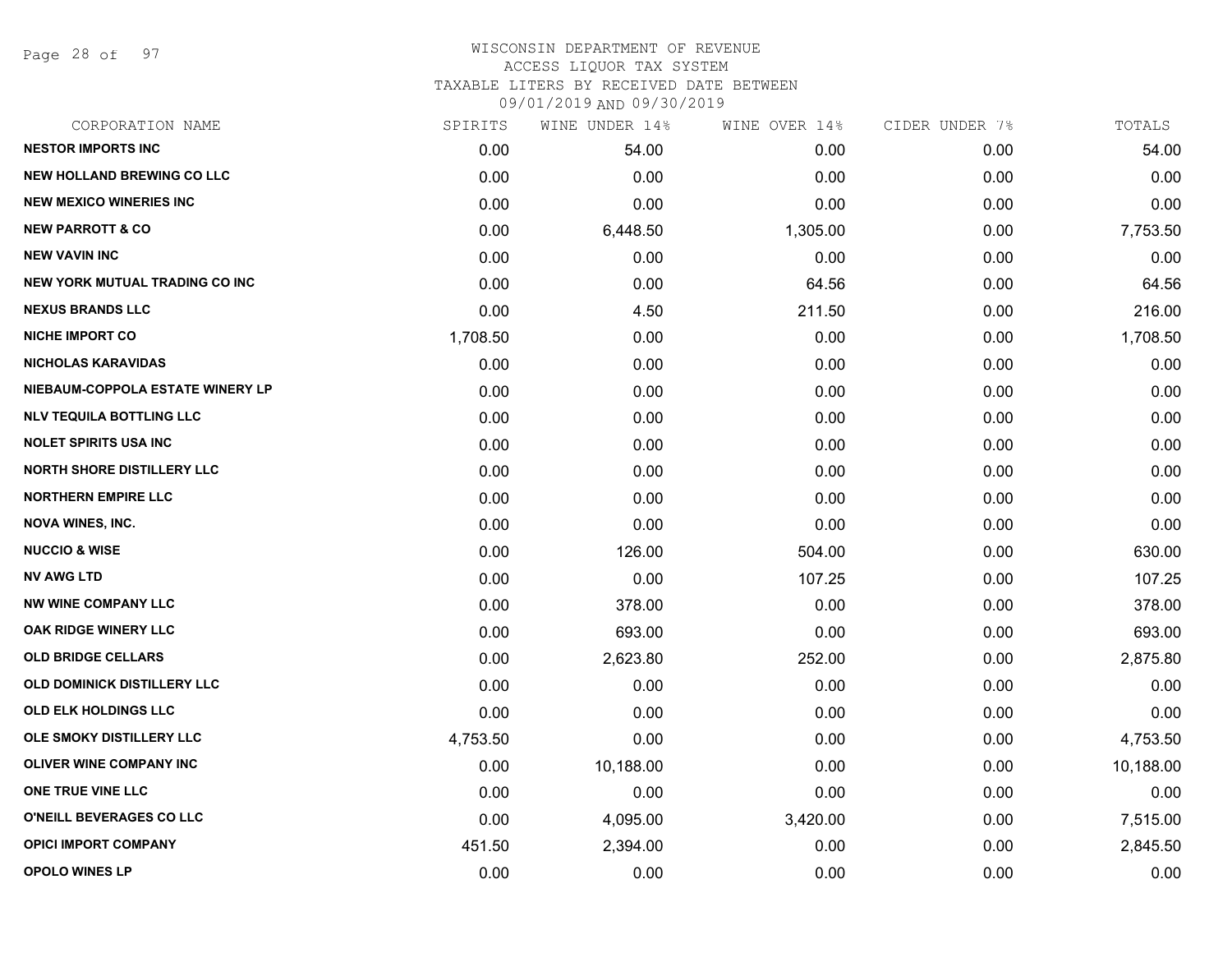Page 28 of 97

### WISCONSIN DEPARTMENT OF REVENUE ACCESS LIQUOR TAX SYSTEM TAXABLE LITERS BY RECEIVED DATE BETWEEN

| CORPORATION NAME                   | SPIRITS  | WINE UNDER 14% | WINE OVER 14% | CIDER UNDER 7% | TOTALS    |
|------------------------------------|----------|----------------|---------------|----------------|-----------|
| <b>NESTOR IMPORTS INC</b>          | 0.00     | 54.00          | 0.00          | 0.00           | 54.00     |
| <b>NEW HOLLAND BREWING CO LLC</b>  | 0.00     | 0.00           | 0.00          | 0.00           | 0.00      |
| <b>NEW MEXICO WINERIES INC</b>     | 0.00     | 0.00           | 0.00          | 0.00           | 0.00      |
| <b>NEW PARROTT &amp; CO</b>        | 0.00     | 6,448.50       | 1,305.00      | 0.00           | 7,753.50  |
| <b>NEW VAVIN INC</b>               | 0.00     | 0.00           | 0.00          | 0.00           | 0.00      |
| NEW YORK MUTUAL TRADING CO INC     | 0.00     | 0.00           | 64.56         | 0.00           | 64.56     |
| <b>NEXUS BRANDS LLC</b>            | 0.00     | 4.50           | 211.50        | 0.00           | 216.00    |
| <b>NICHE IMPORT CO</b>             | 1,708.50 | 0.00           | 0.00          | 0.00           | 1,708.50  |
| <b>NICHOLAS KARAVIDAS</b>          | 0.00     | 0.00           | 0.00          | 0.00           | 0.00      |
| NIEBAUM-COPPOLA ESTATE WINERY LP   | 0.00     | 0.00           | 0.00          | 0.00           | 0.00      |
| <b>NLV TEQUILA BOTTLING LLC</b>    | 0.00     | 0.00           | 0.00          | 0.00           | 0.00      |
| <b>NOLET SPIRITS USA INC</b>       | 0.00     | 0.00           | 0.00          | 0.00           | 0.00      |
| <b>NORTH SHORE DISTILLERY LLC</b>  | 0.00     | 0.00           | 0.00          | 0.00           | 0.00      |
| <b>NORTHERN EMPIRE LLC</b>         | 0.00     | 0.00           | 0.00          | 0.00           | 0.00      |
| <b>NOVA WINES, INC.</b>            | 0.00     | 0.00           | 0.00          | 0.00           | 0.00      |
| <b>NUCCIO &amp; WISE</b>           | 0.00     | 126.00         | 504.00        | 0.00           | 630.00    |
| <b>NV AWG LTD</b>                  | 0.00     | 0.00           | 107.25        | 0.00           | 107.25    |
| <b>NW WINE COMPANY LLC</b>         | 0.00     | 378.00         | 0.00          | 0.00           | 378.00    |
| OAK RIDGE WINERY LLC               | 0.00     | 693.00         | 0.00          | 0.00           | 693.00    |
| <b>OLD BRIDGE CELLARS</b>          | 0.00     | 2,623.80       | 252.00        | 0.00           | 2,875.80  |
| <b>OLD DOMINICK DISTILLERY LLC</b> | 0.00     | 0.00           | 0.00          | 0.00           | 0.00      |
| OLD ELK HOLDINGS LLC               | 0.00     | 0.00           | 0.00          | 0.00           | 0.00      |
| OLE SMOKY DISTILLERY LLC           | 4,753.50 | 0.00           | 0.00          | 0.00           | 4,753.50  |
| OLIVER WINE COMPANY INC            | 0.00     | 10,188.00      | 0.00          | 0.00           | 10,188.00 |
| ONE TRUE VINE LLC                  | 0.00     | 0.00           | 0.00          | 0.00           | 0.00      |
| O'NEILL BEVERAGES CO LLC           | 0.00     | 4,095.00       | 3,420.00      | 0.00           | 7,515.00  |
| <b>OPICI IMPORT COMPANY</b>        | 451.50   | 2,394.00       | 0.00          | 0.00           | 2,845.50  |
| <b>OPOLO WINES LP</b>              | 0.00     | 0.00           | 0.00          | 0.00           | 0.00      |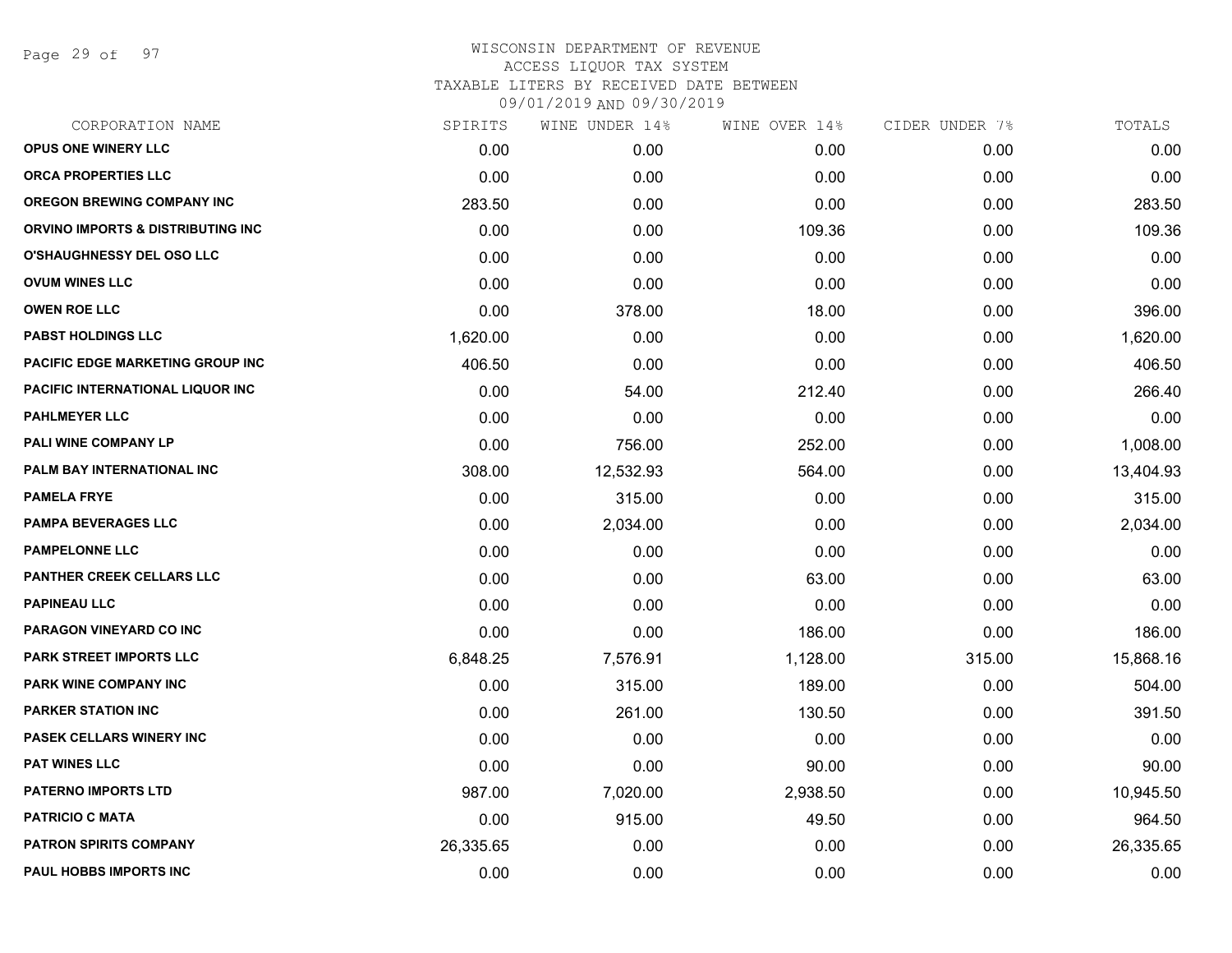Page 29 of 97

| CORPORATION NAME                  | SPIRITS   | WINE UNDER 14% | WINE OVER 14% | CIDER UNDER 7% | TOTALS    |
|-----------------------------------|-----------|----------------|---------------|----------------|-----------|
| <b>OPUS ONE WINERY LLC</b>        | 0.00      | 0.00           | 0.00          | 0.00           | 0.00      |
| <b>ORCA PROPERTIES LLC</b>        | 0.00      | 0.00           | 0.00          | 0.00           | 0.00      |
| <b>OREGON BREWING COMPANY INC</b> | 283.50    | 0.00           | 0.00          | 0.00           | 283.50    |
| ORVINO IMPORTS & DISTRIBUTING INC | 0.00      | 0.00           | 109.36        | 0.00           | 109.36    |
| <b>O'SHAUGHNESSY DEL OSO LLC</b>  | 0.00      | 0.00           | 0.00          | 0.00           | 0.00      |
| <b>OVUM WINES LLC</b>             | 0.00      | 0.00           | 0.00          | 0.00           | 0.00      |
| <b>OWEN ROE LLC</b>               | 0.00      | 378.00         | 18.00         | 0.00           | 396.00    |
| <b>PABST HOLDINGS LLC</b>         | 1,620.00  | 0.00           | 0.00          | 0.00           | 1,620.00  |
| PACIFIC EDGE MARKETING GROUP INC  | 406.50    | 0.00           | 0.00          | 0.00           | 406.50    |
| PACIFIC INTERNATIONAL LIQUOR INC  | 0.00      | 54.00          | 212.40        | 0.00           | 266.40    |
| <b>PAHLMEYER LLC</b>              | 0.00      | 0.00           | 0.00          | 0.00           | 0.00      |
| <b>PALI WINE COMPANY LP</b>       | 0.00      | 756.00         | 252.00        | 0.00           | 1,008.00  |
| PALM BAY INTERNATIONAL INC        | 308.00    | 12,532.93      | 564.00        | 0.00           | 13,404.93 |
| <b>PAMELA FRYE</b>                | 0.00      | 315.00         | 0.00          | 0.00           | 315.00    |
| <b>PAMPA BEVERAGES LLC</b>        | 0.00      | 2,034.00       | 0.00          | 0.00           | 2,034.00  |
| <b>PAMPELONNE LLC</b>             | 0.00      | 0.00           | 0.00          | 0.00           | 0.00      |
| <b>PANTHER CREEK CELLARS LLC</b>  | 0.00      | 0.00           | 63.00         | 0.00           | 63.00     |
| <b>PAPINEAU LLC</b>               | 0.00      | 0.00           | 0.00          | 0.00           | 0.00      |
| PARAGON VINEYARD CO INC           | 0.00      | 0.00           | 186.00        | 0.00           | 186.00    |
| <b>PARK STREET IMPORTS LLC</b>    | 6,848.25  | 7,576.91       | 1,128.00      | 315.00         | 15,868.16 |
| <b>PARK WINE COMPANY INC</b>      | 0.00      | 315.00         | 189.00        | 0.00           | 504.00    |
| <b>PARKER STATION INC</b>         | 0.00      | 261.00         | 130.50        | 0.00           | 391.50    |
| <b>PASEK CELLARS WINERY INC</b>   | 0.00      | 0.00           | 0.00          | 0.00           | 0.00      |
| <b>PAT WINES LLC</b>              | 0.00      | 0.00           | 90.00         | 0.00           | 90.00     |
| <b>PATERNO IMPORTS LTD</b>        | 987.00    | 7,020.00       | 2,938.50      | 0.00           | 10,945.50 |
| <b>PATRICIO C MATA</b>            | 0.00      | 915.00         | 49.50         | 0.00           | 964.50    |
| <b>PATRON SPIRITS COMPANY</b>     | 26,335.65 | 0.00           | 0.00          | 0.00           | 26,335.65 |
| PAUL HOBBS IMPORTS INC            | 0.00      | 0.00           | 0.00          | 0.00           | 0.00      |
|                                   |           |                |               |                |           |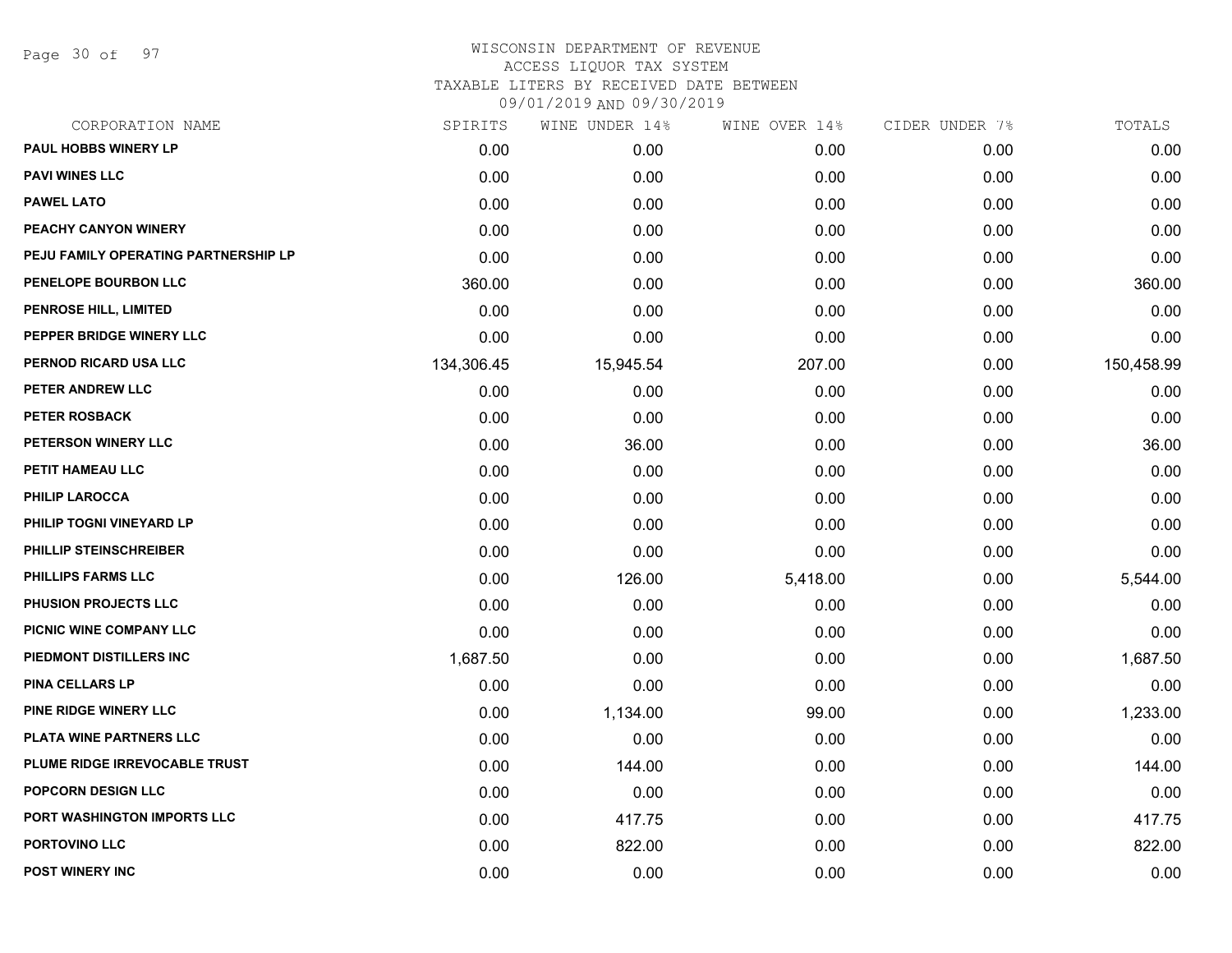Page 30 of 97

| CORPORATION NAME                     | SPIRITS    | WINE UNDER 14% | WINE OVER 14% | CIDER UNDER 7% | TOTALS     |
|--------------------------------------|------------|----------------|---------------|----------------|------------|
| <b>PAUL HOBBS WINERY LP</b>          | 0.00       | 0.00           | 0.00          | 0.00           | 0.00       |
| <b>PAVI WINES LLC</b>                | 0.00       | 0.00           | 0.00          | 0.00           | 0.00       |
| <b>PAWEL LATO</b>                    | 0.00       | 0.00           | 0.00          | 0.00           | 0.00       |
| PEACHY CANYON WINERY                 | 0.00       | 0.00           | 0.00          | 0.00           | 0.00       |
| PEJU FAMILY OPERATING PARTNERSHIP LP | 0.00       | 0.00           | 0.00          | 0.00           | 0.00       |
| PENELOPE BOURBON LLC                 | 360.00     | 0.00           | 0.00          | 0.00           | 360.00     |
| PENROSE HILL, LIMITED                | 0.00       | 0.00           | 0.00          | 0.00           | 0.00       |
| PEPPER BRIDGE WINERY LLC             | 0.00       | 0.00           | 0.00          | 0.00           | 0.00       |
| PERNOD RICARD USA LLC                | 134,306.45 | 15,945.54      | 207.00        | 0.00           | 150,458.99 |
| PETER ANDREW LLC                     | 0.00       | 0.00           | 0.00          | 0.00           | 0.00       |
| PETER ROSBACK                        | 0.00       | 0.00           | 0.00          | 0.00           | 0.00       |
| PETERSON WINERY LLC                  | 0.00       | 36.00          | 0.00          | 0.00           | 36.00      |
| PETIT HAMEAU LLC                     | 0.00       | 0.00           | 0.00          | 0.00           | 0.00       |
| <b>PHILIP LAROCCA</b>                | 0.00       | 0.00           | 0.00          | 0.00           | 0.00       |
| PHILIP TOGNI VINEYARD LP             | 0.00       | 0.00           | 0.00          | 0.00           | 0.00       |
| PHILLIP STEINSCHREIBER               | 0.00       | 0.00           | 0.00          | 0.00           | 0.00       |
| <b>PHILLIPS FARMS LLC</b>            | 0.00       | 126.00         | 5,418.00      | 0.00           | 5,544.00   |
| PHUSION PROJECTS LLC                 | 0.00       | 0.00           | 0.00          | 0.00           | 0.00       |
| PICNIC WINE COMPANY LLC              | 0.00       | 0.00           | 0.00          | 0.00           | 0.00       |
| PIEDMONT DISTILLERS INC              | 1,687.50   | 0.00           | 0.00          | 0.00           | 1,687.50   |
| <b>PINA CELLARS LP</b>               | 0.00       | 0.00           | 0.00          | 0.00           | 0.00       |
| PINE RIDGE WINERY LLC                | 0.00       | 1,134.00       | 99.00         | 0.00           | 1,233.00   |
| PLATA WINE PARTNERS LLC              | 0.00       | 0.00           | 0.00          | 0.00           | 0.00       |
| PLUME RIDGE IRREVOCABLE TRUST        | 0.00       | 144.00         | 0.00          | 0.00           | 144.00     |
| <b>POPCORN DESIGN LLC</b>            | 0.00       | 0.00           | 0.00          | 0.00           | 0.00       |
| PORT WASHINGTON IMPORTS LLC          | 0.00       | 417.75         | 0.00          | 0.00           | 417.75     |
| PORTOVINO LLC                        | 0.00       | 822.00         | 0.00          | 0.00           | 822.00     |
| <b>POST WINERY INC</b>               | 0.00       | 0.00           | 0.00          | 0.00           | 0.00       |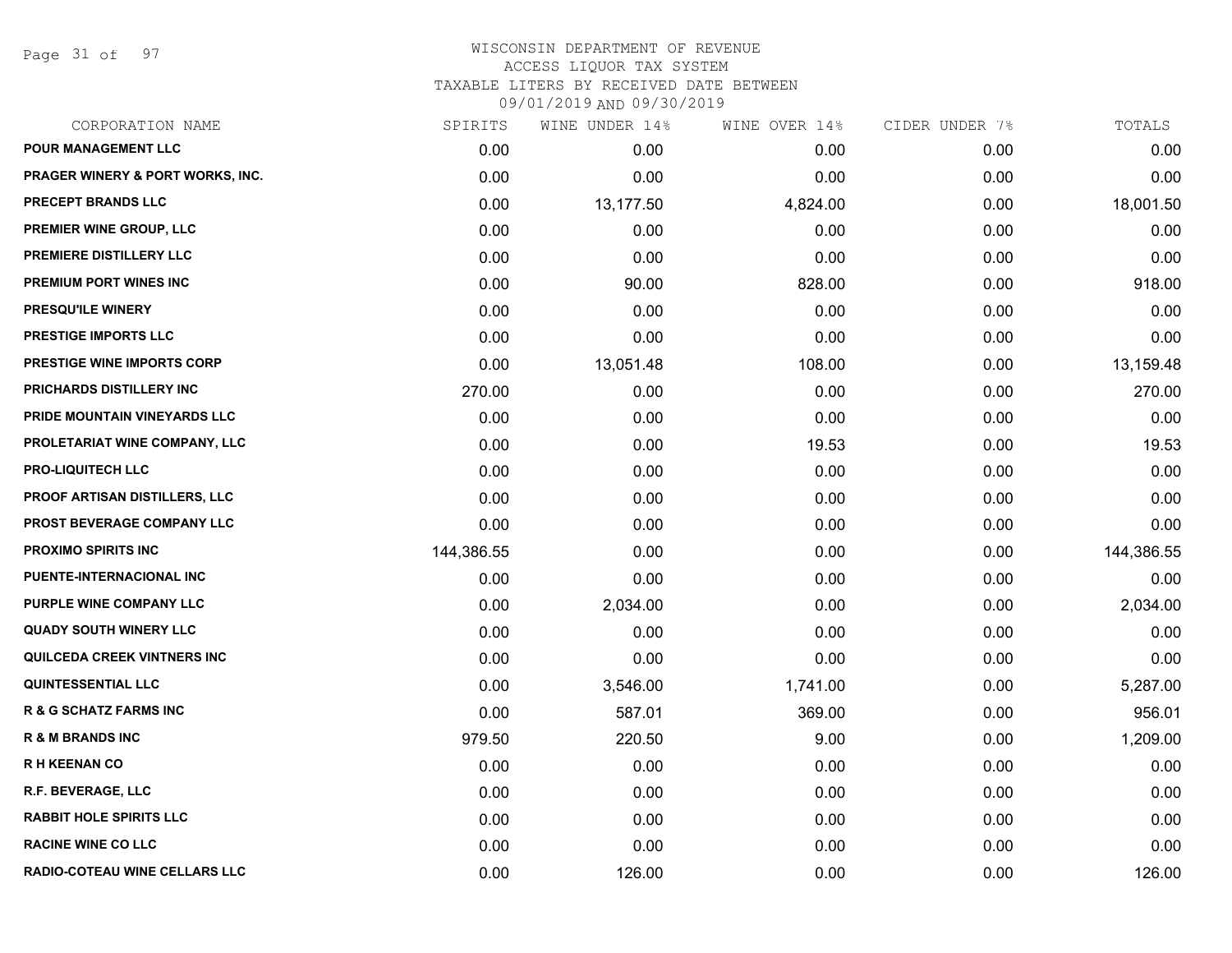Page 31 of 97

| CORPORATION NAME                            | SPIRITS    | WINE UNDER 14% | WINE OVER 14% | CIDER UNDER 7% | TOTALS     |
|---------------------------------------------|------------|----------------|---------------|----------------|------------|
| <b>POUR MANAGEMENT LLC</b>                  | 0.00       | 0.00           | 0.00          | 0.00           | 0.00       |
| <b>PRAGER WINERY &amp; PORT WORKS, INC.</b> | 0.00       | 0.00           | 0.00          | 0.00           | 0.00       |
| PRECEPT BRANDS LLC                          | 0.00       | 13,177.50      | 4,824.00      | 0.00           | 18,001.50  |
| <b>PREMIER WINE GROUP, LLC</b>              | 0.00       | 0.00           | 0.00          | 0.00           | 0.00       |
| PREMIERE DISTILLERY LLC                     | 0.00       | 0.00           | 0.00          | 0.00           | 0.00       |
| PREMIUM PORT WINES INC                      | 0.00       | 90.00          | 828.00        | 0.00           | 918.00     |
| <b>PRESQU'ILE WINERY</b>                    | 0.00       | 0.00           | 0.00          | 0.00           | 0.00       |
| <b>PRESTIGE IMPORTS LLC</b>                 | 0.00       | 0.00           | 0.00          | 0.00           | 0.00       |
| PRESTIGE WINE IMPORTS CORP                  | 0.00       | 13,051.48      | 108.00        | 0.00           | 13,159.48  |
| PRICHARDS DISTILLERY INC                    | 270.00     | 0.00           | 0.00          | 0.00           | 270.00     |
| PRIDE MOUNTAIN VINEYARDS LLC                | 0.00       | 0.00           | 0.00          | 0.00           | 0.00       |
| PROLETARIAT WINE COMPANY, LLC               | 0.00       | 0.00           | 19.53         | 0.00           | 19.53      |
| <b>PRO-LIQUITECH LLC</b>                    | 0.00       | 0.00           | 0.00          | 0.00           | 0.00       |
| <b>PROOF ARTISAN DISTILLERS, LLC</b>        | 0.00       | 0.00           | 0.00          | 0.00           | 0.00       |
| PROST BEVERAGE COMPANY LLC                  | 0.00       | 0.00           | 0.00          | 0.00           | 0.00       |
| <b>PROXIMO SPIRITS INC</b>                  | 144,386.55 | 0.00           | 0.00          | 0.00           | 144,386.55 |
| PUENTE-INTERNACIONAL INC                    | 0.00       | 0.00           | 0.00          | 0.00           | 0.00       |
| PURPLE WINE COMPANY LLC                     | 0.00       | 2,034.00       | 0.00          | 0.00           | 2,034.00   |
| <b>QUADY SOUTH WINERY LLC</b>               | 0.00       | 0.00           | 0.00          | 0.00           | 0.00       |
| QUILCEDA CREEK VINTNERS INC                 | 0.00       | 0.00           | 0.00          | 0.00           | 0.00       |
| <b>QUINTESSENTIAL LLC</b>                   | 0.00       | 3,546.00       | 1,741.00      | 0.00           | 5,287.00   |
| <b>R &amp; G SCHATZ FARMS INC</b>           | 0.00       | 587.01         | 369.00        | 0.00           | 956.01     |
| <b>R &amp; M BRANDS INC</b>                 | 979.50     | 220.50         | 9.00          | 0.00           | 1,209.00   |
| <b>RH KEENAN CO</b>                         | 0.00       | 0.00           | 0.00          | 0.00           | 0.00       |
| R.F. BEVERAGE, LLC                          | 0.00       | 0.00           | 0.00          | 0.00           | 0.00       |
| <b>RABBIT HOLE SPIRITS LLC</b>              | 0.00       | 0.00           | 0.00          | 0.00           | 0.00       |
| <b>RACINE WINE CO LLC</b>                   | 0.00       | 0.00           | 0.00          | 0.00           | 0.00       |
| <b>RADIO-COTEAU WINE CELLARS LLC</b>        | 0.00       | 126.00         | 0.00          | 0.00           | 126.00     |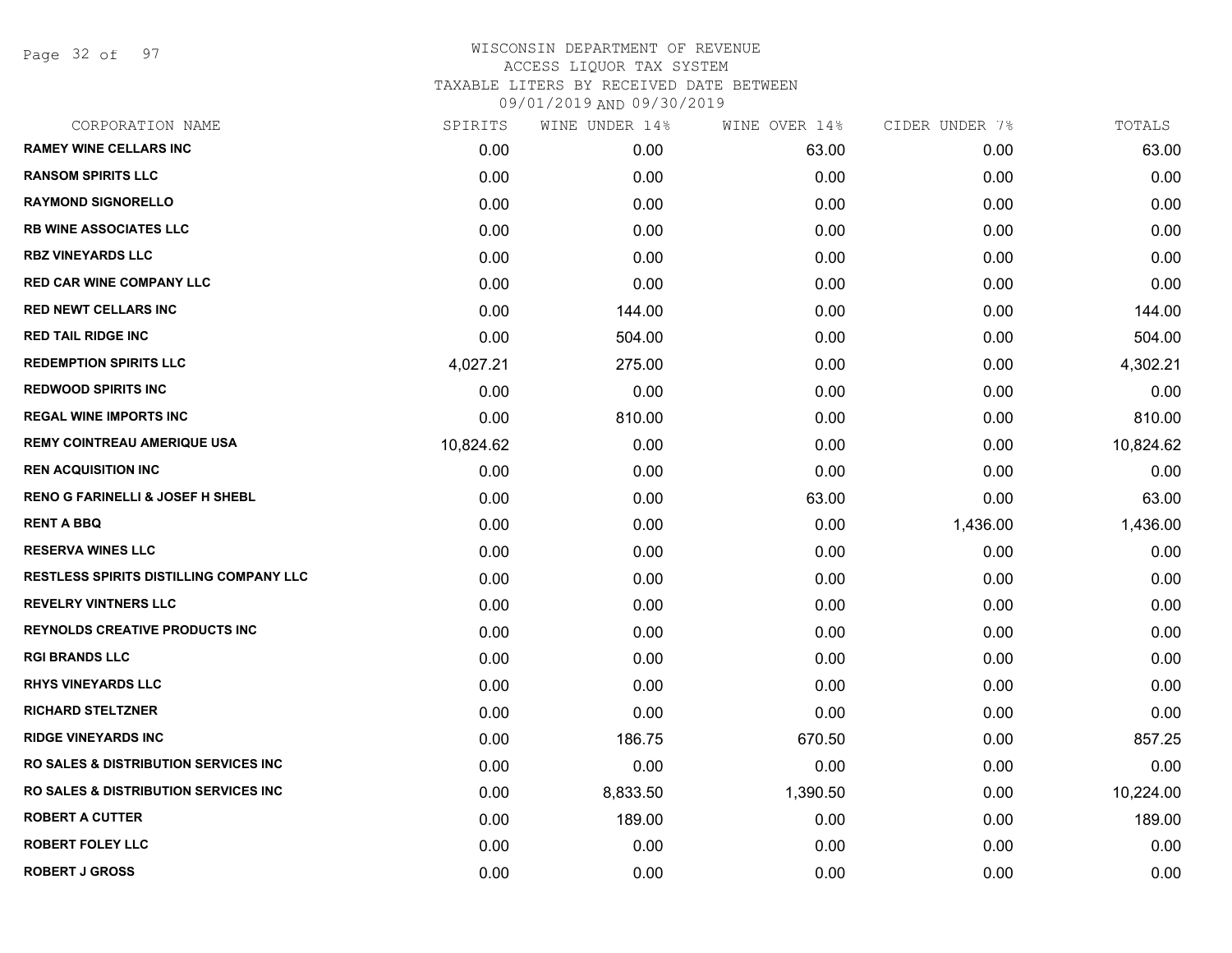Page 32 of 97

| CORPORATION NAME                                 | SPIRITS   | WINE UNDER 14% | WINE OVER 14% | CIDER UNDER 7% | TOTALS    |
|--------------------------------------------------|-----------|----------------|---------------|----------------|-----------|
| <b>RAMEY WINE CELLARS INC</b>                    | 0.00      | 0.00           | 63.00         | 0.00           | 63.00     |
| <b>RANSOM SPIRITS LLC</b>                        | 0.00      | 0.00           | 0.00          | 0.00           | 0.00      |
| <b>RAYMOND SIGNORELLO</b>                        | 0.00      | 0.00           | 0.00          | 0.00           | 0.00      |
| <b>RB WINE ASSOCIATES LLC</b>                    | 0.00      | 0.00           | 0.00          | 0.00           | 0.00      |
| <b>RBZ VINEYARDS LLC</b>                         | 0.00      | 0.00           | 0.00          | 0.00           | 0.00      |
| <b>RED CAR WINE COMPANY LLC</b>                  | 0.00      | 0.00           | 0.00          | 0.00           | 0.00      |
| <b>RED NEWT CELLARS INC</b>                      | 0.00      | 144.00         | 0.00          | 0.00           | 144.00    |
| <b>RED TAIL RIDGE INC</b>                        | 0.00      | 504.00         | 0.00          | 0.00           | 504.00    |
| <b>REDEMPTION SPIRITS LLC</b>                    | 4,027.21  | 275.00         | 0.00          | 0.00           | 4,302.21  |
| <b>REDWOOD SPIRITS INC</b>                       | 0.00      | 0.00           | 0.00          | 0.00           | 0.00      |
| <b>REGAL WINE IMPORTS INC</b>                    | 0.00      | 810.00         | 0.00          | 0.00           | 810.00    |
| <b>REMY COINTREAU AMERIQUE USA</b>               | 10,824.62 | 0.00           | 0.00          | 0.00           | 10,824.62 |
| <b>REN ACQUISITION INC</b>                       | 0.00      | 0.00           | 0.00          | 0.00           | 0.00      |
| <b>RENO G FARINELLI &amp; JOSEF H SHEBL</b>      | 0.00      | 0.00           | 63.00         | 0.00           | 63.00     |
| <b>RENT A BBQ</b>                                | 0.00      | 0.00           | 0.00          | 1,436.00       | 1,436.00  |
| <b>RESERVA WINES LLC</b>                         | 0.00      | 0.00           | 0.00          | 0.00           | 0.00      |
| RESTLESS SPIRITS DISTILLING COMPANY LLC          | 0.00      | 0.00           | 0.00          | 0.00           | 0.00      |
| <b>REVELRY VINTNERS LLC</b>                      | 0.00      | 0.00           | 0.00          | 0.00           | 0.00      |
| <b>REYNOLDS CREATIVE PRODUCTS INC</b>            | 0.00      | 0.00           | 0.00          | 0.00           | 0.00      |
| <b>RGI BRANDS LLC</b>                            | 0.00      | 0.00           | 0.00          | 0.00           | 0.00      |
| <b>RHYS VINEYARDS LLC</b>                        | 0.00      | 0.00           | 0.00          | 0.00           | 0.00      |
| <b>RICHARD STELTZNER</b>                         | 0.00      | 0.00           | 0.00          | 0.00           | 0.00      |
| <b>RIDGE VINEYARDS INC</b>                       | 0.00      | 186.75         | 670.50        | 0.00           | 857.25    |
| <b>RO SALES &amp; DISTRIBUTION SERVICES INC.</b> | 0.00      | 0.00           | 0.00          | 0.00           | 0.00      |
| <b>RO SALES &amp; DISTRIBUTION SERVICES INC.</b> | 0.00      | 8,833.50       | 1,390.50      | 0.00           | 10,224.00 |
| <b>ROBERT A CUTTER</b>                           | 0.00      | 189.00         | 0.00          | 0.00           | 189.00    |
| <b>ROBERT FOLEY LLC</b>                          | 0.00      | 0.00           | 0.00          | 0.00           | 0.00      |
| <b>ROBERT J GROSS</b>                            | 0.00      | 0.00           | 0.00          | 0.00           | 0.00      |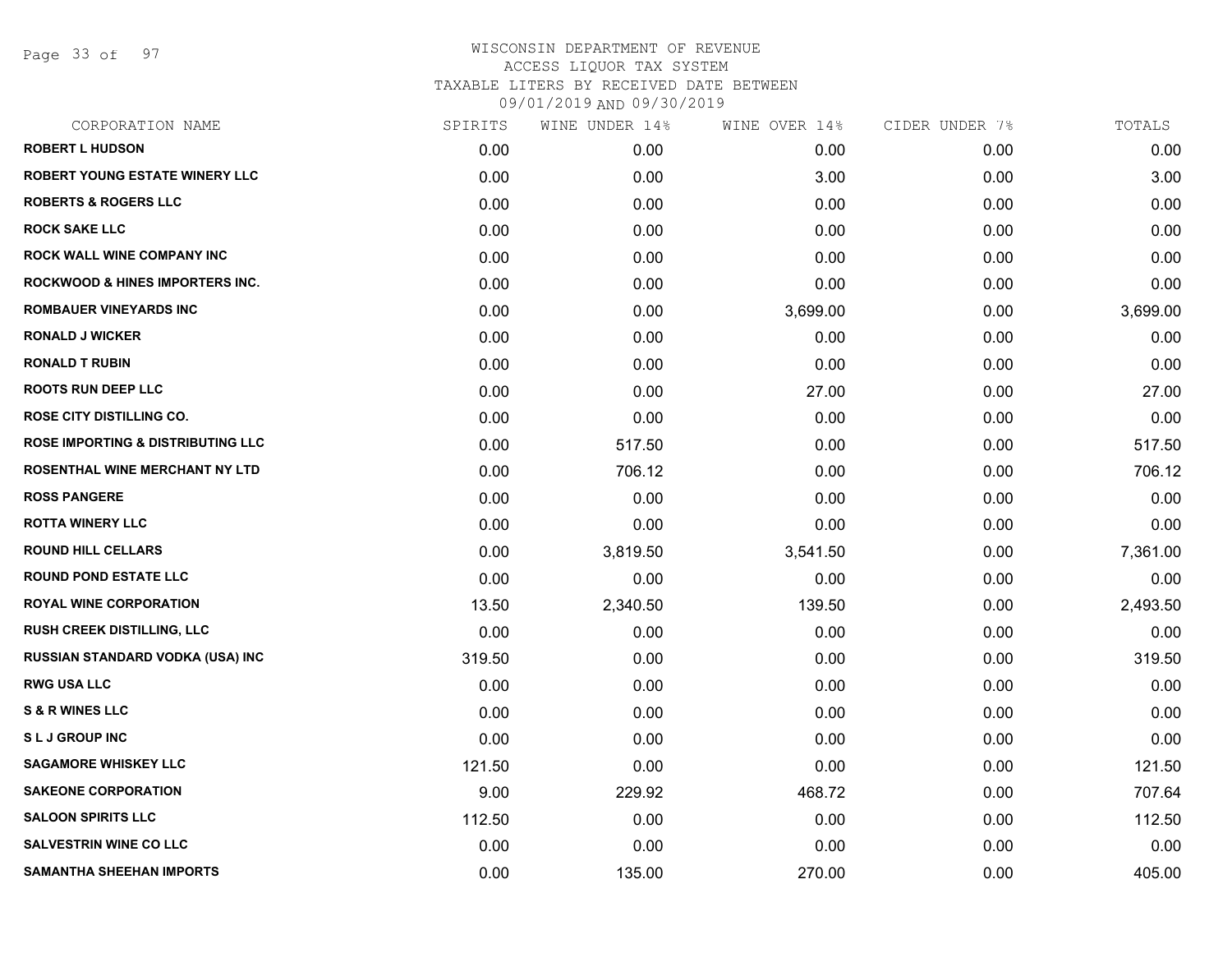Page 33 of 97

| CORPORATION NAME                             | SPIRITS | WINE UNDER 14% | WINE OVER 14% | CIDER UNDER 7% | TOTALS   |
|----------------------------------------------|---------|----------------|---------------|----------------|----------|
| <b>ROBERT L HUDSON</b>                       | 0.00    | 0.00           | 0.00          | 0.00           | 0.00     |
| ROBERT YOUNG ESTATE WINERY LLC               | 0.00    | 0.00           | 3.00          | 0.00           | 3.00     |
| <b>ROBERTS &amp; ROGERS LLC</b>              | 0.00    | 0.00           | 0.00          | 0.00           | 0.00     |
| <b>ROCK SAKE LLC</b>                         | 0.00    | 0.00           | 0.00          | 0.00           | 0.00     |
| <b>ROCK WALL WINE COMPANY INC</b>            | 0.00    | 0.00           | 0.00          | 0.00           | 0.00     |
| <b>ROCKWOOD &amp; HINES IMPORTERS INC.</b>   | 0.00    | 0.00           | 0.00          | 0.00           | 0.00     |
| <b>ROMBAUER VINEYARDS INC</b>                | 0.00    | 0.00           | 3,699.00      | 0.00           | 3,699.00 |
| <b>RONALD J WICKER</b>                       | 0.00    | 0.00           | 0.00          | 0.00           | 0.00     |
| <b>RONALD T RUBIN</b>                        | 0.00    | 0.00           | 0.00          | 0.00           | 0.00     |
| <b>ROOTS RUN DEEP LLC</b>                    | 0.00    | 0.00           | 27.00         | 0.00           | 27.00    |
| <b>ROSE CITY DISTILLING CO.</b>              | 0.00    | 0.00           | 0.00          | 0.00           | 0.00     |
| <b>ROSE IMPORTING &amp; DISTRIBUTING LLC</b> | 0.00    | 517.50         | 0.00          | 0.00           | 517.50   |
| ROSENTHAL WINE MERCHANT NY LTD               | 0.00    | 706.12         | 0.00          | 0.00           | 706.12   |
| <b>ROSS PANGERE</b>                          | 0.00    | 0.00           | 0.00          | 0.00           | 0.00     |
| <b>ROTTA WINERY LLC</b>                      | 0.00    | 0.00           | 0.00          | 0.00           | 0.00     |
| <b>ROUND HILL CELLARS</b>                    | 0.00    | 3,819.50       | 3,541.50      | 0.00           | 7,361.00 |
| <b>ROUND POND ESTATE LLC</b>                 | 0.00    | 0.00           | 0.00          | 0.00           | 0.00     |
| <b>ROYAL WINE CORPORATION</b>                | 13.50   | 2,340.50       | 139.50        | 0.00           | 2,493.50 |
| <b>RUSH CREEK DISTILLING, LLC</b>            | 0.00    | 0.00           | 0.00          | 0.00           | 0.00     |
| RUSSIAN STANDARD VODKA (USA) INC             | 319.50  | 0.00           | 0.00          | 0.00           | 319.50   |
| <b>RWG USA LLC</b>                           | 0.00    | 0.00           | 0.00          | 0.00           | 0.00     |
| <b>S &amp; R WINES LLC</b>                   | 0.00    | 0.00           | 0.00          | 0.00           | 0.00     |
| <b>SLJ GROUP INC</b>                         | 0.00    | 0.00           | 0.00          | 0.00           | 0.00     |
| <b>SAGAMORE WHISKEY LLC</b>                  | 121.50  | 0.00           | 0.00          | 0.00           | 121.50   |
| <b>SAKEONE CORPORATION</b>                   | 9.00    | 229.92         | 468.72        | 0.00           | 707.64   |
| <b>SALOON SPIRITS LLC</b>                    | 112.50  | 0.00           | 0.00          | 0.00           | 112.50   |
| <b>SALVESTRIN WINE CO LLC</b>                | 0.00    | 0.00           | 0.00          | 0.00           | 0.00     |
| <b>SAMANTHA SHEEHAN IMPORTS</b>              | 0.00    | 135.00         | 270.00        | 0.00           | 405.00   |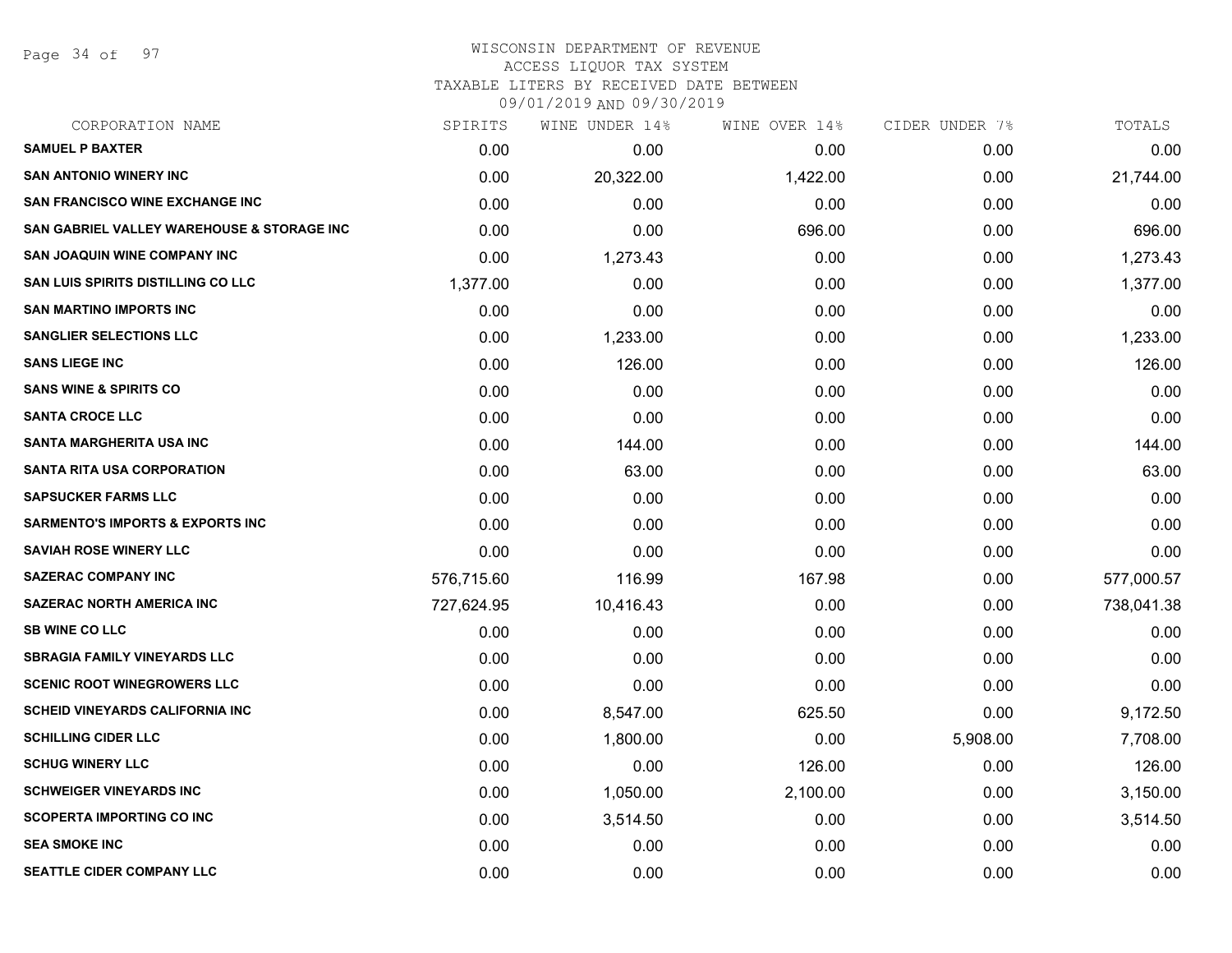Page 34 of 97

#### WISCONSIN DEPARTMENT OF REVENUE ACCESS LIQUOR TAX SYSTEM TAXABLE LITERS BY RECEIVED DATE BETWEEN

| CORPORATION NAME                                      | SPIRITS    | WINE UNDER 14% | WINE OVER 14% | CIDER UNDER 7% | TOTALS     |
|-------------------------------------------------------|------------|----------------|---------------|----------------|------------|
| <b>SAMUEL P BAXTER</b>                                | 0.00       | 0.00           | 0.00          | 0.00           | 0.00       |
| <b>SAN ANTONIO WINERY INC</b>                         | 0.00       | 20,322.00      | 1,422.00      | 0.00           | 21,744.00  |
| SAN FRANCISCO WINE EXCHANGE INC                       | 0.00       | 0.00           | 0.00          | 0.00           | 0.00       |
| <b>SAN GABRIEL VALLEY WAREHOUSE &amp; STORAGE INC</b> | 0.00       | 0.00           | 696.00        | 0.00           | 696.00     |
| <b>SAN JOAQUIN WINE COMPANY INC</b>                   | 0.00       | 1,273.43       | 0.00          | 0.00           | 1,273.43   |
| <b>SAN LUIS SPIRITS DISTILLING CO LLC</b>             | 1,377.00   | 0.00           | 0.00          | 0.00           | 1,377.00   |
| <b>SAN MARTINO IMPORTS INC</b>                        | 0.00       | 0.00           | 0.00          | 0.00           | 0.00       |
| <b>SANGLIER SELECTIONS LLC</b>                        | 0.00       | 1,233.00       | 0.00          | 0.00           | 1,233.00   |
| <b>SANS LIEGE INC</b>                                 | 0.00       | 126.00         | 0.00          | 0.00           | 126.00     |
| <b>SANS WINE &amp; SPIRITS CO</b>                     | 0.00       | 0.00           | 0.00          | 0.00           | 0.00       |
| <b>SANTA CROCE LLC</b>                                | 0.00       | 0.00           | 0.00          | 0.00           | 0.00       |
| SANTA MARGHERITA USA INC                              | 0.00       | 144.00         | 0.00          | 0.00           | 144.00     |
| <b>SANTA RITA USA CORPORATION</b>                     | 0.00       | 63.00          | 0.00          | 0.00           | 63.00      |
| <b>SAPSUCKER FARMS LLC</b>                            | 0.00       | 0.00           | 0.00          | 0.00           | 0.00       |
| <b>SARMENTO'S IMPORTS &amp; EXPORTS INC</b>           | 0.00       | 0.00           | 0.00          | 0.00           | 0.00       |
| <b>SAVIAH ROSE WINERY LLC</b>                         | 0.00       | 0.00           | 0.00          | 0.00           | 0.00       |
| <b>SAZERAC COMPANY INC</b>                            | 576,715.60 | 116.99         | 167.98        | 0.00           | 577,000.57 |
| <b>SAZERAC NORTH AMERICA INC</b>                      | 727,624.95 | 10,416.43      | 0.00          | 0.00           | 738,041.38 |
| <b>SB WINE CO LLC</b>                                 | 0.00       | 0.00           | 0.00          | 0.00           | 0.00       |
| <b>SBRAGIA FAMILY VINEYARDS LLC</b>                   | 0.00       | 0.00           | 0.00          | 0.00           | 0.00       |
| <b>SCENIC ROOT WINEGROWERS LLC</b>                    | 0.00       | 0.00           | 0.00          | 0.00           | 0.00       |
| <b>SCHEID VINEYARDS CALIFORNIA INC</b>                | 0.00       | 8,547.00       | 625.50        | 0.00           | 9,172.50   |
| <b>SCHILLING CIDER LLC</b>                            | 0.00       | 1,800.00       | 0.00          | 5,908.00       | 7,708.00   |
| <b>SCHUG WINERY LLC</b>                               | 0.00       | 0.00           | 126.00        | 0.00           | 126.00     |
| <b>SCHWEIGER VINEYARDS INC</b>                        | 0.00       | 1,050.00       | 2,100.00      | 0.00           | 3,150.00   |
| <b>SCOPERTA IMPORTING CO INC</b>                      | 0.00       | 3,514.50       | 0.00          | 0.00           | 3,514.50   |
| <b>SEA SMOKE INC</b>                                  | 0.00       | 0.00           | 0.00          | 0.00           | 0.00       |
| SEATTLE CIDER COMPANY LLC                             | 0.00       | 0.00           | 0.00          | 0.00           | 0.00       |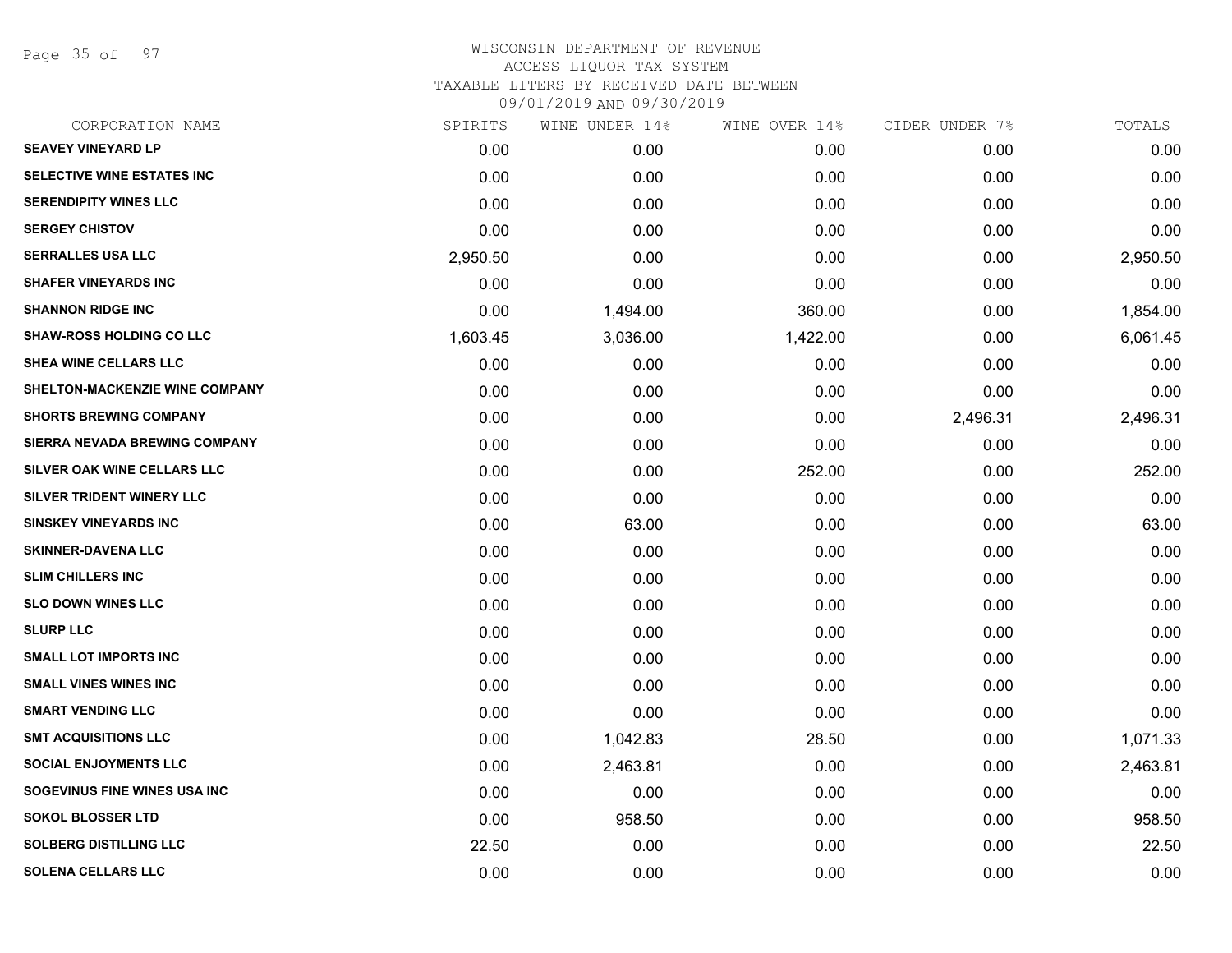Page 35 of 97

| SPIRITS  | WINE UNDER 14% | WINE OVER 14% | CIDER UNDER 7% | TOTALS   |
|----------|----------------|---------------|----------------|----------|
| 0.00     | 0.00           | 0.00          | 0.00           | 0.00     |
| 0.00     | 0.00           | 0.00          | 0.00           | 0.00     |
| 0.00     | 0.00           | 0.00          | 0.00           | 0.00     |
| 0.00     | 0.00           | 0.00          | 0.00           | 0.00     |
| 2,950.50 | 0.00           | 0.00          | 0.00           | 2,950.50 |
| 0.00     | 0.00           | 0.00          | 0.00           | 0.00     |
| 0.00     | 1,494.00       | 360.00        | 0.00           | 1,854.00 |
| 1,603.45 | 3,036.00       | 1,422.00      | 0.00           | 6,061.45 |
| 0.00     | 0.00           | 0.00          | 0.00           | 0.00     |
| 0.00     | 0.00           | 0.00          | 0.00           | 0.00     |
| 0.00     | 0.00           | 0.00          | 2,496.31       | 2,496.31 |
| 0.00     | 0.00           | 0.00          | 0.00           | 0.00     |
| 0.00     | 0.00           | 252.00        | 0.00           | 252.00   |
| 0.00     | 0.00           | 0.00          | 0.00           | 0.00     |
| 0.00     | 63.00          | 0.00          | 0.00           | 63.00    |
| 0.00     | 0.00           | 0.00          | 0.00           | 0.00     |
| 0.00     | 0.00           | 0.00          | 0.00           | 0.00     |
| 0.00     | 0.00           | 0.00          | 0.00           | 0.00     |
| 0.00     | 0.00           | 0.00          | 0.00           | 0.00     |
| 0.00     | 0.00           | 0.00          | 0.00           | 0.00     |
| 0.00     | 0.00           | 0.00          | 0.00           | 0.00     |
| 0.00     | 0.00           | 0.00          | 0.00           | 0.00     |
| 0.00     | 1,042.83       | 28.50         | 0.00           | 1,071.33 |
| 0.00     | 2,463.81       | 0.00          | 0.00           | 2,463.81 |
| 0.00     | 0.00           | 0.00          | 0.00           | 0.00     |
| 0.00     | 958.50         | 0.00          | 0.00           | 958.50   |
| 22.50    | 0.00           | 0.00          | 0.00           | 22.50    |
| 0.00     | 0.00           | 0.00          | 0.00           | 0.00     |
|          |                |               |                |          |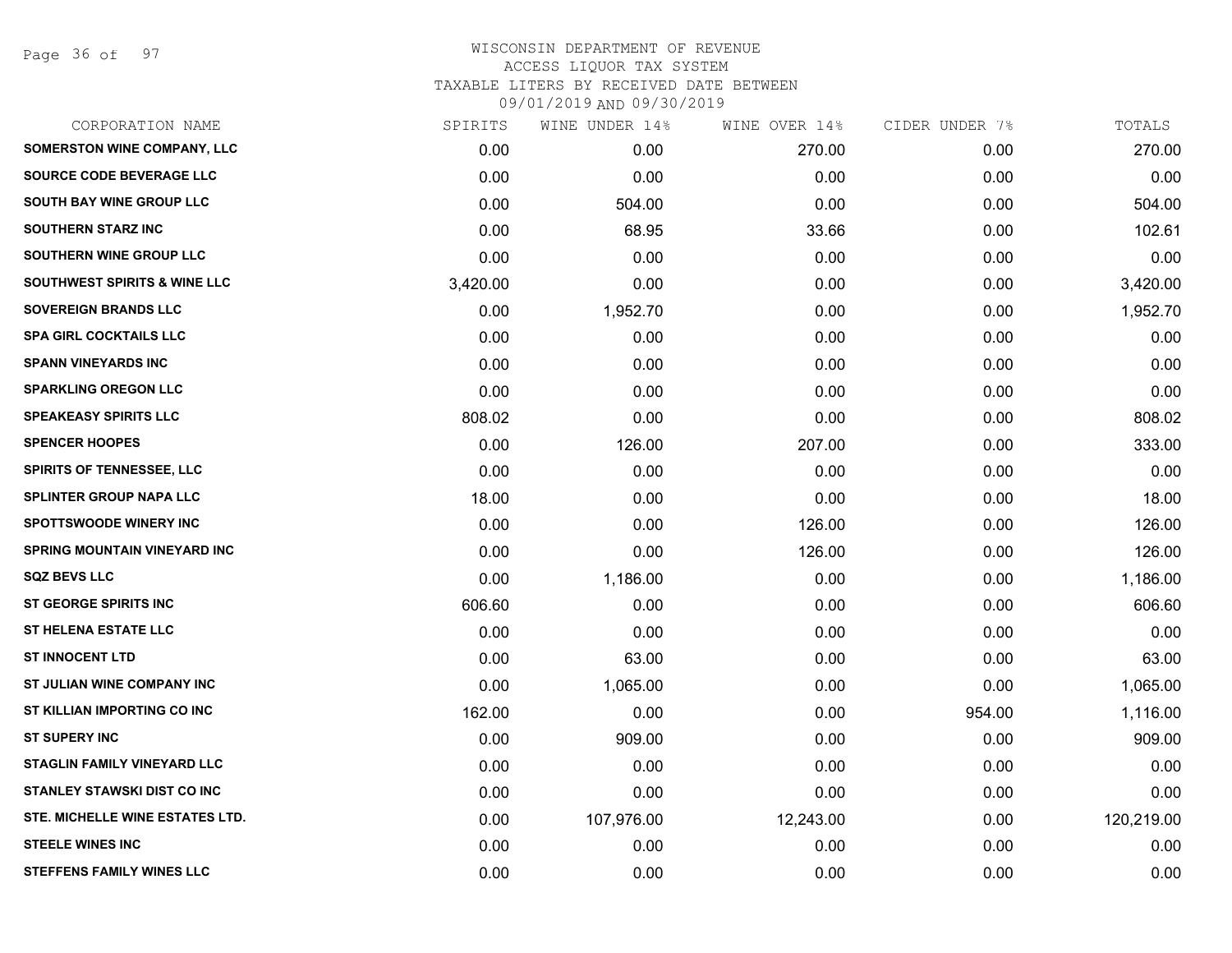Page 36 of 97

| CORPORATION NAME                        | SPIRITS  | WINE UNDER 14% | WINE OVER 14% | CIDER UNDER 7% | TOTALS     |
|-----------------------------------------|----------|----------------|---------------|----------------|------------|
| <b>SOMERSTON WINE COMPANY, LLC</b>      | 0.00     | 0.00           | 270.00        | 0.00           | 270.00     |
| SOURCE CODE BEVERAGE LLC                | 0.00     | 0.00           | 0.00          | 0.00           | 0.00       |
| <b>SOUTH BAY WINE GROUP LLC</b>         | 0.00     | 504.00         | 0.00          | 0.00           | 504.00     |
| <b>SOUTHERN STARZ INC</b>               | 0.00     | 68.95          | 33.66         | 0.00           | 102.61     |
| SOUTHERN WINE GROUP LLC                 | 0.00     | 0.00           | 0.00          | 0.00           | 0.00       |
| <b>SOUTHWEST SPIRITS &amp; WINE LLC</b> | 3,420.00 | 0.00           | 0.00          | 0.00           | 3,420.00   |
| <b>SOVEREIGN BRANDS LLC</b>             | 0.00     | 1,952.70       | 0.00          | 0.00           | 1,952.70   |
| <b>SPA GIRL COCKTAILS LLC</b>           | 0.00     | 0.00           | 0.00          | 0.00           | 0.00       |
| <b>SPANN VINEYARDS INC</b>              | 0.00     | 0.00           | 0.00          | 0.00           | 0.00       |
| <b>SPARKLING OREGON LLC</b>             | 0.00     | 0.00           | 0.00          | 0.00           | 0.00       |
| <b>SPEAKEASY SPIRITS LLC</b>            | 808.02   | 0.00           | 0.00          | 0.00           | 808.02     |
| <b>SPENCER HOOPES</b>                   | 0.00     | 126.00         | 207.00        | 0.00           | 333.00     |
| <b>SPIRITS OF TENNESSEE, LLC</b>        | 0.00     | 0.00           | 0.00          | 0.00           | 0.00       |
| <b>SPLINTER GROUP NAPA LLC</b>          | 18.00    | 0.00           | 0.00          | 0.00           | 18.00      |
| <b>SPOTTSWOODE WINERY INC</b>           | 0.00     | 0.00           | 126.00        | 0.00           | 126.00     |
| <b>SPRING MOUNTAIN VINEYARD INC</b>     | 0.00     | 0.00           | 126.00        | 0.00           | 126.00     |
| <b>SQZ BEVS LLC</b>                     | 0.00     | 1,186.00       | 0.00          | 0.00           | 1,186.00   |
| ST GEORGE SPIRITS INC                   | 606.60   | 0.00           | 0.00          | 0.00           | 606.60     |
| <b>ST HELENA ESTATE LLC</b>             | 0.00     | 0.00           | 0.00          | 0.00           | 0.00       |
| <b>ST INNOCENT LTD</b>                  | 0.00     | 63.00          | 0.00          | 0.00           | 63.00      |
| ST JULIAN WINE COMPANY INC              | 0.00     | 1,065.00       | 0.00          | 0.00           | 1,065.00   |
| ST KILLIAN IMPORTING CO INC             | 162.00   | 0.00           | 0.00          | 954.00         | 1,116.00   |
| <b>ST SUPERY INC</b>                    | 0.00     | 909.00         | 0.00          | 0.00           | 909.00     |
| <b>STAGLIN FAMILY VINEYARD LLC</b>      | 0.00     | 0.00           | 0.00          | 0.00           | 0.00       |
| <b>STANLEY STAWSKI DIST CO INC</b>      | 0.00     | 0.00           | 0.00          | 0.00           | 0.00       |
| STE. MICHELLE WINE ESTATES LTD.         | 0.00     | 107,976.00     | 12,243.00     | 0.00           | 120,219.00 |
| <b>STEELE WINES INC</b>                 | 0.00     | 0.00           | 0.00          | 0.00           | 0.00       |
| <b>STEFFENS FAMILY WINES LLC</b>        | 0.00     | 0.00           | 0.00          | 0.00           | 0.00       |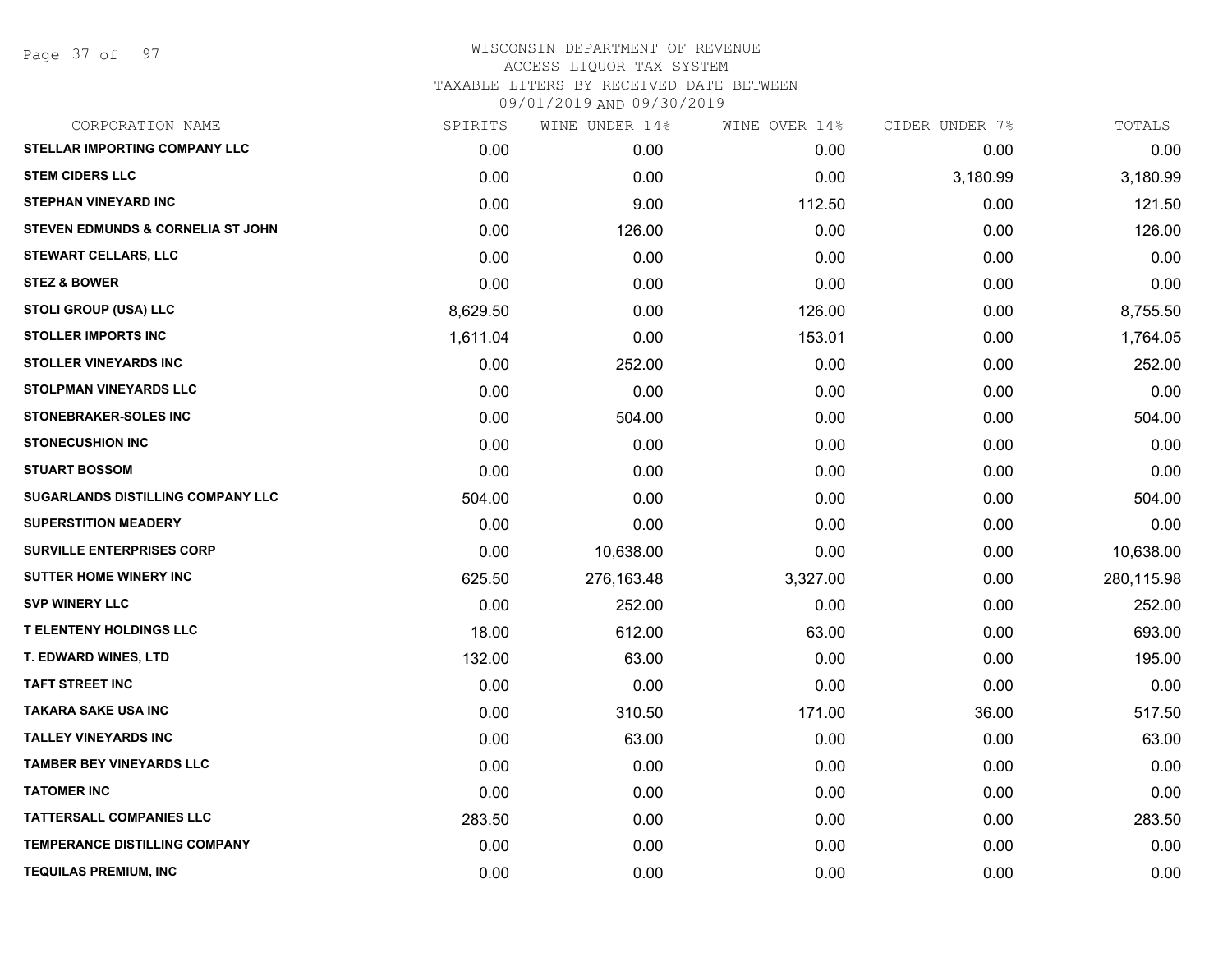Page 37 of 97

| SPIRITS  |            | WINE OVER 14%  |          | TOTALS         |
|----------|------------|----------------|----------|----------------|
| 0.00     | 0.00       | 0.00           | 0.00     | 0.00           |
| 0.00     | 0.00       | 0.00           | 3,180.99 | 3,180.99       |
| 0.00     | 9.00       | 112.50         | 0.00     | 121.50         |
| 0.00     | 126.00     | 0.00           | 0.00     | 126.00         |
| 0.00     | 0.00       | 0.00           | 0.00     | 0.00           |
| 0.00     | 0.00       | 0.00           | 0.00     | 0.00           |
| 8,629.50 | 0.00       | 126.00         | 0.00     | 8,755.50       |
| 1,611.04 | 0.00       | 153.01         | 0.00     | 1,764.05       |
| 0.00     | 252.00     | 0.00           | 0.00     | 252.00         |
| 0.00     | 0.00       | 0.00           | 0.00     | 0.00           |
| 0.00     | 504.00     | 0.00           | 0.00     | 504.00         |
| 0.00     | 0.00       | 0.00           | 0.00     | 0.00           |
| 0.00     | 0.00       | 0.00           | 0.00     | 0.00           |
| 504.00   | 0.00       | 0.00           | 0.00     | 504.00         |
| 0.00     | 0.00       | 0.00           | 0.00     | 0.00           |
| 0.00     | 10,638.00  | 0.00           | 0.00     | 10,638.00      |
| 625.50   | 276,163.48 | 3,327.00       | 0.00     | 280,115.98     |
| 0.00     | 252.00     | 0.00           | 0.00     | 252.00         |
| 18.00    | 612.00     | 63.00          | 0.00     | 693.00         |
| 132.00   | 63.00      | 0.00           | 0.00     | 195.00         |
| 0.00     | 0.00       | 0.00           | 0.00     | 0.00           |
| 0.00     | 310.50     | 171.00         | 36.00    | 517.50         |
| 0.00     | 63.00      | 0.00           | 0.00     | 63.00          |
| 0.00     | 0.00       | 0.00           | 0.00     | 0.00           |
| 0.00     | 0.00       | 0.00           | 0.00     | 0.00           |
| 283.50   | 0.00       | 0.00           | 0.00     | 283.50         |
| 0.00     | 0.00       | 0.00           | 0.00     | 0.00           |
| 0.00     | 0.00       | 0.00           | 0.00     | 0.00           |
|          |            | WINE UNDER 14% |          | CIDER UNDER 7% |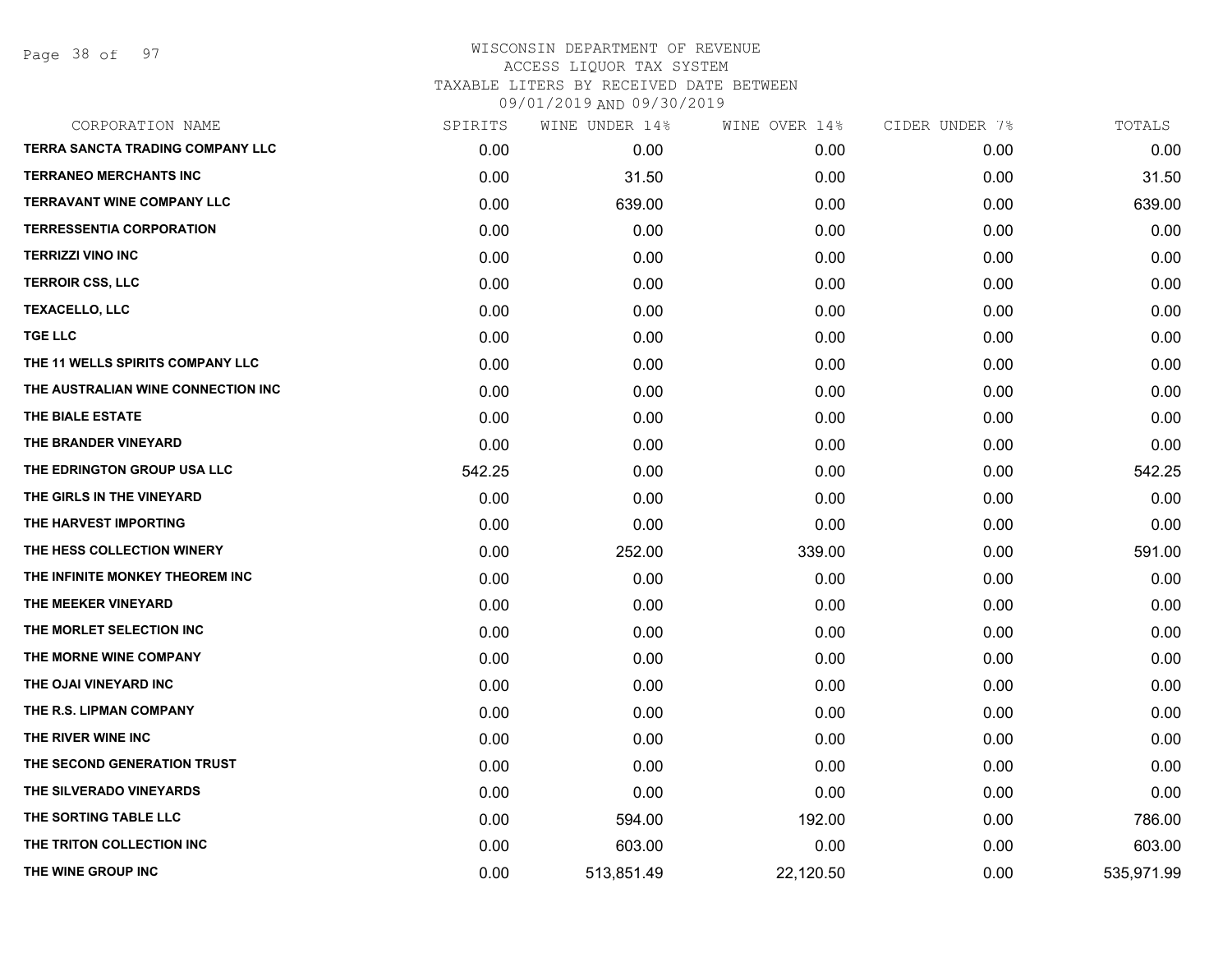Page 38 of 97

| CORPORATION NAME                   | SPIRITS | WINE UNDER 14% | WINE OVER 14% | CIDER UNDER 7% | TOTALS     |
|------------------------------------|---------|----------------|---------------|----------------|------------|
| TERRA SANCTA TRADING COMPANY LLC   | 0.00    | 0.00           | 0.00          | 0.00           | 0.00       |
| <b>TERRANEO MERCHANTS INC</b>      | 0.00    | 31.50          | 0.00          | 0.00           | 31.50      |
| <b>TERRAVANT WINE COMPANY LLC</b>  | 0.00    | 639.00         | 0.00          | 0.00           | 639.00     |
| <b>TERRESSENTIA CORPORATION</b>    | 0.00    | 0.00           | 0.00          | 0.00           | 0.00       |
| <b>TERRIZZI VINO INC</b>           | 0.00    | 0.00           | 0.00          | 0.00           | 0.00       |
| <b>TERROIR CSS, LLC</b>            | 0.00    | 0.00           | 0.00          | 0.00           | 0.00       |
| <b>TEXACELLO, LLC</b>              | 0.00    | 0.00           | 0.00          | 0.00           | 0.00       |
| <b>TGE LLC</b>                     | 0.00    | 0.00           | 0.00          | 0.00           | 0.00       |
| THE 11 WELLS SPIRITS COMPANY LLC   | 0.00    | 0.00           | 0.00          | 0.00           | 0.00       |
| THE AUSTRALIAN WINE CONNECTION INC | 0.00    | 0.00           | 0.00          | 0.00           | 0.00       |
| THE BIALE ESTATE                   | 0.00    | 0.00           | 0.00          | 0.00           | 0.00       |
| THE BRANDER VINEYARD               | 0.00    | 0.00           | 0.00          | 0.00           | 0.00       |
| THE EDRINGTON GROUP USA LLC        | 542.25  | 0.00           | 0.00          | 0.00           | 542.25     |
| THE GIRLS IN THE VINEYARD          | 0.00    | 0.00           | 0.00          | 0.00           | 0.00       |
| THE HARVEST IMPORTING              | 0.00    | 0.00           | 0.00          | 0.00           | 0.00       |
| THE HESS COLLECTION WINERY         | 0.00    | 252.00         | 339.00        | 0.00           | 591.00     |
| THE INFINITE MONKEY THEOREM INC    | 0.00    | 0.00           | 0.00          | 0.00           | 0.00       |
| THE MEEKER VINEYARD                | 0.00    | 0.00           | 0.00          | 0.00           | 0.00       |
| THE MORLET SELECTION INC           | 0.00    | 0.00           | 0.00          | 0.00           | 0.00       |
| THE MORNE WINE COMPANY             | 0.00    | 0.00           | 0.00          | 0.00           | 0.00       |
| THE OJAI VINEYARD INC              | 0.00    | 0.00           | 0.00          | 0.00           | 0.00       |
| THE R.S. LIPMAN COMPANY            | 0.00    | 0.00           | 0.00          | 0.00           | 0.00       |
| THE RIVER WINE INC                 | 0.00    | 0.00           | 0.00          | 0.00           | 0.00       |
| THE SECOND GENERATION TRUST        | 0.00    | 0.00           | 0.00          | 0.00           | 0.00       |
| THE SILVERADO VINEYARDS            | 0.00    | 0.00           | 0.00          | 0.00           | 0.00       |
| THE SORTING TABLE LLC              | 0.00    | 594.00         | 192.00        | 0.00           | 786.00     |
| THE TRITON COLLECTION INC          | 0.00    | 603.00         | 0.00          | 0.00           | 603.00     |
| THE WINE GROUP INC                 | 0.00    | 513,851.49     | 22,120.50     | 0.00           | 535,971.99 |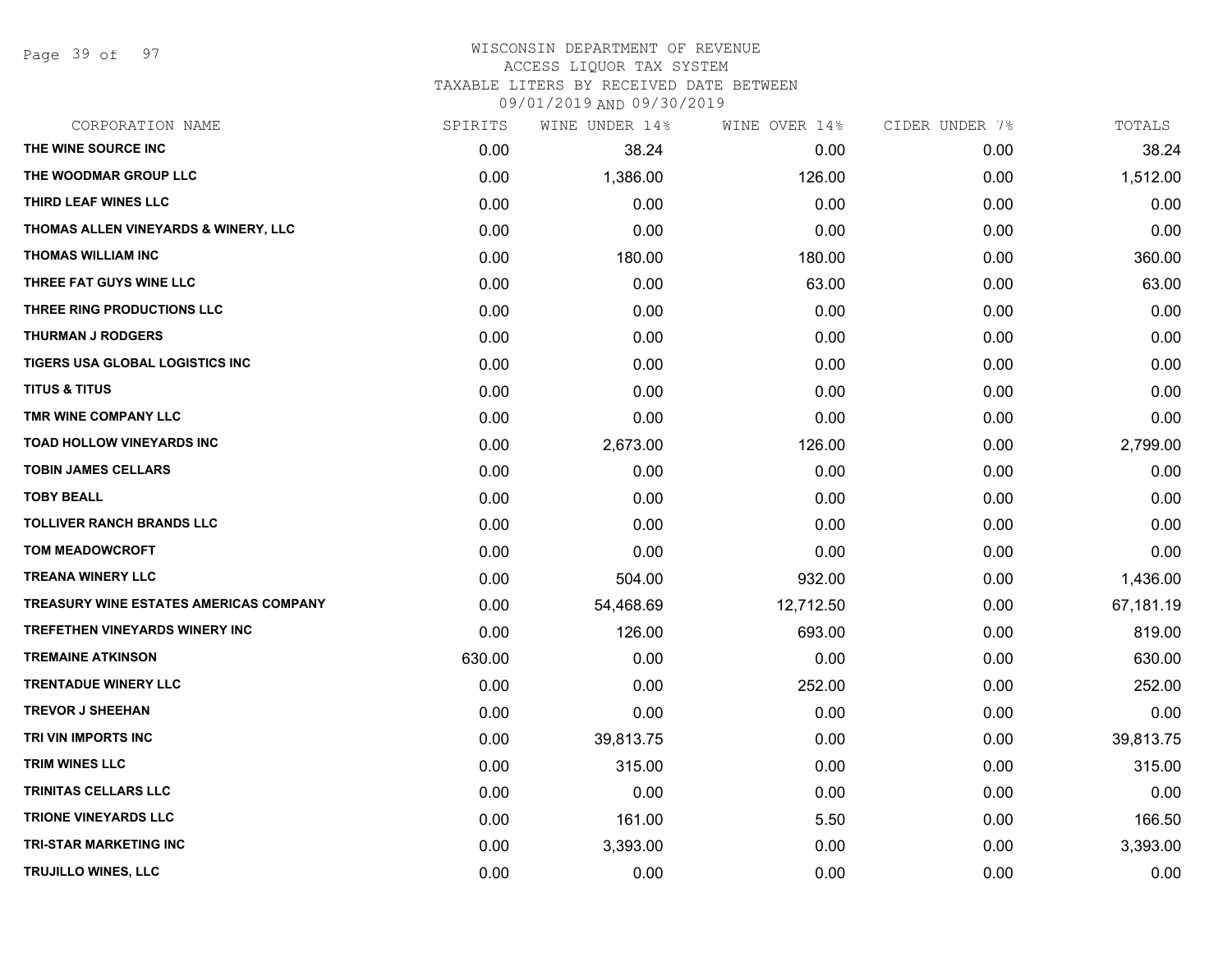Page 39 of 97

#### WISCONSIN DEPARTMENT OF REVENUE ACCESS LIQUOR TAX SYSTEM TAXABLE LITERS BY RECEIVED DATE BETWEEN

09/01/2019 AND 09/30/2019

| CORPORATION NAME                              | SPIRITS | WINE UNDER 14% | WINE OVER 14% | CIDER UNDER 7% | TOTALS    |
|-----------------------------------------------|---------|----------------|---------------|----------------|-----------|
| THE WINE SOURCE INC                           | 0.00    | 38.24          | 0.00          | 0.00           | 38.24     |
| THE WOODMAR GROUP LLC                         | 0.00    | 1,386.00       | 126.00        | 0.00           | 1,512.00  |
| THIRD LEAF WINES LLC                          | 0.00    | 0.00           | 0.00          | 0.00           | 0.00      |
| THOMAS ALLEN VINEYARDS & WINERY, LLC          | 0.00    | 0.00           | 0.00          | 0.00           | 0.00      |
| THOMAS WILLIAM INC                            | 0.00    | 180.00         | 180.00        | 0.00           | 360.00    |
| THREE FAT GUYS WINE LLC                       | 0.00    | 0.00           | 63.00         | 0.00           | 63.00     |
| THREE RING PRODUCTIONS LLC                    | 0.00    | 0.00           | 0.00          | 0.00           | 0.00      |
| <b>THURMAN J RODGERS</b>                      | 0.00    | 0.00           | 0.00          | 0.00           | 0.00      |
| TIGERS USA GLOBAL LOGISTICS INC               | 0.00    | 0.00           | 0.00          | 0.00           | 0.00      |
| <b>TITUS &amp; TITUS</b>                      | 0.00    | 0.00           | 0.00          | 0.00           | 0.00      |
| TMR WINE COMPANY LLC                          | 0.00    | 0.00           | 0.00          | 0.00           | 0.00      |
| TOAD HOLLOW VINEYARDS INC                     | 0.00    | 2,673.00       | 126.00        | 0.00           | 2,799.00  |
| <b>TOBIN JAMES CELLARS</b>                    | 0.00    | 0.00           | 0.00          | 0.00           | 0.00      |
| <b>TOBY BEALL</b>                             | 0.00    | 0.00           | 0.00          | 0.00           | 0.00      |
| <b>TOLLIVER RANCH BRANDS LLC</b>              | 0.00    | 0.00           | 0.00          | 0.00           | 0.00      |
| <b>TOM MEADOWCROFT</b>                        | 0.00    | 0.00           | 0.00          | 0.00           | 0.00      |
| <b>TREANA WINERY LLC</b>                      | 0.00    | 504.00         | 932.00        | 0.00           | 1,436.00  |
| <b>TREASURY WINE ESTATES AMERICAS COMPANY</b> | 0.00    | 54,468.69      | 12,712.50     | 0.00           | 67,181.19 |
| <b>TREFETHEN VINEYARDS WINERY INC</b>         | 0.00    | 126.00         | 693.00        | 0.00           | 819.00    |
| <b>TREMAINE ATKINSON</b>                      | 630.00  | 0.00           | 0.00          | 0.00           | 630.00    |
| <b>TRENTADUE WINERY LLC</b>                   | 0.00    | 0.00           | 252.00        | 0.00           | 252.00    |
| <b>TREVOR J SHEEHAN</b>                       | 0.00    | 0.00           | 0.00          | 0.00           | 0.00      |
| TRI VIN IMPORTS INC                           | 0.00    | 39,813.75      | 0.00          | 0.00           | 39,813.75 |
| <b>TRIM WINES LLC</b>                         | 0.00    | 315.00         | 0.00          | 0.00           | 315.00    |
| <b>TRINITAS CELLARS LLC</b>                   | 0.00    | 0.00           | 0.00          | 0.00           | 0.00      |
| <b>TRIONE VINEYARDS LLC</b>                   | 0.00    | 161.00         | 5.50          | 0.00           | 166.50    |
| <b>TRI-STAR MARKETING INC</b>                 | 0.00    | 3,393.00       | 0.00          | 0.00           | 3,393.00  |
| TRUJILLO WINES, LLC                           | 0.00    | 0.00           | 0.00          | 0.00           | 0.00      |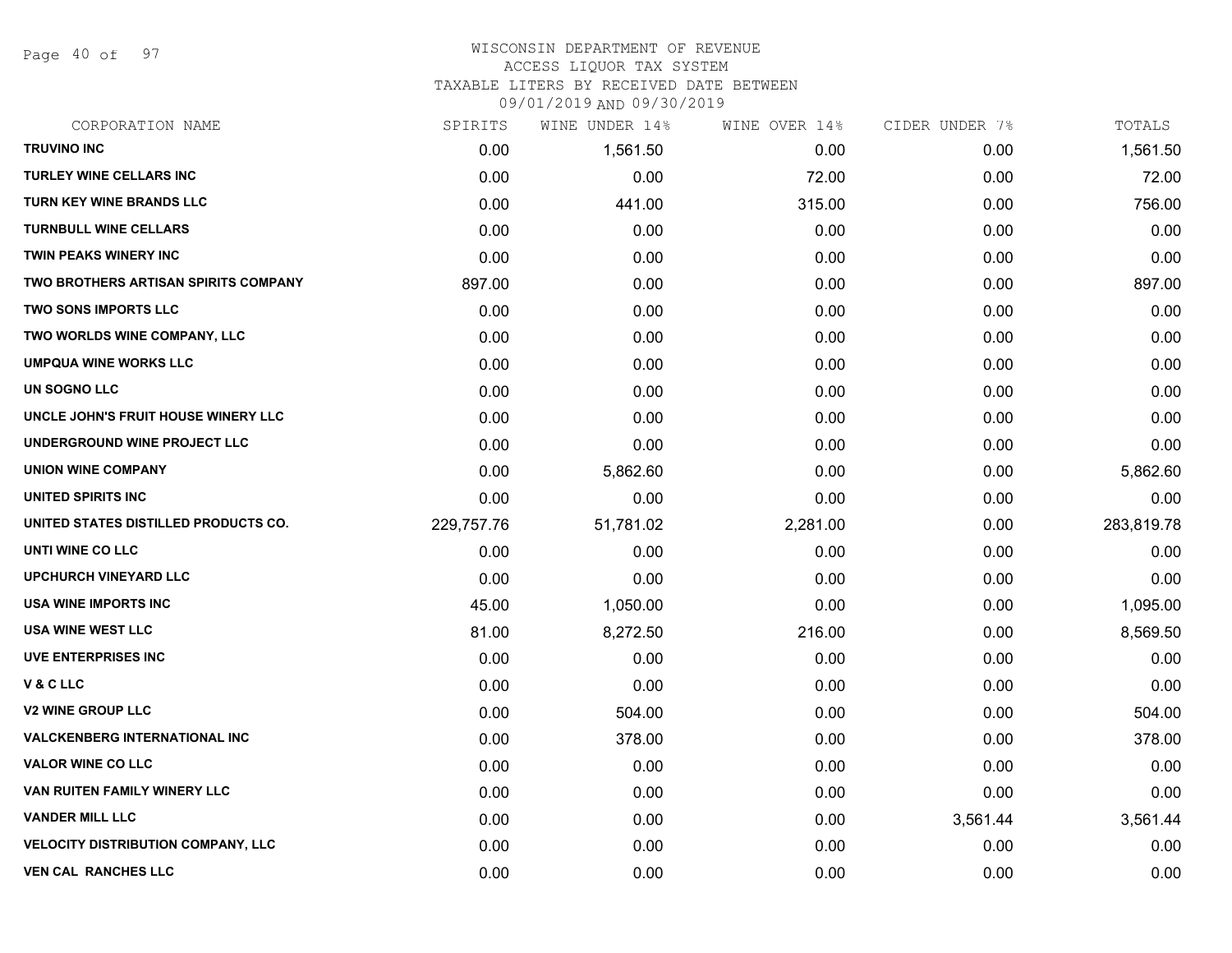Page 40 of 97

## WISCONSIN DEPARTMENT OF REVENUE ACCESS LIQUOR TAX SYSTEM

TAXABLE LITERS BY RECEIVED DATE BETWEEN

09/01/2019 AND 09/30/2019

| CORPORATION NAME                            | SPIRITS    | WINE UNDER 14% | WINE OVER 14% | CIDER UNDER 7% | TOTALS     |
|---------------------------------------------|------------|----------------|---------------|----------------|------------|
| <b>TRUVINO INC</b>                          | 0.00       | 1,561.50       | 0.00          | 0.00           | 1,561.50   |
| <b>TURLEY WINE CELLARS INC</b>              | 0.00       | 0.00           | 72.00         | 0.00           | 72.00      |
| TURN KEY WINE BRANDS LLC                    | 0.00       | 441.00         | 315.00        | 0.00           | 756.00     |
| <b>TURNBULL WINE CELLARS</b>                | 0.00       | 0.00           | 0.00          | 0.00           | 0.00       |
| TWIN PEAKS WINERY INC                       | 0.00       | 0.00           | 0.00          | 0.00           | 0.00       |
| <b>TWO BROTHERS ARTISAN SPIRITS COMPANY</b> | 897.00     | 0.00           | 0.00          | 0.00           | 897.00     |
| <b>TWO SONS IMPORTS LLC</b>                 | 0.00       | 0.00           | 0.00          | 0.00           | 0.00       |
| TWO WORLDS WINE COMPANY, LLC                | 0.00       | 0.00           | 0.00          | 0.00           | 0.00       |
| <b>UMPQUA WINE WORKS LLC</b>                | 0.00       | 0.00           | 0.00          | 0.00           | 0.00       |
| UN SOGNO LLC                                | 0.00       | 0.00           | 0.00          | 0.00           | 0.00       |
| UNCLE JOHN'S FRUIT HOUSE WINERY LLC         | 0.00       | 0.00           | 0.00          | 0.00           | 0.00       |
| UNDERGROUND WINE PROJECT LLC                | 0.00       | 0.00           | 0.00          | 0.00           | 0.00       |
| <b>UNION WINE COMPANY</b>                   | 0.00       | 5,862.60       | 0.00          | 0.00           | 5,862.60   |
| UNITED SPIRITS INC                          | 0.00       | 0.00           | 0.00          | 0.00           | 0.00       |
| UNITED STATES DISTILLED PRODUCTS CO.        | 229,757.76 | 51,781.02      | 2,281.00      | 0.00           | 283,819.78 |
| UNTI WINE CO LLC                            | 0.00       | 0.00           | 0.00          | 0.00           | 0.00       |
| <b>UPCHURCH VINEYARD LLC</b>                | 0.00       | 0.00           | 0.00          | 0.00           | 0.00       |
| <b>USA WINE IMPORTS INC</b>                 | 45.00      | 1,050.00       | 0.00          | 0.00           | 1,095.00   |
| <b>USA WINE WEST LLC</b>                    | 81.00      | 8,272.50       | 216.00        | 0.00           | 8,569.50   |
| <b>UVE ENTERPRISES INC</b>                  | 0.00       | 0.00           | 0.00          | 0.00           | 0.00       |
| V&CLLC                                      | 0.00       | 0.00           | 0.00          | 0.00           | 0.00       |
| <b>V2 WINE GROUP LLC</b>                    | 0.00       | 504.00         | 0.00          | 0.00           | 504.00     |
| <b>VALCKENBERG INTERNATIONAL INC</b>        | 0.00       | 378.00         | 0.00          | 0.00           | 378.00     |
| <b>VALOR WINE CO LLC</b>                    | 0.00       | 0.00           | 0.00          | 0.00           | 0.00       |
| VAN RUITEN FAMILY WINERY LLC                | 0.00       | 0.00           | 0.00          | 0.00           | 0.00       |
| <b>VANDER MILL LLC</b>                      | 0.00       | 0.00           | 0.00          | 3,561.44       | 3,561.44   |
| <b>VELOCITY DISTRIBUTION COMPANY, LLC</b>   | 0.00       | 0.00           | 0.00          | 0.00           | 0.00       |
| <b>VEN CAL RANCHES LLC</b>                  | 0.00       | 0.00           | 0.00          | 0.00           | 0.00       |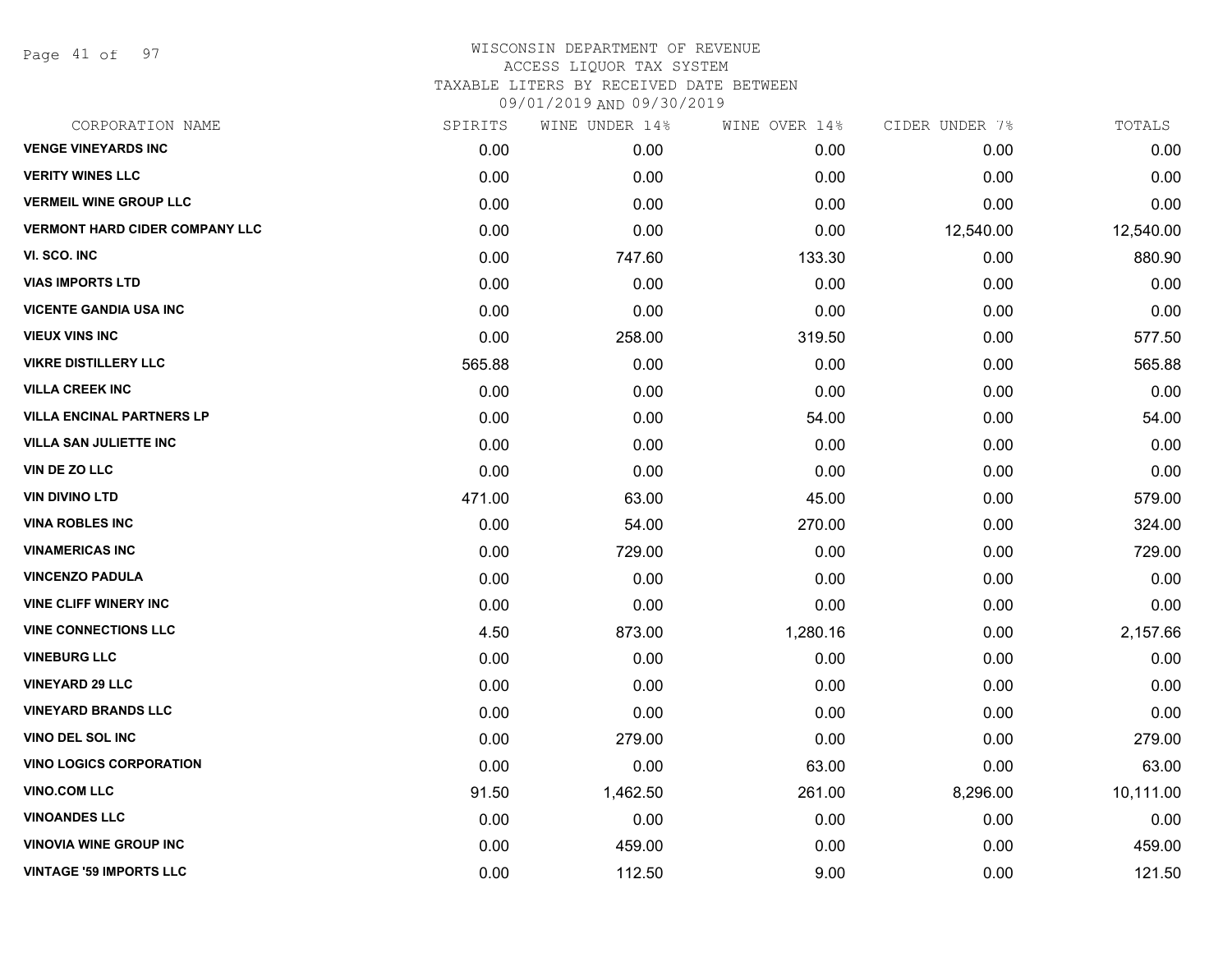Page 41 of 97

| CORPORATION NAME                      | SPIRITS | WINE UNDER 14% | WINE OVER 14% | CIDER UNDER 7% | TOTALS    |
|---------------------------------------|---------|----------------|---------------|----------------|-----------|
| <b>VENGE VINEYARDS INC</b>            | 0.00    | 0.00           | 0.00          | 0.00           | 0.00      |
| <b>VERITY WINES LLC</b>               | 0.00    | 0.00           | 0.00          | 0.00           | 0.00      |
| <b>VERMEIL WINE GROUP LLC</b>         | 0.00    | 0.00           | 0.00          | 0.00           | 0.00      |
| <b>VERMONT HARD CIDER COMPANY LLC</b> | 0.00    | 0.00           | 0.00          | 12,540.00      | 12,540.00 |
| VI. SCO. INC                          | 0.00    | 747.60         | 133.30        | 0.00           | 880.90    |
| <b>VIAS IMPORTS LTD</b>               | 0.00    | 0.00           | 0.00          | 0.00           | 0.00      |
| <b>VICENTE GANDIA USA INC</b>         | 0.00    | 0.00           | 0.00          | 0.00           | 0.00      |
| <b>VIEUX VINS INC</b>                 | 0.00    | 258.00         | 319.50        | 0.00           | 577.50    |
| <b>VIKRE DISTILLERY LLC</b>           | 565.88  | 0.00           | 0.00          | 0.00           | 565.88    |
| <b>VILLA CREEK INC</b>                | 0.00    | 0.00           | 0.00          | 0.00           | 0.00      |
| <b>VILLA ENCINAL PARTNERS LP</b>      | 0.00    | 0.00           | 54.00         | 0.00           | 54.00     |
| <b>VILLA SAN JULIETTE INC</b>         | 0.00    | 0.00           | 0.00          | 0.00           | 0.00      |
| VIN DE ZO LLC                         | 0.00    | 0.00           | 0.00          | 0.00           | 0.00      |
| <b>VIN DIVINO LTD</b>                 | 471.00  | 63.00          | 45.00         | 0.00           | 579.00    |
| <b>VINA ROBLES INC</b>                | 0.00    | 54.00          | 270.00        | 0.00           | 324.00    |
| <b>VINAMERICAS INC</b>                | 0.00    | 729.00         | 0.00          | 0.00           | 729.00    |
| <b>VINCENZO PADULA</b>                | 0.00    | 0.00           | 0.00          | 0.00           | 0.00      |
| <b>VINE CLIFF WINERY INC</b>          | 0.00    | 0.00           | 0.00          | 0.00           | 0.00      |
| <b>VINE CONNECTIONS LLC</b>           | 4.50    | 873.00         | 1,280.16      | 0.00           | 2,157.66  |
| <b>VINEBURG LLC</b>                   | 0.00    | 0.00           | 0.00          | 0.00           | 0.00      |
| <b>VINEYARD 29 LLC</b>                | 0.00    | 0.00           | 0.00          | 0.00           | 0.00      |
| <b>VINEYARD BRANDS LLC</b>            | 0.00    | 0.00           | 0.00          | 0.00           | 0.00      |
| VINO DEL SOL INC                      | 0.00    | 279.00         | 0.00          | 0.00           | 279.00    |
| <b>VINO LOGICS CORPORATION</b>        | 0.00    | 0.00           | 63.00         | 0.00           | 63.00     |
| <b>VINO.COM LLC</b>                   | 91.50   | 1,462.50       | 261.00        | 8,296.00       | 10,111.00 |
| <b>VINOANDES LLC</b>                  | 0.00    | 0.00           | 0.00          | 0.00           | 0.00      |
| <b>VINOVIA WINE GROUP INC</b>         | 0.00    | 459.00         | 0.00          | 0.00           | 459.00    |
| <b>VINTAGE '59 IMPORTS LLC</b>        | 0.00    | 112.50         | 9.00          | 0.00           | 121.50    |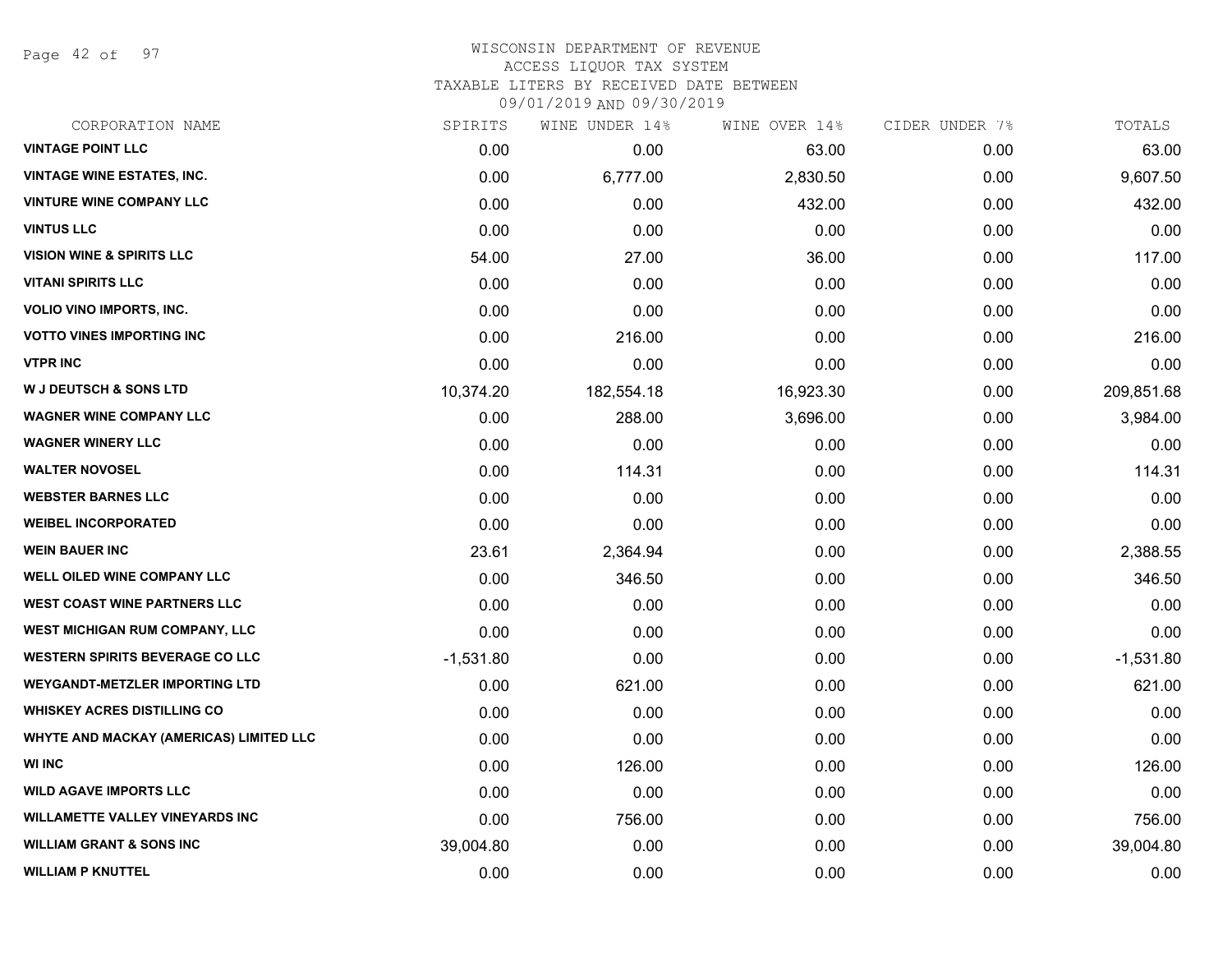Page 42 of 97

### WISCONSIN DEPARTMENT OF REVENUE ACCESS LIQUOR TAX SYSTEM TAXABLE LITERS BY RECEIVED DATE BETWEEN

09/01/2019 AND 09/30/2019

| CORPORATION NAME                        | SPIRITS     | WINE UNDER 14% | WINE OVER 14% | CIDER UNDER 7% | TOTALS      |
|-----------------------------------------|-------------|----------------|---------------|----------------|-------------|
| <b>VINTAGE POINT LLC</b>                | 0.00        | 0.00           | 63.00         | 0.00           | 63.00       |
| <b>VINTAGE WINE ESTATES, INC.</b>       | 0.00        | 6,777.00       | 2,830.50      | 0.00           | 9,607.50    |
| <b>VINTURE WINE COMPANY LLC</b>         | 0.00        | 0.00           | 432.00        | 0.00           | 432.00      |
| <b>VINTUS LLC</b>                       | 0.00        | 0.00           | 0.00          | 0.00           | 0.00        |
| <b>VISION WINE &amp; SPIRITS LLC</b>    | 54.00       | 27.00          | 36.00         | 0.00           | 117.00      |
| <b>VITANI SPIRITS LLC</b>               | 0.00        | 0.00           | 0.00          | 0.00           | 0.00        |
| <b>VOLIO VINO IMPORTS, INC.</b>         | 0.00        | 0.00           | 0.00          | 0.00           | 0.00        |
| <b>VOTTO VINES IMPORTING INC</b>        | 0.00        | 216.00         | 0.00          | 0.00           | 216.00      |
| <b>VTPR INC</b>                         | 0.00        | 0.00           | 0.00          | 0.00           | 0.00        |
| <b>W J DEUTSCH &amp; SONS LTD</b>       | 10,374.20   | 182,554.18     | 16,923.30     | 0.00           | 209,851.68  |
| <b>WAGNER WINE COMPANY LLC</b>          | 0.00        | 288.00         | 3,696.00      | 0.00           | 3,984.00    |
| <b>WAGNER WINERY LLC</b>                | 0.00        | 0.00           | 0.00          | 0.00           | 0.00        |
| <b>WALTER NOVOSEL</b>                   | 0.00        | 114.31         | 0.00          | 0.00           | 114.31      |
| <b>WEBSTER BARNES LLC</b>               | 0.00        | 0.00           | 0.00          | 0.00           | 0.00        |
| <b>WEIBEL INCORPORATED</b>              | 0.00        | 0.00           | 0.00          | 0.00           | 0.00        |
| <b>WEIN BAUER INC</b>                   | 23.61       | 2,364.94       | 0.00          | 0.00           | 2,388.55    |
| <b>WELL OILED WINE COMPANY LLC</b>      | 0.00        | 346.50         | 0.00          | 0.00           | 346.50      |
| <b>WEST COAST WINE PARTNERS LLC</b>     | 0.00        | 0.00           | 0.00          | 0.00           | 0.00        |
| WEST MICHIGAN RUM COMPANY, LLC          | 0.00        | 0.00           | 0.00          | 0.00           | 0.00        |
| <b>WESTERN SPIRITS BEVERAGE CO LLC</b>  | $-1,531.80$ | 0.00           | 0.00          | 0.00           | $-1,531.80$ |
| <b>WEYGANDT-METZLER IMPORTING LTD</b>   | 0.00        | 621.00         | 0.00          | 0.00           | 621.00      |
| <b>WHISKEY ACRES DISTILLING CO</b>      | 0.00        | 0.00           | 0.00          | 0.00           | 0.00        |
| WHYTE AND MACKAY (AMERICAS) LIMITED LLC | 0.00        | 0.00           | 0.00          | 0.00           | 0.00        |
| <b>WI INC</b>                           | 0.00        | 126.00         | 0.00          | 0.00           | 126.00      |
| <b>WILD AGAVE IMPORTS LLC</b>           | 0.00        | 0.00           | 0.00          | 0.00           | 0.00        |
| <b>WILLAMETTE VALLEY VINEYARDS INC</b>  | 0.00        | 756.00         | 0.00          | 0.00           | 756.00      |
| <b>WILLIAM GRANT &amp; SONS INC</b>     | 39,004.80   | 0.00           | 0.00          | 0.00           | 39,004.80   |
| <b>WILLIAM P KNUTTEL</b>                | 0.00        | 0.00           | 0.00          | 0.00           | 0.00        |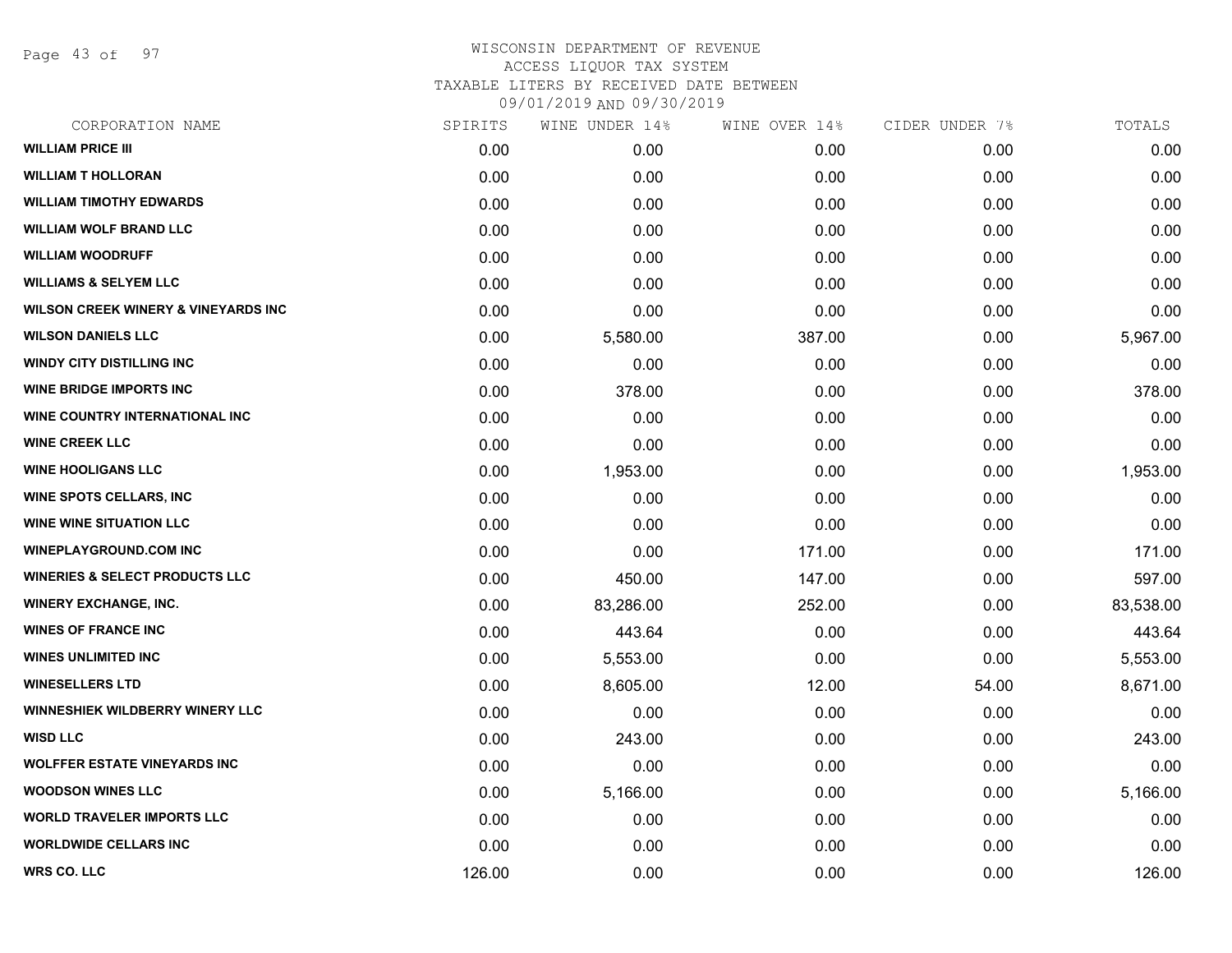Page 43 of 97

| CORPORATION NAME                               | SPIRITS | WINE UNDER 14% | WINE OVER 14% | CIDER UNDER 7% | TOTALS    |
|------------------------------------------------|---------|----------------|---------------|----------------|-----------|
| <b>WILLIAM PRICE III</b>                       | 0.00    | 0.00           | 0.00          | 0.00           | 0.00      |
| <b>WILLIAM T HOLLORAN</b>                      | 0.00    | 0.00           | 0.00          | 0.00           | 0.00      |
| <b>WILLIAM TIMOTHY EDWARDS</b>                 | 0.00    | 0.00           | 0.00          | 0.00           | 0.00      |
| <b>WILLIAM WOLF BRAND LLC</b>                  | 0.00    | 0.00           | 0.00          | 0.00           | 0.00      |
| <b>WILLIAM WOODRUFF</b>                        | 0.00    | 0.00           | 0.00          | 0.00           | 0.00      |
| <b>WILLIAMS &amp; SELYEM LLC</b>               | 0.00    | 0.00           | 0.00          | 0.00           | 0.00      |
| <b>WILSON CREEK WINERY &amp; VINEYARDS INC</b> | 0.00    | 0.00           | 0.00          | 0.00           | 0.00      |
| <b>WILSON DANIELS LLC</b>                      | 0.00    | 5,580.00       | 387.00        | 0.00           | 5,967.00  |
| <b>WINDY CITY DISTILLING INC</b>               | 0.00    | 0.00           | 0.00          | 0.00           | 0.00      |
| <b>WINE BRIDGE IMPORTS INC</b>                 | 0.00    | 378.00         | 0.00          | 0.00           | 378.00    |
| WINE COUNTRY INTERNATIONAL INC                 | 0.00    | 0.00           | 0.00          | 0.00           | 0.00      |
| <b>WINE CREEK LLC</b>                          | 0.00    | 0.00           | 0.00          | 0.00           | 0.00      |
| <b>WINE HOOLIGANS LLC</b>                      | 0.00    | 1,953.00       | 0.00          | 0.00           | 1,953.00  |
| <b>WINE SPOTS CELLARS, INC</b>                 | 0.00    | 0.00           | 0.00          | 0.00           | 0.00      |
| <b>WINE WINE SITUATION LLC</b>                 | 0.00    | 0.00           | 0.00          | 0.00           | 0.00      |
| <b>WINEPLAYGROUND.COM INC</b>                  | 0.00    | 0.00           | 171.00        | 0.00           | 171.00    |
| <b>WINERIES &amp; SELECT PRODUCTS LLC</b>      | 0.00    | 450.00         | 147.00        | 0.00           | 597.00    |
| <b>WINERY EXCHANGE, INC.</b>                   | 0.00    | 83,286.00      | 252.00        | 0.00           | 83,538.00 |
| <b>WINES OF FRANCE INC</b>                     | 0.00    | 443.64         | 0.00          | 0.00           | 443.64    |
| <b>WINES UNLIMITED INC</b>                     | 0.00    | 5,553.00       | 0.00          | 0.00           | 5,553.00  |
| <b>WINESELLERS LTD</b>                         | 0.00    | 8,605.00       | 12.00         | 54.00          | 8,671.00  |
| WINNESHIEK WILDBERRY WINERY LLC                | 0.00    | 0.00           | 0.00          | 0.00           | 0.00      |
| <b>WISD LLC</b>                                | 0.00    | 243.00         | 0.00          | 0.00           | 243.00    |
| <b>WOLFFER ESTATE VINEYARDS INC</b>            | 0.00    | 0.00           | 0.00          | 0.00           | 0.00      |
| <b>WOODSON WINES LLC</b>                       | 0.00    | 5,166.00       | 0.00          | 0.00           | 5,166.00  |
| <b>WORLD TRAVELER IMPORTS LLC</b>              | 0.00    | 0.00           | 0.00          | 0.00           | 0.00      |
| <b>WORLDWIDE CELLARS INC</b>                   | 0.00    | 0.00           | 0.00          | 0.00           | 0.00      |
| WRS CO. LLC                                    | 126.00  | 0.00           | 0.00          | 0.00           | 126.00    |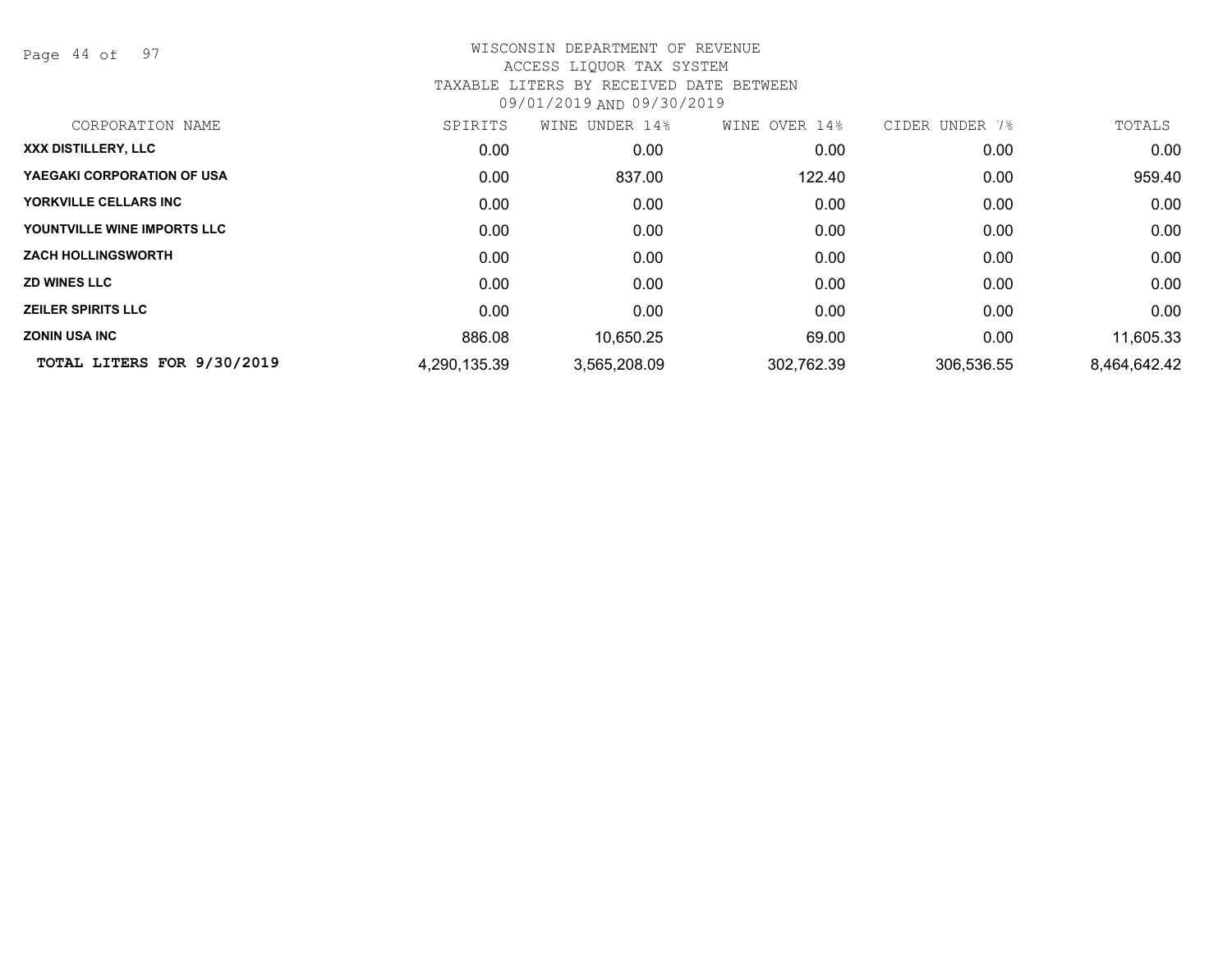Page 44 of 97

| CORPORATION NAME                  | SPIRITS      | WINE UNDER 14% | OVER 14%<br>WINE | CIDER UNDER 7% | TOTALS       |
|-----------------------------------|--------------|----------------|------------------|----------------|--------------|
| XXX DISTILLERY, LLC               | 0.00         | 0.00           | 0.00             | 0.00           | 0.00         |
| <b>YAEGAKI CORPORATION OF USA</b> | 0.00         | 837.00         | 122.40           | 0.00           | 959.40       |
| YORKVILLE CELLARS INC             | 0.00         | 0.00           | 0.00             | 0.00           | 0.00         |
| YOUNTVILLE WINE IMPORTS LLC       | 0.00         | 0.00           | 0.00             | 0.00           | 0.00         |
| <b>ZACH HOLLINGSWORTH</b>         | 0.00         | 0.00           | 0.00             | 0.00           | 0.00         |
| <b>ZD WINES LLC</b>               | 0.00         | 0.00           | 0.00             | 0.00           | 0.00         |
| <b>ZEILER SPIRITS LLC</b>         | 0.00         | 0.00           | 0.00             | 0.00           | 0.00         |
| <b>ZONIN USA INC</b>              | 886.08       | 10,650.25      | 69.00            | 0.00           | 11,605.33    |
| TOTAL LITERS FOR 9/30/2019        | 4,290,135.39 | 3,565,208.09   | 302,762.39       | 306,536.55     | 8,464,642.42 |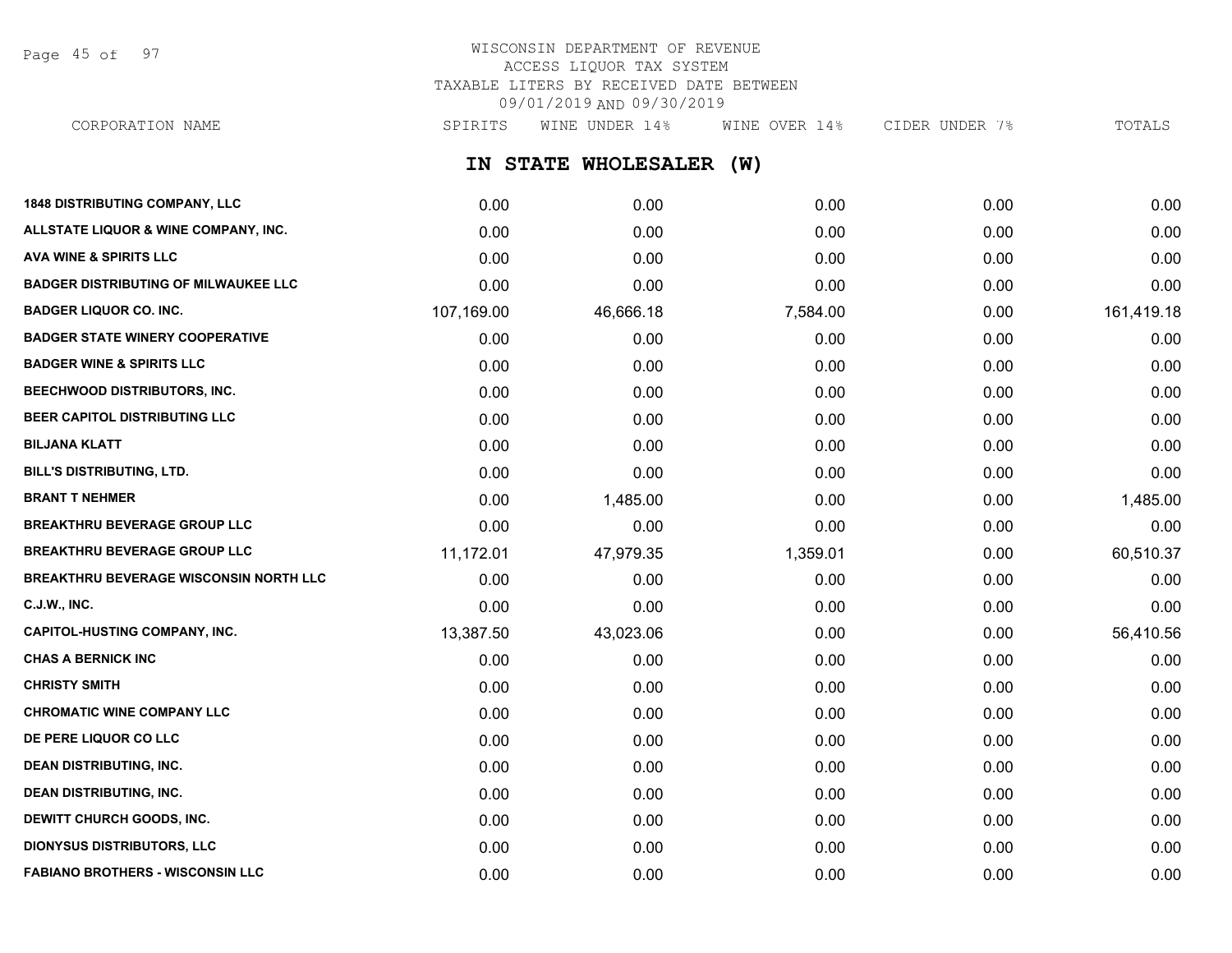Page 45 of 97

# WISCONSIN DEPARTMENT OF REVENUE ACCESS LIQUOR TAX SYSTEM TAXABLE LITERS BY RECEIVED DATE BETWEEN 09/01/2019 AND 09/30/2019

**IN STATE WHOLESALER (W) 1848 DISTRIBUTING COMPANY, LLC** 0.00 0.00 0.00 0.00 0.00 **ALLSTATE LIQUOR & WINE COMPANY, INC.** 0.00 0.00 0.00 0.00 0.00 **AVA WINE & SPIRITS LLC** 0.00 0.00 0.00 0.00 0.00 **BADGER DISTRIBUTING OF MILWAUKEE LLC** 0.00 0.00 0.00 0.00 0.00 **BADGER LIQUOR CO. INC.** 107,169.00 46,666.18 7,584.00 0.00 161,419.18 **BADGER STATE WINERY COOPERATIVE** 0.00 0.00 0.00 0.00 0.00 **BADGER WINE & SPIRITS LLC** 0.00 0.00 0.00 0.00 0.00 **BEECHWOOD DISTRIBUTORS, INC.** 0.00 0.00 0.00 0.00 0.00 **BEER CAPITOL DISTRIBUTING LLC** 0.00 0.00 0.00 0.00 0.00 **BILJANA KLATT** 0.00 0.00 0.00 0.00 0.00 **BILL'S DISTRIBUTING, LTD.** 0.00 0.00 0.00 0.00 0.00 **BRANT T NEHMER** 0.00 1,485.00 0.00 0.00 1,485.00 **BREAKTHRU BEVERAGE GROUP LLC**  $0.00$   $0.00$   $0.00$   $0.00$   $0.00$   $0.00$   $0.00$   $0.00$   $0.00$   $0.00$   $0.00$   $0.00$   $0.00$   $0.00$   $0.00$   $0.00$   $0.00$   $0.00$   $0.00$   $0.00$   $0.00$   $0.00$   $0.00$   $0.00$   $0.00$   $0.00$   $0.00$   $0$ **BREAKTHRU BEVERAGE GROUP LLC** 11.172.01 47.979.35 1,359.01 0.00 60.510.37 **BREAKTHRU BEVERAGE WISCONSIN NORTH LLC** 0.00 0.00 0.00 0.00 0.00 **C.J.W., INC.** 6.00 **0.00 0.00 0.00 0.00 0.00 0.00 0.00 0.00 0.00 0.00 0.00 0.00 0.00 0.00** CORPORATION NAME SPIRITS WINE UNDER 14% WINE OVER 14% CIDER UNDER 7% TOTALS

**CAPITOL-HUSTING COMPANY, INC.** 13,387.50 43,023.06 0.00 0.00 0.00 56,410.56 **CHAS A BERNICK INC** 0.00 0.00 0.00 0.00 0.00 **CHRISTY SMITH** 0.00 0.00 0.00 0.00 0.00 **CHROMATIC WINE COMPANY LLC** 0.00 0.00 0.00 0.00 0.00 **DE PERE LIQUOR CO LLC** 0.00 0.00 0.00 0.00 0.00 **DEAN DISTRIBUTING, INC.** 0.00 0.00 0.00 0.00 0.00 **DEAN DISTRIBUTING, INC.** 0.00 0.00 0.00 0.00 0.00 **DEWITT CHURCH GOODS, INC.** 0.00 0.00 0.00 0.00 0.00 **DIONYSUS DISTRIBUTORS, LLC** 0.00 0.00 0.00 0.00 0.00 **FABIANO BROTHERS - WISCONSIN LLC** 0.00 0.00 0.00 0.00 0.00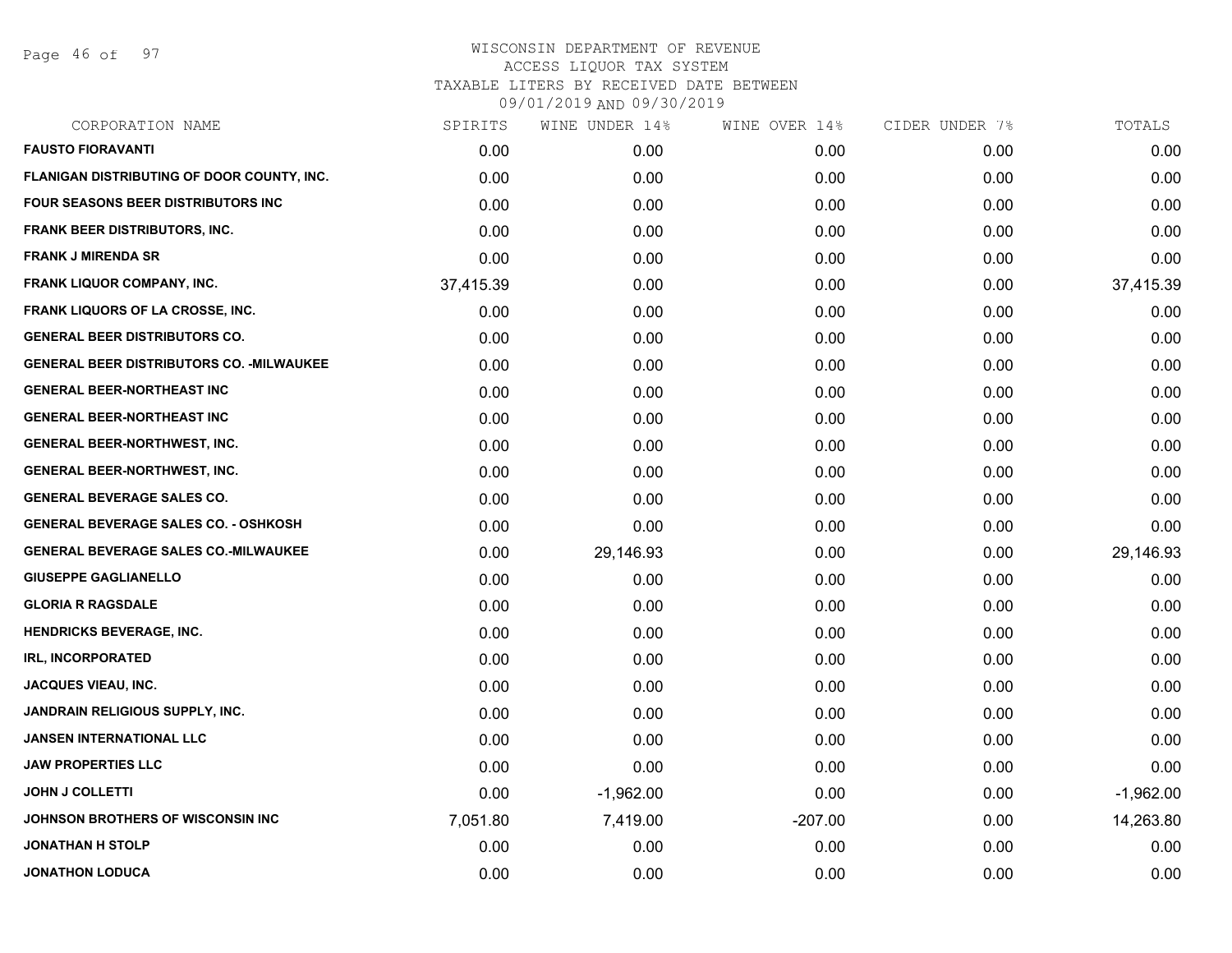Page 46 of 97

| CORPORATION NAME                                 | SPIRITS   | WINE UNDER 14% | WINE OVER 14% | CIDER UNDER 7% | TOTALS      |
|--------------------------------------------------|-----------|----------------|---------------|----------------|-------------|
| <b>FAUSTO FIORAVANTI</b>                         | 0.00      | 0.00           | 0.00          | 0.00           | 0.00        |
| FLANIGAN DISTRIBUTING OF DOOR COUNTY, INC.       | 0.00      | 0.00           | 0.00          | 0.00           | 0.00        |
| <b>FOUR SEASONS BEER DISTRIBUTORS INC.</b>       | 0.00      | 0.00           | 0.00          | 0.00           | 0.00        |
| <b>FRANK BEER DISTRIBUTORS, INC.</b>             | 0.00      | 0.00           | 0.00          | 0.00           | 0.00        |
| <b>FRANK J MIRENDA SR</b>                        | 0.00      | 0.00           | 0.00          | 0.00           | 0.00        |
| FRANK LIQUOR COMPANY, INC.                       | 37,415.39 | 0.00           | 0.00          | 0.00           | 37,415.39   |
| <b>FRANK LIQUORS OF LA CROSSE, INC.</b>          | 0.00      | 0.00           | 0.00          | 0.00           | 0.00        |
| <b>GENERAL BEER DISTRIBUTORS CO.</b>             | 0.00      | 0.00           | 0.00          | 0.00           | 0.00        |
| <b>GENERAL BEER DISTRIBUTORS CO. - MILWAUKEE</b> | 0.00      | 0.00           | 0.00          | 0.00           | 0.00        |
| <b>GENERAL BEER-NORTHEAST INC</b>                | 0.00      | 0.00           | 0.00          | 0.00           | 0.00        |
| <b>GENERAL BEER-NORTHEAST INC</b>                | 0.00      | 0.00           | 0.00          | 0.00           | 0.00        |
| <b>GENERAL BEER-NORTHWEST, INC.</b>              | 0.00      | 0.00           | 0.00          | 0.00           | 0.00        |
| <b>GENERAL BEER-NORTHWEST, INC.</b>              | 0.00      | 0.00           | 0.00          | 0.00           | 0.00        |
| <b>GENERAL BEVERAGE SALES CO.</b>                | 0.00      | 0.00           | 0.00          | 0.00           | 0.00        |
| <b>GENERAL BEVERAGE SALES CO. - OSHKOSH</b>      | 0.00      | 0.00           | 0.00          | 0.00           | 0.00        |
| <b>GENERAL BEVERAGE SALES CO.-MILWAUKEE</b>      | 0.00      | 29,146.93      | 0.00          | 0.00           | 29,146.93   |
| <b>GIUSEPPE GAGLIANELLO</b>                      | 0.00      | 0.00           | 0.00          | 0.00           | 0.00        |
| <b>GLORIA R RAGSDALE</b>                         | 0.00      | 0.00           | 0.00          | 0.00           | 0.00        |
| <b>HENDRICKS BEVERAGE, INC.</b>                  | 0.00      | 0.00           | 0.00          | 0.00           | 0.00        |
| <b>IRL, INCORPORATED</b>                         | 0.00      | 0.00           | 0.00          | 0.00           | 0.00        |
| <b>JACQUES VIEAU, INC.</b>                       | 0.00      | 0.00           | 0.00          | 0.00           | 0.00        |
| JANDRAIN RELIGIOUS SUPPLY, INC.                  | 0.00      | 0.00           | 0.00          | 0.00           | 0.00        |
| <b>JANSEN INTERNATIONAL LLC</b>                  | 0.00      | 0.00           | 0.00          | 0.00           | 0.00        |
| <b>JAW PROPERTIES LLC</b>                        | 0.00      | 0.00           | 0.00          | 0.00           | 0.00        |
| <b>JOHN J COLLETTI</b>                           | 0.00      | $-1,962.00$    | 0.00          | 0.00           | $-1,962.00$ |
| JOHNSON BROTHERS OF WISCONSIN INC                | 7,051.80  | 7,419.00       | $-207.00$     | 0.00           | 14,263.80   |
| <b>JONATHAN H STOLP</b>                          | 0.00      | 0.00           | 0.00          | 0.00           | 0.00        |
| <b>JONATHON LODUCA</b>                           | 0.00      | 0.00           | 0.00          | 0.00           | 0.00        |
|                                                  |           |                |               |                |             |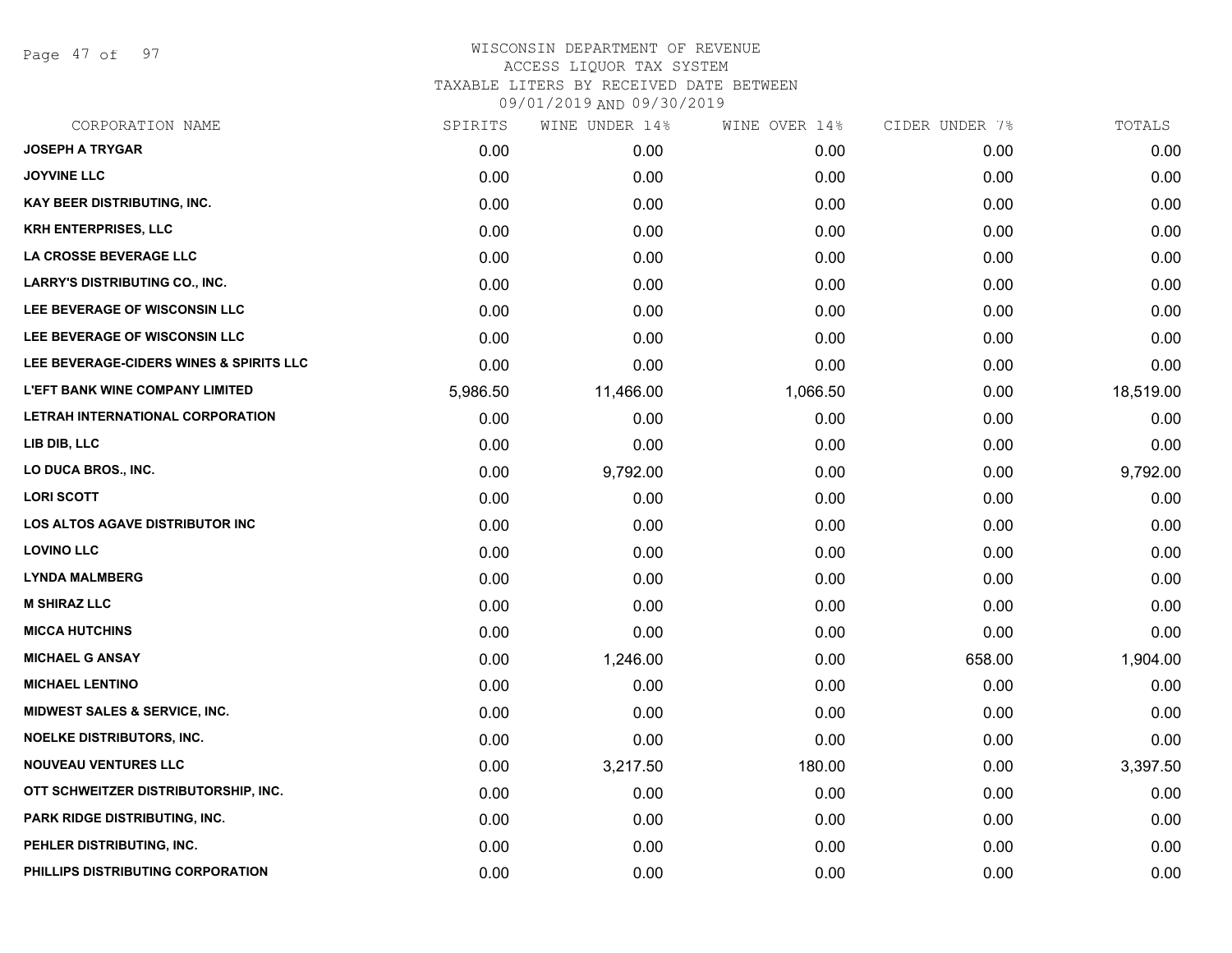Page 47 of 97

| CORPORATION NAME                        | SPIRITS  | WINE UNDER 14% | WINE OVER 14% | CIDER UNDER 7% | TOTALS    |
|-----------------------------------------|----------|----------------|---------------|----------------|-----------|
| <b>JOSEPH A TRYGAR</b>                  | 0.00     | 0.00           | 0.00          | 0.00           | 0.00      |
| <b>JOYVINE LLC</b>                      | 0.00     | 0.00           | 0.00          | 0.00           | 0.00      |
| <b>KAY BEER DISTRIBUTING, INC.</b>      | 0.00     | 0.00           | 0.00          | 0.00           | 0.00      |
| <b>KRH ENTERPRISES, LLC</b>             | 0.00     | 0.00           | 0.00          | 0.00           | 0.00      |
| LA CROSSE BEVERAGE LLC                  | 0.00     | 0.00           | 0.00          | 0.00           | 0.00      |
| <b>LARRY'S DISTRIBUTING CO., INC.</b>   | 0.00     | 0.00           | 0.00          | 0.00           | 0.00      |
| LEE BEVERAGE OF WISCONSIN LLC           | 0.00     | 0.00           | 0.00          | 0.00           | 0.00      |
| LEE BEVERAGE OF WISCONSIN LLC           | 0.00     | 0.00           | 0.00          | 0.00           | 0.00      |
| LEE BEVERAGE-CIDERS WINES & SPIRITS LLC | 0.00     | 0.00           | 0.00          | 0.00           | 0.00      |
| <b>L'EFT BANK WINE COMPANY LIMITED</b>  | 5,986.50 | 11,466.00      | 1,066.50      | 0.00           | 18,519.00 |
| LETRAH INTERNATIONAL CORPORATION        | 0.00     | 0.00           | 0.00          | 0.00           | 0.00      |
| LIB DIB, LLC                            | 0.00     | 0.00           | 0.00          | 0.00           | 0.00      |
| LO DUCA BROS., INC.                     | 0.00     | 9,792.00       | 0.00          | 0.00           | 9,792.00  |
| <b>LORI SCOTT</b>                       | 0.00     | 0.00           | 0.00          | 0.00           | 0.00      |
| <b>LOS ALTOS AGAVE DISTRIBUTOR INC</b>  | 0.00     | 0.00           | 0.00          | 0.00           | 0.00      |
| <b>LOVINO LLC</b>                       | 0.00     | 0.00           | 0.00          | 0.00           | 0.00      |
| <b>LYNDA MALMBERG</b>                   | 0.00     | 0.00           | 0.00          | 0.00           | 0.00      |
| <b>M SHIRAZ LLC</b>                     | 0.00     | 0.00           | 0.00          | 0.00           | 0.00      |
| <b>MICCA HUTCHINS</b>                   | 0.00     | 0.00           | 0.00          | 0.00           | 0.00      |
| <b>MICHAEL G ANSAY</b>                  | 0.00     | 1,246.00       | 0.00          | 658.00         | 1,904.00  |
| <b>MICHAEL LENTINO</b>                  | 0.00     | 0.00           | 0.00          | 0.00           | 0.00      |
| MIDWEST SALES & SERVICE, INC.           | 0.00     | 0.00           | 0.00          | 0.00           | 0.00      |
| <b>NOELKE DISTRIBUTORS, INC.</b>        | 0.00     | 0.00           | 0.00          | 0.00           | 0.00      |
| <b>NOUVEAU VENTURES LLC</b>             | 0.00     | 3,217.50       | 180.00        | 0.00           | 3,397.50  |
| OTT SCHWEITZER DISTRIBUTORSHIP, INC.    | 0.00     | 0.00           | 0.00          | 0.00           | 0.00      |
| PARK RIDGE DISTRIBUTING, INC.           | 0.00     | 0.00           | 0.00          | 0.00           | 0.00      |
| PEHLER DISTRIBUTING, INC.               | 0.00     | 0.00           | 0.00          | 0.00           | 0.00      |
| PHILLIPS DISTRIBUTING CORPORATION       | 0.00     | 0.00           | 0.00          | 0.00           | 0.00      |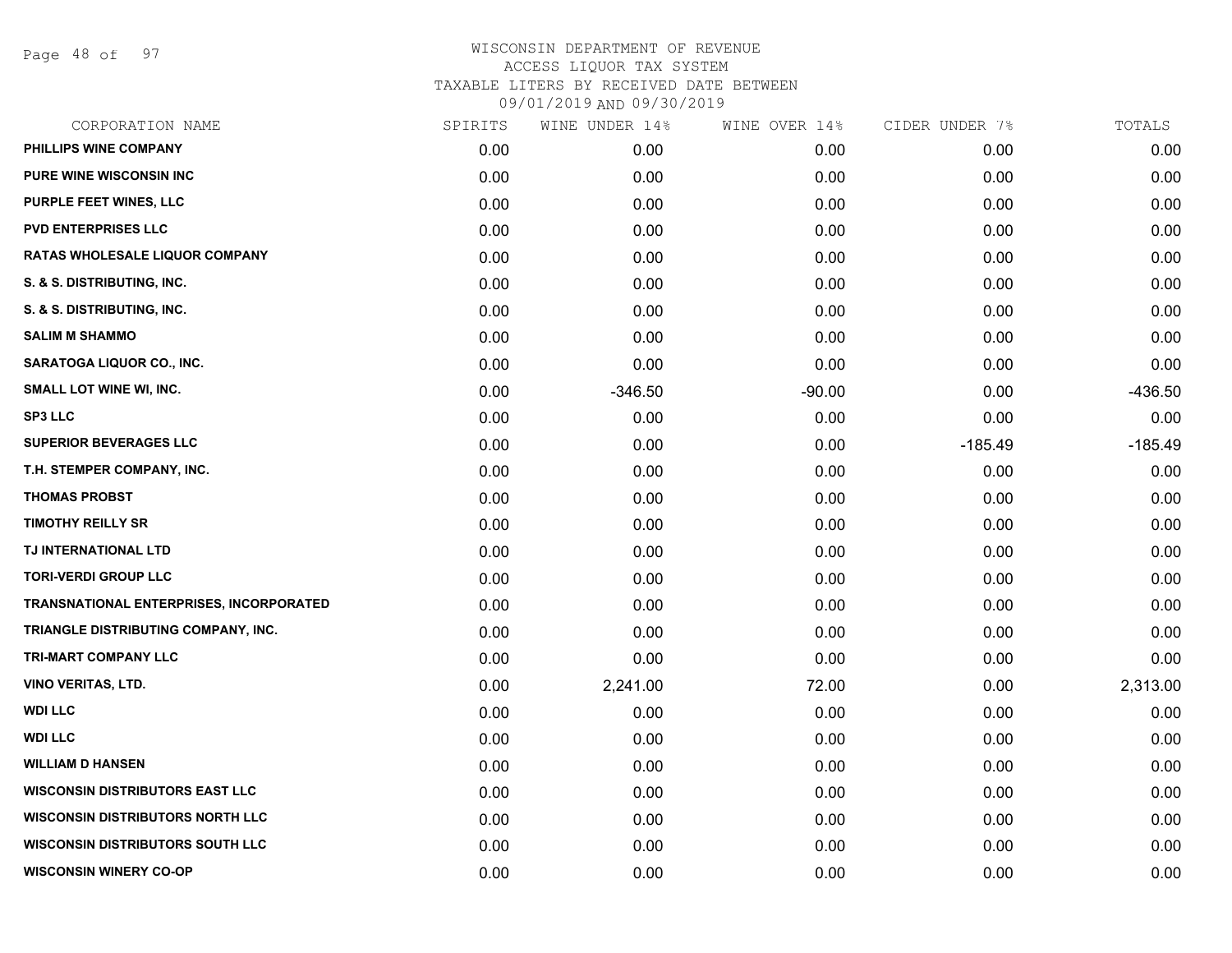Page 48 of 97

| CORPORATION NAME                               | SPIRITS | WINE UNDER 14% | WINE OVER 14% | CIDER UNDER 7% | TOTALS    |
|------------------------------------------------|---------|----------------|---------------|----------------|-----------|
| PHILLIPS WINE COMPANY                          | 0.00    | 0.00           | 0.00          | 0.00           | 0.00      |
| <b>PURE WINE WISCONSIN INC</b>                 | 0.00    | 0.00           | 0.00          | 0.00           | 0.00      |
| PURPLE FEET WINES, LLC                         | 0.00    | 0.00           | 0.00          | 0.00           | 0.00      |
| <b>PVD ENTERPRISES LLC</b>                     | 0.00    | 0.00           | 0.00          | 0.00           | 0.00      |
| RATAS WHOLESALE LIQUOR COMPANY                 | 0.00    | 0.00           | 0.00          | 0.00           | 0.00      |
| S. & S. DISTRIBUTING, INC.                     | 0.00    | 0.00           | 0.00          | 0.00           | 0.00      |
| S. & S. DISTRIBUTING, INC.                     | 0.00    | 0.00           | 0.00          | 0.00           | 0.00      |
| <b>SALIM M SHAMMO</b>                          | 0.00    | 0.00           | 0.00          | 0.00           | 0.00      |
| SARATOGA LIQUOR CO., INC.                      | 0.00    | 0.00           | 0.00          | 0.00           | 0.00      |
| SMALL LOT WINE WI, INC.                        | 0.00    | $-346.50$      | $-90.00$      | 0.00           | $-436.50$ |
| <b>SP3 LLC</b>                                 | 0.00    | 0.00           | 0.00          | 0.00           | 0.00      |
| <b>SUPERIOR BEVERAGES LLC</b>                  | 0.00    | 0.00           | 0.00          | $-185.49$      | $-185.49$ |
| T.H. STEMPER COMPANY, INC.                     | 0.00    | 0.00           | 0.00          | 0.00           | 0.00      |
| <b>THOMAS PROBST</b>                           | 0.00    | 0.00           | 0.00          | 0.00           | 0.00      |
| <b>TIMOTHY REILLY SR</b>                       | 0.00    | 0.00           | 0.00          | 0.00           | 0.00      |
| TJ INTERNATIONAL LTD                           | 0.00    | 0.00           | 0.00          | 0.00           | 0.00      |
| <b>TORI-VERDI GROUP LLC</b>                    | 0.00    | 0.00           | 0.00          | 0.00           | 0.00      |
| <b>TRANSNATIONAL ENTERPRISES, INCORPORATED</b> | 0.00    | 0.00           | 0.00          | 0.00           | 0.00      |
| TRIANGLE DISTRIBUTING COMPANY, INC.            | 0.00    | 0.00           | 0.00          | 0.00           | 0.00      |
| TRI-MART COMPANY LLC                           | 0.00    | 0.00           | 0.00          | 0.00           | 0.00      |
| <b>VINO VERITAS, LTD.</b>                      | 0.00    | 2,241.00       | 72.00         | 0.00           | 2,313.00  |
| <b>WDI LLC</b>                                 | 0.00    | 0.00           | 0.00          | 0.00           | 0.00      |
| <b>WDI LLC</b>                                 | 0.00    | 0.00           | 0.00          | 0.00           | 0.00      |
| <b>WILLIAM D HANSEN</b>                        | 0.00    | 0.00           | 0.00          | 0.00           | 0.00      |
| <b>WISCONSIN DISTRIBUTORS EAST LLC</b>         | 0.00    | 0.00           | 0.00          | 0.00           | 0.00      |
| <b>WISCONSIN DISTRIBUTORS NORTH LLC</b>        | 0.00    | 0.00           | 0.00          | 0.00           | 0.00      |
| <b>WISCONSIN DISTRIBUTORS SOUTH LLC</b>        | 0.00    | 0.00           | 0.00          | 0.00           | 0.00      |
| <b>WISCONSIN WINERY CO-OP</b>                  | 0.00    | 0.00           | 0.00          | 0.00           | 0.00      |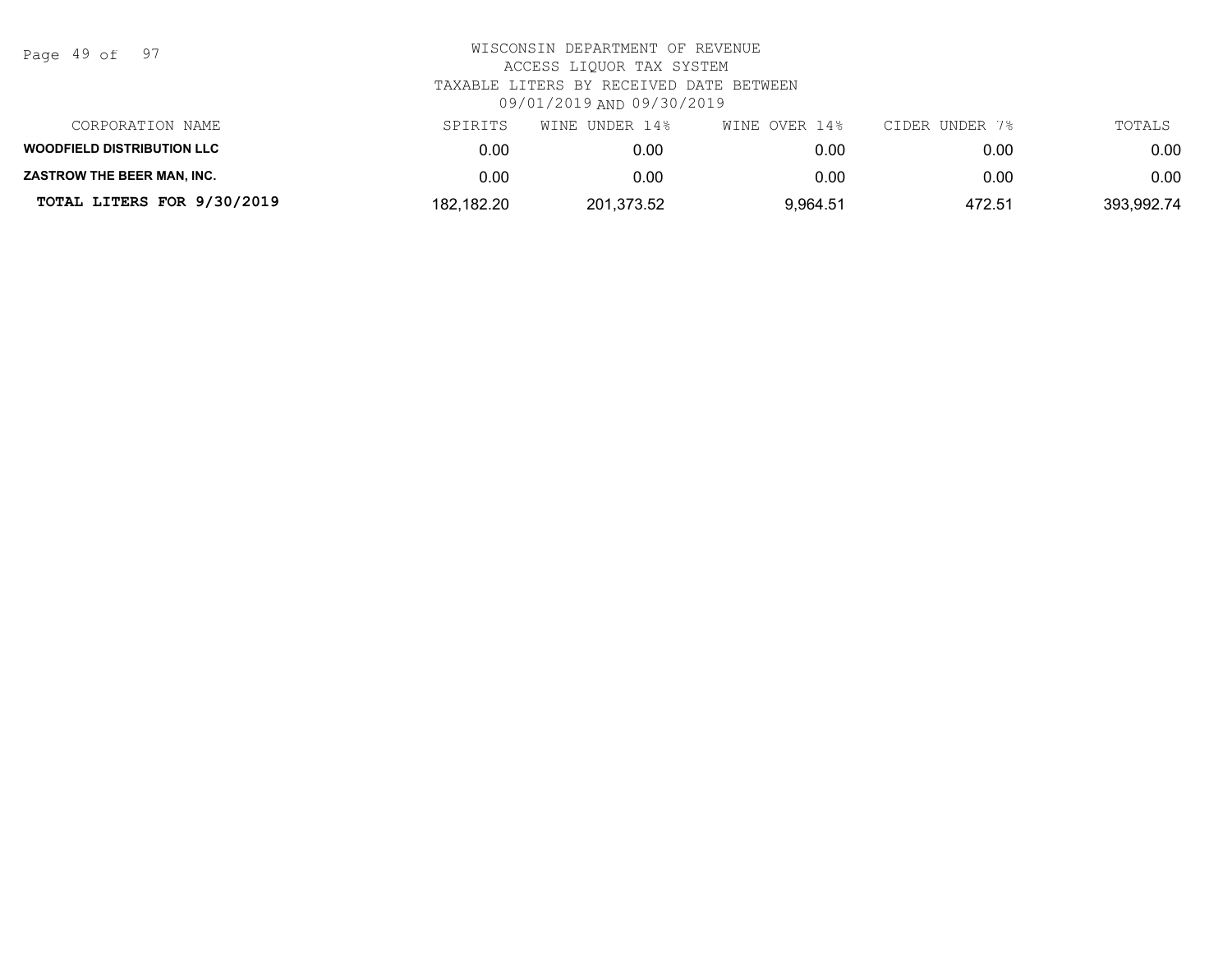Page 49 of 97

| CORPORATION NAME                  | SPIRITS    | WINE UNDER 14% | WINE OVER 14% | CIDER UNDER 7% | TOTALS     |
|-----------------------------------|------------|----------------|---------------|----------------|------------|
| <b>WOODFIELD DISTRIBUTION LLC</b> | 0.00       | 0.00           | 0.00          | 0.00           | 0.00       |
| <b>ZASTROW THE BEER MAN. INC.</b> | 0.00       | 0.00           | 0.00          | 0.00           | 0.00       |
| TOTAL LITERS FOR 9/30/2019        | 182,182.20 | 201,373.52     | 9,964.51      | 472.51         | 393,992.74 |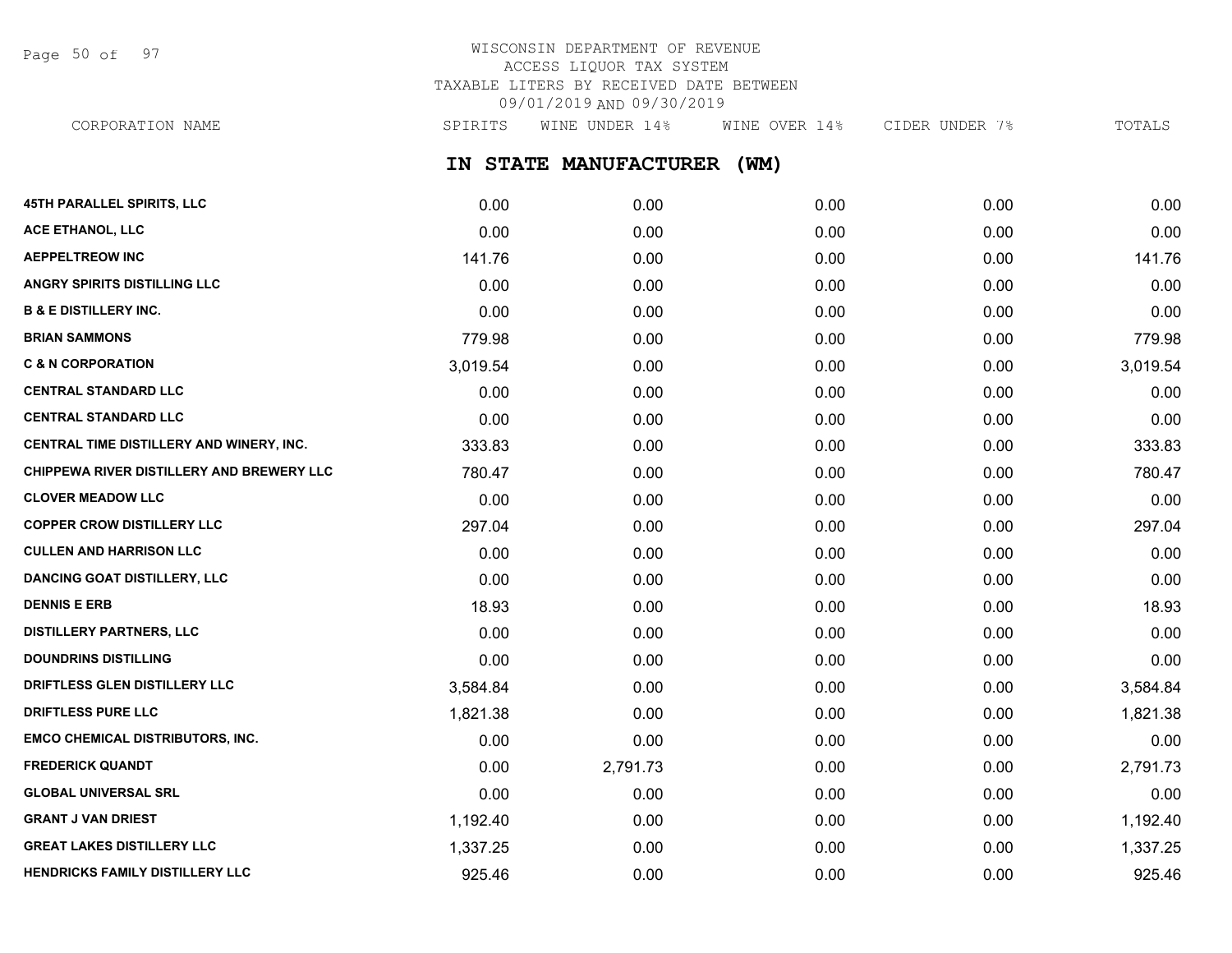Page 50 of 97

# WISCONSIN DEPARTMENT OF REVENUE ACCESS LIQUOR TAX SYSTEM TAXABLE LITERS BY RECEIVED DATE BETWEEN 09/01/2019 AND 09/30/2019

**IN STATE MANUFACTURER (WM) 45TH PARALLEL SPIRITS, LLC** 0.00 0.00 0.00 0.00 0.00 **ACE ETHANOL, LLC** 0.00 0.00 0.00 0.00 0.00 **AEPPELTREOW INC** 141.76 0.00 0.00 0.00 141.76 **ANGRY SPIRITS DISTILLING LLC** 0.00 0.00 0.00 0.00 0.00 **B & E DISTILLERY INC.** 0.00 0.00 0.00 0.00 0.00 **BRIAN SAMMONS** 779.98 0.00 0.00 0.00 779.98 **C & N CORPORATION** 3,019.54 0.00 0.00 0.00 3,019.54 **CENTRAL STANDARD LLC** 0.00 0.00 0.00 0.00 0.00 **CENTRAL STANDARD LLC** 0.00 0.00 0.00 0.00 0.00 **CENTRAL TIME DISTILLERY AND WINERY, INC.**  $\begin{array}{ccc} 333.83 & 0.00 & 0.00 & 0.00 & 0.00 & 0.00 & 333.83 \end{array}$ **CHIPPEWA RIVER DISTILLERY AND BREWERY LLC**  $\begin{array}{ccc} 780.47 & 0.00 & 0.00 & 0.00 & 0.00 & 0.00 & 0.00 & 0.00 & 0.00 & 0.00 & 0.00 & 0.00 & 0.00 & 0.00 & 0.00 & 0.00 & 0.00 & 0.00 & 0.00 & 0.00 & 0.00 & 0.00 & 0.00 & 0.00 & 0.00 & 0.00 & 0.00 & 0.00 &$ **CLOVER MEADOW LLC** 0.00 0.00 0.00 0.00 0.00 **COPPER CROW DISTILLERY LLC** 297.04 0.00 0.00 0.00 0.00 0.00 0.00 297.04 **CULLEN AND HARRISON LLC** 0.00 0.00 0.00 0.00 0.00 **DANCING GOAT DISTILLERY, LLC** 0.00 0.00 0.00 0.00 0.00 **DENNIS E ERB** 18.93 0.00 0.00 0.00 18.93 **DISTILLERY PARTNERS, LLC** 0.00 0.00 0.00 0.00 0.00 **DOUNDRINS DISTILLING** 0.00 0.00 0.00 0.00 0.00 **DRIFTLESS GLEN DISTILLERY LLC**  $3,584.84$   $0.00$   $0.00$   $0.00$   $0.00$   $0.00$   $3,584.84$ **DRIFTLESS PURE LLC** 1,821.38 0.00 0.00 0.00 1,821.38 **EMCO CHEMICAL DISTRIBUTORS, INC.** 0.00 0.00 0.00 0.00 0.00 **FREDERICK QUANDT** 0.00 2,791.73 0.00 0.00 2,791.73 **GLOBAL UNIVERSAL SRL** 0.00 0.00 0.00 0.00 0.00 CORPORATION NAME SPIRITS WINE UNDER 14% WINE OVER 14% CIDER UNDER 7% TOTALS

**GRANT J VAN DRIEST** 1,192.40 0.00 0.00 0.00 1,192.40 **GREAT LAKES DISTILLERY LLC** 1,337.25 0.00 0.00 0.00 1,337.25 **HENDRICKS FAMILY DISTILLERY LLC** 925.46 0.00 0.00 0.00 925.46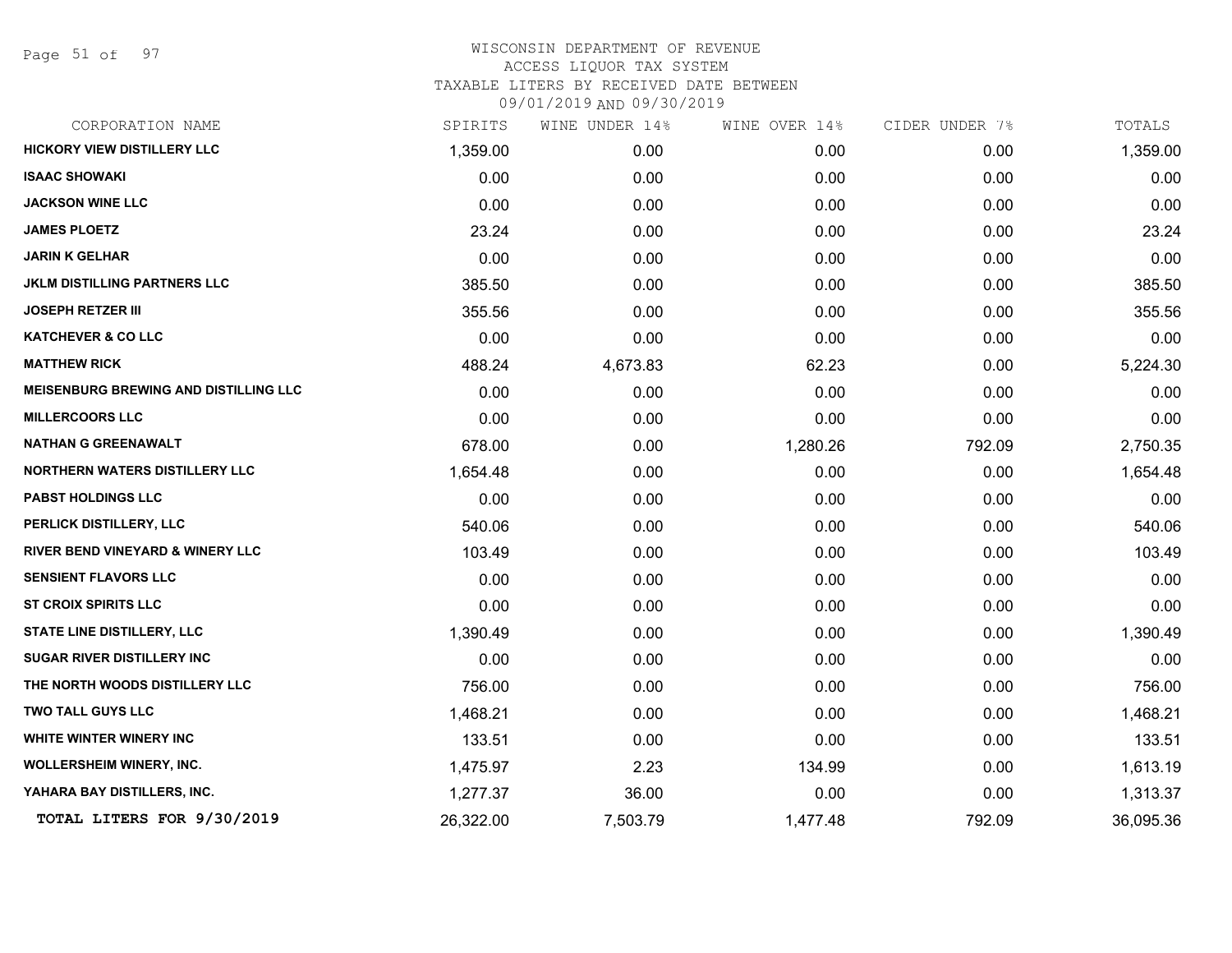Page 51 of 97

| CORPORATION NAME                             | SPIRITS   | WINE UNDER 14% | WINE OVER 14% | CIDER UNDER 7% | TOTALS    |
|----------------------------------------------|-----------|----------------|---------------|----------------|-----------|
| <b>HICKORY VIEW DISTILLERY LLC</b>           | 1,359.00  | 0.00           | 0.00          | 0.00           | 1,359.00  |
| <b>ISAAC SHOWAKI</b>                         | 0.00      | 0.00           | 0.00          | 0.00           | 0.00      |
| <b>JACKSON WINE LLC</b>                      | 0.00      | 0.00           | 0.00          | 0.00           | 0.00      |
| <b>JAMES PLOETZ</b>                          | 23.24     | 0.00           | 0.00          | 0.00           | 23.24     |
| <b>JARIN K GELHAR</b>                        | 0.00      | 0.00           | 0.00          | 0.00           | 0.00      |
| <b>JKLM DISTILLING PARTNERS LLC</b>          | 385.50    | 0.00           | 0.00          | 0.00           | 385.50    |
| <b>JOSEPH RETZER III</b>                     | 355.56    | 0.00           | 0.00          | 0.00           | 355.56    |
| <b>KATCHEVER &amp; CO LLC</b>                | 0.00      | 0.00           | 0.00          | 0.00           | 0.00      |
| <b>MATTHEW RICK</b>                          | 488.24    | 4,673.83       | 62.23         | 0.00           | 5,224.30  |
| <b>MEISENBURG BREWING AND DISTILLING LLC</b> | 0.00      | 0.00           | 0.00          | 0.00           | 0.00      |
| <b>MILLERCOORS LLC</b>                       | 0.00      | 0.00           | 0.00          | 0.00           | 0.00      |
| <b>NATHAN G GREENAWALT</b>                   | 678.00    | 0.00           | 1,280.26      | 792.09         | 2,750.35  |
| <b>NORTHERN WATERS DISTILLERY LLC</b>        | 1,654.48  | 0.00           | 0.00          | 0.00           | 1,654.48  |
| <b>PABST HOLDINGS LLC</b>                    | 0.00      | 0.00           | 0.00          | 0.00           | 0.00      |
| PERLICK DISTILLERY, LLC                      | 540.06    | 0.00           | 0.00          | 0.00           | 540.06    |
| <b>RIVER BEND VINEYARD &amp; WINERY LLC</b>  | 103.49    | 0.00           | 0.00          | 0.00           | 103.49    |
| <b>SENSIENT FLAVORS LLC</b>                  | 0.00      | 0.00           | 0.00          | 0.00           | 0.00      |
| <b>ST CROIX SPIRITS LLC</b>                  | 0.00      | 0.00           | 0.00          | 0.00           | 0.00      |
| STATE LINE DISTILLERY, LLC                   | 1,390.49  | 0.00           | 0.00          | 0.00           | 1,390.49  |
| <b>SUGAR RIVER DISTILLERY INC</b>            | 0.00      | 0.00           | 0.00          | 0.00           | 0.00      |
| THE NORTH WOODS DISTILLERY LLC               | 756.00    | 0.00           | 0.00          | 0.00           | 756.00    |
| <b>TWO TALL GUYS LLC</b>                     | 1,468.21  | 0.00           | 0.00          | 0.00           | 1,468.21  |
| WHITE WINTER WINERY INC                      | 133.51    | 0.00           | 0.00          | 0.00           | 133.51    |
| <b>WOLLERSHEIM WINERY, INC.</b>              | 1,475.97  | 2.23           | 134.99        | 0.00           | 1,613.19  |
| YAHARA BAY DISTILLERS, INC.                  | 1,277.37  | 36.00          | 0.00          | 0.00           | 1,313.37  |
| TOTAL LITERS FOR 9/30/2019                   | 26,322.00 | 7,503.79       | 1,477.48      | 792.09         | 36,095.36 |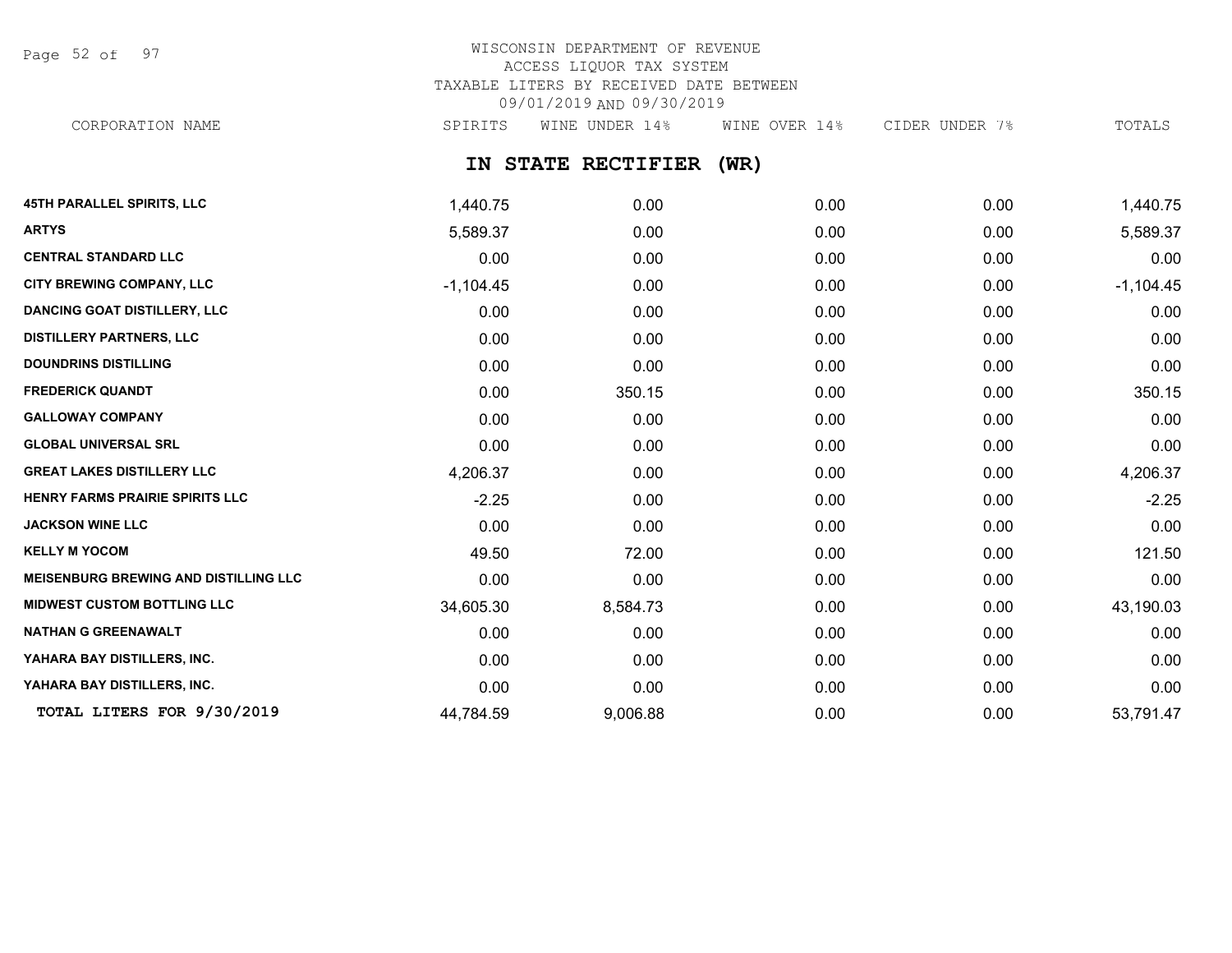Page 52 of 97

## WISCONSIN DEPARTMENT OF REVENUE ACCESS LIQUOR TAX SYSTEM TAXABLE LITERS BY RECEIVED DATE BETWEEN 09/01/2019 AND 09/30/2019 CORPORATION NAME SPIRITS WINE UNDER 14% WINE OVER 14% CIDER UNDER 7% TOTALS

**IN STATE RECTIFIER (WR)**

| <b>45TH PARALLEL SPIRITS, LLC</b>            | 1,440.75    | 0.00     | 0.00 | 0.00 | 1,440.75    |
|----------------------------------------------|-------------|----------|------|------|-------------|
| <b>ARTYS</b>                                 | 5,589.37    | 0.00     | 0.00 | 0.00 | 5,589.37    |
| <b>CENTRAL STANDARD LLC</b>                  | 0.00        | 0.00     | 0.00 | 0.00 | 0.00        |
| CITY BREWING COMPANY, LLC                    | $-1,104.45$ | 0.00     | 0.00 | 0.00 | $-1,104.45$ |
| <b>DANCING GOAT DISTILLERY, LLC</b>          | 0.00        | 0.00     | 0.00 | 0.00 | 0.00        |
| <b>DISTILLERY PARTNERS, LLC</b>              | 0.00        | 0.00     | 0.00 | 0.00 | 0.00        |
| <b>DOUNDRINS DISTILLING</b>                  | 0.00        | 0.00     | 0.00 | 0.00 | 0.00        |
| <b>FREDERICK QUANDT</b>                      | 0.00        | 350.15   | 0.00 | 0.00 | 350.15      |
| <b>GALLOWAY COMPANY</b>                      | 0.00        | 0.00     | 0.00 | 0.00 | 0.00        |
| <b>GLOBAL UNIVERSAL SRL</b>                  | 0.00        | 0.00     | 0.00 | 0.00 | 0.00        |
| <b>GREAT LAKES DISTILLERY LLC</b>            | 4,206.37    | 0.00     | 0.00 | 0.00 | 4,206.37    |
| HENRY FARMS PRAIRIE SPIRITS LLC              | $-2.25$     | 0.00     | 0.00 | 0.00 | $-2.25$     |
| <b>JACKSON WINE LLC</b>                      | 0.00        | 0.00     | 0.00 | 0.00 | 0.00        |
| <b>KELLY M YOCOM</b>                         | 49.50       | 72.00    | 0.00 | 0.00 | 121.50      |
| <b>MEISENBURG BREWING AND DISTILLING LLC</b> | 0.00        | 0.00     | 0.00 | 0.00 | 0.00        |
| <b>MIDWEST CUSTOM BOTTLING LLC</b>           | 34,605.30   | 8,584.73 | 0.00 | 0.00 | 43,190.03   |
| <b>NATHAN G GREENAWALT</b>                   | 0.00        | 0.00     | 0.00 | 0.00 | 0.00        |
| YAHARA BAY DISTILLERS, INC.                  | 0.00        | 0.00     | 0.00 | 0.00 | 0.00        |
| YAHARA BAY DISTILLERS, INC.                  | 0.00        | 0.00     | 0.00 | 0.00 | 0.00        |
| TOTAL LITERS FOR 9/30/2019                   | 44,784.59   | 9,006.88 | 0.00 | 0.00 | 53,791.47   |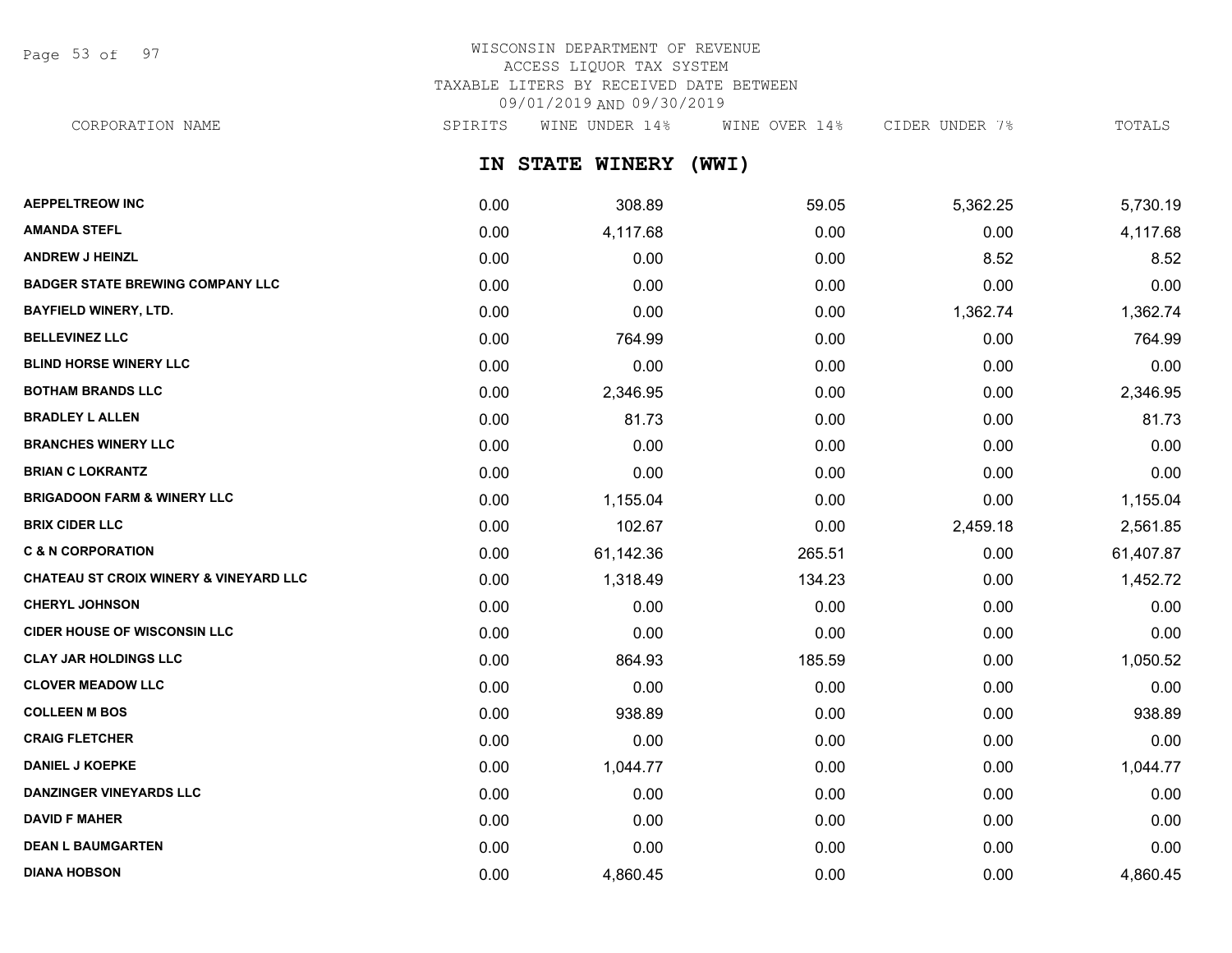Page 53 of 97

# WISCONSIN DEPARTMENT OF REVENUE ACCESS LIQUOR TAX SYSTEM TAXABLE LITERS BY RECEIVED DATE BETWEEN 09/01/2019 AND 09/30/2019

CORPORATION NAME SPIRITS WINE UNDER 14% WINE OVER 14% CIDER UNDER 7% TOTALS

**IN STATE WINERY (WWI)**

| <b>AEPPELTREOW INC</b>                            | 0.00 | 308.89    | 59.05  | 5,362.25 | 5,730.19  |
|---------------------------------------------------|------|-----------|--------|----------|-----------|
| <b>AMANDA STEFL</b>                               | 0.00 | 4,117.68  | 0.00   | 0.00     | 4,117.68  |
| <b>ANDREW J HEINZL</b>                            | 0.00 | 0.00      | 0.00   | 8.52     | 8.52      |
| <b>BADGER STATE BREWING COMPANY LLC</b>           | 0.00 | 0.00      | 0.00   | 0.00     | 0.00      |
| <b>BAYFIELD WINERY, LTD.</b>                      | 0.00 | 0.00      | 0.00   | 1,362.74 | 1,362.74  |
| <b>BELLEVINEZ LLC</b>                             | 0.00 | 764.99    | 0.00   | 0.00     | 764.99    |
| <b>BLIND HORSE WINERY LLC</b>                     | 0.00 | 0.00      | 0.00   | 0.00     | 0.00      |
| <b>BOTHAM BRANDS LLC</b>                          | 0.00 | 2,346.95  | 0.00   | 0.00     | 2,346.95  |
| <b>BRADLEY L ALLEN</b>                            | 0.00 | 81.73     | 0.00   | 0.00     | 81.73     |
| <b>BRANCHES WINERY LLC</b>                        | 0.00 | 0.00      | 0.00   | 0.00     | 0.00      |
| <b>BRIAN C LOKRANTZ</b>                           | 0.00 | 0.00      | 0.00   | 0.00     | 0.00      |
| <b>BRIGADOON FARM &amp; WINERY LLC</b>            | 0.00 | 1,155.04  | 0.00   | 0.00     | 1,155.04  |
| <b>BRIX CIDER LLC</b>                             | 0.00 | 102.67    | 0.00   | 2,459.18 | 2,561.85  |
| <b>C &amp; N CORPORATION</b>                      | 0.00 | 61,142.36 | 265.51 | 0.00     | 61,407.87 |
| <b>CHATEAU ST CROIX WINERY &amp; VINEYARD LLC</b> | 0.00 | 1,318.49  | 134.23 | 0.00     | 1,452.72  |
| <b>CHERYL JOHNSON</b>                             | 0.00 | 0.00      | 0.00   | 0.00     | 0.00      |
| <b>CIDER HOUSE OF WISCONSIN LLC</b>               | 0.00 | 0.00      | 0.00   | 0.00     | 0.00      |
| <b>CLAY JAR HOLDINGS LLC</b>                      | 0.00 | 864.93    | 185.59 | 0.00     | 1,050.52  |
| <b>CLOVER MEADOW LLC</b>                          | 0.00 | 0.00      | 0.00   | 0.00     | 0.00      |
| <b>COLLEEN M BOS</b>                              | 0.00 | 938.89    | 0.00   | 0.00     | 938.89    |
| <b>CRAIG FLETCHER</b>                             | 0.00 | 0.00      | 0.00   | 0.00     | 0.00      |
| <b>DANIEL J KOEPKE</b>                            | 0.00 | 1,044.77  | 0.00   | 0.00     | 1,044.77  |
| <b>DANZINGER VINEYARDS LLC</b>                    | 0.00 | 0.00      | 0.00   | 0.00     | 0.00      |
| <b>DAVID F MAHER</b>                              | 0.00 | 0.00      | 0.00   | 0.00     | 0.00      |
| <b>DEAN L BAUMGARTEN</b>                          | 0.00 | 0.00      | 0.00   | 0.00     | 0.00      |
| <b>DIANA HOBSON</b>                               | 0.00 | 4,860.45  | 0.00   | 0.00     | 4,860.45  |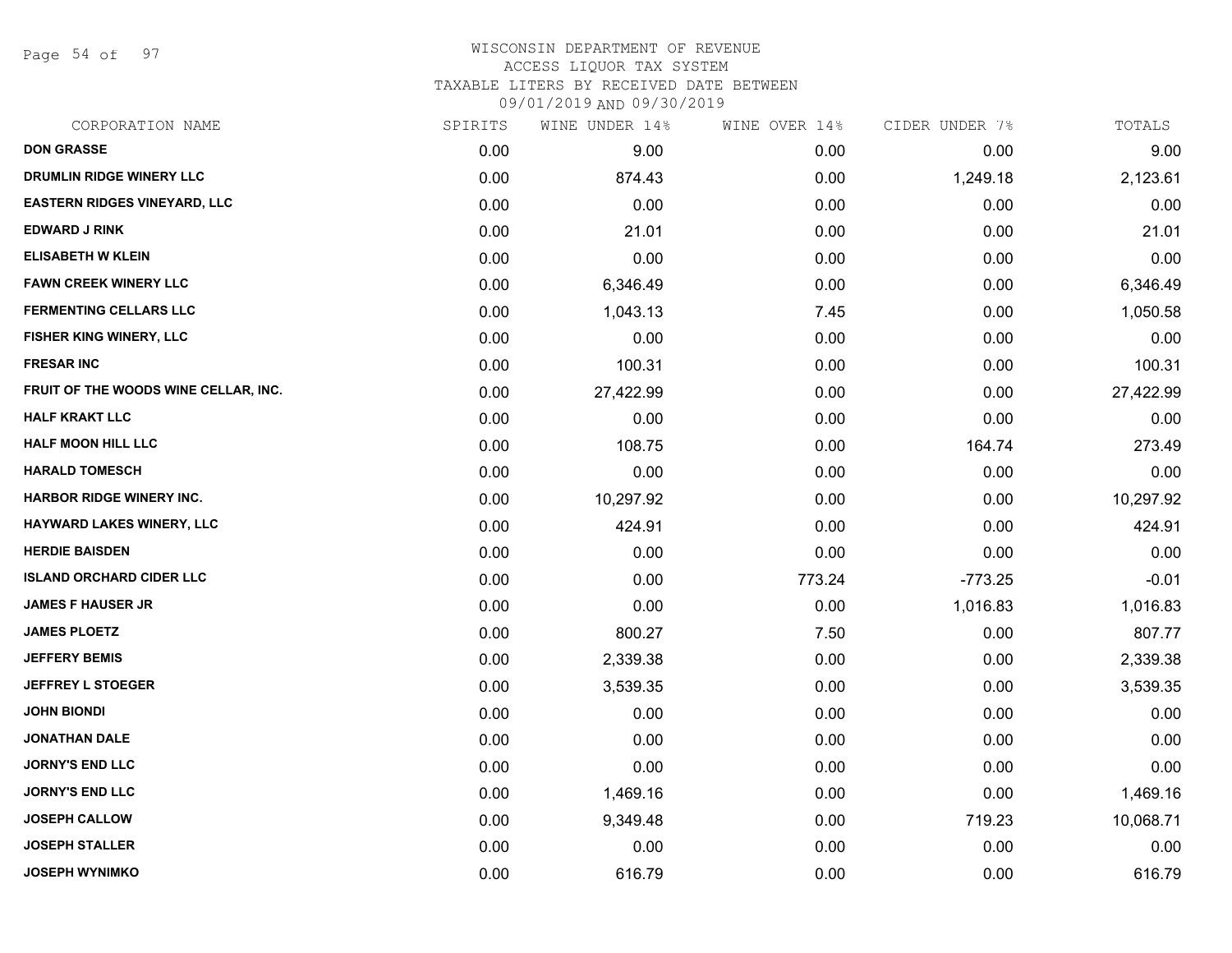Page 54 of 97

# WISCONSIN DEPARTMENT OF REVENUE ACCESS LIQUOR TAX SYSTEM TAXABLE LITERS BY RECEIVED DATE BETWEEN

09/01/2019 AND 09/30/2019

| CORPORATION NAME                     | SPIRITS | WINE UNDER 14% | WINE OVER 14% | CIDER UNDER 7% | TOTALS    |
|--------------------------------------|---------|----------------|---------------|----------------|-----------|
| <b>DON GRASSE</b>                    | 0.00    | 9.00           | 0.00          | 0.00           | 9.00      |
| DRUMLIN RIDGE WINERY LLC             | 0.00    | 874.43         | 0.00          | 1,249.18       | 2,123.61  |
| <b>EASTERN RIDGES VINEYARD, LLC</b>  | 0.00    | 0.00           | 0.00          | 0.00           | 0.00      |
| <b>EDWARD J RINK</b>                 | 0.00    | 21.01          | 0.00          | 0.00           | 21.01     |
| <b>ELISABETH W KLEIN</b>             | 0.00    | 0.00           | 0.00          | 0.00           | 0.00      |
| <b>FAWN CREEK WINERY LLC</b>         | 0.00    | 6,346.49       | 0.00          | 0.00           | 6,346.49  |
| <b>FERMENTING CELLARS LLC</b>        | 0.00    | 1,043.13       | 7.45          | 0.00           | 1,050.58  |
| FISHER KING WINERY, LLC              | 0.00    | 0.00           | 0.00          | 0.00           | 0.00      |
| <b>FRESAR INC</b>                    | 0.00    | 100.31         | 0.00          | 0.00           | 100.31    |
| FRUIT OF THE WOODS WINE CELLAR, INC. | 0.00    | 27,422.99      | 0.00          | 0.00           | 27,422.99 |
| <b>HALF KRAKT LLC</b>                | 0.00    | 0.00           | 0.00          | 0.00           | 0.00      |
| <b>HALF MOON HILL LLC</b>            | 0.00    | 108.75         | 0.00          | 164.74         | 273.49    |
| <b>HARALD TOMESCH</b>                | 0.00    | 0.00           | 0.00          | 0.00           | 0.00      |
| <b>HARBOR RIDGE WINERY INC.</b>      | 0.00    | 10,297.92      | 0.00          | 0.00           | 10,297.92 |
| HAYWARD LAKES WINERY, LLC            | 0.00    | 424.91         | 0.00          | 0.00           | 424.91    |
| <b>HERDIE BAISDEN</b>                | 0.00    | 0.00           | 0.00          | 0.00           | 0.00      |
| <b>ISLAND ORCHARD CIDER LLC</b>      | 0.00    | 0.00           | 773.24        | $-773.25$      | $-0.01$   |
| <b>JAMES F HAUSER JR</b>             | 0.00    | 0.00           | 0.00          | 1,016.83       | 1,016.83  |
| <b>JAMES PLOETZ</b>                  | 0.00    | 800.27         | 7.50          | 0.00           | 807.77    |
| <b>JEFFERY BEMIS</b>                 | 0.00    | 2,339.38       | 0.00          | 0.00           | 2,339.38  |
| <b>JEFFREY L STOEGER</b>             | 0.00    | 3,539.35       | 0.00          | 0.00           | 3,539.35  |
| <b>JOHN BIONDI</b>                   | 0.00    | 0.00           | 0.00          | 0.00           | 0.00      |
| <b>JONATHAN DALE</b>                 | 0.00    | 0.00           | 0.00          | 0.00           | 0.00      |
| <b>JORNY'S END LLC</b>               | 0.00    | 0.00           | 0.00          | 0.00           | 0.00      |
| <b>JORNY'S END LLC</b>               | 0.00    | 1,469.16       | 0.00          | 0.00           | 1,469.16  |
| <b>JOSEPH CALLOW</b>                 | 0.00    | 9,349.48       | 0.00          | 719.23         | 10,068.71 |
| <b>JOSEPH STALLER</b>                | 0.00    | 0.00           | 0.00          | 0.00           | 0.00      |
| <b>JOSEPH WYNIMKO</b>                | 0.00    | 616.79         | 0.00          | 0.00           | 616.79    |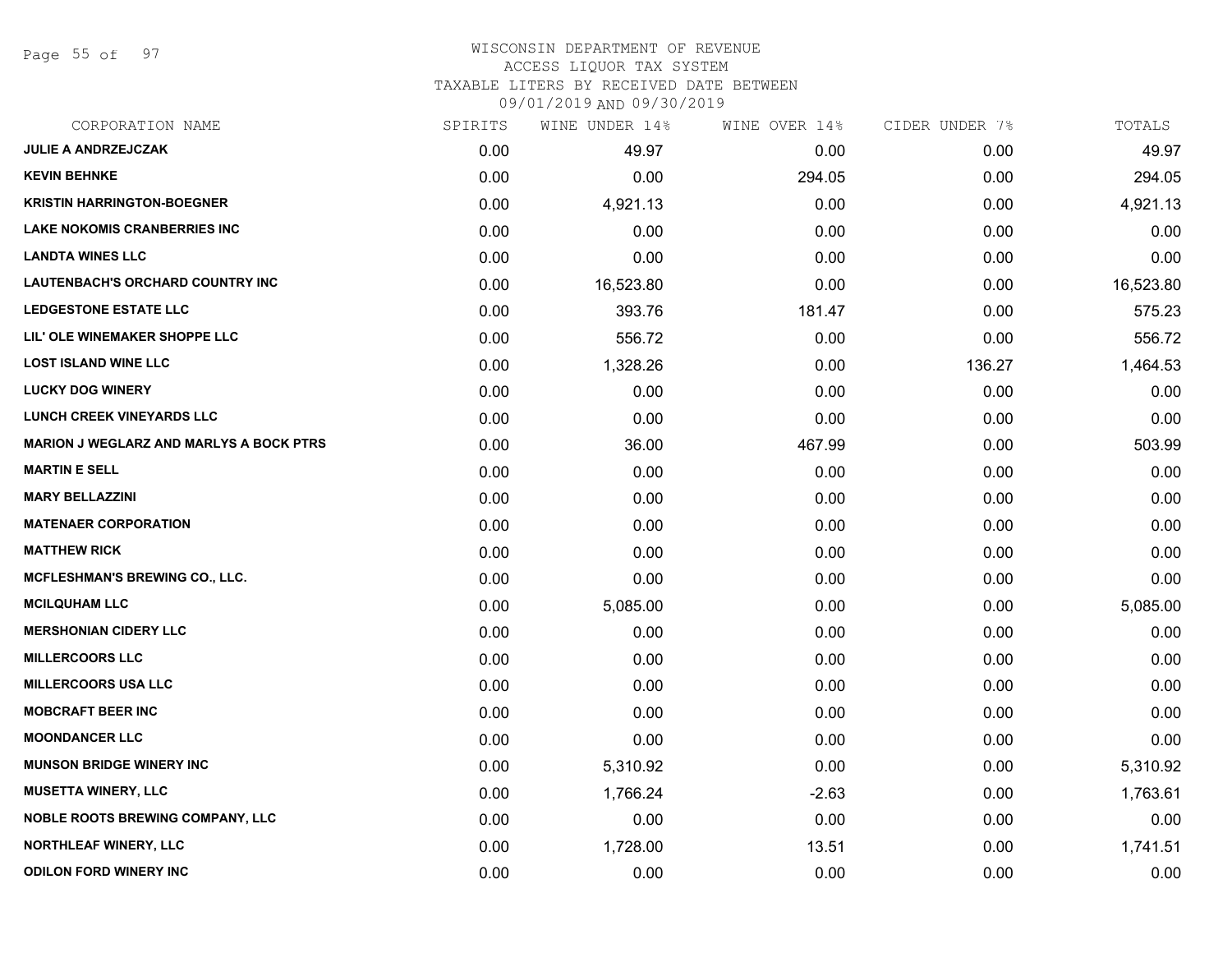Page 55 of 97

# WISCONSIN DEPARTMENT OF REVENUE ACCESS LIQUOR TAX SYSTEM

TAXABLE LITERS BY RECEIVED DATE BETWEEN

09/01/2019 AND 09/30/2019

| CORPORATION NAME                               | SPIRITS | WINE UNDER 14% | WINE OVER 14% | CIDER UNDER 7% | TOTALS    |
|------------------------------------------------|---------|----------------|---------------|----------------|-----------|
| <b>JULIE A ANDRZEJCZAK</b>                     | 0.00    | 49.97          | 0.00          | 0.00           | 49.97     |
| <b>KEVIN BEHNKE</b>                            | 0.00    | 0.00           | 294.05        | 0.00           | 294.05    |
| <b>KRISTIN HARRINGTON-BOEGNER</b>              | 0.00    | 4,921.13       | 0.00          | 0.00           | 4,921.13  |
| <b>LAKE NOKOMIS CRANBERRIES INC</b>            | 0.00    | 0.00           | 0.00          | 0.00           | 0.00      |
| <b>LANDTA WINES LLC</b>                        | 0.00    | 0.00           | 0.00          | 0.00           | 0.00      |
| <b>LAUTENBACH'S ORCHARD COUNTRY INC</b>        | 0.00    | 16,523.80      | 0.00          | 0.00           | 16,523.80 |
| <b>LEDGESTONE ESTATE LLC</b>                   | 0.00    | 393.76         | 181.47        | 0.00           | 575.23    |
| LIL' OLE WINEMAKER SHOPPE LLC                  | 0.00    | 556.72         | 0.00          | 0.00           | 556.72    |
| <b>LOST ISLAND WINE LLC</b>                    | 0.00    | 1,328.26       | 0.00          | 136.27         | 1,464.53  |
| <b>LUCKY DOG WINERY</b>                        | 0.00    | 0.00           | 0.00          | 0.00           | 0.00      |
| LUNCH CREEK VINEYARDS LLC                      | 0.00    | 0.00           | 0.00          | 0.00           | 0.00      |
| <b>MARION J WEGLARZ AND MARLYS A BOCK PTRS</b> | 0.00    | 36.00          | 467.99        | 0.00           | 503.99    |
| <b>MARTIN E SELL</b>                           | 0.00    | 0.00           | 0.00          | 0.00           | 0.00      |
| <b>MARY BELLAZZINI</b>                         | 0.00    | 0.00           | 0.00          | 0.00           | 0.00      |
| <b>MATENAER CORPORATION</b>                    | 0.00    | 0.00           | 0.00          | 0.00           | 0.00      |
| <b>MATTHEW RICK</b>                            | 0.00    | 0.00           | 0.00          | 0.00           | 0.00      |
| <b>MCFLESHMAN'S BREWING CO., LLC.</b>          | 0.00    | 0.00           | 0.00          | 0.00           | 0.00      |
| <b>MCILQUHAM LLC</b>                           | 0.00    | 5,085.00       | 0.00          | 0.00           | 5,085.00  |
| <b>MERSHONIAN CIDERY LLC</b>                   | 0.00    | 0.00           | 0.00          | 0.00           | 0.00      |
| <b>MILLERCOORS LLC</b>                         | 0.00    | 0.00           | 0.00          | 0.00           | 0.00      |
| <b>MILLERCOORS USA LLC</b>                     | 0.00    | 0.00           | 0.00          | 0.00           | 0.00      |
| <b>MOBCRAFT BEER INC</b>                       | 0.00    | 0.00           | 0.00          | 0.00           | 0.00      |
| <b>MOONDANCER LLC</b>                          | 0.00    | 0.00           | 0.00          | 0.00           | 0.00      |
| <b>MUNSON BRIDGE WINERY INC</b>                | 0.00    | 5,310.92       | 0.00          | 0.00           | 5,310.92  |
| <b>MUSETTA WINERY, LLC</b>                     | 0.00    | 1,766.24       | $-2.63$       | 0.00           | 1,763.61  |
| <b>NOBLE ROOTS BREWING COMPANY, LLC</b>        | 0.00    | 0.00           | 0.00          | 0.00           | 0.00      |
| <b>NORTHLEAF WINERY, LLC</b>                   | 0.00    | 1,728.00       | 13.51         | 0.00           | 1,741.51  |
| <b>ODILON FORD WINERY INC</b>                  | 0.00    | 0.00           | 0.00          | 0.00           | 0.00      |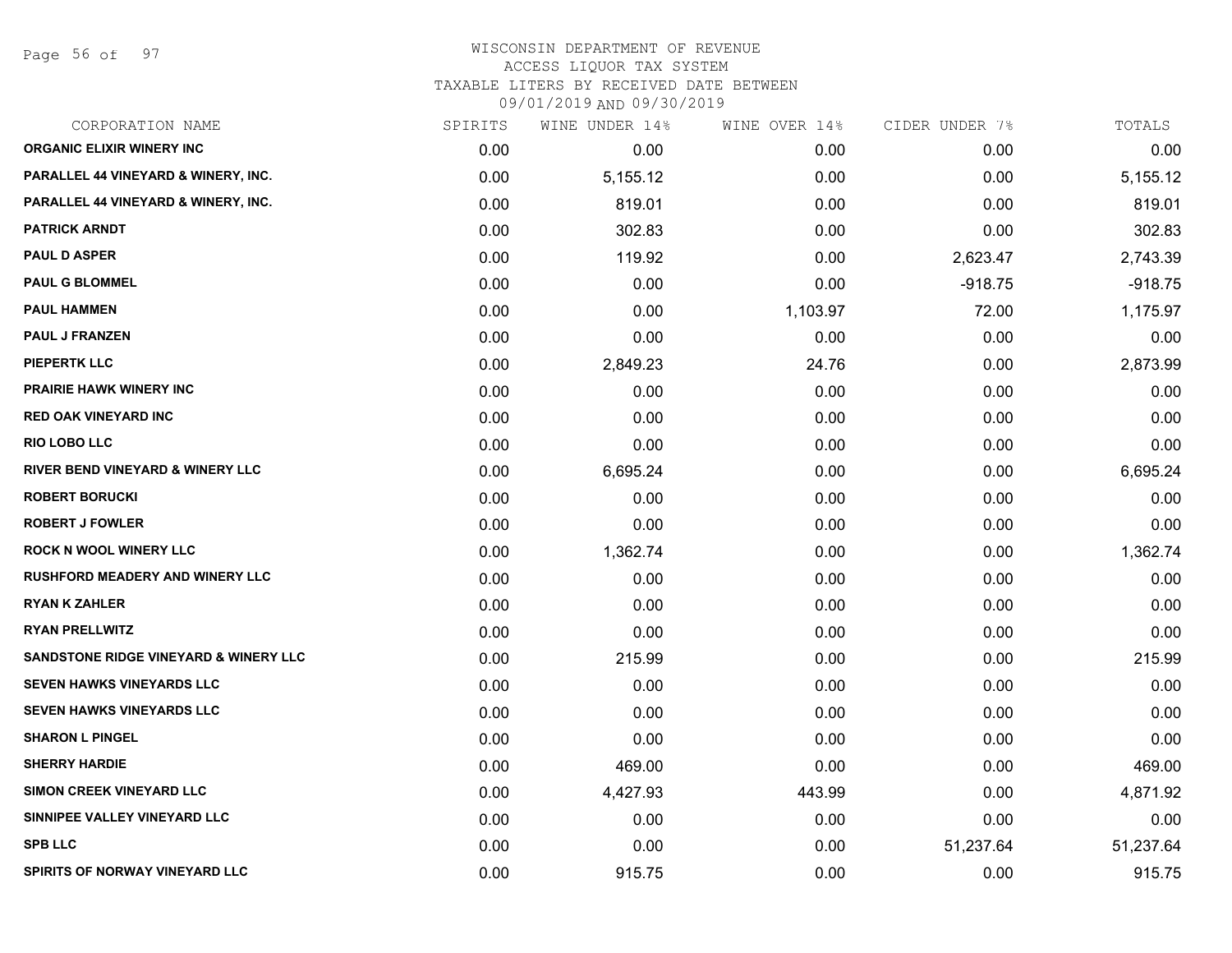Page 56 of 97

| CORPORATION NAME                            | SPIRITS | WINE UNDER 14% | WINE OVER 14% | CIDER UNDER 7% | TOTALS    |
|---------------------------------------------|---------|----------------|---------------|----------------|-----------|
| <b>ORGANIC ELIXIR WINERY INC</b>            | 0.00    | 0.00           | 0.00          | 0.00           | 0.00      |
| PARALLEL 44 VINEYARD & WINERY, INC.         | 0.00    | 5,155.12       | 0.00          | 0.00           | 5,155.12  |
| PARALLEL 44 VINEYARD & WINERY, INC.         | 0.00    | 819.01         | 0.00          | 0.00           | 819.01    |
| <b>PATRICK ARNDT</b>                        | 0.00    | 302.83         | 0.00          | 0.00           | 302.83    |
| <b>PAUL D ASPER</b>                         | 0.00    | 119.92         | 0.00          | 2,623.47       | 2,743.39  |
| <b>PAUL G BLOMMEL</b>                       | 0.00    | 0.00           | 0.00          | $-918.75$      | $-918.75$ |
| <b>PAUL HAMMEN</b>                          | 0.00    | 0.00           | 1,103.97      | 72.00          | 1,175.97  |
| <b>PAUL J FRANZEN</b>                       | 0.00    | 0.00           | 0.00          | 0.00           | 0.00      |
| <b>PIEPERTK LLC</b>                         | 0.00    | 2,849.23       | 24.76         | 0.00           | 2,873.99  |
| <b>PRAIRIE HAWK WINERY INC</b>              | 0.00    | 0.00           | 0.00          | 0.00           | 0.00      |
| RED OAK VINEYARD INC                        | 0.00    | 0.00           | 0.00          | 0.00           | 0.00      |
| <b>RIO LOBO LLC</b>                         | 0.00    | 0.00           | 0.00          | 0.00           | 0.00      |
| <b>RIVER BEND VINEYARD &amp; WINERY LLC</b> | 0.00    | 6,695.24       | 0.00          | 0.00           | 6,695.24  |
| <b>ROBERT BORUCKI</b>                       | 0.00    | 0.00           | 0.00          | 0.00           | 0.00      |
| <b>ROBERT J FOWLER</b>                      | 0.00    | 0.00           | 0.00          | 0.00           | 0.00      |
| <b>ROCK N WOOL WINERY LLC</b>               | 0.00    | 1,362.74       | 0.00          | 0.00           | 1,362.74  |
| <b>RUSHFORD MEADERY AND WINERY LLC</b>      | 0.00    | 0.00           | 0.00          | 0.00           | 0.00      |
| <b>RYAN K ZAHLER</b>                        | 0.00    | 0.00           | 0.00          | 0.00           | 0.00      |
| <b>RYAN PRELLWITZ</b>                       | 0.00    | 0.00           | 0.00          | 0.00           | 0.00      |
| SANDSTONE RIDGE VINEYARD & WINERY LLC       | 0.00    | 215.99         | 0.00          | 0.00           | 215.99    |
| <b>SEVEN HAWKS VINEYARDS LLC</b>            | 0.00    | 0.00           | 0.00          | 0.00           | 0.00      |
| SEVEN HAWKS VINEYARDS LLC                   | 0.00    | 0.00           | 0.00          | 0.00           | 0.00      |
| <b>SHARON L PINGEL</b>                      | 0.00    | 0.00           | 0.00          | 0.00           | 0.00      |
| <b>SHERRY HARDIE</b>                        | 0.00    | 469.00         | 0.00          | 0.00           | 469.00    |
| SIMON CREEK VINEYARD LLC                    | 0.00    | 4,427.93       | 443.99        | 0.00           | 4,871.92  |
| SINNIPEE VALLEY VINEYARD LLC                | 0.00    | 0.00           | 0.00          | 0.00           | 0.00      |
| <b>SPB LLC</b>                              | 0.00    | 0.00           | 0.00          | 51,237.64      | 51,237.64 |
| <b>SPIRITS OF NORWAY VINEYARD LLC</b>       | 0.00    | 915.75         | 0.00          | 0.00           | 915.75    |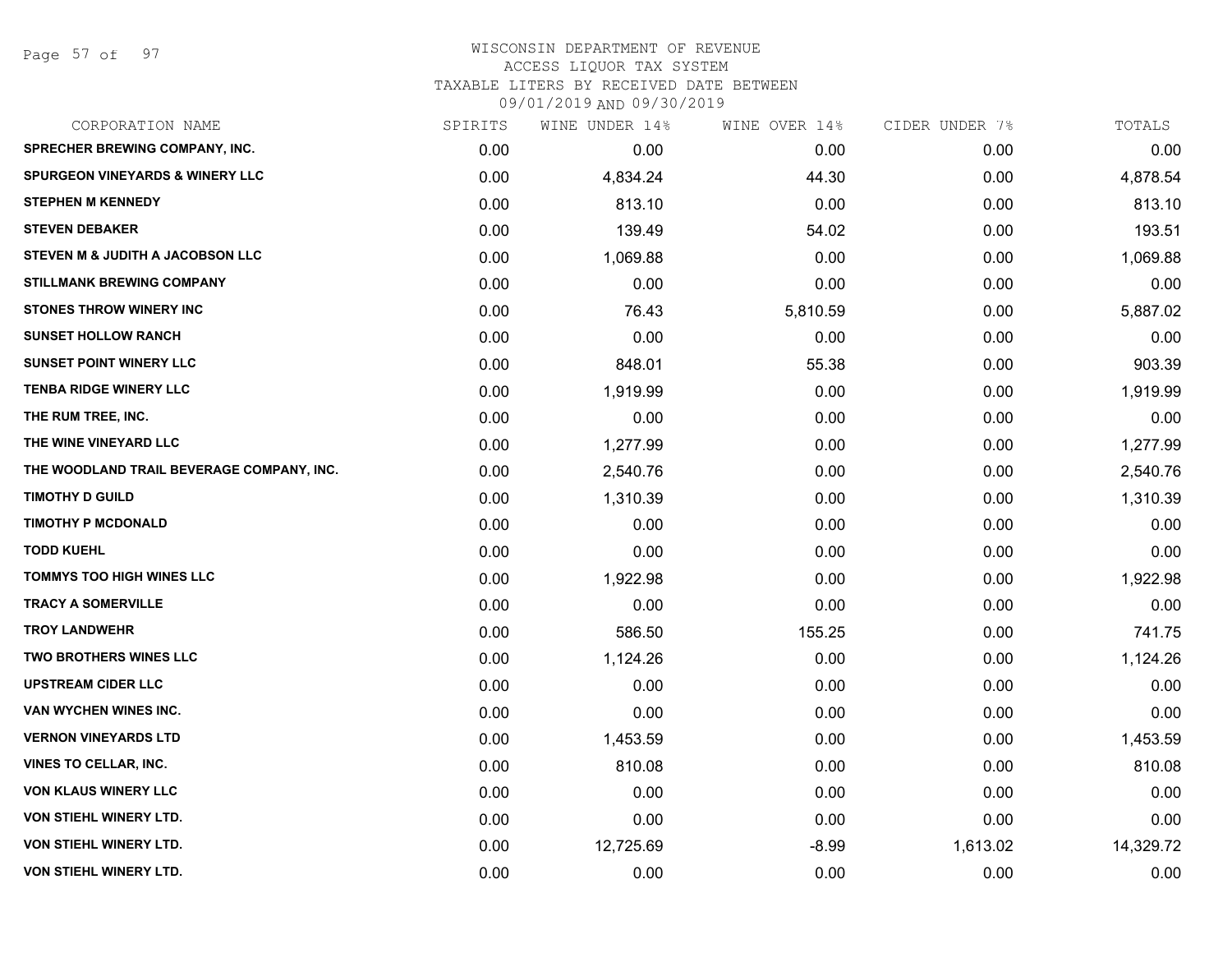Page 57 of 97

| CORPORATION NAME                          | SPIRITS | WINE UNDER 14% | WINE OVER 14% | CIDER UNDER 7% | TOTALS    |
|-------------------------------------------|---------|----------------|---------------|----------------|-----------|
| <b>SPRECHER BREWING COMPANY, INC.</b>     | 0.00    | 0.00           | 0.00          | 0.00           | 0.00      |
| SPURGEON VINEYARDS & WINERY LLC           | 0.00    | 4,834.24       | 44.30         | 0.00           | 4,878.54  |
| <b>STEPHEN M KENNEDY</b>                  | 0.00    | 813.10         | 0.00          | 0.00           | 813.10    |
| <b>STEVEN DEBAKER</b>                     | 0.00    | 139.49         | 54.02         | 0.00           | 193.51    |
| STEVEN M & JUDITH A JACOBSON LLC          | 0.00    | 1,069.88       | 0.00          | 0.00           | 1,069.88  |
| <b>STILLMANK BREWING COMPANY</b>          | 0.00    | 0.00           | 0.00          | 0.00           | 0.00      |
| STONES THROW WINERY INC                   | 0.00    | 76.43          | 5,810.59      | 0.00           | 5,887.02  |
| <b>SUNSET HOLLOW RANCH</b>                | 0.00    | 0.00           | 0.00          | 0.00           | 0.00      |
| <b>SUNSET POINT WINERY LLC</b>            | 0.00    | 848.01         | 55.38         | 0.00           | 903.39    |
| <b>TENBA RIDGE WINERY LLC</b>             | 0.00    | 1,919.99       | 0.00          | 0.00           | 1,919.99  |
| THE RUM TREE, INC.                        | 0.00    | 0.00           | 0.00          | 0.00           | 0.00      |
| THE WINE VINEYARD LLC                     | 0.00    | 1,277.99       | 0.00          | 0.00           | 1,277.99  |
| THE WOODLAND TRAIL BEVERAGE COMPANY, INC. | 0.00    | 2,540.76       | 0.00          | 0.00           | 2,540.76  |
| <b>TIMOTHY D GUILD</b>                    | 0.00    | 1,310.39       | 0.00          | 0.00           | 1,310.39  |
| <b>TIMOTHY P MCDONALD</b>                 | 0.00    | 0.00           | 0.00          | 0.00           | 0.00      |
| <b>TODD KUEHL</b>                         | 0.00    | 0.00           | 0.00          | 0.00           | 0.00      |
| <b>TOMMYS TOO HIGH WINES LLC</b>          | 0.00    | 1,922.98       | 0.00          | 0.00           | 1,922.98  |
| <b>TRACY A SOMERVILLE</b>                 | 0.00    | 0.00           | 0.00          | 0.00           | 0.00      |
| <b>TROY LANDWEHR</b>                      | 0.00    | 586.50         | 155.25        | 0.00           | 741.75    |
| <b>TWO BROTHERS WINES LLC</b>             | 0.00    | 1,124.26       | 0.00          | 0.00           | 1,124.26  |
| <b>UPSTREAM CIDER LLC</b>                 | 0.00    | 0.00           | 0.00          | 0.00           | 0.00      |
| VAN WYCHEN WINES INC.                     | 0.00    | 0.00           | 0.00          | 0.00           | 0.00      |
| <b>VERNON VINEYARDS LTD</b>               | 0.00    | 1,453.59       | 0.00          | 0.00           | 1,453.59  |
| <b>VINES TO CELLAR, INC.</b>              | 0.00    | 810.08         | 0.00          | 0.00           | 810.08    |
| <b>VON KLAUS WINERY LLC</b>               | 0.00    | 0.00           | 0.00          | 0.00           | 0.00      |
| VON STIEHL WINERY LTD.                    | 0.00    | 0.00           | 0.00          | 0.00           | 0.00      |
| VON STIEHL WINERY LTD.                    | 0.00    | 12,725.69      | $-8.99$       | 1,613.02       | 14,329.72 |
| VON STIEHL WINERY LTD.                    | 0.00    | 0.00           | 0.00          | 0.00           | 0.00      |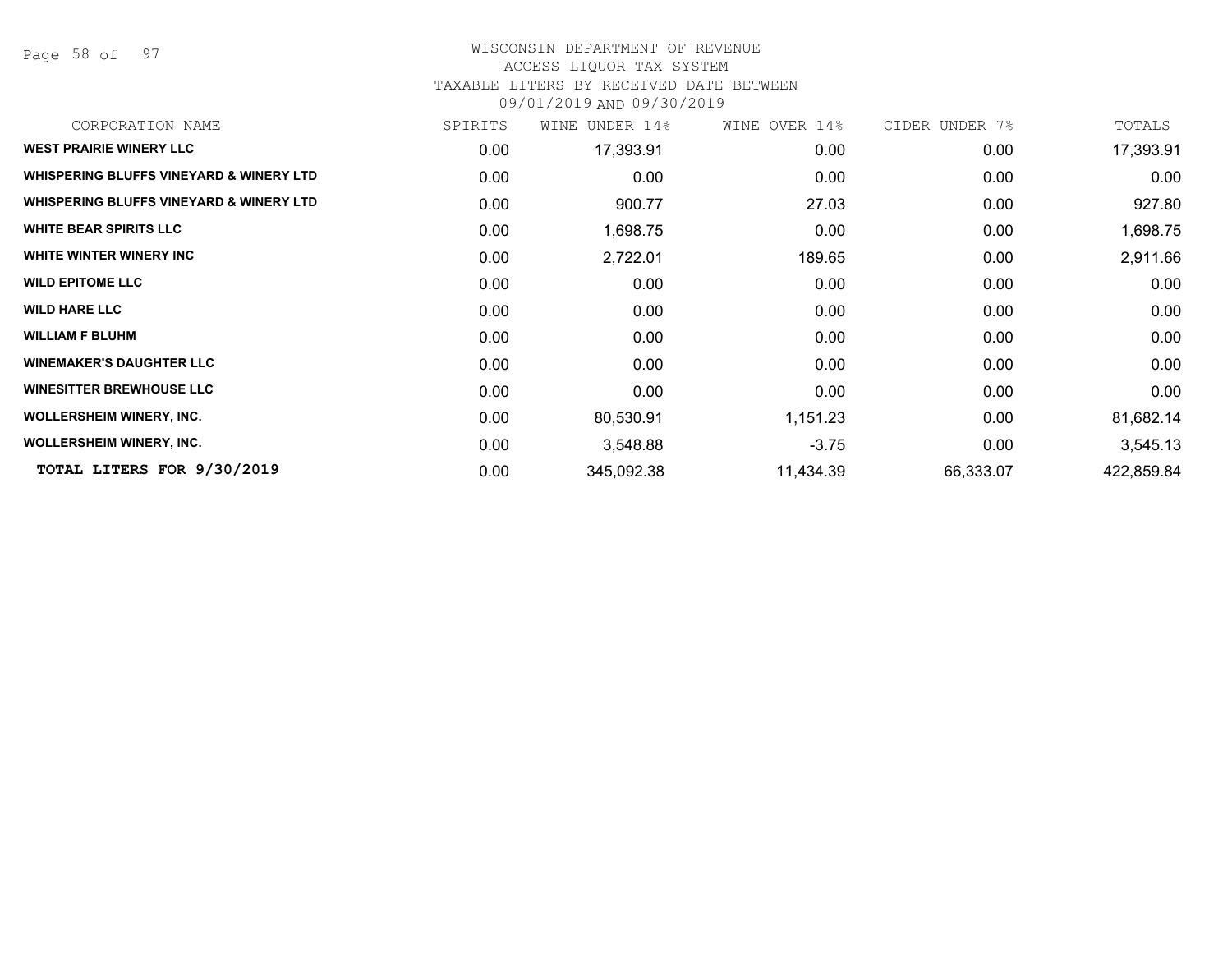Page 58 of 97

#### WISCONSIN DEPARTMENT OF REVENUE ACCESS LIQUOR TAX SYSTEM

# TAXABLE LITERS BY RECEIVED DATE BETWEEN

09/01/2019 AND 09/30/2019

| CORPORATION NAME                                   | SPIRITS | WINE<br>UNDER 14% | WINE OVER 14% | CIDER UNDER 7% | TOTALS     |
|----------------------------------------------------|---------|-------------------|---------------|----------------|------------|
| <b>WEST PRAIRIE WINERY LLC</b>                     | 0.00    | 17,393.91         | 0.00          | 0.00           | 17,393.91  |
| WHISPERING BLUFFS VINEYARD & WINERY LTD            | 0.00    | 0.00              | 0.00          | 0.00           | 0.00       |
| <b>WHISPERING BLUFFS VINEYARD &amp; WINERY LTD</b> | 0.00    | 900.77            | 27.03         | 0.00           | 927.80     |
| <b>WHITE BEAR SPIRITS LLC</b>                      | 0.00    | 1,698.75          | 0.00          | 0.00           | 1,698.75   |
| WHITE WINTER WINERY INC                            | 0.00    | 2,722.01          | 189.65        | 0.00           | 2,911.66   |
| <b>WILD EPITOME LLC</b>                            | 0.00    | 0.00              | 0.00          | 0.00           | 0.00       |
| <b>WILD HARE LLC</b>                               | 0.00    | 0.00              | 0.00          | 0.00           | 0.00       |
| <b>WILLIAM F BLUHM</b>                             | 0.00    | 0.00              | 0.00          | 0.00           | 0.00       |
| <b>WINEMAKER'S DAUGHTER LLC</b>                    | 0.00    | 0.00              | 0.00          | 0.00           | 0.00       |
| <b>WINESITTER BREWHOUSE LLC</b>                    | 0.00    | 0.00              | 0.00          | 0.00           | 0.00       |
| <b>WOLLERSHEIM WINERY, INC.</b>                    | 0.00    | 80,530.91         | 1,151.23      | 0.00           | 81,682.14  |
| <b>WOLLERSHEIM WINERY, INC.</b>                    | 0.00    | 3,548.88          | $-3.75$       | 0.00           | 3,545.13   |
| TOTAL LITERS FOR 9/30/2019                         | 0.00    | 345,092.38        | 11,434.39     | 66,333.07      | 422,859.84 |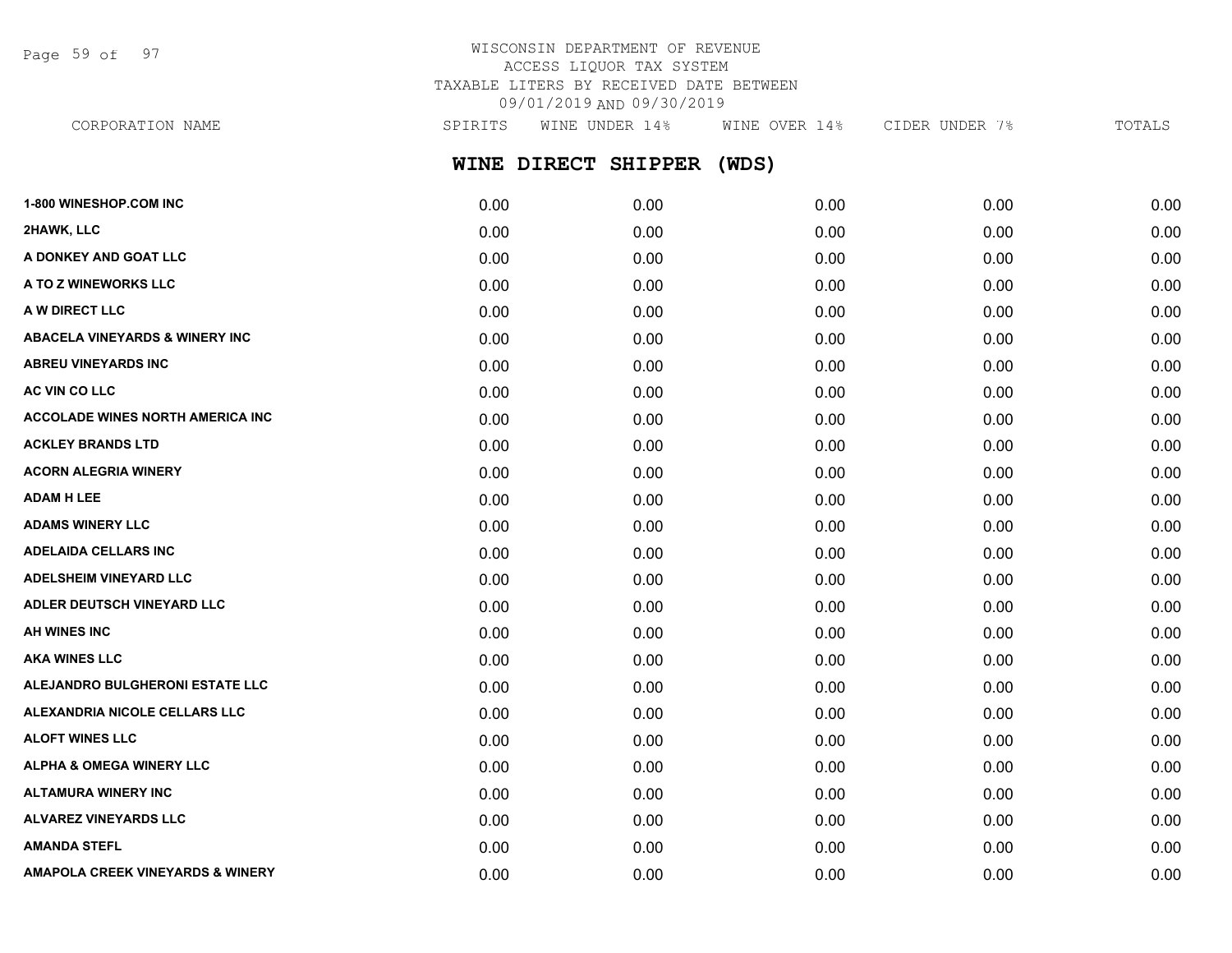Page 59 of 97

# WISCONSIN DEPARTMENT OF REVENUE ACCESS LIQUOR TAX SYSTEM TAXABLE LITERS BY RECEIVED DATE BETWEEN 09/01/2019 AND 09/30/2019

**WINE DIRECT SHIPPER (WDS) 1-800 WINESHOP.COM INC** 0.00 0.00 0.00 0.00 0.00 **2HAWK, LLC** 0.00 0.00 0.00 0.00 0.00 **A DONKEY AND GOAT LLC**  $\begin{array}{cccc} 0.00 & 0.00 & 0.00 & 0.00 & 0.00 & 0.00 & 0.00 \end{array}$ **A TO Z WINEWORKS LLC** 0.00 0.00 0.00 0.00 0.00 **A W DIRECT LLC** 0.00 0.00 0.00 0.00 0.00 **ABACELA VINEYARDS & WINERY INC** 0.00 0.00 0.00 0.00 0.00 **ABREU VINEYARDS INC** 0.00 0.00 0.00 0.00 0.00 **AC VIN CO LLC** 0.00 0.00 0.00 0.00 0.00 **ACCOLADE WINES NORTH AMERICA INC** 0.00 0.00 0.00 0.00 0.00 **ACKLEY BRANDS LTD** 0.00 0.00 0.00 0.00 0.00 **ACORN ALEGRIA WINERY** 0.00 0.00 0.00 0.00 0.00 **ADAM H LEE** 0.00 0.00 0.00 0.00 0.00 **ADAMS WINERY LLC** 0.00 0.00 0.00 0.00 0.00 **ADELAIDA CELLARS INC** 0.00 0.00 0.00 0.00 0.00 **ADELSHEIM VINEYARD LLC** 0.00 0.00 0.00 0.00 0.00 **ADLER DEUTSCH VINEYARD LLC** 0.00 0.00 0.00 0.00 0.00 **AH WINES INC** 0.00 0.00 0.00 0.00 0.00 **AKA WINES LLC** 0.00 0.00 0.00 0.00 0.00 **ALEJANDRO BULGHERONI ESTATE LLC** 0.00 0.00 0.00 0.00 0.00 **ALEXANDRIA NICOLE CELLARS LLC** 0.00 0.00 0.00 0.00 0.00 **ALOFT WINES LLC** 0.00 0.00 0.00 0.00 0.00 **ALPHA & OMEGA WINERY LLC** 0.00 0.00 0.00 0.00 0.00 **ALTAMURA WINERY INC** 0.00 0.00 0.00 0.00 0.00 **ALVAREZ VINEYARDS LLC** 0.00 0.00 0.00 0.00 0.00 CORPORATION NAME SPIRITS WINE UNDER 14% WINE OVER 14% CIDER UNDER 7% TOTALS

**AMANDA STEFL** 0.00 0.00 0.00 0.00 0.00 **AMAPOLA CREEK VINEYARDS & WINERY** 0.00 0.00 0.00 0.00 0.00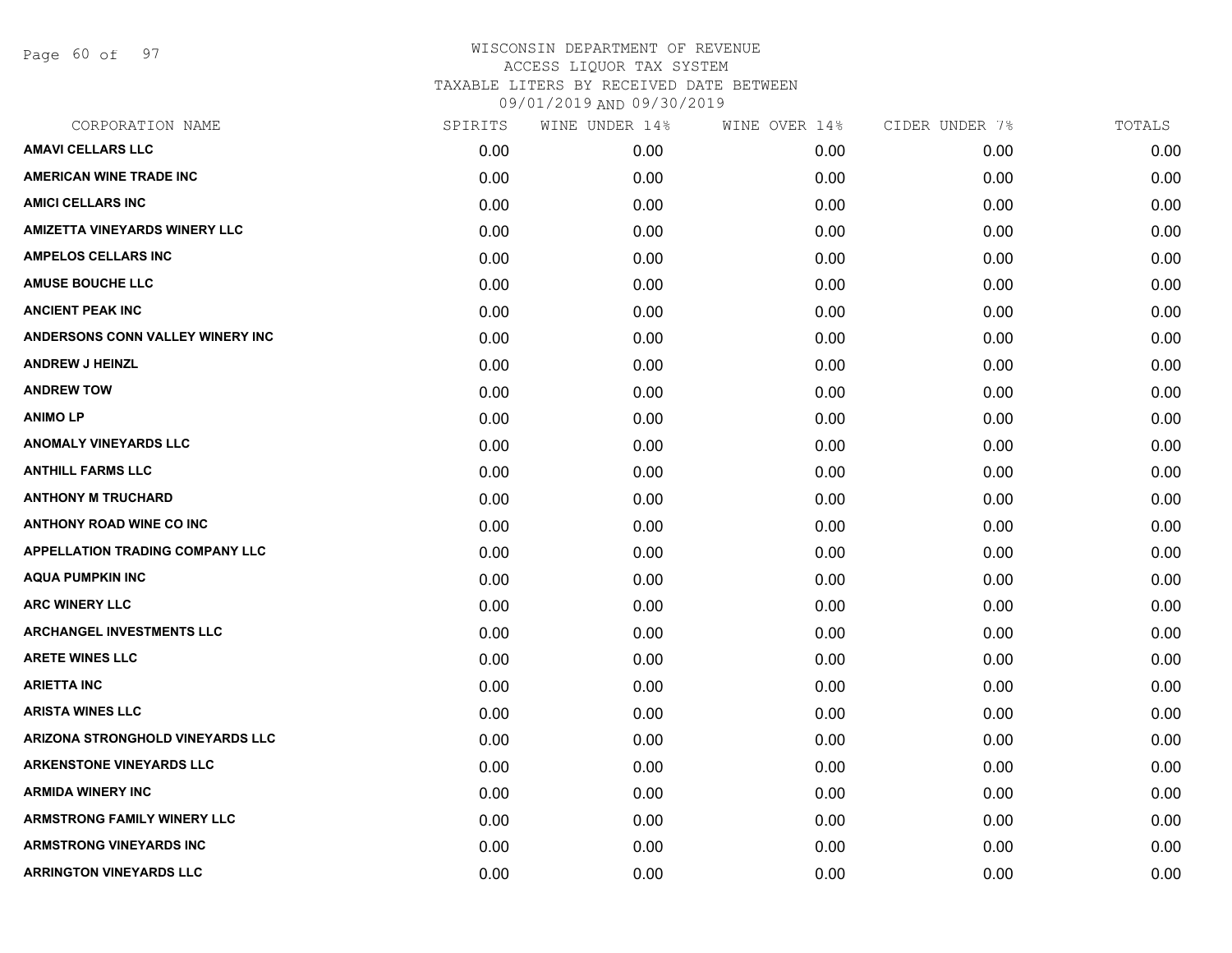Page 60 of 97

| CORPORATION NAME                       | SPIRITS | WINE UNDER 14% | WINE OVER 14% | CIDER UNDER 7% | TOTALS |
|----------------------------------------|---------|----------------|---------------|----------------|--------|
| <b>AMAVI CELLARS LLC</b>               | 0.00    | 0.00           | 0.00          | 0.00           | 0.00   |
| <b>AMERICAN WINE TRADE INC</b>         | 0.00    | 0.00           | 0.00          | 0.00           | 0.00   |
| <b>AMICI CELLARS INC</b>               | 0.00    | 0.00           | 0.00          | 0.00           | 0.00   |
| <b>AMIZETTA VINEYARDS WINERY LLC</b>   | 0.00    | 0.00           | 0.00          | 0.00           | 0.00   |
| <b>AMPELOS CELLARS INC</b>             | 0.00    | 0.00           | 0.00          | 0.00           | 0.00   |
| <b>AMUSE BOUCHE LLC</b>                | 0.00    | 0.00           | 0.00          | 0.00           | 0.00   |
| <b>ANCIENT PEAK INC</b>                | 0.00    | 0.00           | 0.00          | 0.00           | 0.00   |
| ANDERSONS CONN VALLEY WINERY INC       | 0.00    | 0.00           | 0.00          | 0.00           | 0.00   |
| <b>ANDREW J HEINZL</b>                 | 0.00    | 0.00           | 0.00          | 0.00           | 0.00   |
| <b>ANDREW TOW</b>                      | 0.00    | 0.00           | 0.00          | 0.00           | 0.00   |
| <b>ANIMOLP</b>                         | 0.00    | 0.00           | 0.00          | 0.00           | 0.00   |
| <b>ANOMALY VINEYARDS LLC</b>           | 0.00    | 0.00           | 0.00          | 0.00           | 0.00   |
| <b>ANTHILL FARMS LLC</b>               | 0.00    | 0.00           | 0.00          | 0.00           | 0.00   |
| <b>ANTHONY M TRUCHARD</b>              | 0.00    | 0.00           | 0.00          | 0.00           | 0.00   |
| <b>ANTHONY ROAD WINE CO INC</b>        | 0.00    | 0.00           | 0.00          | 0.00           | 0.00   |
| <b>APPELLATION TRADING COMPANY LLC</b> | 0.00    | 0.00           | 0.00          | 0.00           | 0.00   |
| <b>AQUA PUMPKIN INC</b>                | 0.00    | 0.00           | 0.00          | 0.00           | 0.00   |
| <b>ARC WINERY LLC</b>                  | 0.00    | 0.00           | 0.00          | 0.00           | 0.00   |
| <b>ARCHANGEL INVESTMENTS LLC</b>       | 0.00    | 0.00           | 0.00          | 0.00           | 0.00   |
| <b>ARETE WINES LLC</b>                 | 0.00    | 0.00           | 0.00          | 0.00           | 0.00   |
| <b>ARIETTA INC</b>                     | 0.00    | 0.00           | 0.00          | 0.00           | 0.00   |
| <b>ARISTA WINES LLC</b>                | 0.00    | 0.00           | 0.00          | 0.00           | 0.00   |
| ARIZONA STRONGHOLD VINEYARDS LLC       | 0.00    | 0.00           | 0.00          | 0.00           | 0.00   |
| <b>ARKENSTONE VINEYARDS LLC</b>        | 0.00    | 0.00           | 0.00          | 0.00           | 0.00   |
| <b>ARMIDA WINERY INC</b>               | 0.00    | 0.00           | 0.00          | 0.00           | 0.00   |
| <b>ARMSTRONG FAMILY WINERY LLC</b>     | 0.00    | 0.00           | 0.00          | 0.00           | 0.00   |
| <b>ARMSTRONG VINEYARDS INC</b>         | 0.00    | 0.00           | 0.00          | 0.00           | 0.00   |
| <b>ARRINGTON VINEYARDS LLC</b>         | 0.00    | 0.00           | 0.00          | 0.00           | 0.00   |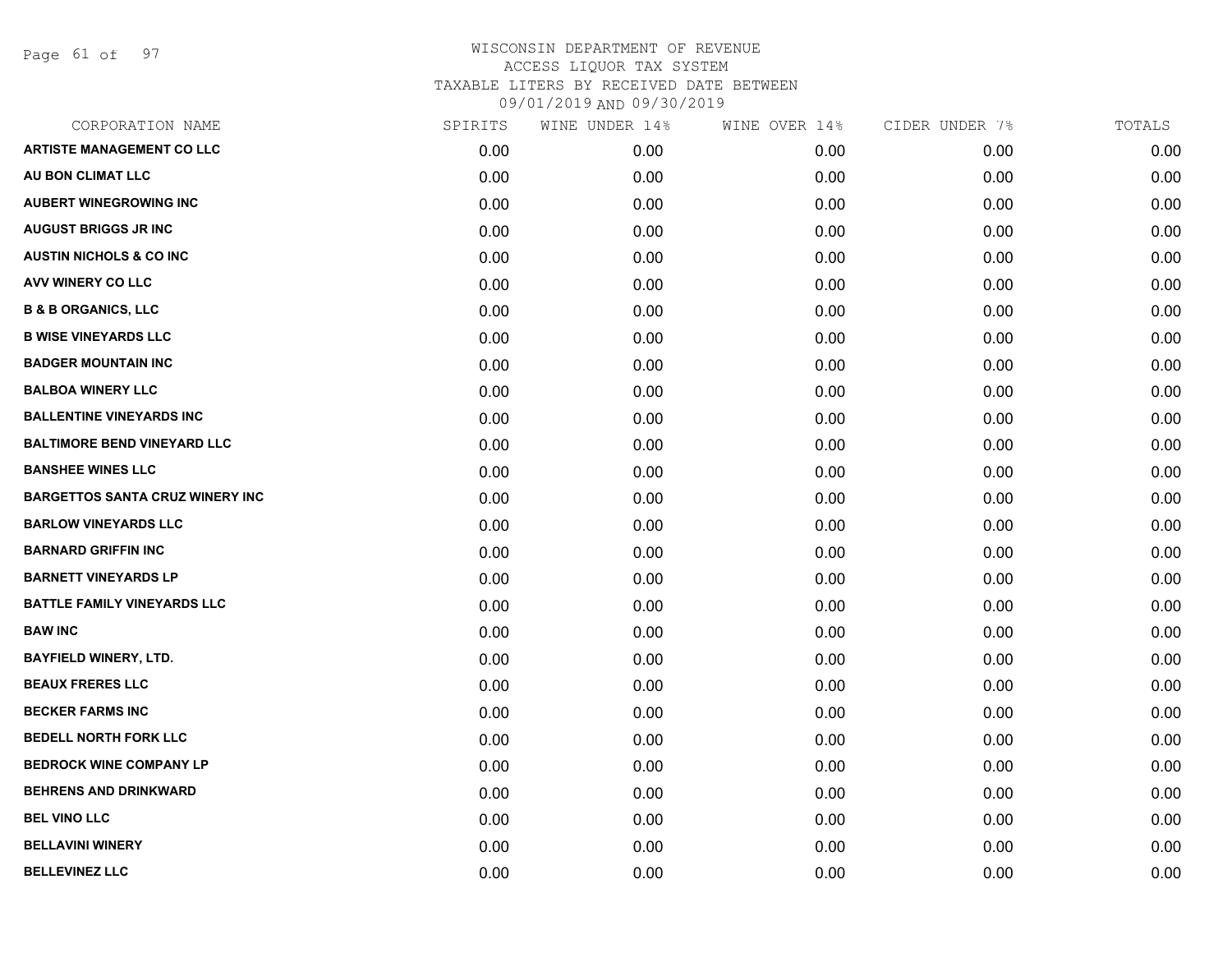Page 61 of 97

| CORPORATION NAME                       | SPIRITS | WINE UNDER 14% | WINE OVER 14% | CIDER UNDER 7% | TOTALS |
|----------------------------------------|---------|----------------|---------------|----------------|--------|
| <b>ARTISTE MANAGEMENT CO LLC</b>       | 0.00    | 0.00           | 0.00          | 0.00           | 0.00   |
| AU BON CLIMAT LLC                      | 0.00    | 0.00           | 0.00          | 0.00           | 0.00   |
| <b>AUBERT WINEGROWING INC</b>          | 0.00    | 0.00           | 0.00          | 0.00           | 0.00   |
| <b>AUGUST BRIGGS JR INC</b>            | 0.00    | 0.00           | 0.00          | 0.00           | 0.00   |
| <b>AUSTIN NICHOLS &amp; CO INC</b>     | 0.00    | 0.00           | 0.00          | 0.00           | 0.00   |
| AVV WINERY CO LLC                      | 0.00    | 0.00           | 0.00          | 0.00           | 0.00   |
| <b>B &amp; B ORGANICS, LLC</b>         | 0.00    | 0.00           | 0.00          | 0.00           | 0.00   |
| <b>B WISE VINEYARDS LLC</b>            | 0.00    | 0.00           | 0.00          | 0.00           | 0.00   |
| <b>BADGER MOUNTAIN INC</b>             | 0.00    | 0.00           | 0.00          | 0.00           | 0.00   |
| <b>BALBOA WINERY LLC</b>               | 0.00    | 0.00           | 0.00          | 0.00           | 0.00   |
| <b>BALLENTINE VINEYARDS INC</b>        | 0.00    | 0.00           | 0.00          | 0.00           | 0.00   |
| <b>BALTIMORE BEND VINEYARD LLC</b>     | 0.00    | 0.00           | 0.00          | 0.00           | 0.00   |
| <b>BANSHEE WINES LLC</b>               | 0.00    | 0.00           | 0.00          | 0.00           | 0.00   |
| <b>BARGETTOS SANTA CRUZ WINERY INC</b> | 0.00    | 0.00           | 0.00          | 0.00           | 0.00   |
| <b>BARLOW VINEYARDS LLC</b>            | 0.00    | 0.00           | 0.00          | 0.00           | 0.00   |
| <b>BARNARD GRIFFIN INC</b>             | 0.00    | 0.00           | 0.00          | 0.00           | 0.00   |
| <b>BARNETT VINEYARDS LP</b>            | 0.00    | 0.00           | 0.00          | 0.00           | 0.00   |
| <b>BATTLE FAMILY VINEYARDS LLC</b>     | 0.00    | 0.00           | 0.00          | 0.00           | 0.00   |
| <b>BAW INC</b>                         | 0.00    | 0.00           | 0.00          | 0.00           | 0.00   |
| <b>BAYFIELD WINERY, LTD.</b>           | 0.00    | 0.00           | 0.00          | 0.00           | 0.00   |
| <b>BEAUX FRERES LLC</b>                | 0.00    | 0.00           | 0.00          | 0.00           | 0.00   |
| <b>BECKER FARMS INC</b>                | 0.00    | 0.00           | 0.00          | 0.00           | 0.00   |
| <b>BEDELL NORTH FORK LLC</b>           | 0.00    | 0.00           | 0.00          | 0.00           | 0.00   |
| <b>BEDROCK WINE COMPANY LP</b>         | 0.00    | 0.00           | 0.00          | 0.00           | 0.00   |
| <b>BEHRENS AND DRINKWARD</b>           | 0.00    | 0.00           | 0.00          | 0.00           | 0.00   |
| <b>BEL VINO LLC</b>                    | 0.00    | 0.00           | 0.00          | 0.00           | 0.00   |
| <b>BELLAVINI WINERY</b>                | 0.00    | 0.00           | 0.00          | 0.00           | 0.00   |
| <b>BELLEVINEZ LLC</b>                  | 0.00    | 0.00           | 0.00          | 0.00           | 0.00   |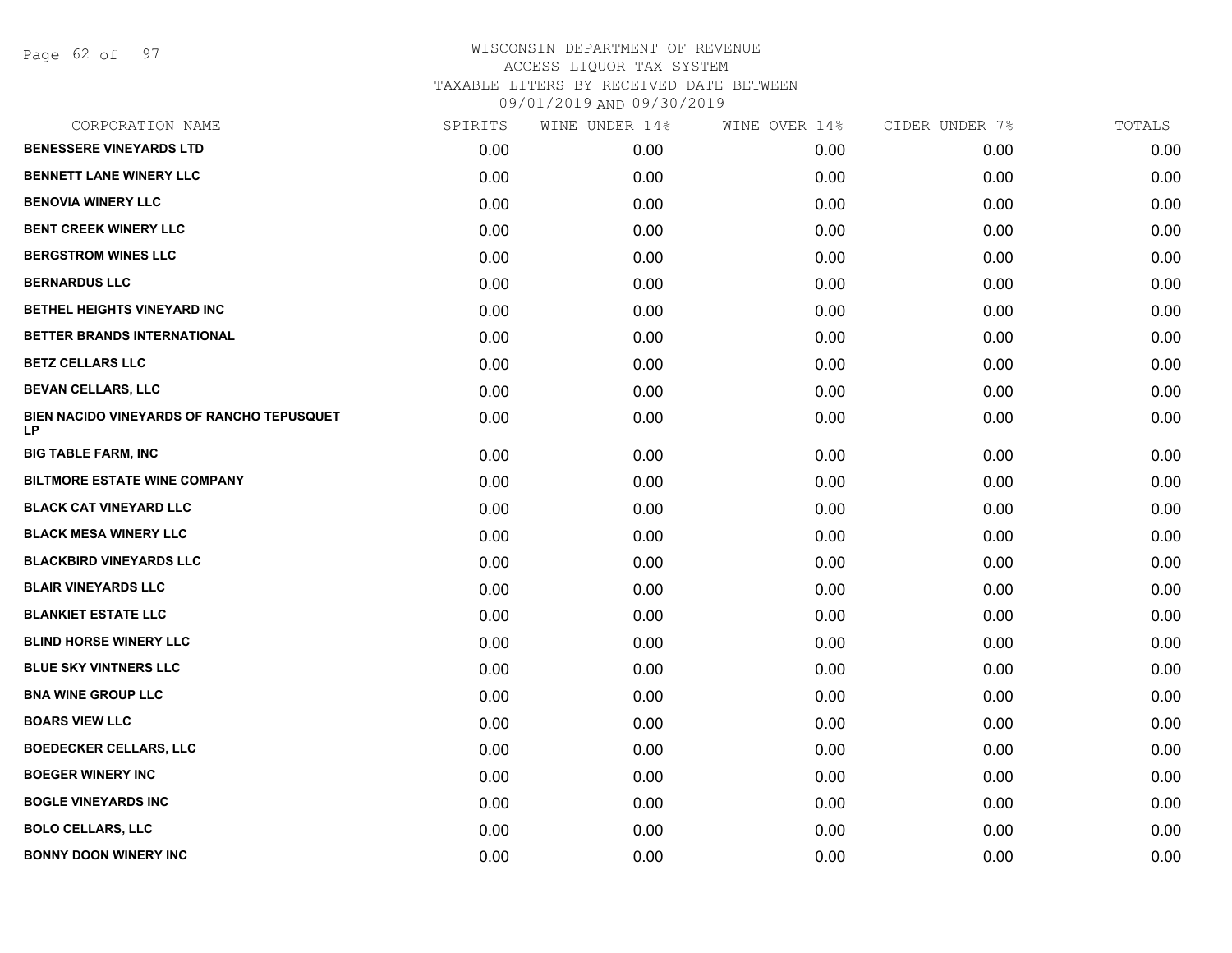Page 62 of 97

| SPIRITS | WINE UNDER 14% | WINE OVER 14% | CIDER UNDER 7% | TOTALS |
|---------|----------------|---------------|----------------|--------|
| 0.00    | 0.00           | 0.00          | 0.00           | 0.00   |
| 0.00    | 0.00           | 0.00          | 0.00           | 0.00   |
| 0.00    | 0.00           | 0.00          | 0.00           | 0.00   |
| 0.00    | 0.00           | 0.00          | 0.00           | 0.00   |
| 0.00    | 0.00           | 0.00          | 0.00           | 0.00   |
| 0.00    | 0.00           | 0.00          | 0.00           | 0.00   |
| 0.00    | 0.00           | 0.00          | 0.00           | 0.00   |
| 0.00    | 0.00           | 0.00          | 0.00           | 0.00   |
| 0.00    | 0.00           | 0.00          | 0.00           | 0.00   |
| 0.00    | 0.00           | 0.00          | 0.00           | 0.00   |
| 0.00    | 0.00           | 0.00          | 0.00           | 0.00   |
| 0.00    | 0.00           | 0.00          | 0.00           | 0.00   |
| 0.00    | 0.00           | 0.00          | 0.00           | 0.00   |
| 0.00    | 0.00           | 0.00          | 0.00           | 0.00   |
| 0.00    | 0.00           | 0.00          | 0.00           | 0.00   |
| 0.00    | 0.00           | 0.00          | 0.00           | 0.00   |
| 0.00    | 0.00           | 0.00          | 0.00           | 0.00   |
| 0.00    | 0.00           | 0.00          | 0.00           | 0.00   |
| 0.00    | 0.00           | 0.00          | 0.00           | 0.00   |
| 0.00    | 0.00           | 0.00          | 0.00           | 0.00   |
| 0.00    | 0.00           | 0.00          | 0.00           | 0.00   |
| 0.00    | 0.00           | 0.00          | 0.00           | 0.00   |
| 0.00    | 0.00           | 0.00          | 0.00           | 0.00   |
| 0.00    | 0.00           | 0.00          | 0.00           | 0.00   |
| 0.00    | 0.00           | 0.00          | 0.00           | 0.00   |
| 0.00    | 0.00           | 0.00          | 0.00           | 0.00   |
| 0.00    | 0.00           | 0.00          | 0.00           | 0.00   |
|         |                |               |                |        |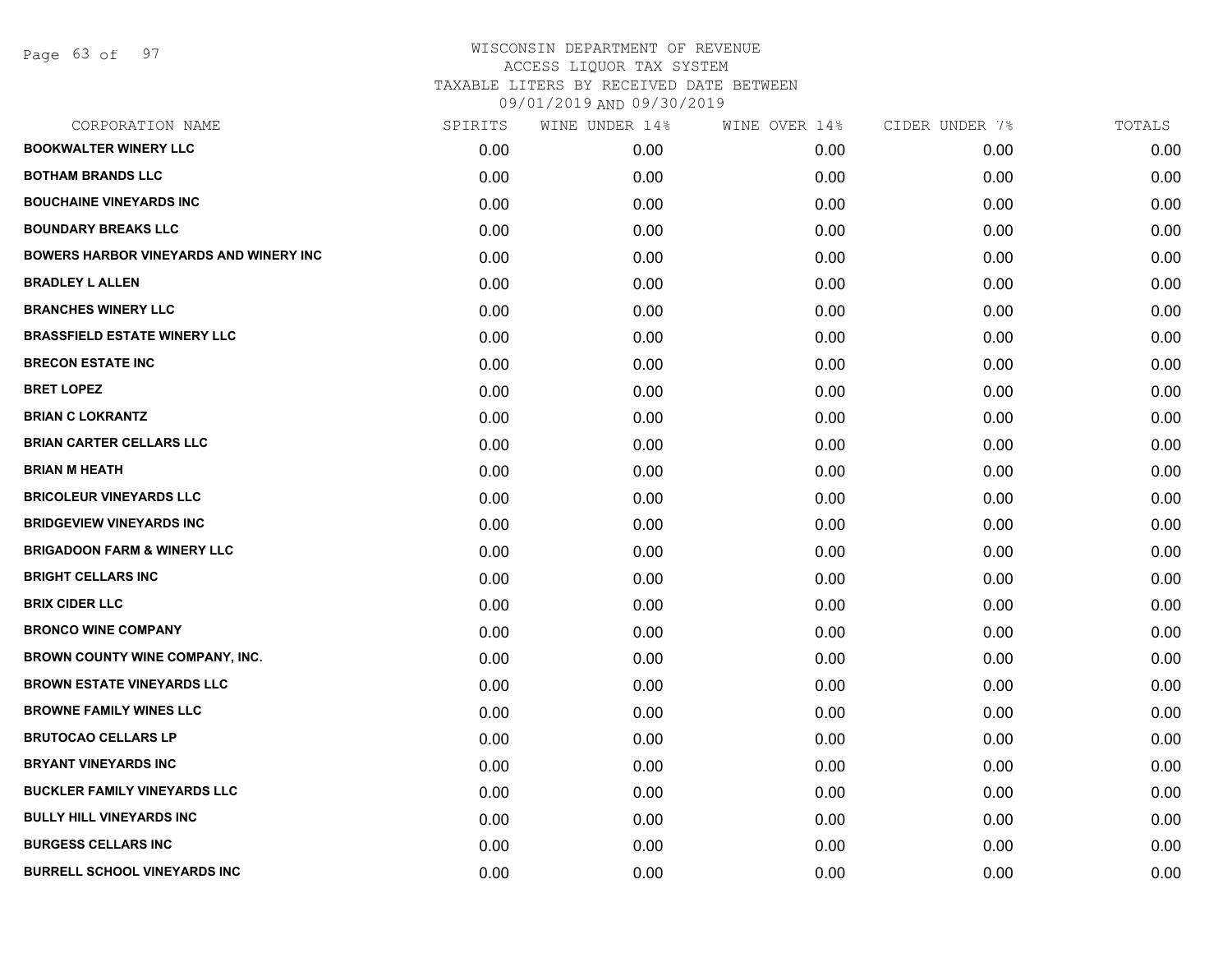Page 63 of 97

| CORPORATION NAME                       | SPIRITS | WINE UNDER 14% | WINE OVER 14% | CIDER UNDER 7% | TOTALS |
|----------------------------------------|---------|----------------|---------------|----------------|--------|
| <b>BOOKWALTER WINERY LLC</b>           | 0.00    | 0.00           | 0.00          | 0.00           | 0.00   |
| <b>BOTHAM BRANDS LLC</b>               | 0.00    | 0.00           | 0.00          | 0.00           | 0.00   |
| <b>BOUCHAINE VINEYARDS INC</b>         | 0.00    | 0.00           | 0.00          | 0.00           | 0.00   |
| <b>BOUNDARY BREAKS LLC</b>             | 0.00    | 0.00           | 0.00          | 0.00           | 0.00   |
| BOWERS HARBOR VINEYARDS AND WINERY INC | 0.00    | 0.00           | 0.00          | 0.00           | 0.00   |
| <b>BRADLEY L ALLEN</b>                 | 0.00    | 0.00           | 0.00          | 0.00           | 0.00   |
| <b>BRANCHES WINERY LLC</b>             | 0.00    | 0.00           | 0.00          | 0.00           | 0.00   |
| <b>BRASSFIELD ESTATE WINERY LLC</b>    | 0.00    | 0.00           | 0.00          | 0.00           | 0.00   |
| <b>BRECON ESTATE INC</b>               | 0.00    | 0.00           | 0.00          | 0.00           | 0.00   |
| <b>BRET LOPEZ</b>                      | 0.00    | 0.00           | 0.00          | 0.00           | 0.00   |
| <b>BRIAN C LOKRANTZ</b>                | 0.00    | 0.00           | 0.00          | 0.00           | 0.00   |
| <b>BRIAN CARTER CELLARS LLC</b>        | 0.00    | 0.00           | 0.00          | 0.00           | 0.00   |
| <b>BRIAN M HEATH</b>                   | 0.00    | 0.00           | 0.00          | 0.00           | 0.00   |
| <b>BRICOLEUR VINEYARDS LLC</b>         | 0.00    | 0.00           | 0.00          | 0.00           | 0.00   |
| <b>BRIDGEVIEW VINEYARDS INC</b>        | 0.00    | 0.00           | 0.00          | 0.00           | 0.00   |
| <b>BRIGADOON FARM &amp; WINERY LLC</b> | 0.00    | 0.00           | 0.00          | 0.00           | 0.00   |
| <b>BRIGHT CELLARS INC</b>              | 0.00    | 0.00           | 0.00          | 0.00           | 0.00   |
| <b>BRIX CIDER LLC</b>                  | 0.00    | 0.00           | 0.00          | 0.00           | 0.00   |
| <b>BRONCO WINE COMPANY</b>             | 0.00    | 0.00           | 0.00          | 0.00           | 0.00   |
| <b>BROWN COUNTY WINE COMPANY, INC.</b> | 0.00    | 0.00           | 0.00          | 0.00           | 0.00   |
| <b>BROWN ESTATE VINEYARDS LLC</b>      | 0.00    | 0.00           | 0.00          | 0.00           | 0.00   |
| <b>BROWNE FAMILY WINES LLC</b>         | 0.00    | 0.00           | 0.00          | 0.00           | 0.00   |
| <b>BRUTOCAO CELLARS LP</b>             | 0.00    | 0.00           | 0.00          | 0.00           | 0.00   |
| <b>BRYANT VINEYARDS INC</b>            | 0.00    | 0.00           | 0.00          | 0.00           | 0.00   |
| <b>BUCKLER FAMILY VINEYARDS LLC</b>    | 0.00    | 0.00           | 0.00          | 0.00           | 0.00   |
| <b>BULLY HILL VINEYARDS INC</b>        | 0.00    | 0.00           | 0.00          | 0.00           | 0.00   |
| <b>BURGESS CELLARS INC</b>             | 0.00    | 0.00           | 0.00          | 0.00           | 0.00   |
| <b>BURRELL SCHOOL VINEYARDS INC</b>    | 0.00    | 0.00           | 0.00          | 0.00           | 0.00   |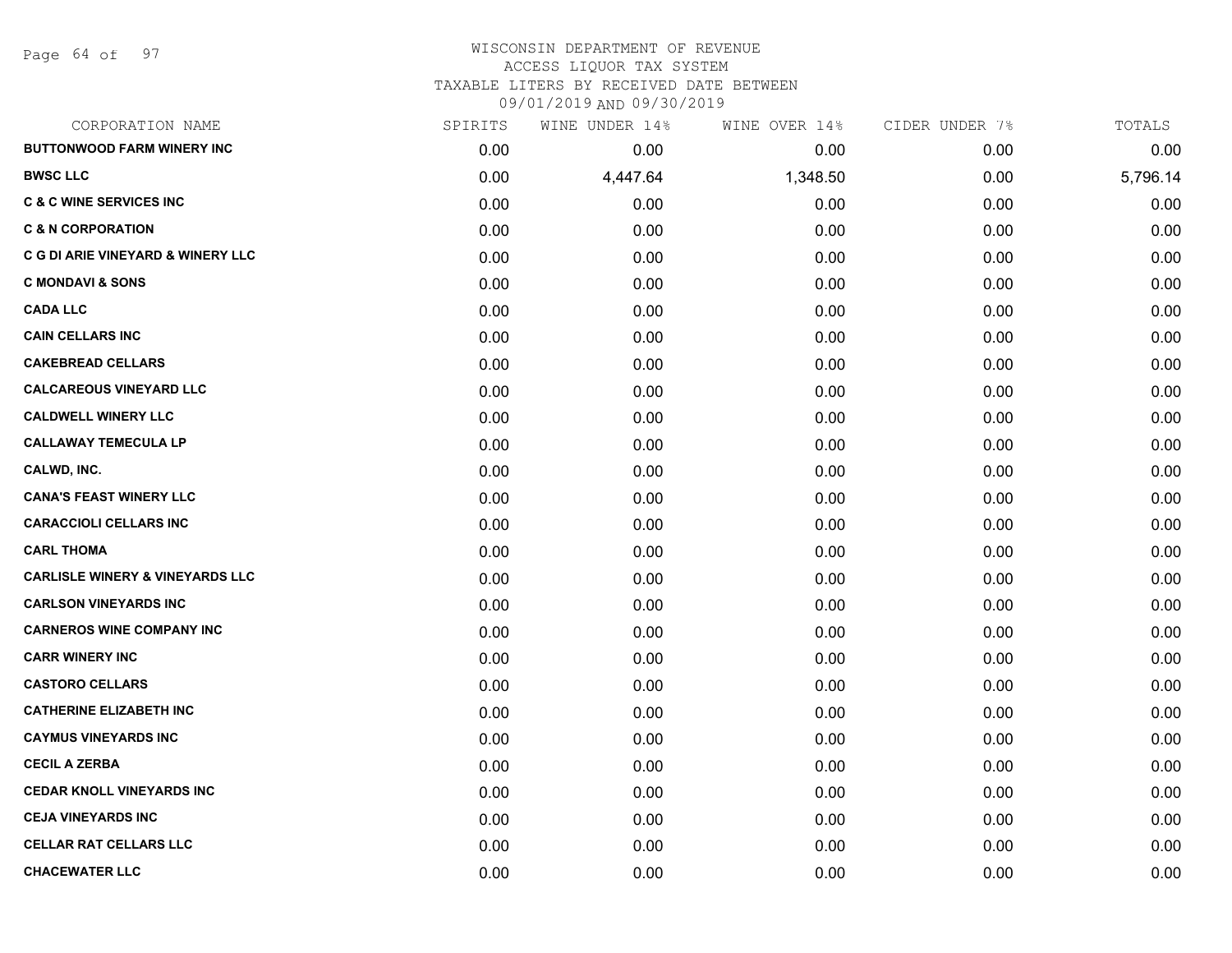Page 64 of 97

# WISCONSIN DEPARTMENT OF REVENUE ACCESS LIQUOR TAX SYSTEM TAXABLE LITERS BY RECEIVED DATE BETWEEN

09/01/2019 AND 09/30/2019

| CORPORATION NAME                             | SPIRITS | WINE UNDER 14% | WINE OVER 14% | CIDER UNDER 7% | TOTALS   |
|----------------------------------------------|---------|----------------|---------------|----------------|----------|
| <b>BUTTONWOOD FARM WINERY INC</b>            | 0.00    | 0.00           | 0.00          | 0.00           | 0.00     |
| <b>BWSC LLC</b>                              | 0.00    | 4,447.64       | 1,348.50      | 0.00           | 5,796.14 |
| <b>C &amp; C WINE SERVICES INC</b>           | 0.00    | 0.00           | 0.00          | 0.00           | 0.00     |
| <b>C &amp; N CORPORATION</b>                 | 0.00    | 0.00           | 0.00          | 0.00           | 0.00     |
| <b>C G DI ARIE VINEYARD &amp; WINERY LLC</b> | 0.00    | 0.00           | 0.00          | 0.00           | 0.00     |
| <b>C MONDAVI &amp; SONS</b>                  | 0.00    | 0.00           | 0.00          | 0.00           | 0.00     |
| <b>CADA LLC</b>                              | 0.00    | 0.00           | 0.00          | 0.00           | 0.00     |
| <b>CAIN CELLARS INC</b>                      | 0.00    | 0.00           | 0.00          | 0.00           | 0.00     |
| <b>CAKEBREAD CELLARS</b>                     | 0.00    | 0.00           | 0.00          | 0.00           | 0.00     |
| <b>CALCAREOUS VINEYARD LLC</b>               | 0.00    | 0.00           | 0.00          | 0.00           | 0.00     |
| <b>CALDWELL WINERY LLC</b>                   | 0.00    | 0.00           | 0.00          | 0.00           | 0.00     |
| <b>CALLAWAY TEMECULA LP</b>                  | 0.00    | 0.00           | 0.00          | 0.00           | 0.00     |
| CALWD, INC.                                  | 0.00    | 0.00           | 0.00          | 0.00           | 0.00     |
| <b>CANA'S FEAST WINERY LLC</b>               | 0.00    | 0.00           | 0.00          | 0.00           | 0.00     |
| <b>CARACCIOLI CELLARS INC</b>                | 0.00    | 0.00           | 0.00          | 0.00           | 0.00     |
| <b>CARL THOMA</b>                            | 0.00    | 0.00           | 0.00          | 0.00           | 0.00     |
| <b>CARLISLE WINERY &amp; VINEYARDS LLC</b>   | 0.00    | 0.00           | 0.00          | 0.00           | 0.00     |
| <b>CARLSON VINEYARDS INC</b>                 | 0.00    | 0.00           | 0.00          | 0.00           | 0.00     |
| <b>CARNEROS WINE COMPANY INC</b>             | 0.00    | 0.00           | 0.00          | 0.00           | 0.00     |
| <b>CARR WINERY INC</b>                       | 0.00    | 0.00           | 0.00          | 0.00           | 0.00     |
| <b>CASTORO CELLARS</b>                       | 0.00    | 0.00           | 0.00          | 0.00           | 0.00     |
| <b>CATHERINE ELIZABETH INC</b>               | 0.00    | 0.00           | 0.00          | 0.00           | 0.00     |
| <b>CAYMUS VINEYARDS INC</b>                  | 0.00    | 0.00           | 0.00          | 0.00           | 0.00     |
| <b>CECIL A ZERBA</b>                         | 0.00    | 0.00           | 0.00          | 0.00           | 0.00     |
| <b>CEDAR KNOLL VINEYARDS INC</b>             | 0.00    | 0.00           | 0.00          | 0.00           | 0.00     |
| <b>CEJA VINEYARDS INC</b>                    | 0.00    | 0.00           | 0.00          | 0.00           | 0.00     |
| <b>CELLAR RAT CELLARS LLC</b>                | 0.00    | 0.00           | 0.00          | 0.00           | 0.00     |
| <b>CHACEWATER LLC</b>                        | 0.00    | 0.00           | 0.00          | 0.00           | 0.00     |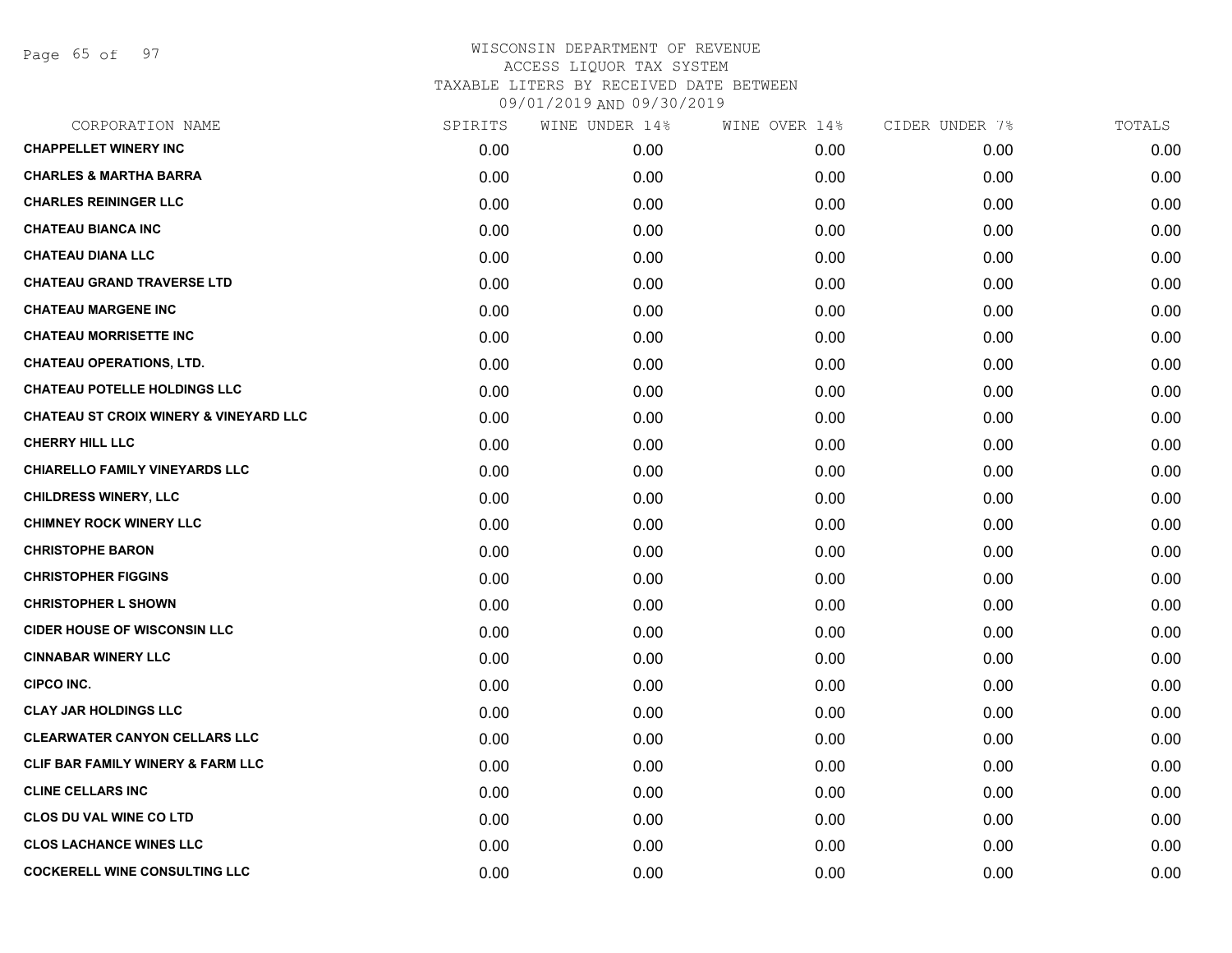Page 65 of 97

| CORPORATION NAME                                  | SPIRITS | WINE UNDER 14% | WINE OVER 14% | CIDER UNDER 7% | TOTALS |
|---------------------------------------------------|---------|----------------|---------------|----------------|--------|
| <b>CHAPPELLET WINERY INC</b>                      | 0.00    | 0.00           | 0.00          | 0.00           | 0.00   |
| <b>CHARLES &amp; MARTHA BARRA</b>                 | 0.00    | 0.00           | 0.00          | 0.00           | 0.00   |
| <b>CHARLES REININGER LLC</b>                      | 0.00    | 0.00           | 0.00          | 0.00           | 0.00   |
| <b>CHATEAU BIANCA INC</b>                         | 0.00    | 0.00           | 0.00          | 0.00           | 0.00   |
| <b>CHATEAU DIANA LLC</b>                          | 0.00    | 0.00           | 0.00          | 0.00           | 0.00   |
| <b>CHATEAU GRAND TRAVERSE LTD</b>                 | 0.00    | 0.00           | 0.00          | 0.00           | 0.00   |
| <b>CHATEAU MARGENE INC</b>                        | 0.00    | 0.00           | 0.00          | 0.00           | 0.00   |
| <b>CHATEAU MORRISETTE INC</b>                     | 0.00    | 0.00           | 0.00          | 0.00           | 0.00   |
| <b>CHATEAU OPERATIONS, LTD.</b>                   | 0.00    | 0.00           | 0.00          | 0.00           | 0.00   |
| <b>CHATEAU POTELLE HOLDINGS LLC</b>               | 0.00    | 0.00           | 0.00          | 0.00           | 0.00   |
| <b>CHATEAU ST CROIX WINERY &amp; VINEYARD LLC</b> | 0.00    | 0.00           | 0.00          | 0.00           | 0.00   |
| <b>CHERRY HILL LLC</b>                            | 0.00    | 0.00           | 0.00          | 0.00           | 0.00   |
| <b>CHIARELLO FAMILY VINEYARDS LLC</b>             | 0.00    | 0.00           | 0.00          | 0.00           | 0.00   |
| <b>CHILDRESS WINERY, LLC</b>                      | 0.00    | 0.00           | 0.00          | 0.00           | 0.00   |
| <b>CHIMNEY ROCK WINERY LLC</b>                    | 0.00    | 0.00           | 0.00          | 0.00           | 0.00   |
| <b>CHRISTOPHE BARON</b>                           | 0.00    | 0.00           | 0.00          | 0.00           | 0.00   |
| <b>CHRISTOPHER FIGGINS</b>                        | 0.00    | 0.00           | 0.00          | 0.00           | 0.00   |
| <b>CHRISTOPHER L SHOWN</b>                        | 0.00    | 0.00           | 0.00          | 0.00           | 0.00   |
| <b>CIDER HOUSE OF WISCONSIN LLC</b>               | 0.00    | 0.00           | 0.00          | 0.00           | 0.00   |
| <b>CINNABAR WINERY LLC</b>                        | 0.00    | 0.00           | 0.00          | 0.00           | 0.00   |
| <b>CIPCO INC.</b>                                 | 0.00    | 0.00           | 0.00          | 0.00           | 0.00   |
| <b>CLAY JAR HOLDINGS LLC</b>                      | 0.00    | 0.00           | 0.00          | 0.00           | 0.00   |
| <b>CLEARWATER CANYON CELLARS LLC</b>              | 0.00    | 0.00           | 0.00          | 0.00           | 0.00   |
| <b>CLIF BAR FAMILY WINERY &amp; FARM LLC</b>      | 0.00    | 0.00           | 0.00          | 0.00           | 0.00   |
| <b>CLINE CELLARS INC</b>                          | 0.00    | 0.00           | 0.00          | 0.00           | 0.00   |
| <b>CLOS DU VAL WINE CO LTD</b>                    | 0.00    | 0.00           | 0.00          | 0.00           | 0.00   |
| <b>CLOS LACHANCE WINES LLC</b>                    | 0.00    | 0.00           | 0.00          | 0.00           | 0.00   |
| <b>COCKERELL WINE CONSULTING LLC</b>              | 0.00    | 0.00           | 0.00          | 0.00           | 0.00   |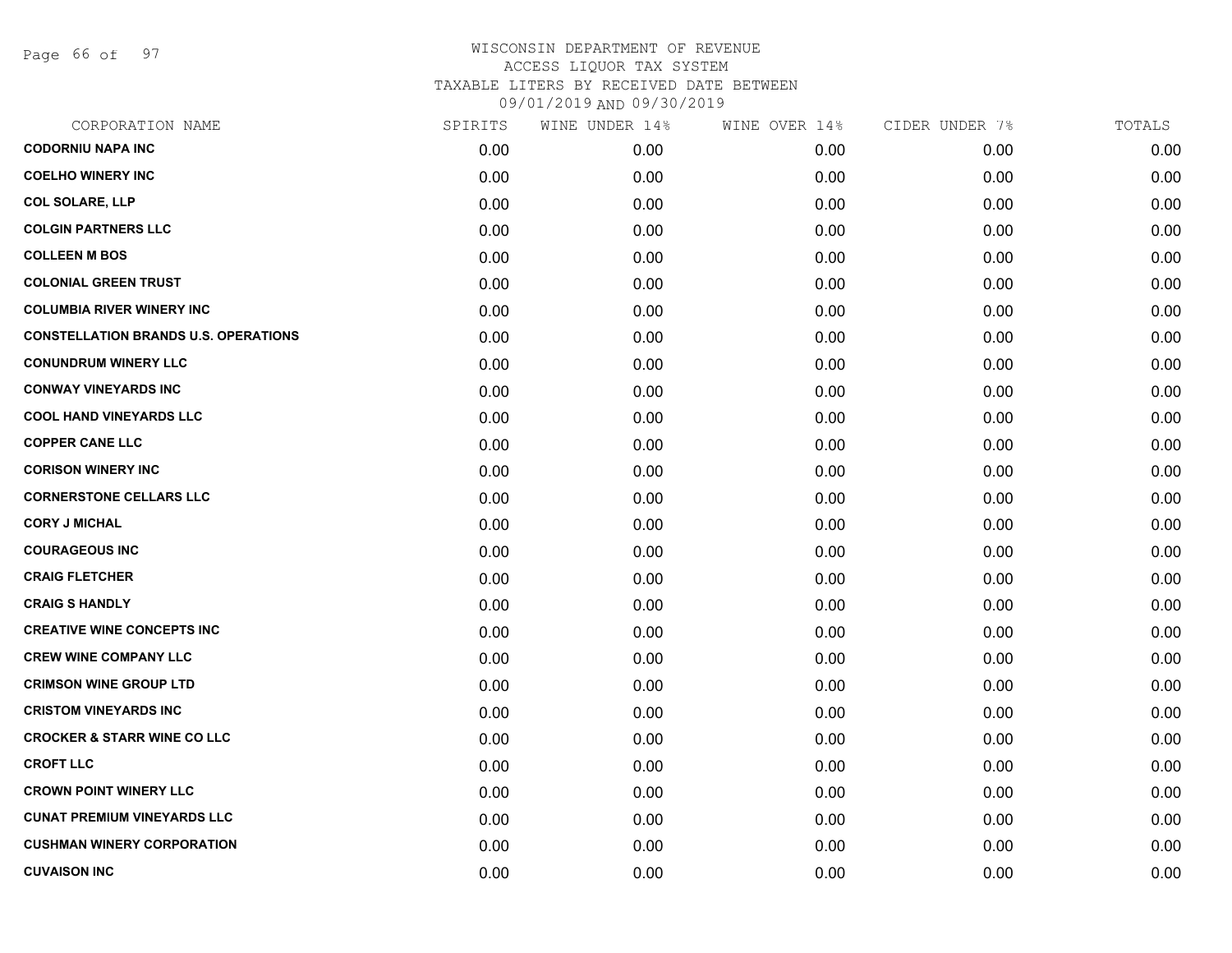Page 66 of 97

| CORPORATION NAME                            | SPIRITS | WINE UNDER 14% | WINE OVER 14% | CIDER UNDER 7% | TOTALS |
|---------------------------------------------|---------|----------------|---------------|----------------|--------|
| <b>CODORNIU NAPA INC</b>                    | 0.00    | 0.00           | 0.00          | 0.00           | 0.00   |
| <b>COELHO WINERY INC</b>                    | 0.00    | 0.00           | 0.00          | 0.00           | 0.00   |
| <b>COL SOLARE, LLP</b>                      | 0.00    | 0.00           | 0.00          | 0.00           | 0.00   |
| <b>COLGIN PARTNERS LLC</b>                  | 0.00    | 0.00           | 0.00          | 0.00           | 0.00   |
| <b>COLLEEN M BOS</b>                        | 0.00    | 0.00           | 0.00          | 0.00           | 0.00   |
| <b>COLONIAL GREEN TRUST</b>                 | 0.00    | 0.00           | 0.00          | 0.00           | 0.00   |
| <b>COLUMBIA RIVER WINERY INC</b>            | 0.00    | 0.00           | 0.00          | 0.00           | 0.00   |
| <b>CONSTELLATION BRANDS U.S. OPERATIONS</b> | 0.00    | 0.00           | 0.00          | 0.00           | 0.00   |
| <b>CONUNDRUM WINERY LLC</b>                 | 0.00    | 0.00           | 0.00          | 0.00           | 0.00   |
| <b>CONWAY VINEYARDS INC</b>                 | 0.00    | 0.00           | 0.00          | 0.00           | 0.00   |
| <b>COOL HAND VINEYARDS LLC</b>              | 0.00    | 0.00           | 0.00          | 0.00           | 0.00   |
| <b>COPPER CANE LLC</b>                      | 0.00    | 0.00           | 0.00          | 0.00           | 0.00   |
| <b>CORISON WINERY INC</b>                   | 0.00    | 0.00           | 0.00          | 0.00           | 0.00   |
| <b>CORNERSTONE CELLARS LLC</b>              | 0.00    | 0.00           | 0.00          | 0.00           | 0.00   |
| <b>CORY J MICHAL</b>                        | 0.00    | 0.00           | 0.00          | 0.00           | 0.00   |
| <b>COURAGEOUS INC</b>                       | 0.00    | 0.00           | 0.00          | 0.00           | 0.00   |
| <b>CRAIG FLETCHER</b>                       | 0.00    | 0.00           | 0.00          | 0.00           | 0.00   |
| <b>CRAIG S HANDLY</b>                       | 0.00    | 0.00           | 0.00          | 0.00           | 0.00   |
| <b>CREATIVE WINE CONCEPTS INC</b>           | 0.00    | 0.00           | 0.00          | 0.00           | 0.00   |
| <b>CREW WINE COMPANY LLC</b>                | 0.00    | 0.00           | 0.00          | 0.00           | 0.00   |
| <b>CRIMSON WINE GROUP LTD</b>               | 0.00    | 0.00           | 0.00          | 0.00           | 0.00   |
| <b>CRISTOM VINEYARDS INC</b>                | 0.00    | 0.00           | 0.00          | 0.00           | 0.00   |
| <b>CROCKER &amp; STARR WINE CO LLC</b>      | 0.00    | 0.00           | 0.00          | 0.00           | 0.00   |
| <b>CROFT LLC</b>                            | 0.00    | 0.00           | 0.00          | 0.00           | 0.00   |
| <b>CROWN POINT WINERY LLC</b>               | 0.00    | 0.00           | 0.00          | 0.00           | 0.00   |
| <b>CUNAT PREMIUM VINEYARDS LLC</b>          | 0.00    | 0.00           | 0.00          | 0.00           | 0.00   |
| <b>CUSHMAN WINERY CORPORATION</b>           | 0.00    | 0.00           | 0.00          | 0.00           | 0.00   |
| <b>CUVAISON INC</b>                         | 0.00    | 0.00           | 0.00          | 0.00           | 0.00   |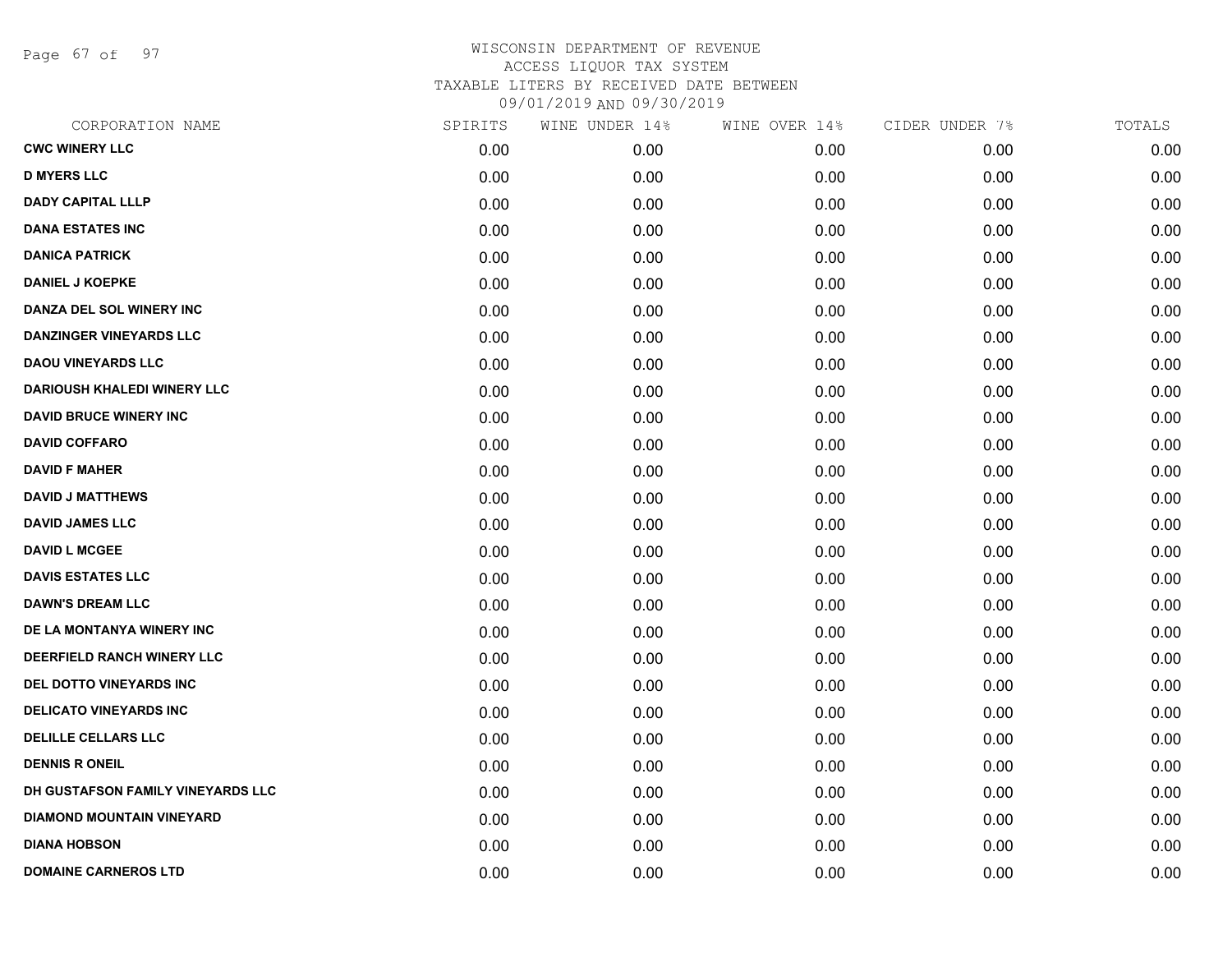Page 67 of 97

| CORPORATION NAME                   | SPIRITS | WINE UNDER 14% | WINE OVER 14% | CIDER UNDER 7% | TOTALS |
|------------------------------------|---------|----------------|---------------|----------------|--------|
| <b>CWC WINERY LLC</b>              | 0.00    | 0.00           | 0.00          | 0.00           | 0.00   |
| <b>D MYERS LLC</b>                 | 0.00    | 0.00           | 0.00          | 0.00           | 0.00   |
| <b>DADY CAPITAL LLLP</b>           | 0.00    | 0.00           | 0.00          | 0.00           | 0.00   |
| <b>DANA ESTATES INC</b>            | 0.00    | 0.00           | 0.00          | 0.00           | 0.00   |
| <b>DANICA PATRICK</b>              | 0.00    | 0.00           | 0.00          | 0.00           | 0.00   |
| <b>DANIEL J KOEPKE</b>             | 0.00    | 0.00           | 0.00          | 0.00           | 0.00   |
| DANZA DEL SOL WINERY INC           | 0.00    | 0.00           | 0.00          | 0.00           | 0.00   |
| <b>DANZINGER VINEYARDS LLC</b>     | 0.00    | 0.00           | 0.00          | 0.00           | 0.00   |
| <b>DAOU VINEYARDS LLC</b>          | 0.00    | 0.00           | 0.00          | 0.00           | 0.00   |
| <b>DARIOUSH KHALEDI WINERY LLC</b> | 0.00    | 0.00           | 0.00          | 0.00           | 0.00   |
| <b>DAVID BRUCE WINERY INC</b>      | 0.00    | 0.00           | 0.00          | 0.00           | 0.00   |
| <b>DAVID COFFARO</b>               | 0.00    | 0.00           | 0.00          | 0.00           | 0.00   |
| <b>DAVID F MAHER</b>               | 0.00    | 0.00           | 0.00          | 0.00           | 0.00   |
| <b>DAVID J MATTHEWS</b>            | 0.00    | 0.00           | 0.00          | 0.00           | 0.00   |
| <b>DAVID JAMES LLC</b>             | 0.00    | 0.00           | 0.00          | 0.00           | 0.00   |
| <b>DAVID L MCGEE</b>               | 0.00    | 0.00           | 0.00          | 0.00           | 0.00   |
| <b>DAVIS ESTATES LLC</b>           | 0.00    | 0.00           | 0.00          | 0.00           | 0.00   |
| <b>DAWN'S DREAM LLC</b>            | 0.00    | 0.00           | 0.00          | 0.00           | 0.00   |
| DE LA MONTANYA WINERY INC          | 0.00    | 0.00           | 0.00          | 0.00           | 0.00   |
| DEERFIELD RANCH WINERY LLC         | 0.00    | 0.00           | 0.00          | 0.00           | 0.00   |
| DEL DOTTO VINEYARDS INC            | 0.00    | 0.00           | 0.00          | 0.00           | 0.00   |
| <b>DELICATO VINEYARDS INC</b>      | 0.00    | 0.00           | 0.00          | 0.00           | 0.00   |
| <b>DELILLE CELLARS LLC</b>         | 0.00    | 0.00           | 0.00          | 0.00           | 0.00   |
| <b>DENNIS R ONEIL</b>              | 0.00    | 0.00           | 0.00          | 0.00           | 0.00   |
| DH GUSTAFSON FAMILY VINEYARDS LLC  | 0.00    | 0.00           | 0.00          | 0.00           | 0.00   |
| <b>DIAMOND MOUNTAIN VINEYARD</b>   | 0.00    | 0.00           | 0.00          | 0.00           | 0.00   |
| <b>DIANA HOBSON</b>                | 0.00    | 0.00           | 0.00          | 0.00           | 0.00   |
| <b>DOMAINE CARNEROS LTD</b>        | 0.00    | 0.00           | 0.00          | 0.00           | 0.00   |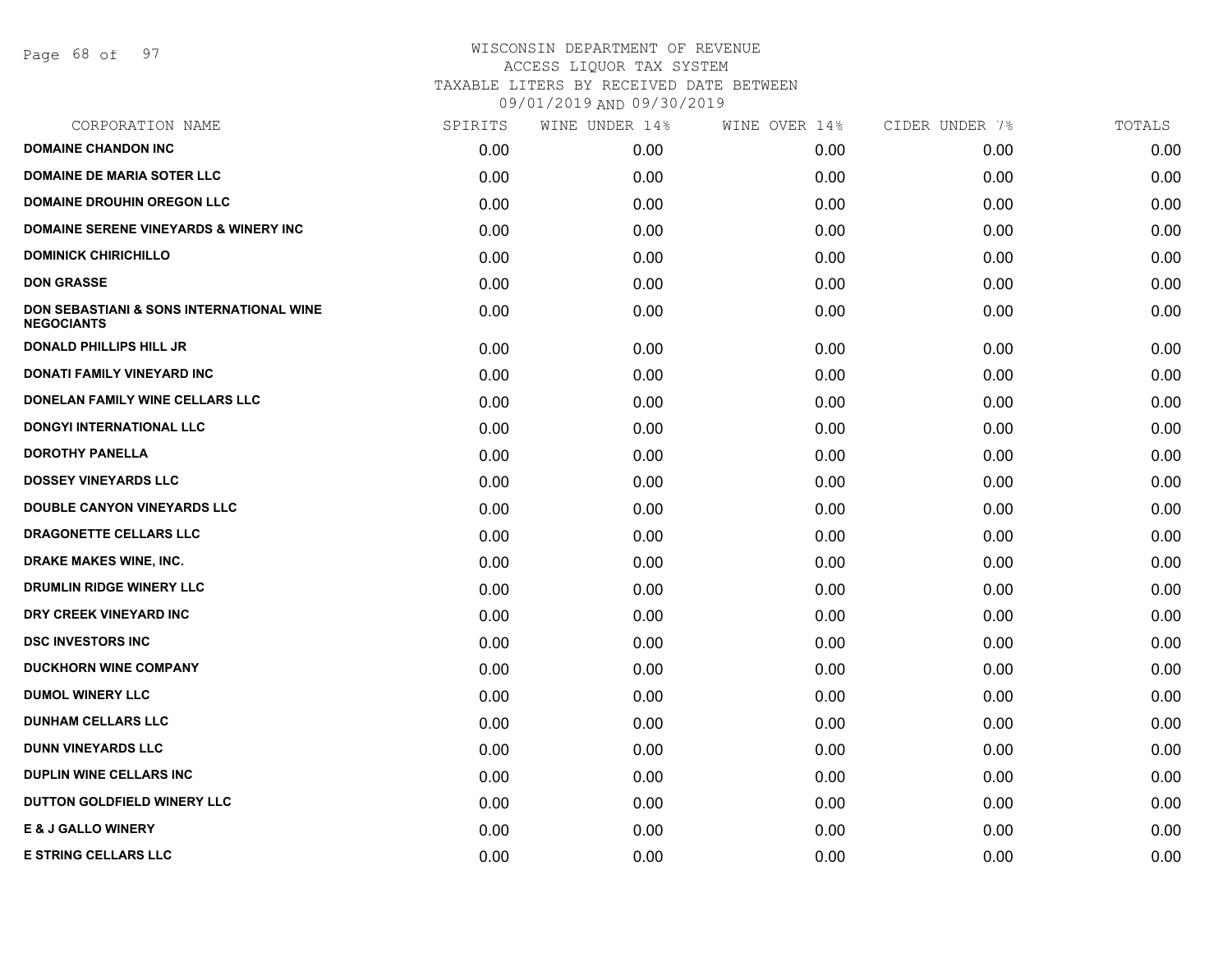Page 68 of 97

| CORPORATION NAME                                                         | SPIRITS | WINE UNDER 14% | WINE OVER 14% | CIDER UNDER 7% | TOTALS |
|--------------------------------------------------------------------------|---------|----------------|---------------|----------------|--------|
| <b>DOMAINE CHANDON INC</b>                                               | 0.00    | 0.00           | 0.00          | 0.00           | 0.00   |
| <b>DOMAINE DE MARIA SOTER LLC</b>                                        | 0.00    | 0.00           | 0.00          | 0.00           | 0.00   |
| <b>DOMAINE DROUHIN OREGON LLC</b>                                        | 0.00    | 0.00           | 0.00          | 0.00           | 0.00   |
| DOMAINE SERENE VINEYARDS & WINERY INC                                    | 0.00    | 0.00           | 0.00          | 0.00           | 0.00   |
| <b>DOMINICK CHIRICHILLO</b>                                              | 0.00    | 0.00           | 0.00          | 0.00           | 0.00   |
| <b>DON GRASSE</b>                                                        | 0.00    | 0.00           | 0.00          | 0.00           | 0.00   |
| <b>DON SEBASTIANI &amp; SONS INTERNATIONAL WINE</b><br><b>NEGOCIANTS</b> | 0.00    | 0.00           | 0.00          | 0.00           | 0.00   |
| <b>DONALD PHILLIPS HILL JR</b>                                           | 0.00    | 0.00           | 0.00          | 0.00           | 0.00   |
| DONATI FAMILY VINEYARD INC                                               | 0.00    | 0.00           | 0.00          | 0.00           | 0.00   |
| DONELAN FAMILY WINE CELLARS LLC                                          | 0.00    | 0.00           | 0.00          | 0.00           | 0.00   |
| <b>DONGYI INTERNATIONAL LLC</b>                                          | 0.00    | 0.00           | 0.00          | 0.00           | 0.00   |
| <b>DOROTHY PANELLA</b>                                                   | 0.00    | 0.00           | 0.00          | 0.00           | 0.00   |
| <b>DOSSEY VINEYARDS LLC</b>                                              | 0.00    | 0.00           | 0.00          | 0.00           | 0.00   |
| <b>DOUBLE CANYON VINEYARDS LLC</b>                                       | 0.00    | 0.00           | 0.00          | 0.00           | 0.00   |
| DRAGONETTE CELLARS LLC                                                   | 0.00    | 0.00           | 0.00          | 0.00           | 0.00   |
| DRAKE MAKES WINE, INC.                                                   | 0.00    | 0.00           | 0.00          | 0.00           | 0.00   |
| DRUMLIN RIDGE WINERY LLC                                                 | 0.00    | 0.00           | 0.00          | 0.00           | 0.00   |
| DRY CREEK VINEYARD INC                                                   | 0.00    | 0.00           | 0.00          | 0.00           | 0.00   |
| <b>DSC INVESTORS INC</b>                                                 | 0.00    | 0.00           | 0.00          | 0.00           | 0.00   |
| <b>DUCKHORN WINE COMPANY</b>                                             | 0.00    | 0.00           | 0.00          | 0.00           | 0.00   |
| <b>DUMOL WINERY LLC</b>                                                  | 0.00    | 0.00           | 0.00          | 0.00           | 0.00   |
| <b>DUNHAM CELLARS LLC</b>                                                | 0.00    | 0.00           | 0.00          | 0.00           | 0.00   |
| <b>DUNN VINEYARDS LLC</b>                                                | 0.00    | 0.00           | 0.00          | 0.00           | 0.00   |
| <b>DUPLIN WINE CELLARS INC.</b>                                          | 0.00    | 0.00           | 0.00          | 0.00           | 0.00   |
| DUTTON GOLDFIELD WINERY LLC                                              | 0.00    | 0.00           | 0.00          | 0.00           | 0.00   |
| <b>E &amp; J GALLO WINERY</b>                                            | 0.00    | 0.00           | 0.00          | 0.00           | 0.00   |
| <b>E STRING CELLARS LLC</b>                                              | 0.00    | 0.00           | 0.00          | 0.00           | 0.00   |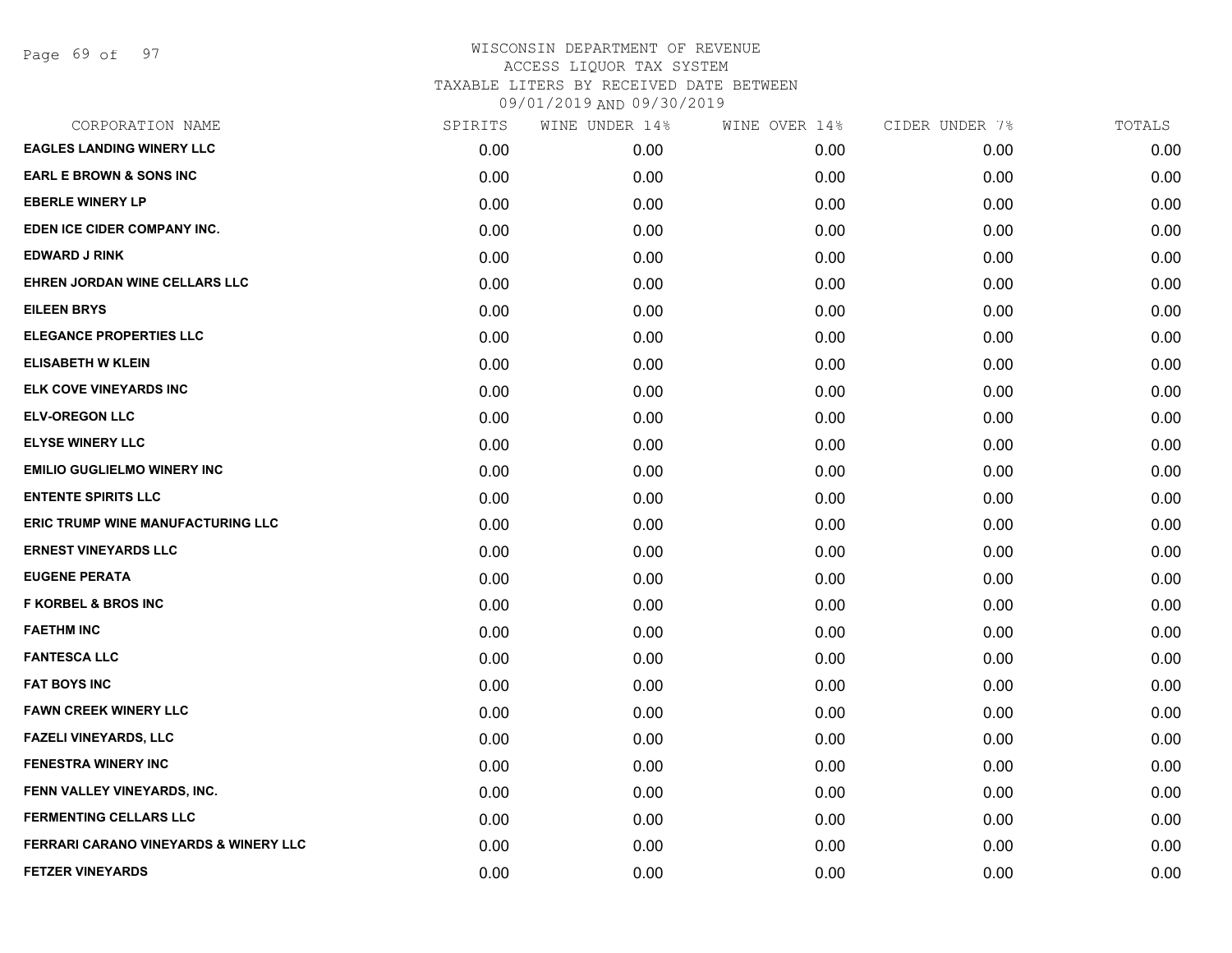Page 69 of 97

| SPIRITS | WINE UNDER 14% | WINE OVER 14% | CIDER UNDER 7% | TOTALS |
|---------|----------------|---------------|----------------|--------|
| 0.00    | 0.00           | 0.00          | 0.00           | 0.00   |
| 0.00    | 0.00           | 0.00          | 0.00           | 0.00   |
| 0.00    | 0.00           | 0.00          | 0.00           | 0.00   |
| 0.00    | 0.00           | 0.00          | 0.00           | 0.00   |
| 0.00    | 0.00           | 0.00          | 0.00           | 0.00   |
| 0.00    | 0.00           | 0.00          | 0.00           | 0.00   |
| 0.00    | 0.00           | 0.00          | 0.00           | 0.00   |
| 0.00    | 0.00           | 0.00          | 0.00           | 0.00   |
| 0.00    | 0.00           | 0.00          | 0.00           | 0.00   |
| 0.00    | 0.00           | 0.00          | 0.00           | 0.00   |
| 0.00    | 0.00           | 0.00          | 0.00           | 0.00   |
| 0.00    | 0.00           | 0.00          | 0.00           | 0.00   |
| 0.00    | 0.00           | 0.00          | 0.00           | 0.00   |
| 0.00    | 0.00           | 0.00          | 0.00           | 0.00   |
| 0.00    | 0.00           | 0.00          | 0.00           | 0.00   |
| 0.00    | 0.00           | 0.00          | 0.00           | 0.00   |
| 0.00    | 0.00           | 0.00          | 0.00           | 0.00   |
| 0.00    | 0.00           | 0.00          | 0.00           | 0.00   |
| 0.00    | 0.00           | 0.00          | 0.00           | 0.00   |
| 0.00    | 0.00           | 0.00          | 0.00           | 0.00   |
| 0.00    | 0.00           | 0.00          | 0.00           | 0.00   |
| 0.00    | 0.00           | 0.00          | 0.00           | 0.00   |
| 0.00    | 0.00           | 0.00          | 0.00           | 0.00   |
| 0.00    | 0.00           | 0.00          | 0.00           | 0.00   |
| 0.00    | 0.00           | 0.00          | 0.00           | 0.00   |
| 0.00    | 0.00           | 0.00          | 0.00           | 0.00   |
| 0.00    | 0.00           | 0.00          | 0.00           | 0.00   |
| 0.00    | 0.00           | 0.00          | 0.00           | 0.00   |
|         |                |               |                |        |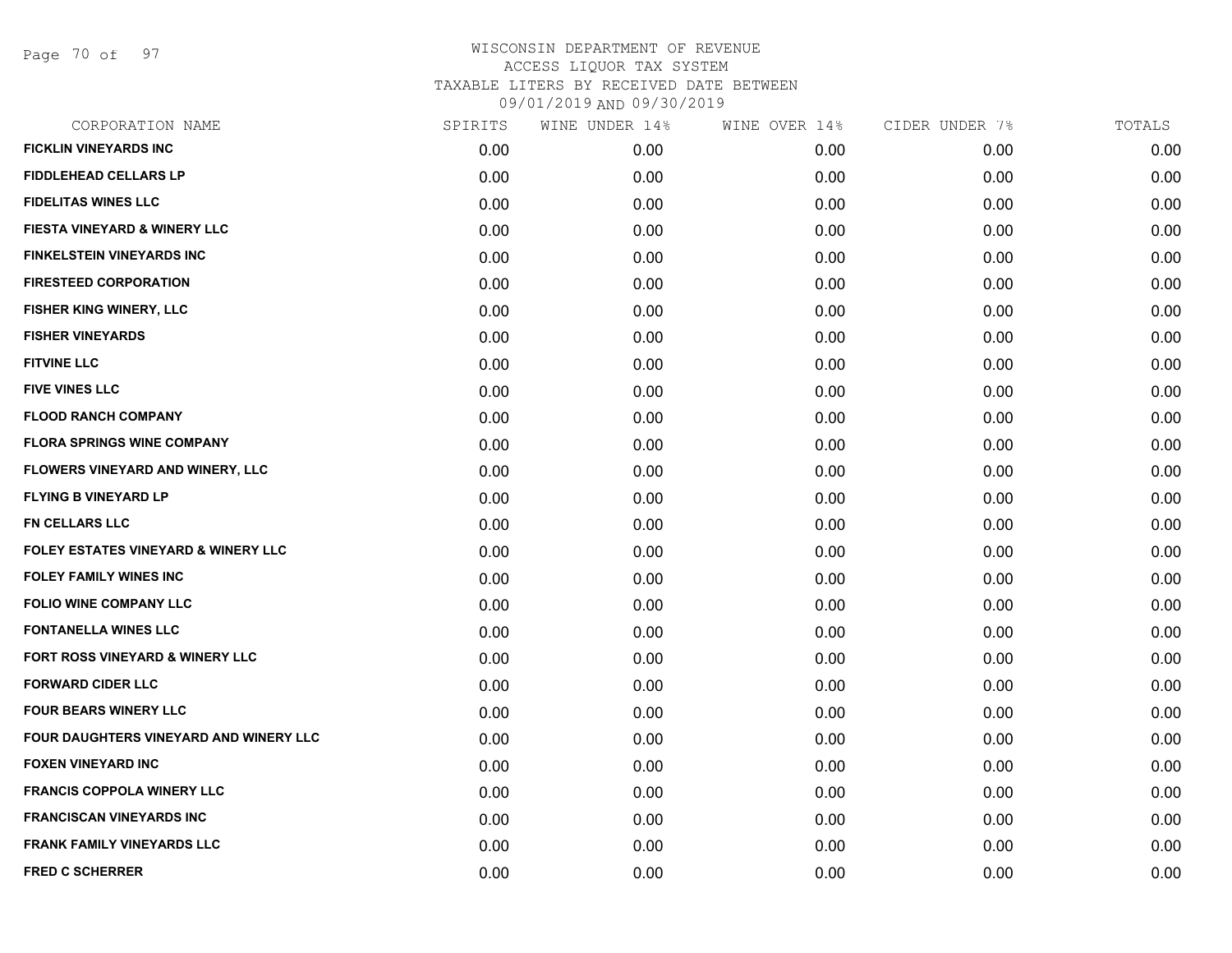Page 70 of 97

| CORPORATION NAME                               | SPIRITS | WINE UNDER 14% | WINE OVER 14% | CIDER UNDER 7% | TOTALS |
|------------------------------------------------|---------|----------------|---------------|----------------|--------|
| <b>FICKLIN VINEYARDS INC</b>                   | 0.00    | 0.00           | 0.00          | 0.00           | 0.00   |
| <b>FIDDLEHEAD CELLARS LP</b>                   | 0.00    | 0.00           | 0.00          | 0.00           | 0.00   |
| <b>FIDELITAS WINES LLC</b>                     | 0.00    | 0.00           | 0.00          | 0.00           | 0.00   |
| <b>FIESTA VINEYARD &amp; WINERY LLC</b>        | 0.00    | 0.00           | 0.00          | 0.00           | 0.00   |
| <b>FINKELSTEIN VINEYARDS INC</b>               | 0.00    | 0.00           | 0.00          | 0.00           | 0.00   |
| <b>FIRESTEED CORPORATION</b>                   | 0.00    | 0.00           | 0.00          | 0.00           | 0.00   |
| FISHER KING WINERY, LLC                        | 0.00    | 0.00           | 0.00          | 0.00           | 0.00   |
| <b>FISHER VINEYARDS</b>                        | 0.00    | 0.00           | 0.00          | 0.00           | 0.00   |
| <b>FITVINE LLC</b>                             | 0.00    | 0.00           | 0.00          | 0.00           | 0.00   |
| <b>FIVE VINES LLC</b>                          | 0.00    | 0.00           | 0.00          | 0.00           | 0.00   |
| <b>FLOOD RANCH COMPANY</b>                     | 0.00    | 0.00           | 0.00          | 0.00           | 0.00   |
| <b>FLORA SPRINGS WINE COMPANY</b>              | 0.00    | 0.00           | 0.00          | 0.00           | 0.00   |
| FLOWERS VINEYARD AND WINERY, LLC               | 0.00    | 0.00           | 0.00          | 0.00           | 0.00   |
| <b>FLYING B VINEYARD LP</b>                    | 0.00    | 0.00           | 0.00          | 0.00           | 0.00   |
| FN CELLARS LLC                                 | 0.00    | 0.00           | 0.00          | 0.00           | 0.00   |
| <b>FOLEY ESTATES VINEYARD &amp; WINERY LLC</b> | 0.00    | 0.00           | 0.00          | 0.00           | 0.00   |
| <b>FOLEY FAMILY WINES INC</b>                  | 0.00    | 0.00           | 0.00          | 0.00           | 0.00   |
| <b>FOLIO WINE COMPANY LLC</b>                  | 0.00    | 0.00           | 0.00          | 0.00           | 0.00   |
| <b>FONTANELLA WINES LLC</b>                    | 0.00    | 0.00           | 0.00          | 0.00           | 0.00   |
| FORT ROSS VINEYARD & WINERY LLC                | 0.00    | 0.00           | 0.00          | 0.00           | 0.00   |
| <b>FORWARD CIDER LLC</b>                       | 0.00    | 0.00           | 0.00          | 0.00           | 0.00   |
| <b>FOUR BEARS WINERY LLC</b>                   | 0.00    | 0.00           | 0.00          | 0.00           | 0.00   |
| FOUR DAUGHTERS VINEYARD AND WINERY LLC         | 0.00    | 0.00           | 0.00          | 0.00           | 0.00   |
| <b>FOXEN VINEYARD INC</b>                      | 0.00    | 0.00           | 0.00          | 0.00           | 0.00   |
| <b>FRANCIS COPPOLA WINERY LLC</b>              | 0.00    | 0.00           | 0.00          | 0.00           | 0.00   |
| <b>FRANCISCAN VINEYARDS INC</b>                | 0.00    | 0.00           | 0.00          | 0.00           | 0.00   |
| <b>FRANK FAMILY VINEYARDS LLC</b>              | 0.00    | 0.00           | 0.00          | 0.00           | 0.00   |
| <b>FRED C SCHERRER</b>                         | 0.00    | 0.00           | 0.00          | 0.00           | 0.00   |
|                                                |         |                |               |                |        |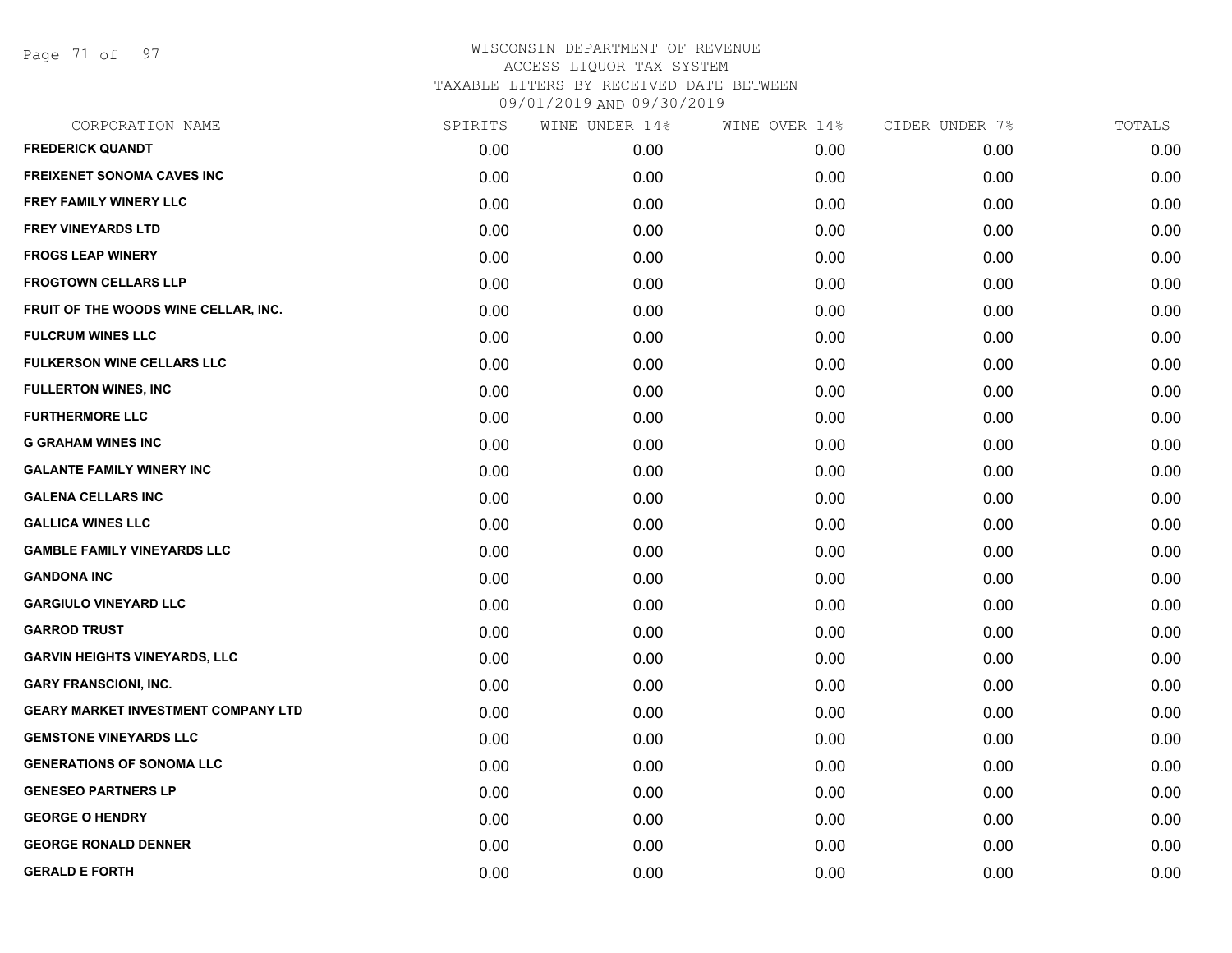Page 71 of 97

| CORPORATION NAME                           | SPIRITS | WINE UNDER 14% | WINE OVER 14% | CIDER UNDER 7% | TOTALS |
|--------------------------------------------|---------|----------------|---------------|----------------|--------|
| <b>FREDERICK QUANDT</b>                    | 0.00    | 0.00           | 0.00          | 0.00           | 0.00   |
| <b>FREIXENET SONOMA CAVES INC</b>          | 0.00    | 0.00           | 0.00          | 0.00           | 0.00   |
| FREY FAMILY WINERY LLC                     | 0.00    | 0.00           | 0.00          | 0.00           | 0.00   |
| <b>FREY VINEYARDS LTD</b>                  | 0.00    | 0.00           | 0.00          | 0.00           | 0.00   |
| <b>FROGS LEAP WINERY</b>                   | 0.00    | 0.00           | 0.00          | 0.00           | 0.00   |
| <b>FROGTOWN CELLARS LLP</b>                | 0.00    | 0.00           | 0.00          | 0.00           | 0.00   |
| FRUIT OF THE WOODS WINE CELLAR, INC.       | 0.00    | 0.00           | 0.00          | 0.00           | 0.00   |
| <b>FULCRUM WINES LLC</b>                   | 0.00    | 0.00           | 0.00          | 0.00           | 0.00   |
| <b>FULKERSON WINE CELLARS LLC</b>          | 0.00    | 0.00           | 0.00          | 0.00           | 0.00   |
| <b>FULLERTON WINES, INC</b>                | 0.00    | 0.00           | 0.00          | 0.00           | 0.00   |
| <b>FURTHERMORE LLC</b>                     | 0.00    | 0.00           | 0.00          | 0.00           | 0.00   |
| <b>G GRAHAM WINES INC</b>                  | 0.00    | 0.00           | 0.00          | 0.00           | 0.00   |
| <b>GALANTE FAMILY WINERY INC</b>           | 0.00    | 0.00           | 0.00          | 0.00           | 0.00   |
| <b>GALENA CELLARS INC</b>                  | 0.00    | 0.00           | 0.00          | 0.00           | 0.00   |
| <b>GALLICA WINES LLC</b>                   | 0.00    | 0.00           | 0.00          | 0.00           | 0.00   |
| <b>GAMBLE FAMILY VINEYARDS LLC</b>         | 0.00    | 0.00           | 0.00          | 0.00           | 0.00   |
| <b>GANDONA INC</b>                         | 0.00    | 0.00           | 0.00          | 0.00           | 0.00   |
| <b>GARGIULO VINEYARD LLC</b>               | 0.00    | 0.00           | 0.00          | 0.00           | 0.00   |
| <b>GARROD TRUST</b>                        | 0.00    | 0.00           | 0.00          | 0.00           | 0.00   |
| <b>GARVIN HEIGHTS VINEYARDS, LLC</b>       | 0.00    | 0.00           | 0.00          | 0.00           | 0.00   |
| <b>GARY FRANSCIONI, INC.</b>               | 0.00    | 0.00           | 0.00          | 0.00           | 0.00   |
| <b>GEARY MARKET INVESTMENT COMPANY LTD</b> | 0.00    | 0.00           | 0.00          | 0.00           | 0.00   |
| <b>GEMSTONE VINEYARDS LLC</b>              | 0.00    | 0.00           | 0.00          | 0.00           | 0.00   |
| <b>GENERATIONS OF SONOMA LLC</b>           | 0.00    | 0.00           | 0.00          | 0.00           | 0.00   |
| <b>GENESEO PARTNERS LP</b>                 | 0.00    | 0.00           | 0.00          | 0.00           | 0.00   |
| <b>GEORGE O HENDRY</b>                     | 0.00    | 0.00           | 0.00          | 0.00           | 0.00   |
| <b>GEORGE RONALD DENNER</b>                | 0.00    | 0.00           | 0.00          | 0.00           | 0.00   |
| <b>GERALD E FORTH</b>                      | 0.00    | 0.00           | 0.00          | 0.00           | 0.00   |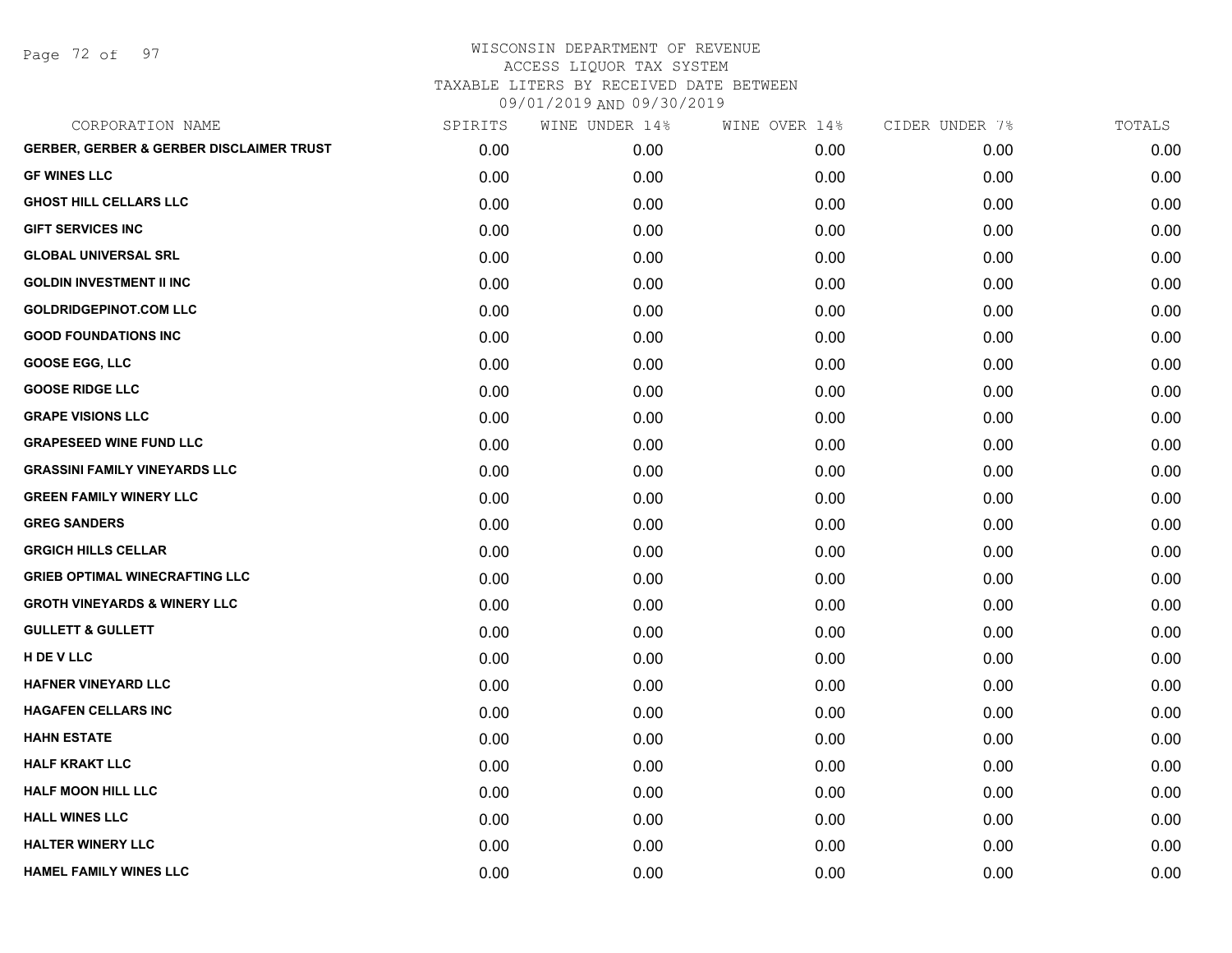Page 72 of 97

| CORPORATION NAME                                    | SPIRITS | WINE UNDER 14% | WINE OVER 14% | CIDER UNDER 7% | TOTALS |
|-----------------------------------------------------|---------|----------------|---------------|----------------|--------|
| <b>GERBER, GERBER &amp; GERBER DISCLAIMER TRUST</b> | 0.00    | 0.00           | 0.00          | 0.00           | 0.00   |
| <b>GF WINES LLC</b>                                 | 0.00    | 0.00           | 0.00          | 0.00           | 0.00   |
| <b>GHOST HILL CELLARS LLC</b>                       | 0.00    | 0.00           | 0.00          | 0.00           | 0.00   |
| <b>GIFT SERVICES INC</b>                            | 0.00    | 0.00           | 0.00          | 0.00           | 0.00   |
| <b>GLOBAL UNIVERSAL SRL</b>                         | 0.00    | 0.00           | 0.00          | 0.00           | 0.00   |
| <b>GOLDIN INVESTMENT II INC</b>                     | 0.00    | 0.00           | 0.00          | 0.00           | 0.00   |
| <b>GOLDRIDGEPINOT.COM LLC</b>                       | 0.00    | 0.00           | 0.00          | 0.00           | 0.00   |
| <b>GOOD FOUNDATIONS INC</b>                         | 0.00    | 0.00           | 0.00          | 0.00           | 0.00   |
| <b>GOOSE EGG, LLC</b>                               | 0.00    | 0.00           | 0.00          | 0.00           | 0.00   |
| <b>GOOSE RIDGE LLC</b>                              | 0.00    | 0.00           | 0.00          | 0.00           | 0.00   |
| <b>GRAPE VISIONS LLC</b>                            | 0.00    | 0.00           | 0.00          | 0.00           | 0.00   |
| <b>GRAPESEED WINE FUND LLC</b>                      | 0.00    | 0.00           | 0.00          | 0.00           | 0.00   |
| <b>GRASSINI FAMILY VINEYARDS LLC</b>                | 0.00    | 0.00           | 0.00          | 0.00           | 0.00   |
| <b>GREEN FAMILY WINERY LLC</b>                      | 0.00    | 0.00           | 0.00          | 0.00           | 0.00   |
| <b>GREG SANDERS</b>                                 | 0.00    | 0.00           | 0.00          | 0.00           | 0.00   |
| <b>GRGICH HILLS CELLAR</b>                          | 0.00    | 0.00           | 0.00          | 0.00           | 0.00   |
| <b>GRIEB OPTIMAL WINECRAFTING LLC</b>               | 0.00    | 0.00           | 0.00          | 0.00           | 0.00   |
| <b>GROTH VINEYARDS &amp; WINERY LLC</b>             | 0.00    | 0.00           | 0.00          | 0.00           | 0.00   |
| <b>GULLETT &amp; GULLETT</b>                        | 0.00    | 0.00           | 0.00          | 0.00           | 0.00   |
| H DE V LLC                                          | 0.00    | 0.00           | 0.00          | 0.00           | 0.00   |
| <b>HAFNER VINEYARD LLC</b>                          | 0.00    | 0.00           | 0.00          | 0.00           | 0.00   |
| <b>HAGAFEN CELLARS INC</b>                          | 0.00    | 0.00           | 0.00          | 0.00           | 0.00   |
| <b>HAHN ESTATE</b>                                  | 0.00    | 0.00           | 0.00          | 0.00           | 0.00   |
| <b>HALF KRAKT LLC</b>                               | 0.00    | 0.00           | 0.00          | 0.00           | 0.00   |
| <b>HALF MOON HILL LLC</b>                           | 0.00    | 0.00           | 0.00          | 0.00           | 0.00   |
| <b>HALL WINES LLC</b>                               | 0.00    | 0.00           | 0.00          | 0.00           | 0.00   |
| <b>HALTER WINERY LLC</b>                            | 0.00    | 0.00           | 0.00          | 0.00           | 0.00   |
| <b>HAMEL FAMILY WINES LLC</b>                       | 0.00    | 0.00           | 0.00          | 0.00           | 0.00   |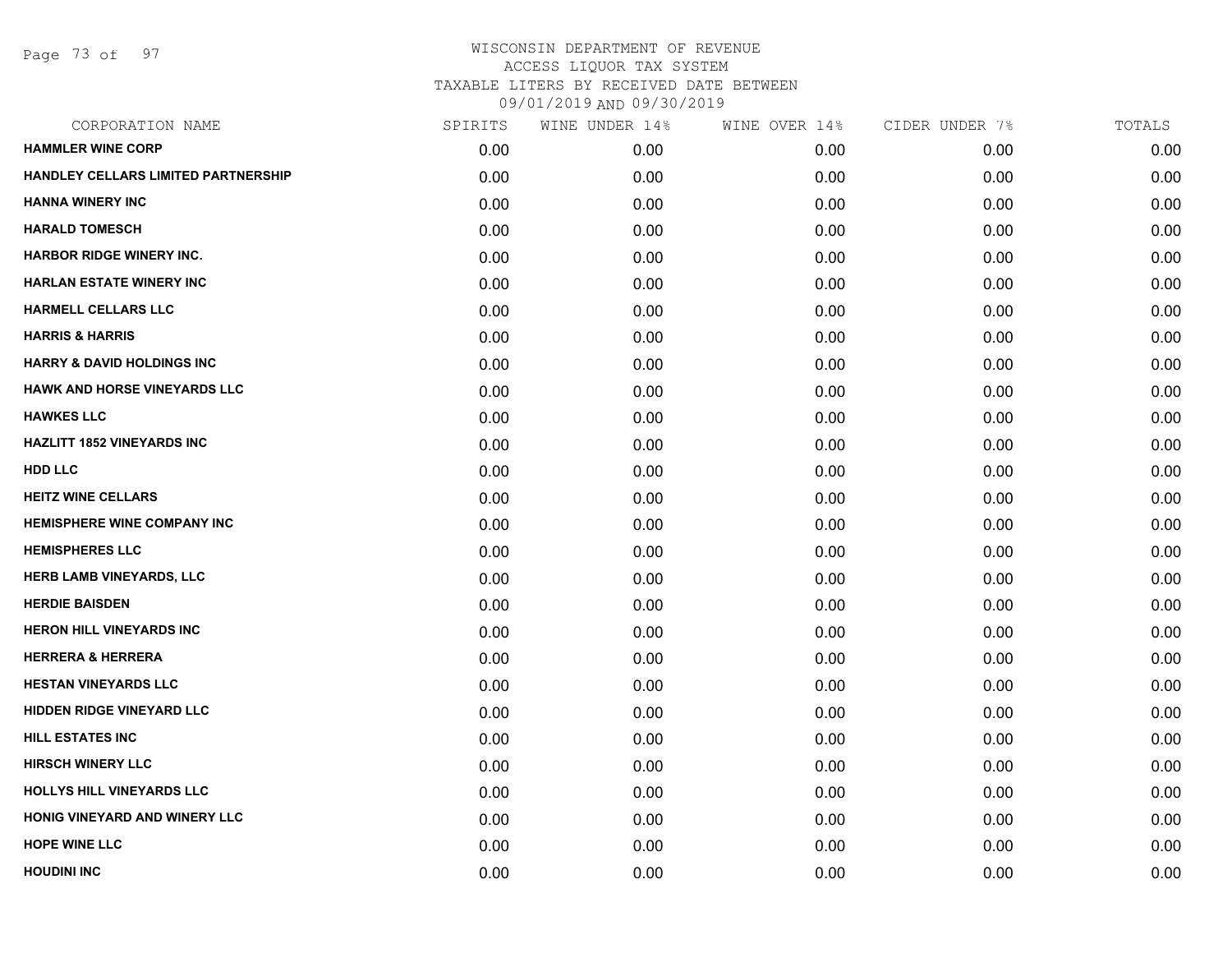Page 73 of 97

| CORPORATION NAME                      | SPIRITS | WINE UNDER 14% | WINE OVER 14% | CIDER UNDER 7% | TOTALS |
|---------------------------------------|---------|----------------|---------------|----------------|--------|
| <b>HAMMLER WINE CORP</b>              | 0.00    | 0.00           | 0.00          | 0.00           | 0.00   |
| HANDLEY CELLARS LIMITED PARTNERSHIP   | 0.00    | 0.00           | 0.00          | 0.00           | 0.00   |
| <b>HANNA WINERY INC</b>               | 0.00    | 0.00           | 0.00          | 0.00           | 0.00   |
| <b>HARALD TOMESCH</b>                 | 0.00    | 0.00           | 0.00          | 0.00           | 0.00   |
| <b>HARBOR RIDGE WINERY INC.</b>       | 0.00    | 0.00           | 0.00          | 0.00           | 0.00   |
| <b>HARLAN ESTATE WINERY INC</b>       | 0.00    | 0.00           | 0.00          | 0.00           | 0.00   |
| <b>HARMELL CELLARS LLC</b>            | 0.00    | 0.00           | 0.00          | 0.00           | 0.00   |
| <b>HARRIS &amp; HARRIS</b>            | 0.00    | 0.00           | 0.00          | 0.00           | 0.00   |
| <b>HARRY &amp; DAVID HOLDINGS INC</b> | 0.00    | 0.00           | 0.00          | 0.00           | 0.00   |
| <b>HAWK AND HORSE VINEYARDS LLC</b>   | 0.00    | 0.00           | 0.00          | 0.00           | 0.00   |
| <b>HAWKES LLC</b>                     | 0.00    | 0.00           | 0.00          | 0.00           | 0.00   |
| <b>HAZLITT 1852 VINEYARDS INC</b>     | 0.00    | 0.00           | 0.00          | 0.00           | 0.00   |
| <b>HDD LLC</b>                        | 0.00    | 0.00           | 0.00          | 0.00           | 0.00   |
| <b>HEITZ WINE CELLARS</b>             | 0.00    | 0.00           | 0.00          | 0.00           | 0.00   |
| <b>HEMISPHERE WINE COMPANY INC</b>    | 0.00    | 0.00           | 0.00          | 0.00           | 0.00   |
| <b>HEMISPHERES LLC</b>                | 0.00    | 0.00           | 0.00          | 0.00           | 0.00   |
| <b>HERB LAMB VINEYARDS, LLC</b>       | 0.00    | 0.00           | 0.00          | 0.00           | 0.00   |
| <b>HERDIE BAISDEN</b>                 | 0.00    | 0.00           | 0.00          | 0.00           | 0.00   |
| <b>HERON HILL VINEYARDS INC</b>       | 0.00    | 0.00           | 0.00          | 0.00           | 0.00   |
| <b>HERRERA &amp; HERRERA</b>          | 0.00    | 0.00           | 0.00          | 0.00           | 0.00   |
| <b>HESTAN VINEYARDS LLC</b>           | 0.00    | 0.00           | 0.00          | 0.00           | 0.00   |
| <b>HIDDEN RIDGE VINEYARD LLC</b>      | 0.00    | 0.00           | 0.00          | 0.00           | 0.00   |
| <b>HILL ESTATES INC</b>               | 0.00    | 0.00           | 0.00          | 0.00           | 0.00   |
| <b>HIRSCH WINERY LLC</b>              | 0.00    | 0.00           | 0.00          | 0.00           | 0.00   |
| <b>HOLLYS HILL VINEYARDS LLC</b>      | 0.00    | 0.00           | 0.00          | 0.00           | 0.00   |
| HONIG VINEYARD AND WINERY LLC         | 0.00    | 0.00           | 0.00          | 0.00           | 0.00   |
| <b>HOPE WINE LLC</b>                  | 0.00    | 0.00           | 0.00          | 0.00           | 0.00   |
| <b>HOUDINI INC</b>                    | 0.00    | 0.00           | 0.00          | 0.00           | 0.00   |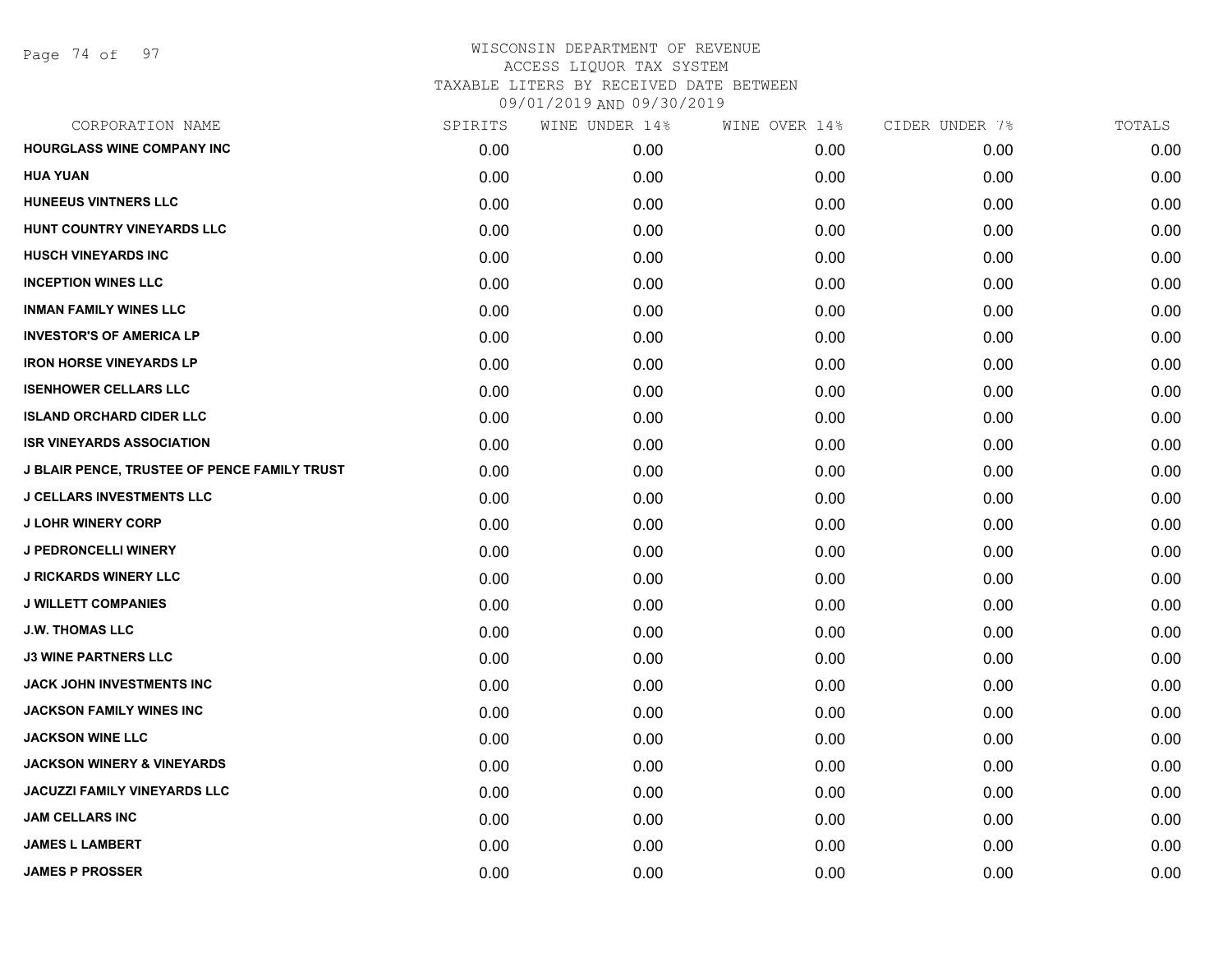| CORPORATION NAME                                    | SPIRITS | WINE UNDER 14% | WINE OVER 14%     | CIDER UNDER 7% | TOTALS |
|-----------------------------------------------------|---------|----------------|-------------------|----------------|--------|
| HOURGLASS WINE COMPANY INC                          | 0.00    | 0.00           | 0.00 <sub>1</sub> | 0.00           | 0.00   |
| <b>HUA YUAN</b>                                     | 0.00    | 0.00           | 0.00              | 0.00           | 0.00   |
| <b>HUNEEUS VINTNERS LLC</b>                         | 0.00    | 0.00           | 0.00              | 0.00           | 0.00   |
| HUNT COUNTRY VINEYARDS LLC                          | 0.00    | 0.00           | 0.00              | 0.00           | 0.00   |
| <b>HUSCH VINEYARDS INC</b>                          | 0.00    | 0.00           | 0.00              | 0.00           | 0.00   |
| <b>INCEPTION WINES LLC</b>                          | 0.00    | 0.00           | 0.00              | 0.00           | 0.00   |
| <b>INMAN FAMILY WINES LLC</b>                       | 0.00    | 0.00           | 0.00              | 0.00           | 0.00   |
| <b>INVESTOR'S OF AMERICA LP</b>                     | 0.00    | 0.00           | 0.00              | 0.00           | 0.00   |
| <b>IRON HORSE VINEYARDS LP</b>                      | 0.00    | 0.00           | 0.00              | 0.00           | 0.00   |
| <b>ISENHOWER CELLARS LLC</b>                        | 0.00    | 0.00           | 0.00              | 0.00           | 0.00   |
| <b>ISLAND ORCHARD CIDER LLC</b>                     | 0.00    | 0.00           | 0.00              | 0.00           | 0.00   |
| <b>ISR VINEYARDS ASSOCIATION</b>                    | 0.00    | 0.00           | 0.00              | 0.00           | 0.00   |
| <b>J BLAIR PENCE, TRUSTEE OF PENCE FAMILY TRUST</b> | 0.00    | 0.00           | 0.00              | 0.00           | 0.00   |
| <b>J CELLARS INVESTMENTS LLC</b>                    | 0.00    | 0.00           | 0.00              | 0.00           | 0.00   |
| <b>J LOHR WINERY CORP</b>                           | 0.00    | 0.00           | 0.00              | 0.00           | 0.00   |
| <b>J PEDRONCELLI WINERY</b>                         | 0.00    | 0.00           | 0.00              | 0.00           | 0.00   |
| <b>J RICKARDS WINERY LLC</b>                        | 0.00    | 0.00           | 0.00              | 0.00           | 0.00   |
| <b>J WILLETT COMPANIES</b>                          | 0.00    | 0.00           | 0.00              | 0.00           | 0.00   |
| <b>J.W. THOMAS LLC</b>                              | 0.00    | 0.00           | 0.00              | 0.00           | 0.00   |
| <b>J3 WINE PARTNERS LLC</b>                         | 0.00    | 0.00           | 0.00              | 0.00           | 0.00   |
| JACK JOHN INVESTMENTS INC                           | 0.00    | 0.00           | 0.00              | 0.00           | 0.00   |
| <b>JACKSON FAMILY WINES INC</b>                     | 0.00    | 0.00           | 0.00              | 0.00           | 0.00   |
| <b>JACKSON WINE LLC</b>                             | 0.00    | 0.00           | 0.00              | 0.00           | 0.00   |
| <b>JACKSON WINERY &amp; VINEYARDS</b>               | 0.00    | 0.00           | 0.00              | 0.00           | 0.00   |
| <b>JACUZZI FAMILY VINEYARDS LLC</b>                 | 0.00    | 0.00           | 0.00              | 0.00           | 0.00   |
| <b>JAM CELLARS INC</b>                              | 0.00    | 0.00           | 0.00              | 0.00           | 0.00   |
| <b>JAMES L LAMBERT</b>                              | 0.00    | 0.00           | 0.00              | 0.00           | 0.00   |
| <b>JAMES P PROSSER</b>                              | 0.00    | 0.00           | 0.00              | 0.00           | 0.00   |
|                                                     |         |                |                   |                |        |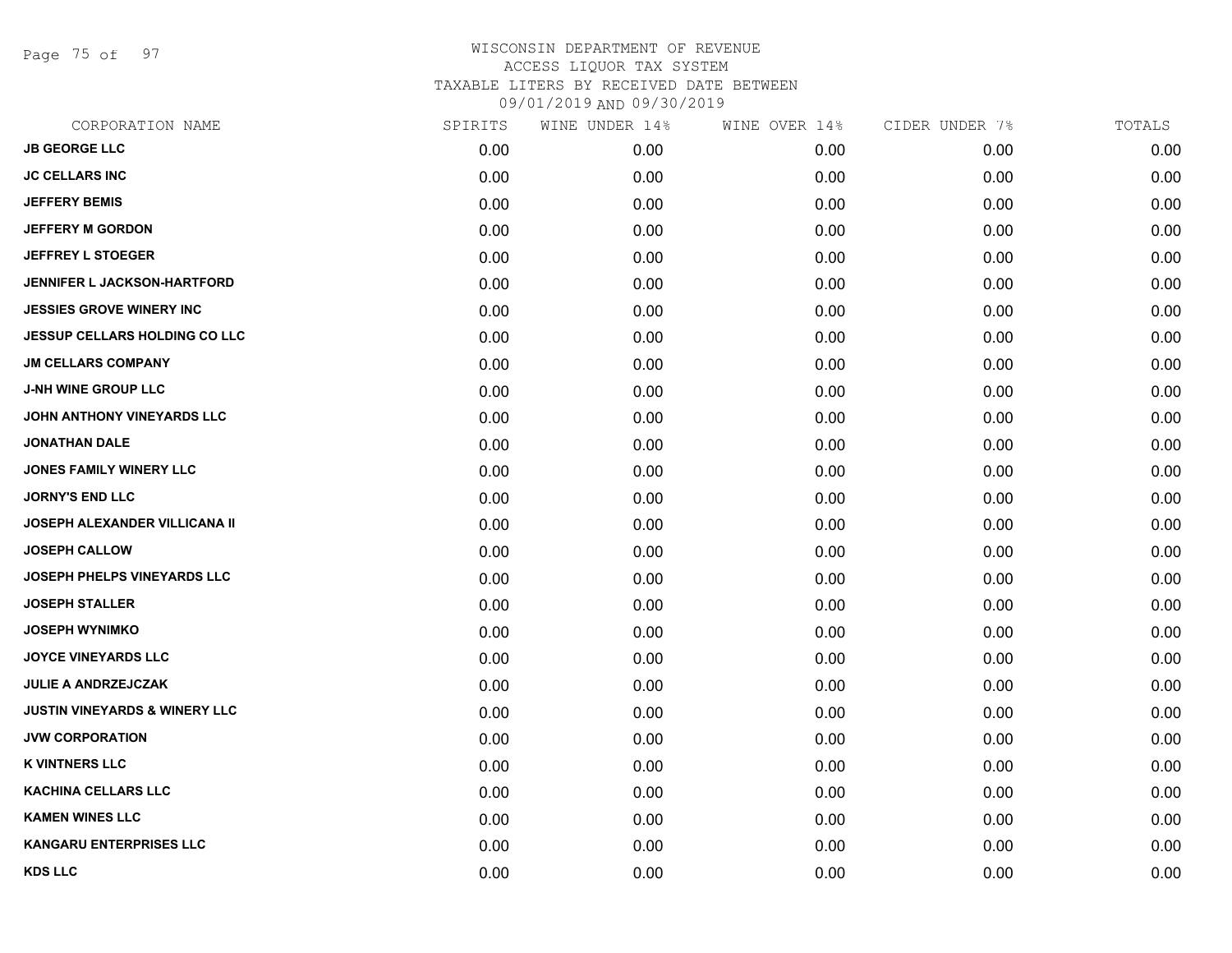Page 75 of 97

| CORPORATION NAME                         | SPIRITS | WINE UNDER 14% | WINE OVER 14% | CIDER UNDER 7% | TOTALS |
|------------------------------------------|---------|----------------|---------------|----------------|--------|
| <b>JB GEORGE LLC</b>                     | 0.00    | 0.00           | 0.00          | 0.00           | 0.00   |
| <b>JC CELLARS INC</b>                    | 0.00    | 0.00           | 0.00          | 0.00           | 0.00   |
| <b>JEFFERY BEMIS</b>                     | 0.00    | 0.00           | 0.00          | 0.00           | 0.00   |
| <b>JEFFERY M GORDON</b>                  | 0.00    | 0.00           | 0.00          | 0.00           | 0.00   |
| <b>JEFFREY L STOEGER</b>                 | 0.00    | 0.00           | 0.00          | 0.00           | 0.00   |
| <b>JENNIFER L JACKSON-HARTFORD</b>       | 0.00    | 0.00           | 0.00          | 0.00           | 0.00   |
| <b>JESSIES GROVE WINERY INC</b>          | 0.00    | 0.00           | 0.00          | 0.00           | 0.00   |
| <b>JESSUP CELLARS HOLDING CO LLC</b>     | 0.00    | 0.00           | 0.00          | 0.00           | 0.00   |
| <b>JM CELLARS COMPANY</b>                | 0.00    | 0.00           | 0.00          | 0.00           | 0.00   |
| <b>J-NH WINE GROUP LLC</b>               | 0.00    | 0.00           | 0.00          | 0.00           | 0.00   |
| JOHN ANTHONY VINEYARDS LLC               | 0.00    | 0.00           | 0.00          | 0.00           | 0.00   |
| <b>JONATHAN DALE</b>                     | 0.00    | 0.00           | 0.00          | 0.00           | 0.00   |
| JONES FAMILY WINERY LLC                  | 0.00    | 0.00           | 0.00          | 0.00           | 0.00   |
| <b>JORNY'S END LLC</b>                   | 0.00    | 0.00           | 0.00          | 0.00           | 0.00   |
| <b>JOSEPH ALEXANDER VILLICANA II</b>     | 0.00    | 0.00           | 0.00          | 0.00           | 0.00   |
| <b>JOSEPH CALLOW</b>                     | 0.00    | 0.00           | 0.00          | 0.00           | 0.00   |
| <b>JOSEPH PHELPS VINEYARDS LLC</b>       | 0.00    | 0.00           | 0.00          | 0.00           | 0.00   |
| <b>JOSEPH STALLER</b>                    | 0.00    | 0.00           | 0.00          | 0.00           | 0.00   |
| <b>JOSEPH WYNIMKO</b>                    | 0.00    | 0.00           | 0.00          | 0.00           | 0.00   |
| <b>JOYCE VINEYARDS LLC</b>               | 0.00    | 0.00           | 0.00          | 0.00           | 0.00   |
| <b>JULIE A ANDRZEJCZAK</b>               | 0.00    | 0.00           | 0.00          | 0.00           | 0.00   |
| <b>JUSTIN VINEYARDS &amp; WINERY LLC</b> | 0.00    | 0.00           | 0.00          | 0.00           | 0.00   |
| <b>JVW CORPORATION</b>                   | 0.00    | 0.00           | 0.00          | 0.00           | 0.00   |
| <b>K VINTNERS LLC</b>                    | 0.00    | 0.00           | 0.00          | 0.00           | 0.00   |
| <b>KACHINA CELLARS LLC</b>               | 0.00    | 0.00           | 0.00          | 0.00           | 0.00   |
| <b>KAMEN WINES LLC</b>                   | 0.00    | 0.00           | 0.00          | 0.00           | 0.00   |
| <b>KANGARU ENTERPRISES LLC</b>           | 0.00    | 0.00           | 0.00          | 0.00           | 0.00   |
| <b>KDS LLC</b>                           | 0.00    | 0.00           | 0.00          | 0.00           | 0.00   |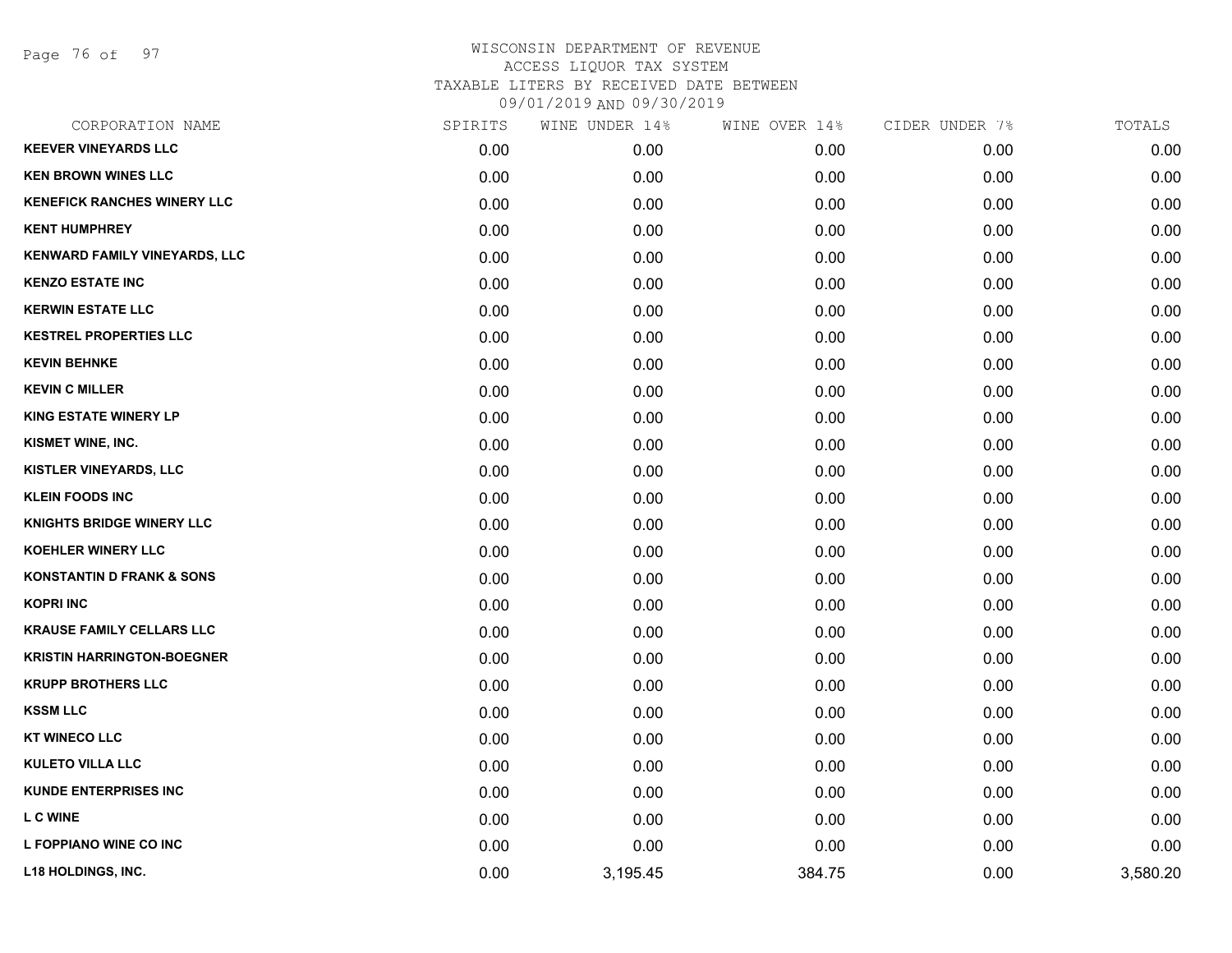Page 76 of 97

| CORPORATION NAME                     | SPIRITS | WINE UNDER 14% | WINE OVER 14% | CIDER UNDER 7% | TOTALS   |
|--------------------------------------|---------|----------------|---------------|----------------|----------|
| <b>KEEVER VINEYARDS LLC</b>          | 0.00    | 0.00           | 0.00          | 0.00           | 0.00     |
| <b>KEN BROWN WINES LLC</b>           | 0.00    | 0.00           | 0.00          | 0.00           | 0.00     |
| <b>KENEFICK RANCHES WINERY LLC</b>   | 0.00    | 0.00           | 0.00          | 0.00           | 0.00     |
| <b>KENT HUMPHREY</b>                 | 0.00    | 0.00           | 0.00          | 0.00           | 0.00     |
| KENWARD FAMILY VINEYARDS, LLC        | 0.00    | 0.00           | 0.00          | 0.00           | 0.00     |
| <b>KENZO ESTATE INC</b>              | 0.00    | 0.00           | 0.00          | 0.00           | 0.00     |
| <b>KERWIN ESTATE LLC</b>             | 0.00    | 0.00           | 0.00          | 0.00           | 0.00     |
| <b>KESTREL PROPERTIES LLC</b>        | 0.00    | 0.00           | 0.00          | 0.00           | 0.00     |
| <b>KEVIN BEHNKE</b>                  | 0.00    | 0.00           | 0.00          | 0.00           | 0.00     |
| <b>KEVIN C MILLER</b>                | 0.00    | 0.00           | 0.00          | 0.00           | 0.00     |
| <b>KING ESTATE WINERY LP</b>         | 0.00    | 0.00           | 0.00          | 0.00           | 0.00     |
| KISMET WINE, INC.                    | 0.00    | 0.00           | 0.00          | 0.00           | 0.00     |
| KISTLER VINEYARDS, LLC               | 0.00    | 0.00           | 0.00          | 0.00           | 0.00     |
| <b>KLEIN FOODS INC</b>               | 0.00    | 0.00           | 0.00          | 0.00           | 0.00     |
| <b>KNIGHTS BRIDGE WINERY LLC</b>     | 0.00    | 0.00           | 0.00          | 0.00           | 0.00     |
| KOEHLER WINERY LLC                   | 0.00    | 0.00           | 0.00          | 0.00           | 0.00     |
| <b>KONSTANTIN D FRANK &amp; SONS</b> | 0.00    | 0.00           | 0.00          | 0.00           | 0.00     |
| <b>KOPRI INC</b>                     | 0.00    | 0.00           | 0.00          | 0.00           | 0.00     |
| <b>KRAUSE FAMILY CELLARS LLC</b>     | 0.00    | 0.00           | 0.00          | 0.00           | 0.00     |
| <b>KRISTIN HARRINGTON-BOEGNER</b>    | 0.00    | 0.00           | 0.00          | 0.00           | 0.00     |
| <b>KRUPP BROTHERS LLC</b>            | 0.00    | 0.00           | 0.00          | 0.00           | 0.00     |
| <b>KSSM LLC</b>                      | 0.00    | 0.00           | 0.00          | 0.00           | 0.00     |
| <b>KT WINECO LLC</b>                 | 0.00    | 0.00           | 0.00          | 0.00           | 0.00     |
| <b>KULETO VILLA LLC</b>              | 0.00    | 0.00           | 0.00          | 0.00           | 0.00     |
| <b>KUNDE ENTERPRISES INC</b>         | 0.00    | 0.00           | 0.00          | 0.00           | 0.00     |
| <b>L C WINE</b>                      | 0.00    | 0.00           | 0.00          | 0.00           | 0.00     |
| L FOPPIANO WINE CO INC               | 0.00    | 0.00           | 0.00          | 0.00           | 0.00     |
| L18 HOLDINGS, INC.                   | 0.00    | 3,195.45       | 384.75        | 0.00           | 3,580.20 |
|                                      |         |                |               |                |          |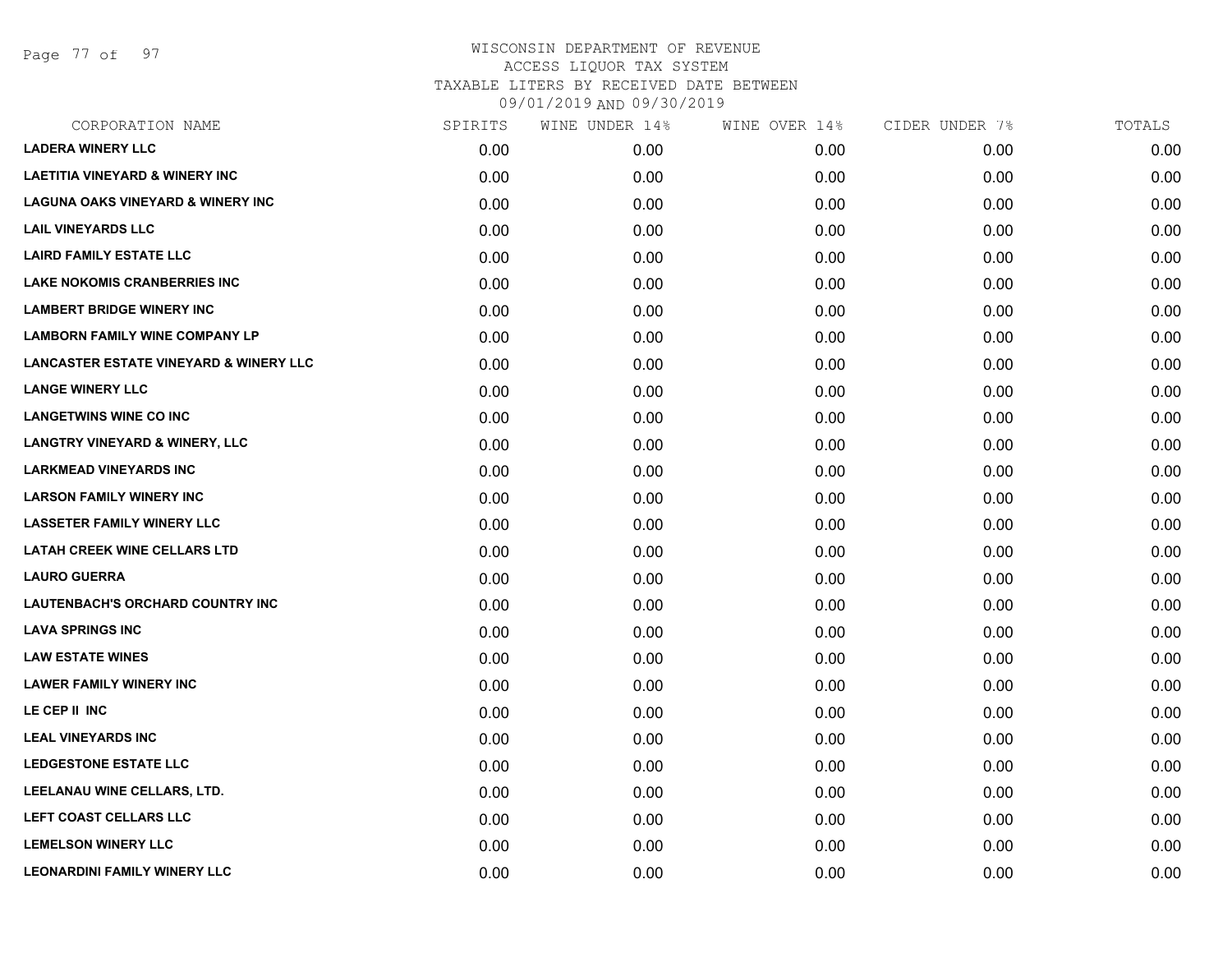Page 77 of 97

| CORPORATION NAME                                  | SPIRITS | WINE UNDER 14% | WINE OVER 14% | CIDER UNDER 7% | TOTALS |
|---------------------------------------------------|---------|----------------|---------------|----------------|--------|
| <b>LADERA WINERY LLC</b>                          | 0.00    | 0.00           | 0.00          | 0.00           | 0.00   |
| <b>LAETITIA VINEYARD &amp; WINERY INC</b>         | 0.00    | 0.00           | 0.00          | 0.00           | 0.00   |
| <b>LAGUNA OAKS VINEYARD &amp; WINERY INC</b>      | 0.00    | 0.00           | 0.00          | 0.00           | 0.00   |
| <b>LAIL VINEYARDS LLC</b>                         | 0.00    | 0.00           | 0.00          | 0.00           | 0.00   |
| <b>LAIRD FAMILY ESTATE LLC</b>                    | 0.00    | 0.00           | 0.00          | 0.00           | 0.00   |
| <b>LAKE NOKOMIS CRANBERRIES INC</b>               | 0.00    | 0.00           | 0.00          | 0.00           | 0.00   |
| <b>LAMBERT BRIDGE WINERY INC</b>                  | 0.00    | 0.00           | 0.00          | 0.00           | 0.00   |
| <b>LAMBORN FAMILY WINE COMPANY LP</b>             | 0.00    | 0.00           | 0.00          | 0.00           | 0.00   |
| <b>LANCASTER ESTATE VINEYARD &amp; WINERY LLC</b> | 0.00    | 0.00           | 0.00          | 0.00           | 0.00   |
| <b>LANGE WINERY LLC</b>                           | 0.00    | 0.00           | 0.00          | 0.00           | 0.00   |
| <b>LANGETWINS WINE CO INC</b>                     | 0.00    | 0.00           | 0.00          | 0.00           | 0.00   |
| <b>LANGTRY VINEYARD &amp; WINERY, LLC</b>         | 0.00    | 0.00           | 0.00          | 0.00           | 0.00   |
| <b>LARKMEAD VINEYARDS INC</b>                     | 0.00    | 0.00           | 0.00          | 0.00           | 0.00   |
| <b>LARSON FAMILY WINERY INC</b>                   | 0.00    | 0.00           | 0.00          | 0.00           | 0.00   |
| <b>LASSETER FAMILY WINERY LLC</b>                 | 0.00    | 0.00           | 0.00          | 0.00           | 0.00   |
| <b>LATAH CREEK WINE CELLARS LTD</b>               | 0.00    | 0.00           | 0.00          | 0.00           | 0.00   |
| <b>LAURO GUERRA</b>                               | 0.00    | 0.00           | 0.00          | 0.00           | 0.00   |
| <b>LAUTENBACH'S ORCHARD COUNTRY INC</b>           | 0.00    | 0.00           | 0.00          | 0.00           | 0.00   |
| <b>LAVA SPRINGS INC</b>                           | 0.00    | 0.00           | 0.00          | 0.00           | 0.00   |
| <b>LAW ESTATE WINES</b>                           | 0.00    | 0.00           | 0.00          | 0.00           | 0.00   |
| <b>LAWER FAMILY WINERY INC</b>                    | 0.00    | 0.00           | 0.00          | 0.00           | 0.00   |
| LE CEP II INC                                     | 0.00    | 0.00           | 0.00          | 0.00           | 0.00   |
| <b>LEAL VINEYARDS INC</b>                         | 0.00    | 0.00           | 0.00          | 0.00           | 0.00   |
| <b>LEDGESTONE ESTATE LLC</b>                      | 0.00    | 0.00           | 0.00          | 0.00           | 0.00   |
| LEELANAU WINE CELLARS, LTD.                       | 0.00    | 0.00           | 0.00          | 0.00           | 0.00   |
| LEFT COAST CELLARS LLC                            | 0.00    | 0.00           | 0.00          | 0.00           | 0.00   |
| <b>LEMELSON WINERY LLC</b>                        | 0.00    | 0.00           | 0.00          | 0.00           | 0.00   |
| <b>LEONARDINI FAMILY WINERY LLC</b>               | 0.00    | 0.00           | 0.00          | 0.00           | 0.00   |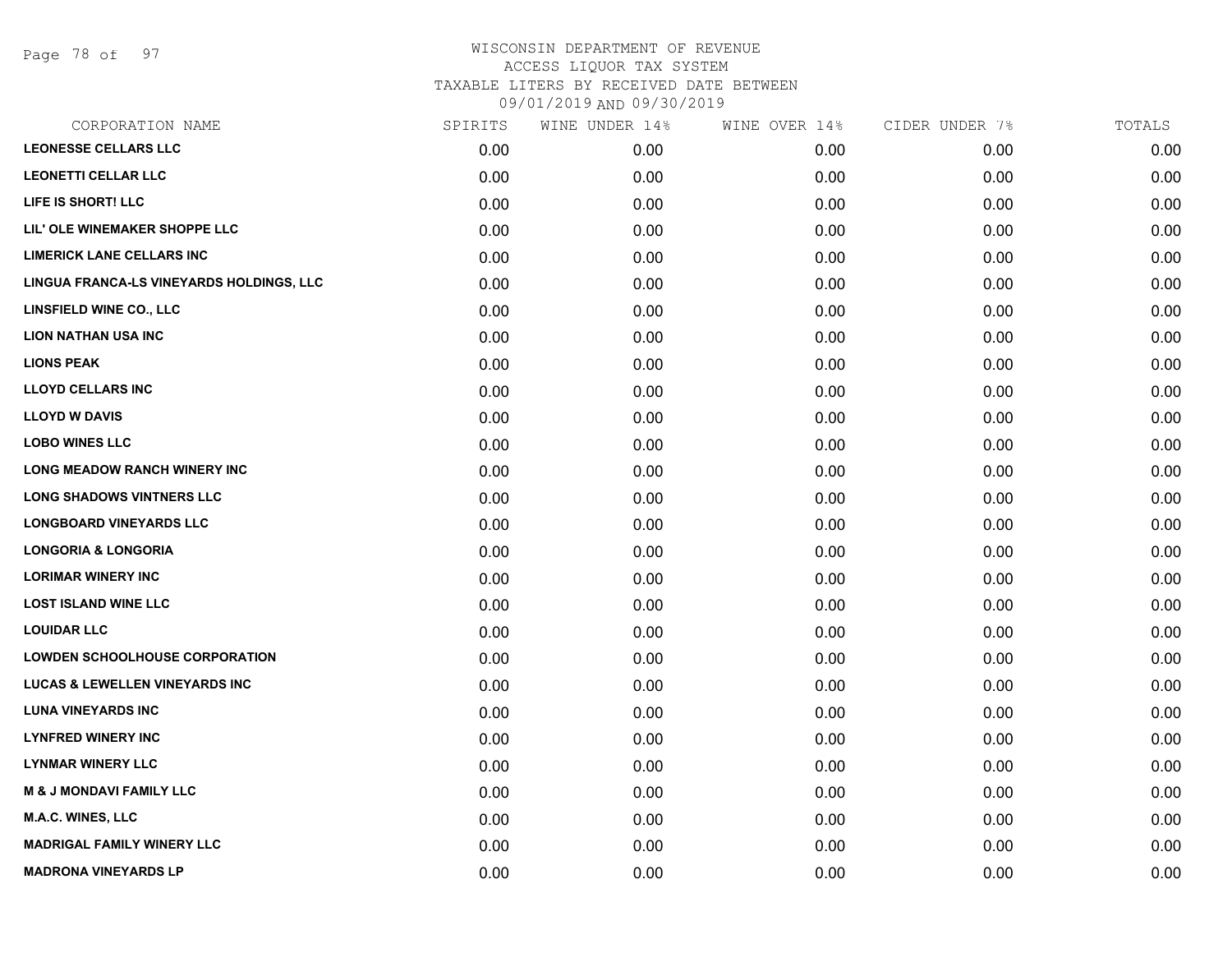Page 78 of 97

| CORPORATION NAME                          | SPIRITS | WINE UNDER 14% | WINE OVER 14% | CIDER UNDER 7% | TOTALS |
|-------------------------------------------|---------|----------------|---------------|----------------|--------|
| <b>LEONESSE CELLARS LLC</b>               | 0.00    | 0.00           | 0.00          | 0.00           | 0.00   |
| <b>LEONETTI CELLAR LLC</b>                | 0.00    | 0.00           | 0.00          | 0.00           | 0.00   |
| LIFE IS SHORT! LLC                        | 0.00    | 0.00           | 0.00          | 0.00           | 0.00   |
| LIL' OLE WINEMAKER SHOPPE LLC             | 0.00    | 0.00           | 0.00          | 0.00           | 0.00   |
| <b>LIMERICK LANE CELLARS INC</b>          | 0.00    | 0.00           | 0.00          | 0.00           | 0.00   |
| LINGUA FRANCA-LS VINEYARDS HOLDINGS, LLC  | 0.00    | 0.00           | 0.00          | 0.00           | 0.00   |
| <b>LINSFIELD WINE CO., LLC</b>            | 0.00    | 0.00           | 0.00          | 0.00           | 0.00   |
| <b>LION NATHAN USA INC</b>                | 0.00    | 0.00           | 0.00          | 0.00           | 0.00   |
| <b>LIONS PEAK</b>                         | 0.00    | 0.00           | 0.00          | 0.00           | 0.00   |
| <b>LLOYD CELLARS INC</b>                  | 0.00    | 0.00           | 0.00          | 0.00           | 0.00   |
| <b>LLOYD W DAVIS</b>                      | 0.00    | 0.00           | 0.00          | 0.00           | 0.00   |
| <b>LOBO WINES LLC</b>                     | 0.00    | 0.00           | 0.00          | 0.00           | 0.00   |
| LONG MEADOW RANCH WINERY INC              | 0.00    | 0.00           | 0.00          | 0.00           | 0.00   |
| <b>LONG SHADOWS VINTNERS LLC</b>          | 0.00    | 0.00           | 0.00          | 0.00           | 0.00   |
| <b>LONGBOARD VINEYARDS LLC</b>            | 0.00    | 0.00           | 0.00          | 0.00           | 0.00   |
| <b>LONGORIA &amp; LONGORIA</b>            | 0.00    | 0.00           | 0.00          | 0.00           | 0.00   |
| <b>LORIMAR WINERY INC</b>                 | 0.00    | 0.00           | 0.00          | 0.00           | 0.00   |
| <b>LOST ISLAND WINE LLC</b>               | 0.00    | 0.00           | 0.00          | 0.00           | 0.00   |
| <b>LOUIDAR LLC</b>                        | 0.00    | 0.00           | 0.00          | 0.00           | 0.00   |
| <b>LOWDEN SCHOOLHOUSE CORPORATION</b>     | 0.00    | 0.00           | 0.00          | 0.00           | 0.00   |
| <b>LUCAS &amp; LEWELLEN VINEYARDS INC</b> | 0.00    | 0.00           | 0.00          | 0.00           | 0.00   |
| <b>LUNA VINEYARDS INC</b>                 | 0.00    | 0.00           | 0.00          | 0.00           | 0.00   |
| <b>LYNFRED WINERY INC</b>                 | 0.00    | 0.00           | 0.00          | 0.00           | 0.00   |
| <b>LYNMAR WINERY LLC</b>                  | 0.00    | 0.00           | 0.00          | 0.00           | 0.00   |
| <b>M &amp; J MONDAVI FAMILY LLC</b>       | 0.00    | 0.00           | 0.00          | 0.00           | 0.00   |
| <b>M.A.C. WINES, LLC</b>                  | 0.00    | 0.00           | 0.00          | 0.00           | 0.00   |
| <b>MADRIGAL FAMILY WINERY LLC</b>         | 0.00    | 0.00           | 0.00          | 0.00           | 0.00   |
| <b>MADRONA VINEYARDS LP</b>               | 0.00    | 0.00           | 0.00          | 0.00           | 0.00   |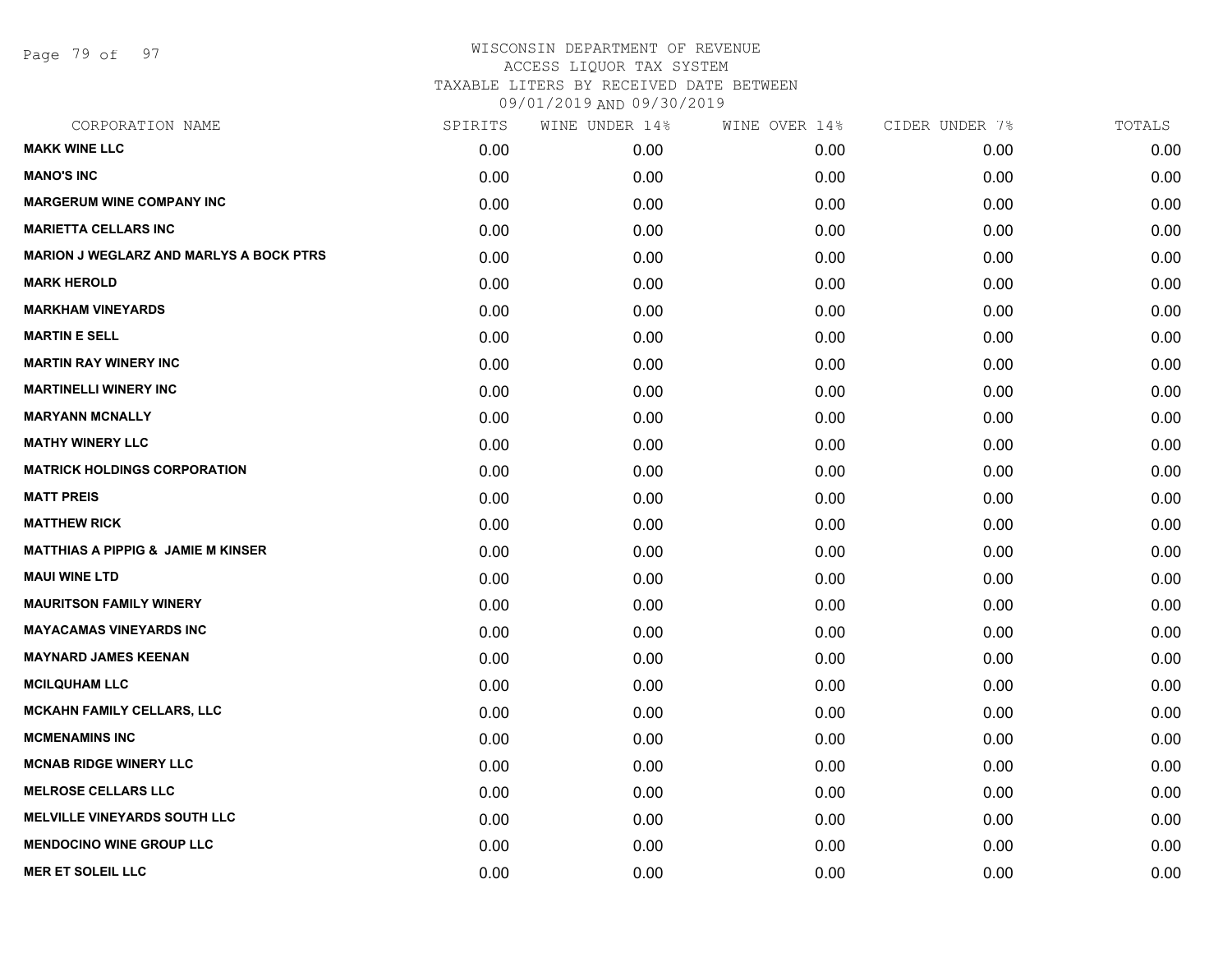Page 79 of 97

| SPIRITS | WINE UNDER 14% | WINE OVER 14% | CIDER UNDER 7% | TOTALS |
|---------|----------------|---------------|----------------|--------|
| 0.00    | 0.00           | 0.00          | 0.00           | 0.00   |
| 0.00    | 0.00           | 0.00          | 0.00           | 0.00   |
| 0.00    | 0.00           | 0.00          | 0.00           | 0.00   |
| 0.00    | 0.00           | 0.00          | 0.00           | 0.00   |
| 0.00    | 0.00           | 0.00          | 0.00           | 0.00   |
| 0.00    | 0.00           | 0.00          | 0.00           | 0.00   |
| 0.00    | 0.00           | 0.00          | 0.00           | 0.00   |
| 0.00    | 0.00           | 0.00          | 0.00           | 0.00   |
| 0.00    | 0.00           | 0.00          | 0.00           | 0.00   |
| 0.00    | 0.00           | 0.00          | 0.00           | 0.00   |
| 0.00    | 0.00           | 0.00          | 0.00           | 0.00   |
| 0.00    | 0.00           | 0.00          | 0.00           | 0.00   |
| 0.00    | 0.00           | 0.00          | 0.00           | 0.00   |
| 0.00    | 0.00           | 0.00          | 0.00           | 0.00   |
| 0.00    | 0.00           | 0.00          | 0.00           | 0.00   |
| 0.00    | 0.00           | 0.00          | 0.00           | 0.00   |
| 0.00    | 0.00           | 0.00          | 0.00           | 0.00   |
| 0.00    | 0.00           | 0.00          | 0.00           | 0.00   |
| 0.00    | 0.00           | 0.00          | 0.00           | 0.00   |
| 0.00    | 0.00           | 0.00          | 0.00           | 0.00   |
| 0.00    | 0.00           | 0.00          | 0.00           | 0.00   |
| 0.00    | 0.00           | 0.00          | 0.00           | 0.00   |
| 0.00    | 0.00           | 0.00          | 0.00           | 0.00   |
| 0.00    | 0.00           | 0.00          | 0.00           | 0.00   |
| 0.00    | 0.00           | 0.00          | 0.00           | 0.00   |
| 0.00    | 0.00           | 0.00          | 0.00           | 0.00   |
| 0.00    | 0.00           | 0.00          | 0.00           | 0.00   |
| 0.00    | 0.00           | 0.00          | 0.00           | 0.00   |
|         |                |               |                |        |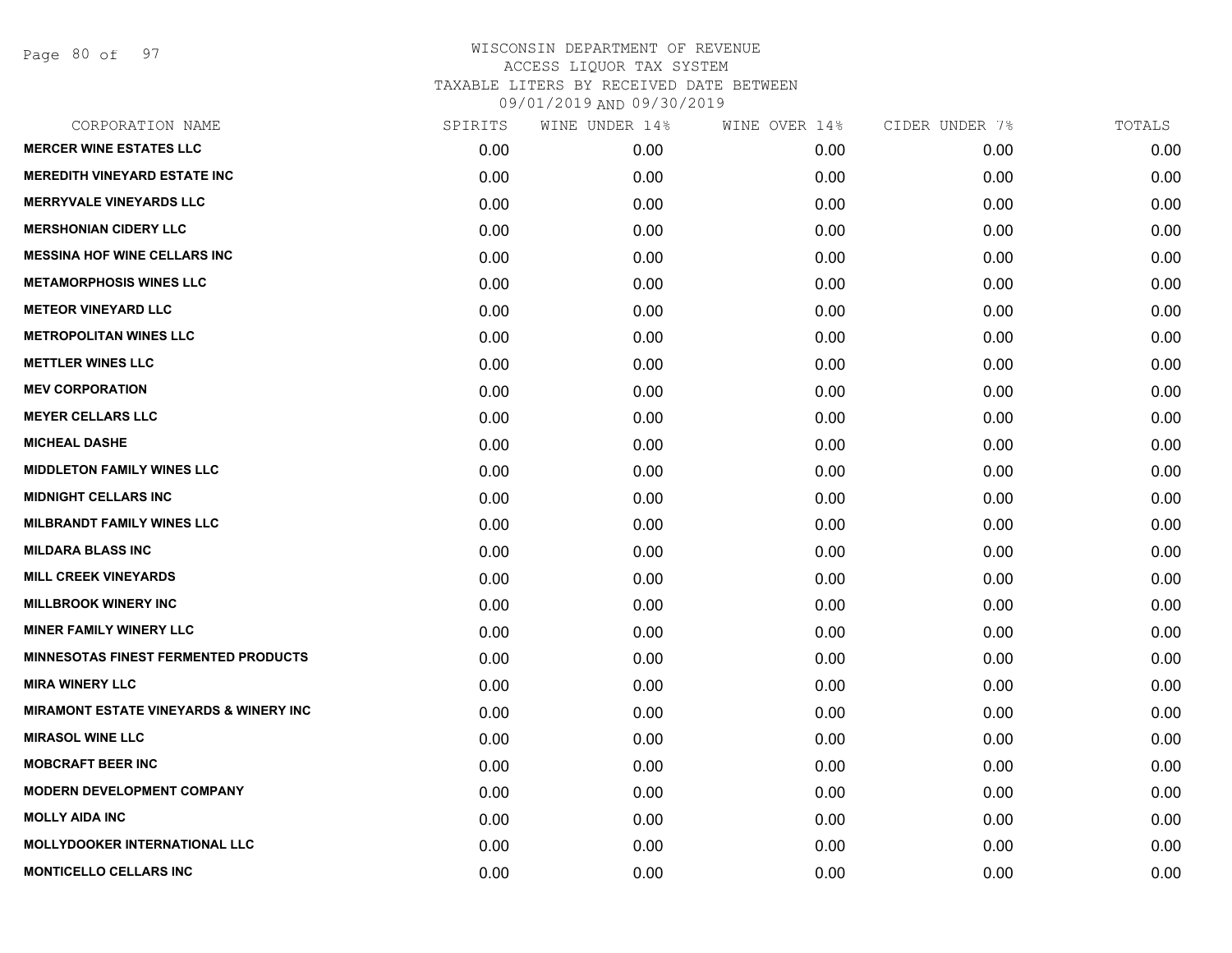Page 80 of 97

| CORPORATION NAME                                  | SPIRITS | WINE UNDER 14% | WINE OVER 14% | CIDER UNDER 7% | TOTALS |
|---------------------------------------------------|---------|----------------|---------------|----------------|--------|
| <b>MERCER WINE ESTATES LLC</b>                    | 0.00    | 0.00           | 0.00          | 0.00           | 0.00   |
| <b>MEREDITH VINEYARD ESTATE INC</b>               | 0.00    | 0.00           | 0.00          | 0.00           | 0.00   |
| <b>MERRYVALE VINEYARDS LLC</b>                    | 0.00    | 0.00           | 0.00          | 0.00           | 0.00   |
| <b>MERSHONIAN CIDERY LLC</b>                      | 0.00    | 0.00           | 0.00          | 0.00           | 0.00   |
| <b>MESSINA HOF WINE CELLARS INC</b>               | 0.00    | 0.00           | 0.00          | 0.00           | 0.00   |
| <b>METAMORPHOSIS WINES LLC</b>                    | 0.00    | 0.00           | 0.00          | 0.00           | 0.00   |
| <b>METEOR VINEYARD LLC</b>                        | 0.00    | 0.00           | 0.00          | 0.00           | 0.00   |
| <b>METROPOLITAN WINES LLC</b>                     | 0.00    | 0.00           | 0.00          | 0.00           | 0.00   |
| <b>METTLER WINES LLC</b>                          | 0.00    | 0.00           | 0.00          | 0.00           | 0.00   |
| <b>MEV CORPORATION</b>                            | 0.00    | 0.00           | 0.00          | 0.00           | 0.00   |
| <b>MEYER CELLARS LLC</b>                          | 0.00    | 0.00           | 0.00          | 0.00           | 0.00   |
| <b>MICHEAL DASHE</b>                              | 0.00    | 0.00           | 0.00          | 0.00           | 0.00   |
| <b>MIDDLETON FAMILY WINES LLC</b>                 | 0.00    | 0.00           | 0.00          | 0.00           | 0.00   |
| <b>MIDNIGHT CELLARS INC</b>                       | 0.00    | 0.00           | 0.00          | 0.00           | 0.00   |
| <b>MILBRANDT FAMILY WINES LLC</b>                 | 0.00    | 0.00           | 0.00          | 0.00           | 0.00   |
| <b>MILDARA BLASS INC</b>                          | 0.00    | 0.00           | 0.00          | 0.00           | 0.00   |
| <b>MILL CREEK VINEYARDS</b>                       | 0.00    | 0.00           | 0.00          | 0.00           | 0.00   |
| <b>MILLBROOK WINERY INC</b>                       | 0.00    | 0.00           | 0.00          | 0.00           | 0.00   |
| <b>MINER FAMILY WINERY LLC</b>                    | 0.00    | 0.00           | 0.00          | 0.00           | 0.00   |
| <b>MINNESOTAS FINEST FERMENTED PRODUCTS</b>       | 0.00    | 0.00           | 0.00          | 0.00           | 0.00   |
| <b>MIRA WINERY LLC</b>                            | 0.00    | 0.00           | 0.00          | 0.00           | 0.00   |
| <b>MIRAMONT ESTATE VINEYARDS &amp; WINERY INC</b> | 0.00    | 0.00           | 0.00          | 0.00           | 0.00   |
| <b>MIRASOL WINE LLC</b>                           | 0.00    | 0.00           | 0.00          | 0.00           | 0.00   |
| <b>MOBCRAFT BEER INC</b>                          | 0.00    | 0.00           | 0.00          | 0.00           | 0.00   |
| <b>MODERN DEVELOPMENT COMPANY</b>                 | 0.00    | 0.00           | 0.00          | 0.00           | 0.00   |
| <b>MOLLY AIDA INC</b>                             | 0.00    | 0.00           | 0.00          | 0.00           | 0.00   |
| <b>MOLLYDOOKER INTERNATIONAL LLC</b>              | 0.00    | 0.00           | 0.00          | 0.00           | 0.00   |
| <b>MONTICELLO CELLARS INC</b>                     | 0.00    | 0.00           | 0.00          | 0.00           | 0.00   |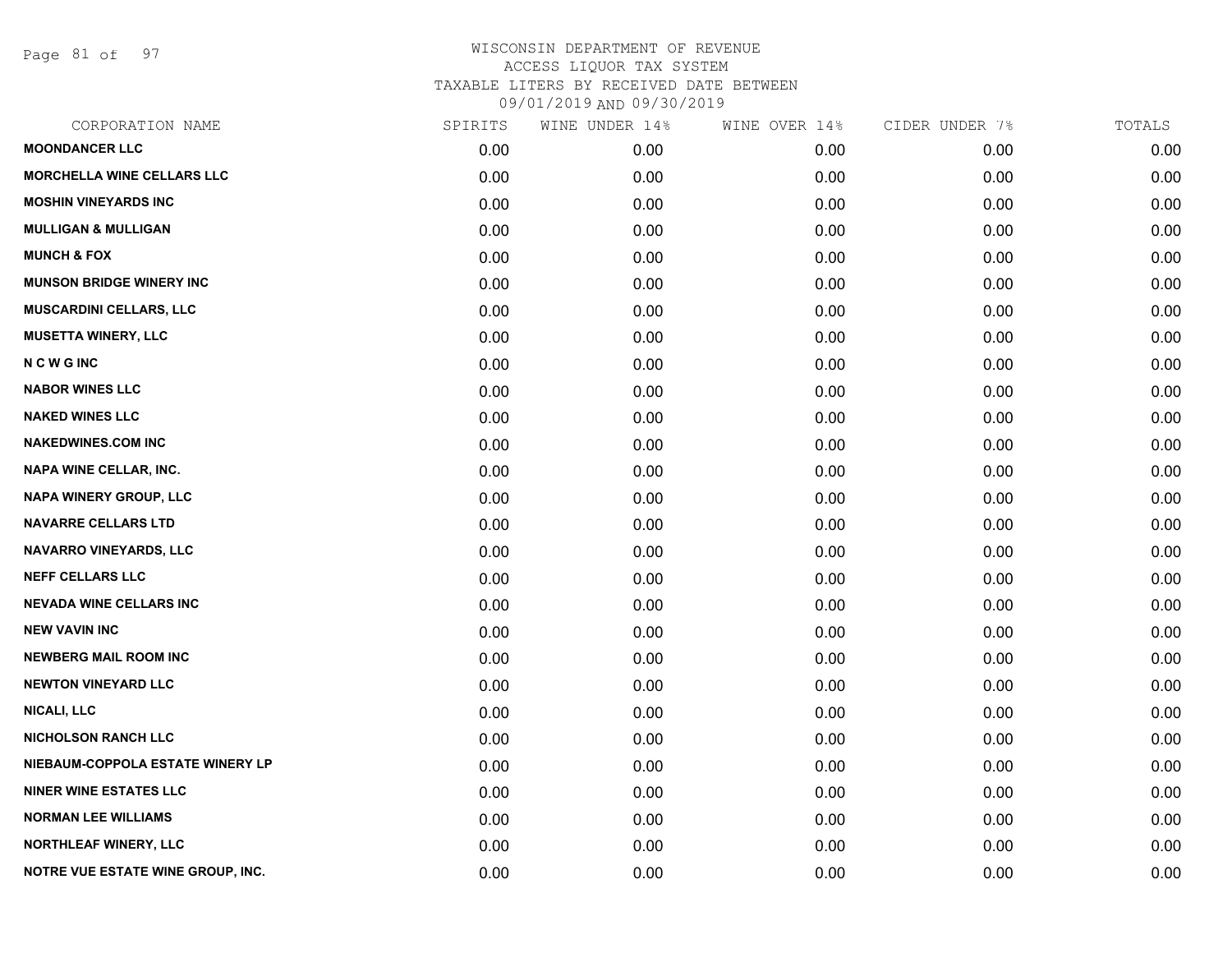Page 81 of 97

| <b>MOONDANCER LLC</b><br>0.00<br>0.00<br>0.00<br>0.00<br><b>MORCHELLA WINE CELLARS LLC</b><br>0.00<br>0.00<br>0.00<br>0.00<br><b>MOSHIN VINEYARDS INC</b><br>0.00<br>0.00<br>0.00<br>0.00<br><b>MULLIGAN &amp; MULLIGAN</b><br>0.00<br>0.00<br>0.00<br>0.00<br><b>MUNCH &amp; FOX</b><br>0.00<br>0.00<br>0.00<br>0.00<br><b>MUNSON BRIDGE WINERY INC</b><br>0.00<br>0.00<br>0.00<br>0.00<br><b>MUSCARDINI CELLARS, LLC</b><br>0.00<br>0.00<br>0.00<br>0.00<br><b>MUSETTA WINERY, LLC</b><br>0.00<br>0.00<br>0.00<br>0.00<br><b>NCWGINC</b><br>0.00<br>0.00<br>0.00<br>0.00<br><b>NABOR WINES LLC</b><br>0.00<br>0.00<br>0.00<br>0.00<br><b>NAKED WINES LLC</b><br>0.00<br>0.00<br>0.00<br>0.00<br><b>NAKEDWINES.COM INC</b><br>0.00<br>0.00<br>0.00<br>0.00<br>NAPA WINE CELLAR, INC.<br>0.00<br>0.00<br>0.00<br>0.00<br><b>NAPA WINERY GROUP, LLC</b><br>0.00<br>0.00<br>0.00<br>0.00<br><b>NAVARRE CELLARS LTD</b><br>0.00<br>0.00<br>0.00<br>0.00<br>NAVARRO VINEYARDS, LLC<br>0.00<br>0.00<br>0.00<br>0.00<br><b>NEFF CELLARS LLC</b><br>0.00<br>0.00<br>0.00<br>0.00<br><b>NEVADA WINE CELLARS INC</b><br>0.00<br>0.00<br>0.00<br>0.00<br><b>NEW VAVIN INC</b><br>0.00<br>0.00<br>0.00<br>0.00<br><b>NEWBERG MAIL ROOM INC</b><br>0.00<br>0.00<br>0.00<br>0.00<br><b>NEWTON VINEYARD LLC</b><br>0.00<br>0.00<br>0.00<br>0.00<br><b>NICALI, LLC</b><br>0.00<br>0.00<br>0.00<br>0.00<br><b>NICHOLSON RANCH LLC</b><br>0.00<br>0.00<br>0.00<br>0.00<br>NIEBAUM-COPPOLA ESTATE WINERY LP<br>0.00<br>0.00<br>0.00<br>0.00<br><b>NINER WINE ESTATES LLC</b><br>0.00<br>0.00<br>0.00<br>0.00<br><b>NORMAN LEE WILLIAMS</b><br>0.00<br>0.00<br>0.00<br>0.00<br><b>NORTHLEAF WINERY, LLC</b><br>0.00<br>0.00<br>0.00<br>0.00<br><b>NOTRE VUE ESTATE WINE GROUP, INC.</b><br>0.00<br>0.00<br>0.00<br>0.00 | CORPORATION NAME | SPIRITS | WINE UNDER 14% | WINE OVER 14% | CIDER UNDER 7% | TOTALS |
|------------------------------------------------------------------------------------------------------------------------------------------------------------------------------------------------------------------------------------------------------------------------------------------------------------------------------------------------------------------------------------------------------------------------------------------------------------------------------------------------------------------------------------------------------------------------------------------------------------------------------------------------------------------------------------------------------------------------------------------------------------------------------------------------------------------------------------------------------------------------------------------------------------------------------------------------------------------------------------------------------------------------------------------------------------------------------------------------------------------------------------------------------------------------------------------------------------------------------------------------------------------------------------------------------------------------------------------------------------------------------------------------------------------------------------------------------------------------------------------------------------------------------------------------------------------------------------------------------------------------------------------------------------------------------------------------------------------------------------------------------------------------------------------------------|------------------|---------|----------------|---------------|----------------|--------|
|                                                                                                                                                                                                                                                                                                                                                                                                                                                                                                                                                                                                                                                                                                                                                                                                                                                                                                                                                                                                                                                                                                                                                                                                                                                                                                                                                                                                                                                                                                                                                                                                                                                                                                                                                                                                      |                  |         |                |               |                | 0.00   |
|                                                                                                                                                                                                                                                                                                                                                                                                                                                                                                                                                                                                                                                                                                                                                                                                                                                                                                                                                                                                                                                                                                                                                                                                                                                                                                                                                                                                                                                                                                                                                                                                                                                                                                                                                                                                      |                  |         |                |               |                | 0.00   |
|                                                                                                                                                                                                                                                                                                                                                                                                                                                                                                                                                                                                                                                                                                                                                                                                                                                                                                                                                                                                                                                                                                                                                                                                                                                                                                                                                                                                                                                                                                                                                                                                                                                                                                                                                                                                      |                  |         |                |               |                | 0.00   |
|                                                                                                                                                                                                                                                                                                                                                                                                                                                                                                                                                                                                                                                                                                                                                                                                                                                                                                                                                                                                                                                                                                                                                                                                                                                                                                                                                                                                                                                                                                                                                                                                                                                                                                                                                                                                      |                  |         |                |               |                | 0.00   |
|                                                                                                                                                                                                                                                                                                                                                                                                                                                                                                                                                                                                                                                                                                                                                                                                                                                                                                                                                                                                                                                                                                                                                                                                                                                                                                                                                                                                                                                                                                                                                                                                                                                                                                                                                                                                      |                  |         |                |               |                | 0.00   |
|                                                                                                                                                                                                                                                                                                                                                                                                                                                                                                                                                                                                                                                                                                                                                                                                                                                                                                                                                                                                                                                                                                                                                                                                                                                                                                                                                                                                                                                                                                                                                                                                                                                                                                                                                                                                      |                  |         |                |               |                | 0.00   |
|                                                                                                                                                                                                                                                                                                                                                                                                                                                                                                                                                                                                                                                                                                                                                                                                                                                                                                                                                                                                                                                                                                                                                                                                                                                                                                                                                                                                                                                                                                                                                                                                                                                                                                                                                                                                      |                  |         |                |               |                | 0.00   |
|                                                                                                                                                                                                                                                                                                                                                                                                                                                                                                                                                                                                                                                                                                                                                                                                                                                                                                                                                                                                                                                                                                                                                                                                                                                                                                                                                                                                                                                                                                                                                                                                                                                                                                                                                                                                      |                  |         |                |               |                | 0.00   |
|                                                                                                                                                                                                                                                                                                                                                                                                                                                                                                                                                                                                                                                                                                                                                                                                                                                                                                                                                                                                                                                                                                                                                                                                                                                                                                                                                                                                                                                                                                                                                                                                                                                                                                                                                                                                      |                  |         |                |               |                | 0.00   |
|                                                                                                                                                                                                                                                                                                                                                                                                                                                                                                                                                                                                                                                                                                                                                                                                                                                                                                                                                                                                                                                                                                                                                                                                                                                                                                                                                                                                                                                                                                                                                                                                                                                                                                                                                                                                      |                  |         |                |               |                | 0.00   |
|                                                                                                                                                                                                                                                                                                                                                                                                                                                                                                                                                                                                                                                                                                                                                                                                                                                                                                                                                                                                                                                                                                                                                                                                                                                                                                                                                                                                                                                                                                                                                                                                                                                                                                                                                                                                      |                  |         |                |               |                | 0.00   |
|                                                                                                                                                                                                                                                                                                                                                                                                                                                                                                                                                                                                                                                                                                                                                                                                                                                                                                                                                                                                                                                                                                                                                                                                                                                                                                                                                                                                                                                                                                                                                                                                                                                                                                                                                                                                      |                  |         |                |               |                | 0.00   |
|                                                                                                                                                                                                                                                                                                                                                                                                                                                                                                                                                                                                                                                                                                                                                                                                                                                                                                                                                                                                                                                                                                                                                                                                                                                                                                                                                                                                                                                                                                                                                                                                                                                                                                                                                                                                      |                  |         |                |               |                | 0.00   |
|                                                                                                                                                                                                                                                                                                                                                                                                                                                                                                                                                                                                                                                                                                                                                                                                                                                                                                                                                                                                                                                                                                                                                                                                                                                                                                                                                                                                                                                                                                                                                                                                                                                                                                                                                                                                      |                  |         |                |               |                | 0.00   |
|                                                                                                                                                                                                                                                                                                                                                                                                                                                                                                                                                                                                                                                                                                                                                                                                                                                                                                                                                                                                                                                                                                                                                                                                                                                                                                                                                                                                                                                                                                                                                                                                                                                                                                                                                                                                      |                  |         |                |               |                | 0.00   |
|                                                                                                                                                                                                                                                                                                                                                                                                                                                                                                                                                                                                                                                                                                                                                                                                                                                                                                                                                                                                                                                                                                                                                                                                                                                                                                                                                                                                                                                                                                                                                                                                                                                                                                                                                                                                      |                  |         |                |               |                | 0.00   |
|                                                                                                                                                                                                                                                                                                                                                                                                                                                                                                                                                                                                                                                                                                                                                                                                                                                                                                                                                                                                                                                                                                                                                                                                                                                                                                                                                                                                                                                                                                                                                                                                                                                                                                                                                                                                      |                  |         |                |               |                | 0.00   |
|                                                                                                                                                                                                                                                                                                                                                                                                                                                                                                                                                                                                                                                                                                                                                                                                                                                                                                                                                                                                                                                                                                                                                                                                                                                                                                                                                                                                                                                                                                                                                                                                                                                                                                                                                                                                      |                  |         |                |               |                | 0.00   |
|                                                                                                                                                                                                                                                                                                                                                                                                                                                                                                                                                                                                                                                                                                                                                                                                                                                                                                                                                                                                                                                                                                                                                                                                                                                                                                                                                                                                                                                                                                                                                                                                                                                                                                                                                                                                      |                  |         |                |               |                | 0.00   |
|                                                                                                                                                                                                                                                                                                                                                                                                                                                                                                                                                                                                                                                                                                                                                                                                                                                                                                                                                                                                                                                                                                                                                                                                                                                                                                                                                                                                                                                                                                                                                                                                                                                                                                                                                                                                      |                  |         |                |               |                | 0.00   |
|                                                                                                                                                                                                                                                                                                                                                                                                                                                                                                                                                                                                                                                                                                                                                                                                                                                                                                                                                                                                                                                                                                                                                                                                                                                                                                                                                                                                                                                                                                                                                                                                                                                                                                                                                                                                      |                  |         |                |               |                | 0.00   |
|                                                                                                                                                                                                                                                                                                                                                                                                                                                                                                                                                                                                                                                                                                                                                                                                                                                                                                                                                                                                                                                                                                                                                                                                                                                                                                                                                                                                                                                                                                                                                                                                                                                                                                                                                                                                      |                  |         |                |               |                | 0.00   |
|                                                                                                                                                                                                                                                                                                                                                                                                                                                                                                                                                                                                                                                                                                                                                                                                                                                                                                                                                                                                                                                                                                                                                                                                                                                                                                                                                                                                                                                                                                                                                                                                                                                                                                                                                                                                      |                  |         |                |               |                | 0.00   |
|                                                                                                                                                                                                                                                                                                                                                                                                                                                                                                                                                                                                                                                                                                                                                                                                                                                                                                                                                                                                                                                                                                                                                                                                                                                                                                                                                                                                                                                                                                                                                                                                                                                                                                                                                                                                      |                  |         |                |               |                | 0.00   |
|                                                                                                                                                                                                                                                                                                                                                                                                                                                                                                                                                                                                                                                                                                                                                                                                                                                                                                                                                                                                                                                                                                                                                                                                                                                                                                                                                                                                                                                                                                                                                                                                                                                                                                                                                                                                      |                  |         |                |               |                | 0.00   |
|                                                                                                                                                                                                                                                                                                                                                                                                                                                                                                                                                                                                                                                                                                                                                                                                                                                                                                                                                                                                                                                                                                                                                                                                                                                                                                                                                                                                                                                                                                                                                                                                                                                                                                                                                                                                      |                  |         |                |               |                | 0.00   |
|                                                                                                                                                                                                                                                                                                                                                                                                                                                                                                                                                                                                                                                                                                                                                                                                                                                                                                                                                                                                                                                                                                                                                                                                                                                                                                                                                                                                                                                                                                                                                                                                                                                                                                                                                                                                      |                  |         |                |               |                | 0.00   |
|                                                                                                                                                                                                                                                                                                                                                                                                                                                                                                                                                                                                                                                                                                                                                                                                                                                                                                                                                                                                                                                                                                                                                                                                                                                                                                                                                                                                                                                                                                                                                                                                                                                                                                                                                                                                      |                  |         |                |               |                | 0.00   |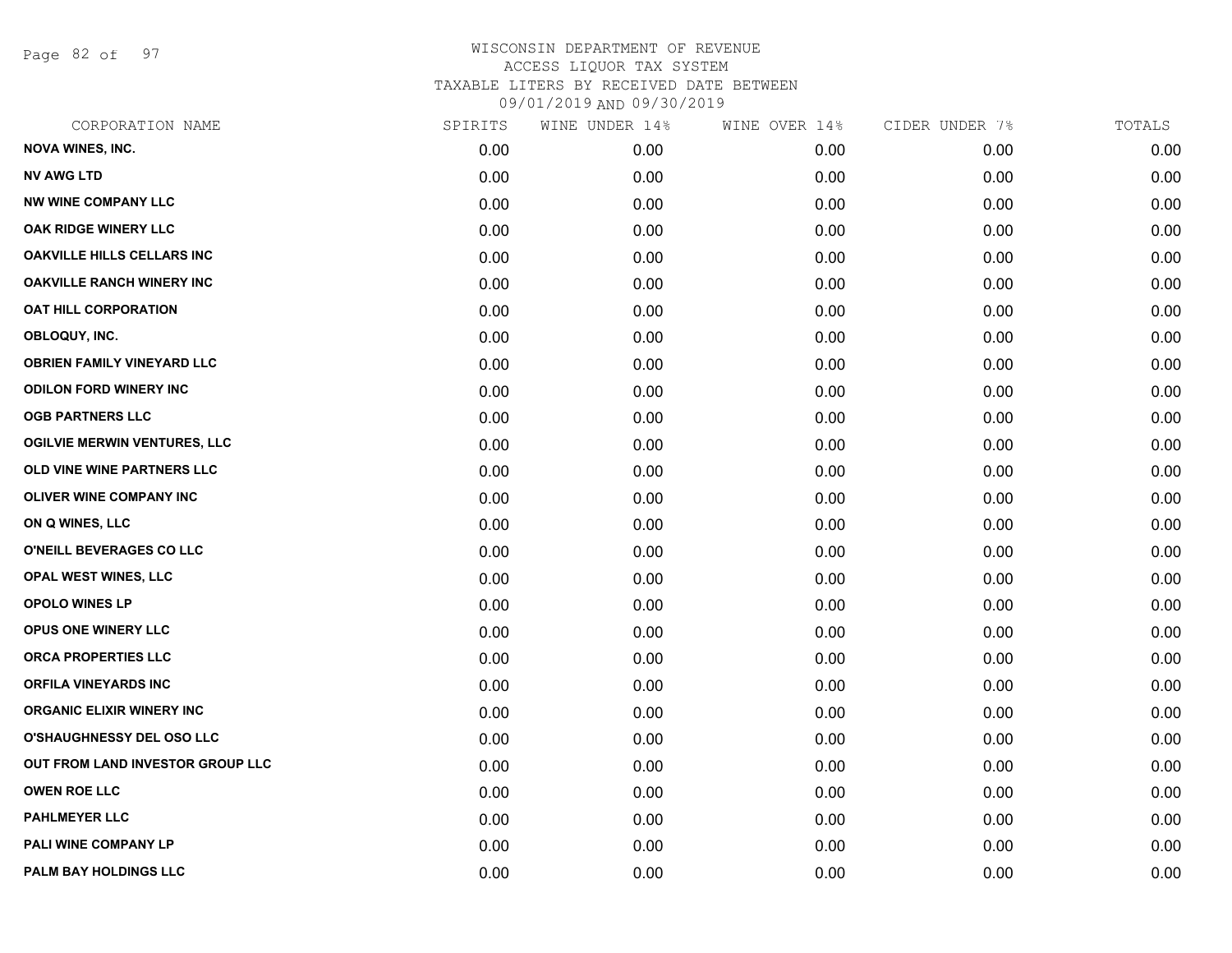Page 82 of 97

| CORPORATION NAME                    | SPIRITS | WINE UNDER 14% | WINE OVER 14% | CIDER UNDER 7% | TOTALS |
|-------------------------------------|---------|----------------|---------------|----------------|--------|
| <b>NOVA WINES, INC.</b>             | 0.00    | 0.00           | 0.00          | 0.00           | 0.00   |
| <b>NV AWG LTD</b>                   | 0.00    | 0.00           | 0.00          | 0.00           | 0.00   |
| <b>NW WINE COMPANY LLC</b>          | 0.00    | 0.00           | 0.00          | 0.00           | 0.00   |
| OAK RIDGE WINERY LLC                | 0.00    | 0.00           | 0.00          | 0.00           | 0.00   |
| <b>OAKVILLE HILLS CELLARS INC</b>   | 0.00    | 0.00           | 0.00          | 0.00           | 0.00   |
| <b>OAKVILLE RANCH WINERY INC</b>    | 0.00    | 0.00           | 0.00          | 0.00           | 0.00   |
| <b>OAT HILL CORPORATION</b>         | 0.00    | 0.00           | 0.00          | 0.00           | 0.00   |
| OBLOQUY, INC.                       | 0.00    | 0.00           | 0.00          | 0.00           | 0.00   |
| <b>OBRIEN FAMILY VINEYARD LLC</b>   | 0.00    | 0.00           | 0.00          | 0.00           | 0.00   |
| <b>ODILON FORD WINERY INC</b>       | 0.00    | 0.00           | 0.00          | 0.00           | 0.00   |
| <b>OGB PARTNERS LLC</b>             | 0.00    | 0.00           | 0.00          | 0.00           | 0.00   |
| <b>OGILVIE MERWIN VENTURES, LLC</b> | 0.00    | 0.00           | 0.00          | 0.00           | 0.00   |
| OLD VINE WINE PARTNERS LLC          | 0.00    | 0.00           | 0.00          | 0.00           | 0.00   |
| <b>OLIVER WINE COMPANY INC</b>      | 0.00    | 0.00           | 0.00          | 0.00           | 0.00   |
| ON Q WINES, LLC                     | 0.00    | 0.00           | 0.00          | 0.00           | 0.00   |
| O'NEILL BEVERAGES CO LLC            | 0.00    | 0.00           | 0.00          | 0.00           | 0.00   |
| OPAL WEST WINES, LLC                | 0.00    | 0.00           | 0.00          | 0.00           | 0.00   |
| <b>OPOLO WINES LP</b>               | 0.00    | 0.00           | 0.00          | 0.00           | 0.00   |
| <b>OPUS ONE WINERY LLC</b>          | 0.00    | 0.00           | 0.00          | 0.00           | 0.00   |
| <b>ORCA PROPERTIES LLC</b>          | 0.00    | 0.00           | 0.00          | 0.00           | 0.00   |
| <b>ORFILA VINEYARDS INC</b>         | 0.00    | 0.00           | 0.00          | 0.00           | 0.00   |
| <b>ORGANIC ELIXIR WINERY INC</b>    | 0.00    | 0.00           | 0.00          | 0.00           | 0.00   |
| O'SHAUGHNESSY DEL OSO LLC           | 0.00    | 0.00           | 0.00          | 0.00           | 0.00   |
| OUT FROM LAND INVESTOR GROUP LLC    | 0.00    | 0.00           | 0.00          | 0.00           | 0.00   |
| <b>OWEN ROE LLC</b>                 | 0.00    | 0.00           | 0.00          | 0.00           | 0.00   |
| <b>PAHLMEYER LLC</b>                | 0.00    | 0.00           | 0.00          | 0.00           | 0.00   |
| PALI WINE COMPANY LP                | 0.00    | 0.00           | 0.00          | 0.00           | 0.00   |
| PALM BAY HOLDINGS LLC               | 0.00    | 0.00           | 0.00          | 0.00           | 0.00   |
|                                     |         |                |               |                |        |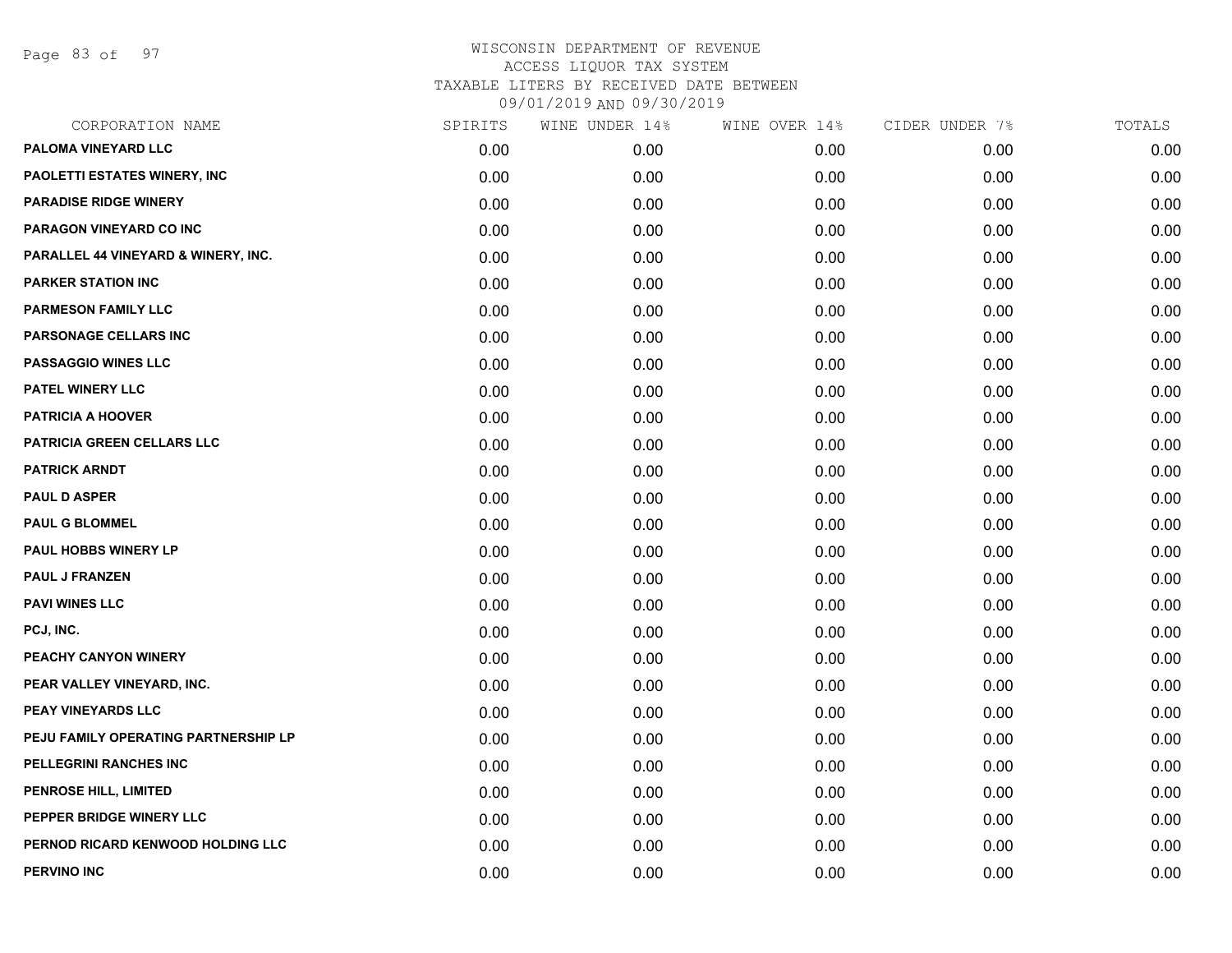Page 83 of 97

| CORPORATION NAME                     | SPIRITS | WINE UNDER 14% | WINE OVER 14% | CIDER UNDER 7% | TOTALS |
|--------------------------------------|---------|----------------|---------------|----------------|--------|
| PALOMA VINEYARD LLC                  | 0.00    | 0.00           | 0.00          | 0.00           | 0.00   |
| <b>PAOLETTI ESTATES WINERY, INC</b>  | 0.00    | 0.00           | 0.00          | 0.00           | 0.00   |
| <b>PARADISE RIDGE WINERY</b>         | 0.00    | 0.00           | 0.00          | 0.00           | 0.00   |
| PARAGON VINEYARD CO INC              | 0.00    | 0.00           | 0.00          | 0.00           | 0.00   |
| PARALLEL 44 VINEYARD & WINERY, INC.  | 0.00    | 0.00           | 0.00          | 0.00           | 0.00   |
| <b>PARKER STATION INC</b>            | 0.00    | 0.00           | 0.00          | 0.00           | 0.00   |
| <b>PARMESON FAMILY LLC</b>           | 0.00    | 0.00           | 0.00          | 0.00           | 0.00   |
| PARSONAGE CELLARS INC                | 0.00    | 0.00           | 0.00          | 0.00           | 0.00   |
| <b>PASSAGGIO WINES LLC</b>           | 0.00    | 0.00           | 0.00          | 0.00           | 0.00   |
| PATEL WINERY LLC                     | 0.00    | 0.00           | 0.00          | 0.00           | 0.00   |
| <b>PATRICIA A HOOVER</b>             | 0.00    | 0.00           | 0.00          | 0.00           | 0.00   |
| <b>PATRICIA GREEN CELLARS LLC</b>    | 0.00    | 0.00           | 0.00          | 0.00           | 0.00   |
| <b>PATRICK ARNDT</b>                 | 0.00    | 0.00           | 0.00          | 0.00           | 0.00   |
| <b>PAUL D ASPER</b>                  | 0.00    | 0.00           | 0.00          | 0.00           | 0.00   |
| <b>PAUL G BLOMMEL</b>                | 0.00    | 0.00           | 0.00          | 0.00           | 0.00   |
| PAUL HOBBS WINERY LP                 | 0.00    | 0.00           | 0.00          | 0.00           | 0.00   |
| <b>PAUL J FRANZEN</b>                | 0.00    | 0.00           | 0.00          | 0.00           | 0.00   |
| <b>PAVI WINES LLC</b>                | 0.00    | 0.00           | 0.00          | 0.00           | 0.00   |
| PCJ, INC.                            | 0.00    | 0.00           | 0.00          | 0.00           | 0.00   |
| PEACHY CANYON WINERY                 | 0.00    | 0.00           | 0.00          | 0.00           | 0.00   |
| PEAR VALLEY VINEYARD, INC.           | 0.00    | 0.00           | 0.00          | 0.00           | 0.00   |
| PEAY VINEYARDS LLC                   | 0.00    | 0.00           | 0.00          | 0.00           | 0.00   |
| PEJU FAMILY OPERATING PARTNERSHIP LP | 0.00    | 0.00           | 0.00          | 0.00           | 0.00   |
| PELLEGRINI RANCHES INC               | 0.00    | 0.00           | 0.00          | 0.00           | 0.00   |
| PENROSE HILL, LIMITED                | 0.00    | 0.00           | 0.00          | 0.00           | 0.00   |
| PEPPER BRIDGE WINERY LLC             | 0.00    | 0.00           | 0.00          | 0.00           | 0.00   |
| PERNOD RICARD KENWOOD HOLDING LLC    | 0.00    | 0.00           | 0.00          | 0.00           | 0.00   |
| <b>PERVINO INC</b>                   | 0.00    | 0.00           | 0.00          | 0.00           | 0.00   |
|                                      |         |                |               |                |        |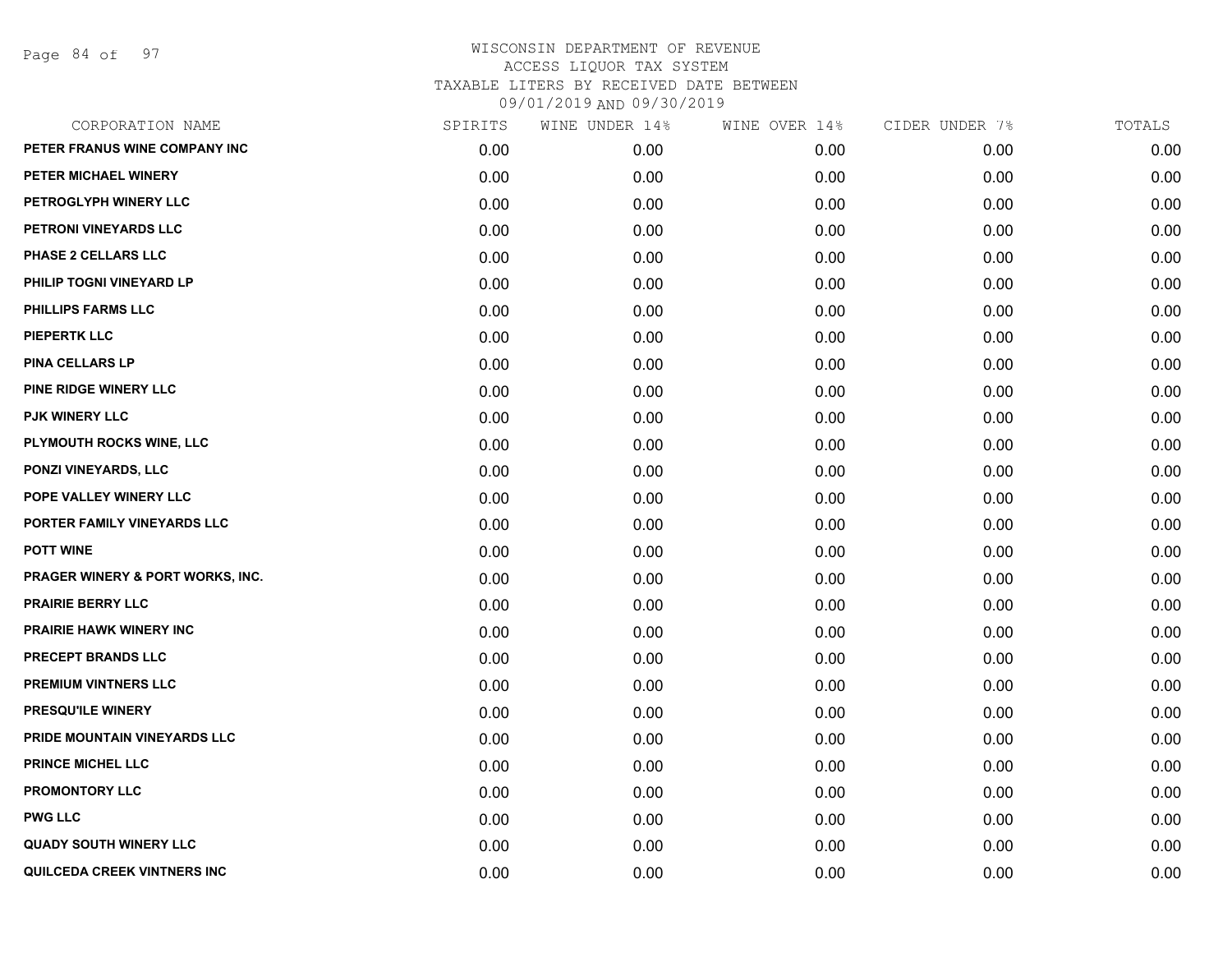Page 84 of 97

| CORPORATION NAME                 | SPIRITS | WINE UNDER 14% | WINE OVER 14% | CIDER UNDER 7% | TOTALS |
|----------------------------------|---------|----------------|---------------|----------------|--------|
| PETER FRANUS WINE COMPANY INC    | 0.00    | 0.00           | 0.00          | 0.00           | 0.00   |
| PETER MICHAEL WINERY             | 0.00    | 0.00           | 0.00          | 0.00           | 0.00   |
| PETROGLYPH WINERY LLC            | 0.00    | 0.00           | 0.00          | 0.00           | 0.00   |
| PETRONI VINEYARDS LLC            | 0.00    | 0.00           | 0.00          | 0.00           | 0.00   |
| <b>PHASE 2 CELLARS LLC</b>       | 0.00    | 0.00           | 0.00          | 0.00           | 0.00   |
| PHILIP TOGNI VINEYARD LP         | 0.00    | 0.00           | 0.00          | 0.00           | 0.00   |
| <b>PHILLIPS FARMS LLC</b>        | 0.00    | 0.00           | 0.00          | 0.00           | 0.00   |
| <b>PIEPERTK LLC</b>              | 0.00    | 0.00           | 0.00          | 0.00           | 0.00   |
| PINA CELLARS LP                  | 0.00    | 0.00           | 0.00          | 0.00           | 0.00   |
| PINE RIDGE WINERY LLC            | 0.00    | 0.00           | 0.00          | 0.00           | 0.00   |
| <b>PJK WINERY LLC</b>            | 0.00    | 0.00           | 0.00          | 0.00           | 0.00   |
| PLYMOUTH ROCKS WINE, LLC         | 0.00    | 0.00           | 0.00          | 0.00           | 0.00   |
| PONZI VINEYARDS, LLC             | 0.00    | 0.00           | 0.00          | 0.00           | 0.00   |
| POPE VALLEY WINERY LLC           | 0.00    | 0.00           | 0.00          | 0.00           | 0.00   |
| PORTER FAMILY VINEYARDS LLC      | 0.00    | 0.00           | 0.00          | 0.00           | 0.00   |
| <b>POTT WINE</b>                 | 0.00    | 0.00           | 0.00          | 0.00           | 0.00   |
| PRAGER WINERY & PORT WORKS, INC. | 0.00    | 0.00           | 0.00          | 0.00           | 0.00   |
| <b>PRAIRIE BERRY LLC</b>         | 0.00    | 0.00           | 0.00          | 0.00           | 0.00   |
| <b>PRAIRIE HAWK WINERY INC</b>   | 0.00    | 0.00           | 0.00          | 0.00           | 0.00   |
| PRECEPT BRANDS LLC               | 0.00    | 0.00           | 0.00          | 0.00           | 0.00   |
| <b>PREMIUM VINTNERS LLC</b>      | 0.00    | 0.00           | 0.00          | 0.00           | 0.00   |
| PRESQU'ILE WINERY                | 0.00    | 0.00           | 0.00          | 0.00           | 0.00   |
| PRIDE MOUNTAIN VINEYARDS LLC     | 0.00    | 0.00           | 0.00          | 0.00           | 0.00   |
| <b>PRINCE MICHEL LLC</b>         | 0.00    | 0.00           | 0.00          | 0.00           | 0.00   |
| <b>PROMONTORY LLC</b>            | 0.00    | 0.00           | 0.00          | 0.00           | 0.00   |
| <b>PWG LLC</b>                   | 0.00    | 0.00           | 0.00          | 0.00           | 0.00   |
| <b>QUADY SOUTH WINERY LLC</b>    | 0.00    | 0.00           | 0.00          | 0.00           | 0.00   |
| QUILCEDA CREEK VINTNERS INC      | 0.00    | 0.00           | 0.00          | 0.00           | 0.00   |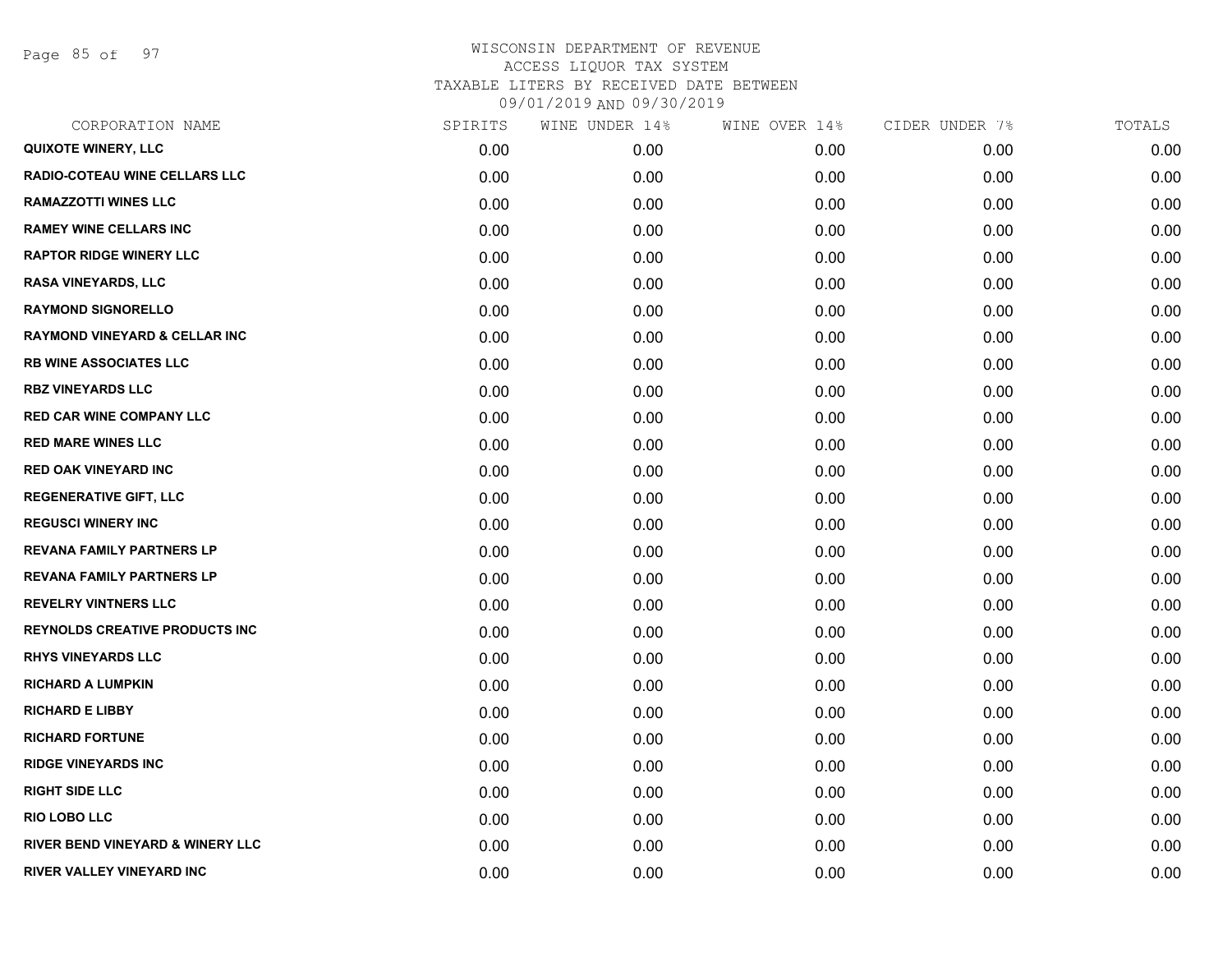Page 85 of 97

| CORPORATION NAME                            | SPIRITS | WINE UNDER 14% | WINE OVER 14% | CIDER UNDER 7% | TOTALS |
|---------------------------------------------|---------|----------------|---------------|----------------|--------|
| <b>QUIXOTE WINERY, LLC</b>                  | 0.00    | 0.00           | 0.00          | 0.00           | 0.00   |
| <b>RADIO-COTEAU WINE CELLARS LLC</b>        | 0.00    | 0.00           | 0.00          | 0.00           | 0.00   |
| <b>RAMAZZOTTI WINES LLC</b>                 | 0.00    | 0.00           | 0.00          | 0.00           | 0.00   |
| <b>RAMEY WINE CELLARS INC</b>               | 0.00    | 0.00           | 0.00          | 0.00           | 0.00   |
| <b>RAPTOR RIDGE WINERY LLC</b>              | 0.00    | 0.00           | 0.00          | 0.00           | 0.00   |
| <b>RASA VINEYARDS, LLC</b>                  | 0.00    | 0.00           | 0.00          | 0.00           | 0.00   |
| <b>RAYMOND SIGNORELLO</b>                   | 0.00    | 0.00           | 0.00          | 0.00           | 0.00   |
| <b>RAYMOND VINEYARD &amp; CELLAR INC</b>    | 0.00    | 0.00           | 0.00          | 0.00           | 0.00   |
| <b>RB WINE ASSOCIATES LLC</b>               | 0.00    | 0.00           | 0.00          | 0.00           | 0.00   |
| <b>RBZ VINEYARDS LLC</b>                    | 0.00    | 0.00           | 0.00          | 0.00           | 0.00   |
| <b>RED CAR WINE COMPANY LLC</b>             | 0.00    | 0.00           | 0.00          | 0.00           | 0.00   |
| <b>RED MARE WINES LLC</b>                   | 0.00    | 0.00           | 0.00          | 0.00           | 0.00   |
| <b>RED OAK VINEYARD INC</b>                 | 0.00    | 0.00           | 0.00          | 0.00           | 0.00   |
| <b>REGENERATIVE GIFT, LLC</b>               | 0.00    | 0.00           | 0.00          | 0.00           | 0.00   |
| <b>REGUSCI WINERY INC</b>                   | 0.00    | 0.00           | 0.00          | 0.00           | 0.00   |
| <b>REVANA FAMILY PARTNERS LP</b>            | 0.00    | 0.00           | 0.00          | 0.00           | 0.00   |
| <b>REVANA FAMILY PARTNERS LP</b>            | 0.00    | 0.00           | 0.00          | 0.00           | 0.00   |
| <b>REVELRY VINTNERS LLC</b>                 | 0.00    | 0.00           | 0.00          | 0.00           | 0.00   |
| <b>REYNOLDS CREATIVE PRODUCTS INC</b>       | 0.00    | 0.00           | 0.00          | 0.00           | 0.00   |
| <b>RHYS VINEYARDS LLC</b>                   | 0.00    | 0.00           | 0.00          | 0.00           | 0.00   |
| <b>RICHARD A LUMPKIN</b>                    | 0.00    | 0.00           | 0.00          | 0.00           | 0.00   |
| <b>RICHARD E LIBBY</b>                      | 0.00    | 0.00           | 0.00          | 0.00           | 0.00   |
| <b>RICHARD FORTUNE</b>                      | 0.00    | 0.00           | 0.00          | 0.00           | 0.00   |
| <b>RIDGE VINEYARDS INC</b>                  | 0.00    | 0.00           | 0.00          | 0.00           | 0.00   |
| <b>RIGHT SIDE LLC</b>                       | 0.00    | 0.00           | 0.00          | 0.00           | 0.00   |
| <b>RIO LOBO LLC</b>                         | 0.00    | 0.00           | 0.00          | 0.00           | 0.00   |
| <b>RIVER BEND VINEYARD &amp; WINERY LLC</b> | 0.00    | 0.00           | 0.00          | 0.00           | 0.00   |
| RIVER VALLEY VINEYARD INC                   | 0.00    | 0.00           | 0.00          | 0.00           | 0.00   |
|                                             |         |                |               |                |        |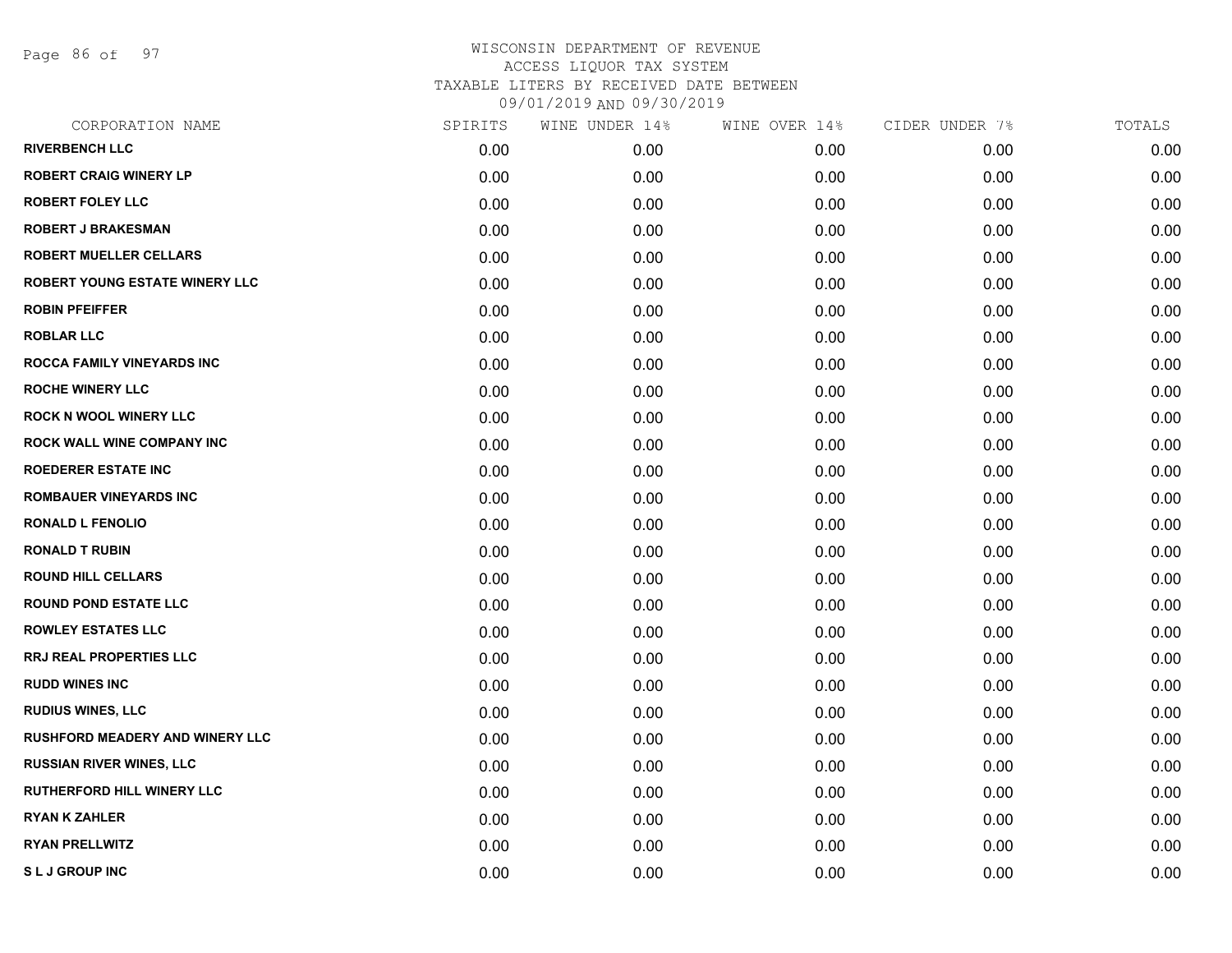Page 86 of 97

| CORPORATION NAME                       | SPIRITS | WINE UNDER 14% | WINE OVER 14% | CIDER UNDER 7% | TOTALS |
|----------------------------------------|---------|----------------|---------------|----------------|--------|
| <b>RIVERBENCH LLC</b>                  | 0.00    | 0.00           | 0.00          | 0.00           | 0.00   |
| <b>ROBERT CRAIG WINERY LP</b>          | 0.00    | 0.00           | 0.00          | 0.00           | 0.00   |
| <b>ROBERT FOLEY LLC</b>                | 0.00    | 0.00           | 0.00          | 0.00           | 0.00   |
| <b>ROBERT J BRAKESMAN</b>              | 0.00    | 0.00           | 0.00          | 0.00           | 0.00   |
| <b>ROBERT MUELLER CELLARS</b>          | 0.00    | 0.00           | 0.00          | 0.00           | 0.00   |
| <b>ROBERT YOUNG ESTATE WINERY LLC</b>  | 0.00    | 0.00           | 0.00          | 0.00           | 0.00   |
| <b>ROBIN PFEIFFER</b>                  | 0.00    | 0.00           | 0.00          | 0.00           | 0.00   |
| <b>ROBLAR LLC</b>                      | 0.00    | 0.00           | 0.00          | 0.00           | 0.00   |
| <b>ROCCA FAMILY VINEYARDS INC</b>      | 0.00    | 0.00           | 0.00          | 0.00           | 0.00   |
| <b>ROCHE WINERY LLC</b>                | 0.00    | 0.00           | 0.00          | 0.00           | 0.00   |
| <b>ROCK N WOOL WINERY LLC</b>          | 0.00    | 0.00           | 0.00          | 0.00           | 0.00   |
| ROCK WALL WINE COMPANY INC             | 0.00    | 0.00           | 0.00          | 0.00           | 0.00   |
| <b>ROEDERER ESTATE INC</b>             | 0.00    | 0.00           | 0.00          | 0.00           | 0.00   |
| <b>ROMBAUER VINEYARDS INC</b>          | 0.00    | 0.00           | 0.00          | 0.00           | 0.00   |
| <b>RONALD L FENOLIO</b>                | 0.00    | 0.00           | 0.00          | 0.00           | 0.00   |
| <b>RONALD T RUBIN</b>                  | 0.00    | 0.00           | 0.00          | 0.00           | 0.00   |
| <b>ROUND HILL CELLARS</b>              | 0.00    | 0.00           | 0.00          | 0.00           | 0.00   |
| <b>ROUND POND ESTATE LLC</b>           | 0.00    | 0.00           | 0.00          | 0.00           | 0.00   |
| <b>ROWLEY ESTATES LLC</b>              | 0.00    | 0.00           | 0.00          | 0.00           | 0.00   |
| <b>RRJ REAL PROPERTIES LLC</b>         | 0.00    | 0.00           | 0.00          | 0.00           | 0.00   |
| <b>RUDD WINES INC</b>                  | 0.00    | 0.00           | 0.00          | 0.00           | 0.00   |
| <b>RUDIUS WINES, LLC</b>               | 0.00    | 0.00           | 0.00          | 0.00           | 0.00   |
| <b>RUSHFORD MEADERY AND WINERY LLC</b> | 0.00    | 0.00           | 0.00          | 0.00           | 0.00   |
| <b>RUSSIAN RIVER WINES, LLC</b>        | 0.00    | 0.00           | 0.00          | 0.00           | 0.00   |
| <b>RUTHERFORD HILL WINERY LLC</b>      | 0.00    | 0.00           | 0.00          | 0.00           | 0.00   |
| <b>RYAN K ZAHLER</b>                   | 0.00    | 0.00           | 0.00          | 0.00           | 0.00   |
| <b>RYAN PRELLWITZ</b>                  | 0.00    | 0.00           | 0.00          | 0.00           | 0.00   |
| SLJ GROUP INC                          | 0.00    | 0.00           | 0.00          | 0.00           | 0.00   |
|                                        |         |                |               |                |        |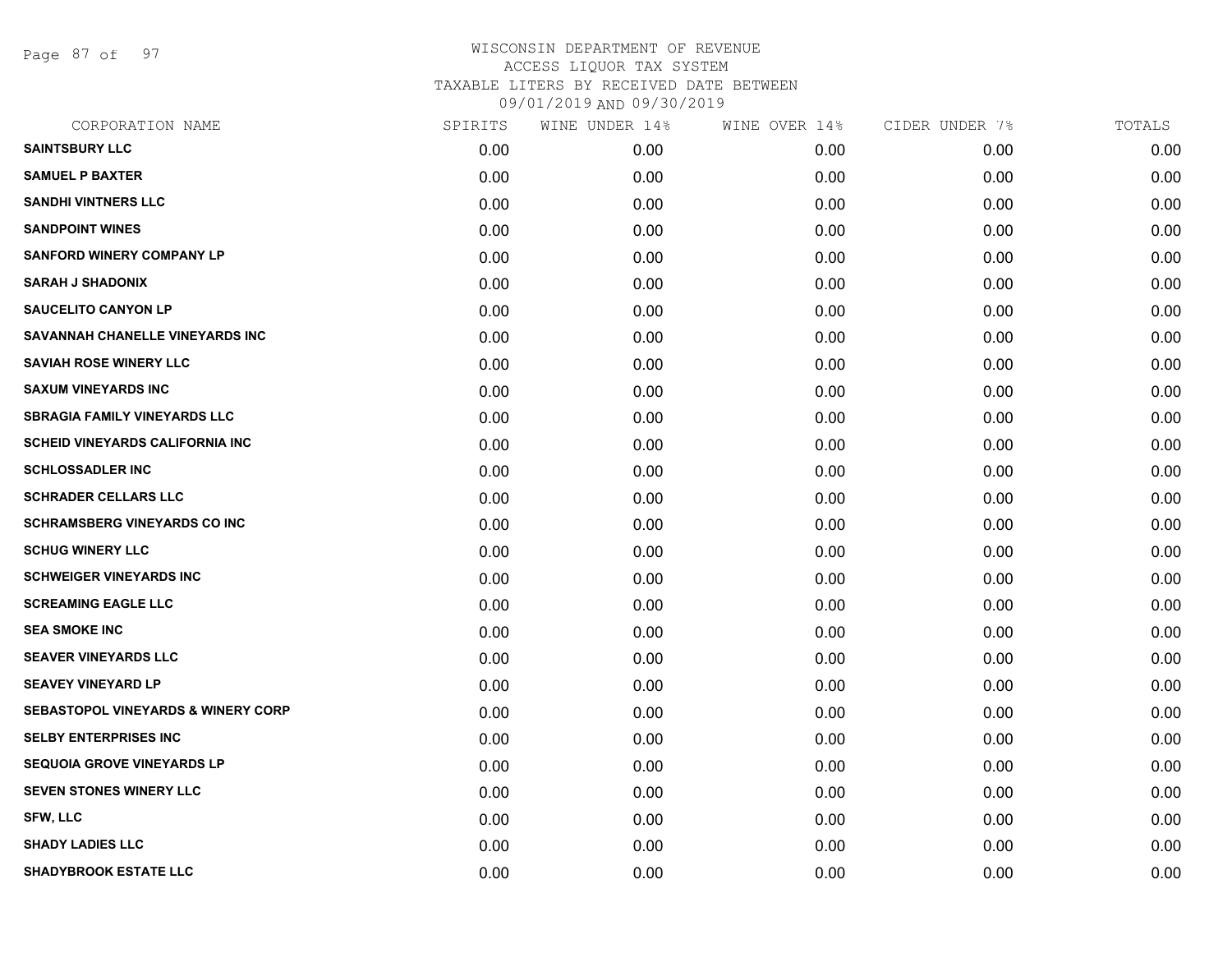Page 87 of 97

| CORPORATION NAME                              | SPIRITS | WINE UNDER 14% | WINE OVER 14% | CIDER UNDER 7% | TOTALS |
|-----------------------------------------------|---------|----------------|---------------|----------------|--------|
| <b>SAINTSBURY LLC</b>                         | 0.00    | 0.00           | 0.00          | 0.00           | 0.00   |
| <b>SAMUEL P BAXTER</b>                        | 0.00    | 0.00           | 0.00          | 0.00           | 0.00   |
| <b>SANDHI VINTNERS LLC</b>                    | 0.00    | 0.00           | 0.00          | 0.00           | 0.00   |
| <b>SANDPOINT WINES</b>                        | 0.00    | 0.00           | 0.00          | 0.00           | 0.00   |
| <b>SANFORD WINERY COMPANY LP</b>              | 0.00    | 0.00           | 0.00          | 0.00           | 0.00   |
| <b>SARAH J SHADONIX</b>                       | 0.00    | 0.00           | 0.00          | 0.00           | 0.00   |
| <b>SAUCELITO CANYON LP</b>                    | 0.00    | 0.00           | 0.00          | 0.00           | 0.00   |
| SAVANNAH CHANELLE VINEYARDS INC               | 0.00    | 0.00           | 0.00          | 0.00           | 0.00   |
| <b>SAVIAH ROSE WINERY LLC</b>                 | 0.00    | 0.00           | 0.00          | 0.00           | 0.00   |
| <b>SAXUM VINEYARDS INC</b>                    | 0.00    | 0.00           | 0.00          | 0.00           | 0.00   |
| <b>SBRAGIA FAMILY VINEYARDS LLC</b>           | 0.00    | 0.00           | 0.00          | 0.00           | 0.00   |
| <b>SCHEID VINEYARDS CALIFORNIA INC</b>        | 0.00    | 0.00           | 0.00          | 0.00           | 0.00   |
| <b>SCHLOSSADLER INC</b>                       | 0.00    | 0.00           | 0.00          | 0.00           | 0.00   |
| <b>SCHRADER CELLARS LLC</b>                   | 0.00    | 0.00           | 0.00          | 0.00           | 0.00   |
| <b>SCHRAMSBERG VINEYARDS CO INC</b>           | 0.00    | 0.00           | 0.00          | 0.00           | 0.00   |
| <b>SCHUG WINERY LLC</b>                       | 0.00    | 0.00           | 0.00          | 0.00           | 0.00   |
| <b>SCHWEIGER VINEYARDS INC</b>                | 0.00    | 0.00           | 0.00          | 0.00           | 0.00   |
| <b>SCREAMING EAGLE LLC</b>                    | 0.00    | 0.00           | 0.00          | 0.00           | 0.00   |
| <b>SEA SMOKE INC</b>                          | 0.00    | 0.00           | 0.00          | 0.00           | 0.00   |
| <b>SEAVER VINEYARDS LLC</b>                   | 0.00    | 0.00           | 0.00          | 0.00           | 0.00   |
| <b>SEAVEY VINEYARD LP</b>                     | 0.00    | 0.00           | 0.00          | 0.00           | 0.00   |
| <b>SEBASTOPOL VINEYARDS &amp; WINERY CORP</b> | 0.00    | 0.00           | 0.00          | 0.00           | 0.00   |
| <b>SELBY ENTERPRISES INC</b>                  | 0.00    | 0.00           | 0.00          | 0.00           | 0.00   |
| <b>SEQUOIA GROVE VINEYARDS LP</b>             | 0.00    | 0.00           | 0.00          | 0.00           | 0.00   |
| SEVEN STONES WINERY LLC                       | 0.00    | 0.00           | 0.00          | 0.00           | 0.00   |
| <b>SFW, LLC</b>                               | 0.00    | 0.00           | 0.00          | 0.00           | 0.00   |
| <b>SHADY LADIES LLC</b>                       | 0.00    | 0.00           | 0.00          | 0.00           | 0.00   |
| <b>SHADYBROOK ESTATE LLC</b>                  | 0.00    | 0.00           | 0.00          | 0.00           | 0.00   |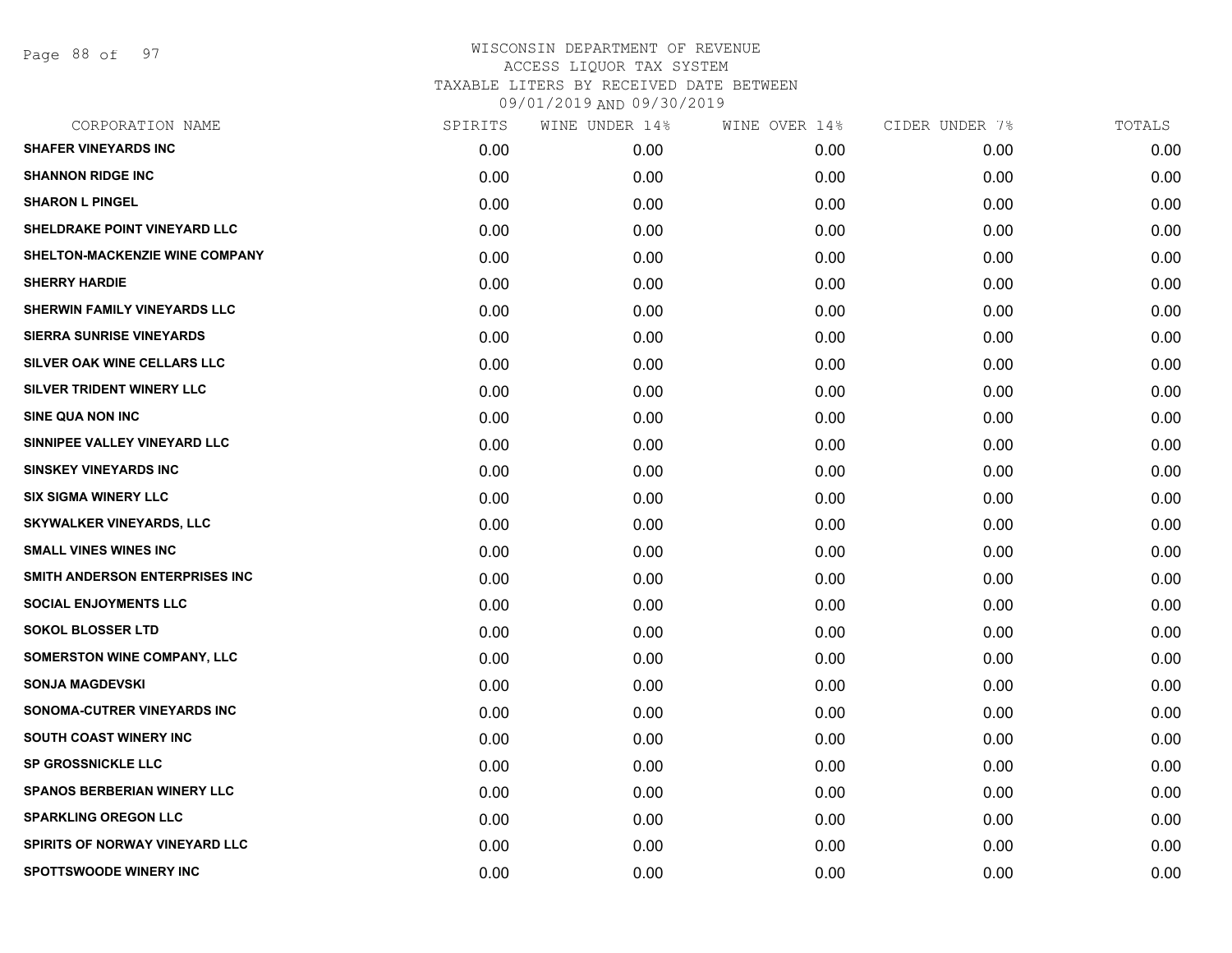Page 88 of 97

| 0.00 |      |      |
|------|------|------|
|      | 0.00 | 0.00 |
| 0.00 | 0.00 | 0.00 |
| 0.00 | 0.00 | 0.00 |
| 0.00 | 0.00 | 0.00 |
| 0.00 | 0.00 | 0.00 |
| 0.00 | 0.00 | 0.00 |
| 0.00 | 0.00 | 0.00 |
| 0.00 | 0.00 | 0.00 |
| 0.00 | 0.00 | 0.00 |
| 0.00 | 0.00 | 0.00 |
| 0.00 | 0.00 | 0.00 |
| 0.00 | 0.00 | 0.00 |
| 0.00 | 0.00 | 0.00 |
| 0.00 | 0.00 | 0.00 |
| 0.00 | 0.00 | 0.00 |
| 0.00 | 0.00 | 0.00 |
| 0.00 | 0.00 | 0.00 |
| 0.00 | 0.00 | 0.00 |
| 0.00 | 0.00 | 0.00 |
| 0.00 | 0.00 | 0.00 |
| 0.00 | 0.00 | 0.00 |
| 0.00 | 0.00 | 0.00 |
| 0.00 | 0.00 | 0.00 |
| 0.00 | 0.00 | 0.00 |
| 0.00 | 0.00 | 0.00 |
| 0.00 | 0.00 | 0.00 |
| 0.00 | 0.00 | 0.00 |
| 0.00 | 0.00 | 0.00 |
|      |      |      |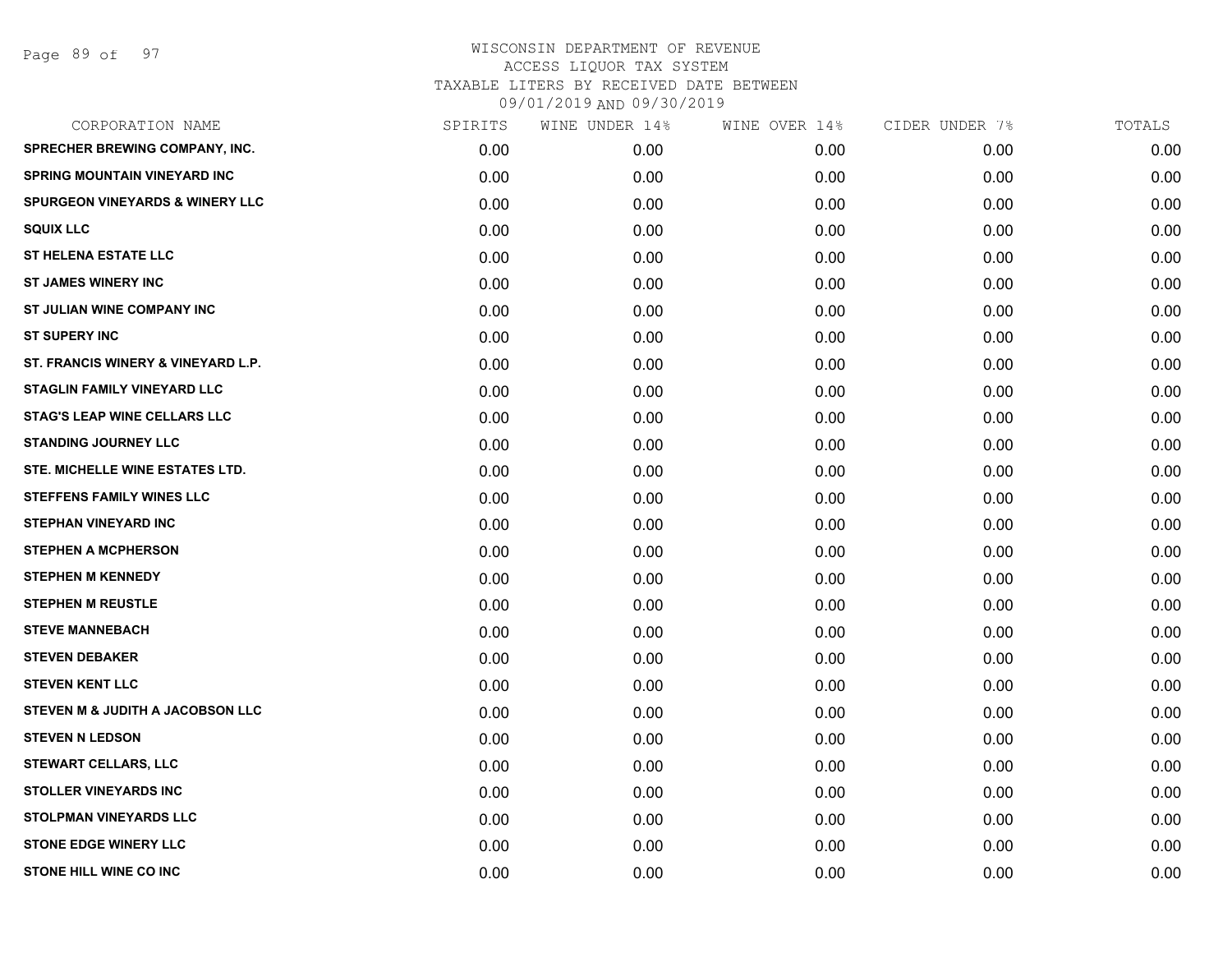Page 89 of 97

| CORPORATION NAME                           | SPIRITS | WINE UNDER 14% | WINE OVER 14% | CIDER UNDER 7% | TOTALS |
|--------------------------------------------|---------|----------------|---------------|----------------|--------|
| SPRECHER BREWING COMPANY, INC.             | 0.00    | 0.00           | 0.00          | 0.00           | 0.00   |
| <b>SPRING MOUNTAIN VINEYARD INC</b>        | 0.00    | 0.00           | 0.00          | 0.00           | 0.00   |
| <b>SPURGEON VINEYARDS &amp; WINERY LLC</b> | 0.00    | 0.00           | 0.00          | 0.00           | 0.00   |
| <b>SQUIX LLC</b>                           | 0.00    | 0.00           | 0.00          | 0.00           | 0.00   |
| <b>ST HELENA ESTATE LLC</b>                | 0.00    | 0.00           | 0.00          | 0.00           | 0.00   |
| <b>ST JAMES WINERY INC</b>                 | 0.00    | 0.00           | 0.00          | 0.00           | 0.00   |
| ST JULIAN WINE COMPANY INC                 | 0.00    | 0.00           | 0.00          | 0.00           | 0.00   |
| <b>ST SUPERY INC</b>                       | 0.00    | 0.00           | 0.00          | 0.00           | 0.00   |
| ST. FRANCIS WINERY & VINEYARD L.P.         | 0.00    | 0.00           | 0.00          | 0.00           | 0.00   |
| <b>STAGLIN FAMILY VINEYARD LLC</b>         | 0.00    | 0.00           | 0.00          | 0.00           | 0.00   |
| <b>STAG'S LEAP WINE CELLARS LLC</b>        | 0.00    | 0.00           | 0.00          | 0.00           | 0.00   |
| <b>STANDING JOURNEY LLC</b>                | 0.00    | 0.00           | 0.00          | 0.00           | 0.00   |
| STE. MICHELLE WINE ESTATES LTD.            | 0.00    | 0.00           | 0.00          | 0.00           | 0.00   |
| <b>STEFFENS FAMILY WINES LLC</b>           | 0.00    | 0.00           | 0.00          | 0.00           | 0.00   |
| <b>STEPHAN VINEYARD INC</b>                | 0.00    | 0.00           | 0.00          | 0.00           | 0.00   |
| <b>STEPHEN A MCPHERSON</b>                 | 0.00    | 0.00           | 0.00          | 0.00           | 0.00   |
| <b>STEPHEN M KENNEDY</b>                   | 0.00    | 0.00           | 0.00          | 0.00           | 0.00   |
| <b>STEPHEN M REUSTLE</b>                   | 0.00    | 0.00           | 0.00          | 0.00           | 0.00   |
| <b>STEVE MANNEBACH</b>                     | 0.00    | 0.00           | 0.00          | 0.00           | 0.00   |
| <b>STEVEN DEBAKER</b>                      | 0.00    | 0.00           | 0.00          | 0.00           | 0.00   |
| <b>STEVEN KENT LLC</b>                     | 0.00    | 0.00           | 0.00          | 0.00           | 0.00   |
| STEVEN M & JUDITH A JACOBSON LLC           | 0.00    | 0.00           | 0.00          | 0.00           | 0.00   |
| <b>STEVEN N LEDSON</b>                     | 0.00    | 0.00           | 0.00          | 0.00           | 0.00   |
| <b>STEWART CELLARS, LLC</b>                | 0.00    | 0.00           | 0.00          | 0.00           | 0.00   |
| <b>STOLLER VINEYARDS INC</b>               | 0.00    | 0.00           | 0.00          | 0.00           | 0.00   |
| STOLPMAN VINEYARDS LLC                     | 0.00    | 0.00           | 0.00          | 0.00           | 0.00   |
| STONE EDGE WINERY LLC                      | 0.00    | 0.00           | 0.00          | 0.00           | 0.00   |
| <b>STONE HILL WINE CO INC</b>              | 0.00    | 0.00           | 0.00          | 0.00           | 0.00   |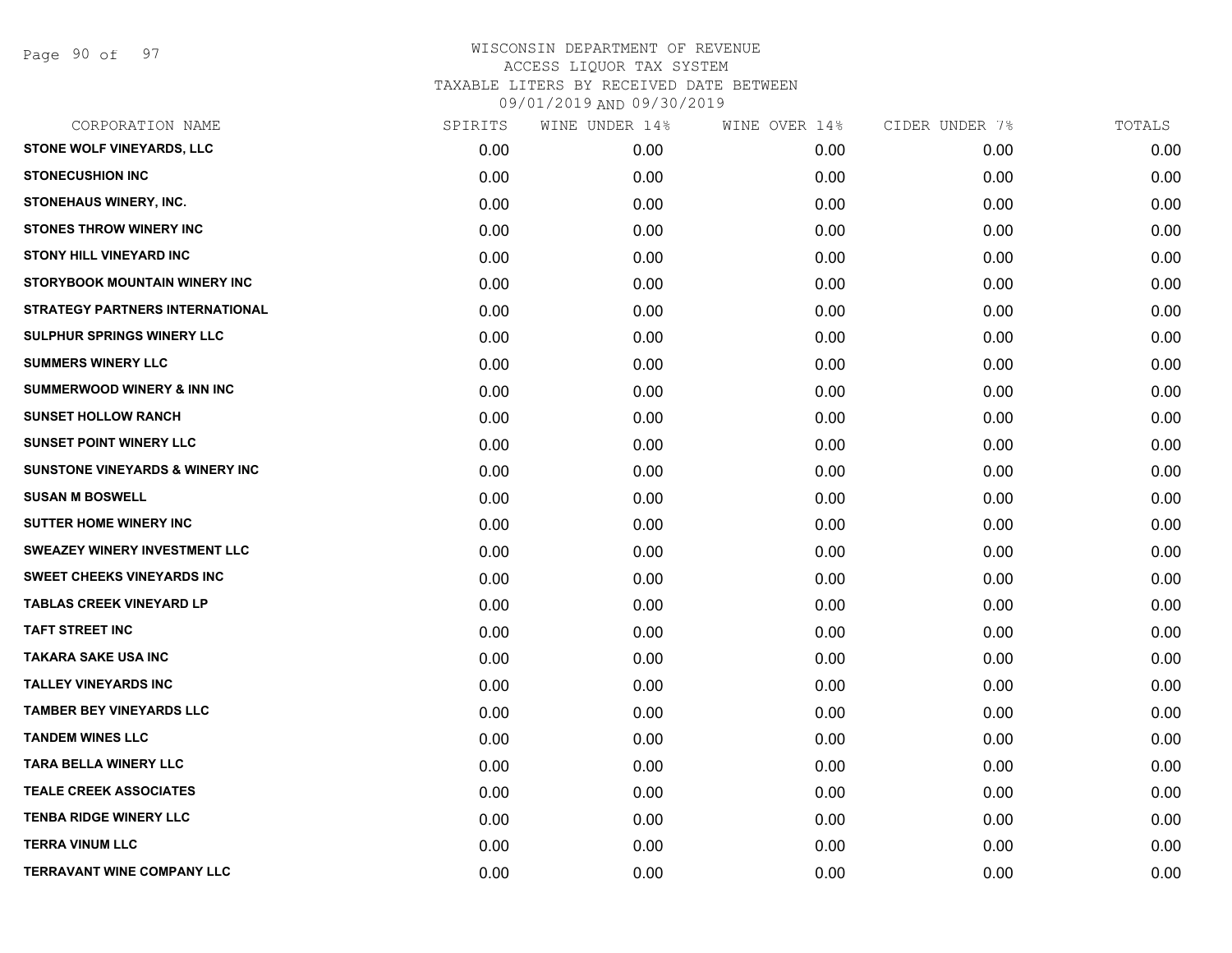|      | WINE UNDER 14% | WINE OVER 14% | CIDER UNDER 7% | TOTALS |
|------|----------------|---------------|----------------|--------|
| 0.00 | 0.00           | 0.00          | 0.00           | 0.00   |
| 0.00 | 0.00           | 0.00          | 0.00           | 0.00   |
| 0.00 | 0.00           | 0.00          | 0.00           | 0.00   |
| 0.00 | 0.00           | 0.00          | 0.00           | 0.00   |
| 0.00 | 0.00           | 0.00          | 0.00           | 0.00   |
| 0.00 | 0.00           | 0.00          | 0.00           | 0.00   |
| 0.00 | 0.00           | 0.00          | 0.00           | 0.00   |
| 0.00 | 0.00           | 0.00          | 0.00           | 0.00   |
| 0.00 | 0.00           | 0.00          | 0.00           | 0.00   |
| 0.00 | 0.00           | 0.00          | 0.00           | 0.00   |
| 0.00 | 0.00           | 0.00          | 0.00           | 0.00   |
| 0.00 | 0.00           | 0.00          | 0.00           | 0.00   |
| 0.00 | 0.00           | 0.00          | 0.00           | 0.00   |
| 0.00 | 0.00           | 0.00          | 0.00           | 0.00   |
| 0.00 | 0.00           | 0.00          | 0.00           | 0.00   |
| 0.00 | 0.00           | 0.00          | 0.00           | 0.00   |
| 0.00 | 0.00           | 0.00          | 0.00           | 0.00   |
| 0.00 | 0.00           | 0.00          | 0.00           | 0.00   |
| 0.00 | 0.00           | 0.00          | 0.00           | 0.00   |
| 0.00 | 0.00           | 0.00          | 0.00           | 0.00   |
| 0.00 | 0.00           | 0.00          | 0.00           | 0.00   |
| 0.00 | 0.00           | 0.00          | 0.00           | 0.00   |
| 0.00 | 0.00           | 0.00          | 0.00           | 0.00   |
| 0.00 | 0.00           | 0.00          | 0.00           | 0.00   |
| 0.00 | 0.00           | 0.00          | 0.00           | 0.00   |
| 0.00 | 0.00           | 0.00          | 0.00           | 0.00   |
| 0.00 | 0.00           | 0.00          | 0.00           | 0.00   |
| 0.00 | 0.00           | 0.00          | 0.00           | 0.00   |
|      | SPIRITS        |               |                |        |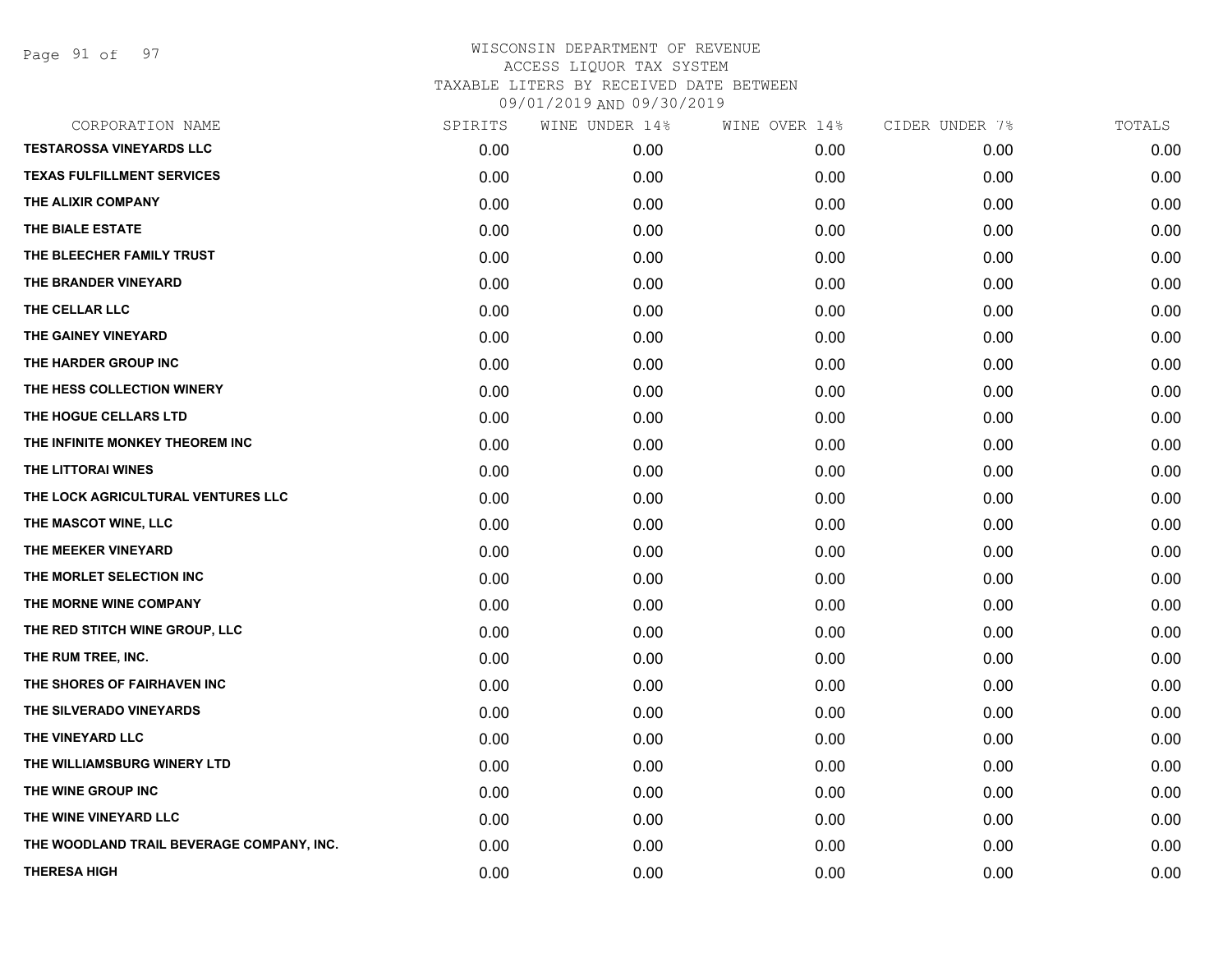Page 91 of 97

| CORPORATION NAME                          | SPIRITS | WINE UNDER 14% | WINE OVER 14% | CIDER UNDER 7% | TOTALS |
|-------------------------------------------|---------|----------------|---------------|----------------|--------|
| <b>TESTAROSSA VINEYARDS LLC</b>           | 0.00    | 0.00           | 0.00          | 0.00           | 0.00   |
| <b>TEXAS FULFILLMENT SERVICES</b>         | 0.00    | 0.00           | 0.00          | 0.00           | 0.00   |
| THE ALIXIR COMPANY                        | 0.00    | 0.00           | 0.00          | 0.00           | 0.00   |
| THE BIALE ESTATE                          | 0.00    | 0.00           | 0.00          | 0.00           | 0.00   |
| THE BLEECHER FAMILY TRUST                 | 0.00    | 0.00           | 0.00          | 0.00           | 0.00   |
| THE BRANDER VINEYARD                      | 0.00    | 0.00           | 0.00          | 0.00           | 0.00   |
| THE CELLAR LLC                            | 0.00    | 0.00           | 0.00          | 0.00           | 0.00   |
| THE GAINEY VINEYARD                       | 0.00    | 0.00           | 0.00          | 0.00           | 0.00   |
| THE HARDER GROUP INC                      | 0.00    | 0.00           | 0.00          | 0.00           | 0.00   |
| THE HESS COLLECTION WINERY                | 0.00    | 0.00           | 0.00          | 0.00           | 0.00   |
| THE HOGUE CELLARS LTD                     | 0.00    | 0.00           | 0.00          | 0.00           | 0.00   |
| THE INFINITE MONKEY THEOREM INC           | 0.00    | 0.00           | 0.00          | 0.00           | 0.00   |
| THE LITTORAI WINES                        | 0.00    | 0.00           | 0.00          | 0.00           | 0.00   |
| THE LOCK AGRICULTURAL VENTURES LLC        | 0.00    | 0.00           | 0.00          | 0.00           | 0.00   |
| THE MASCOT WINE, LLC                      | 0.00    | 0.00           | 0.00          | 0.00           | 0.00   |
| THE MEEKER VINEYARD                       | 0.00    | 0.00           | 0.00          | 0.00           | 0.00   |
| THE MORLET SELECTION INC                  | 0.00    | 0.00           | 0.00          | 0.00           | 0.00   |
| THE MORNE WINE COMPANY                    | 0.00    | 0.00           | 0.00          | 0.00           | 0.00   |
| THE RED STITCH WINE GROUP, LLC            | 0.00    | 0.00           | 0.00          | 0.00           | 0.00   |
| THE RUM TREE, INC.                        | 0.00    | 0.00           | 0.00          | 0.00           | 0.00   |
| THE SHORES OF FAIRHAVEN INC               | 0.00    | 0.00           | 0.00          | 0.00           | 0.00   |
| THE SILVERADO VINEYARDS                   | 0.00    | 0.00           | 0.00          | 0.00           | 0.00   |
| THE VINEYARD LLC                          | 0.00    | 0.00           | 0.00          | 0.00           | 0.00   |
| THE WILLIAMSBURG WINERY LTD               | 0.00    | 0.00           | 0.00          | 0.00           | 0.00   |
| THE WINE GROUP INC                        | 0.00    | 0.00           | 0.00          | 0.00           | 0.00   |
| THE WINE VINEYARD LLC                     | 0.00    | 0.00           | 0.00          | 0.00           | 0.00   |
| THE WOODLAND TRAIL BEVERAGE COMPANY, INC. | 0.00    | 0.00           | 0.00          | 0.00           | 0.00   |
| <b>THERESA HIGH</b>                       | 0.00    | 0.00           | 0.00          | 0.00           | 0.00   |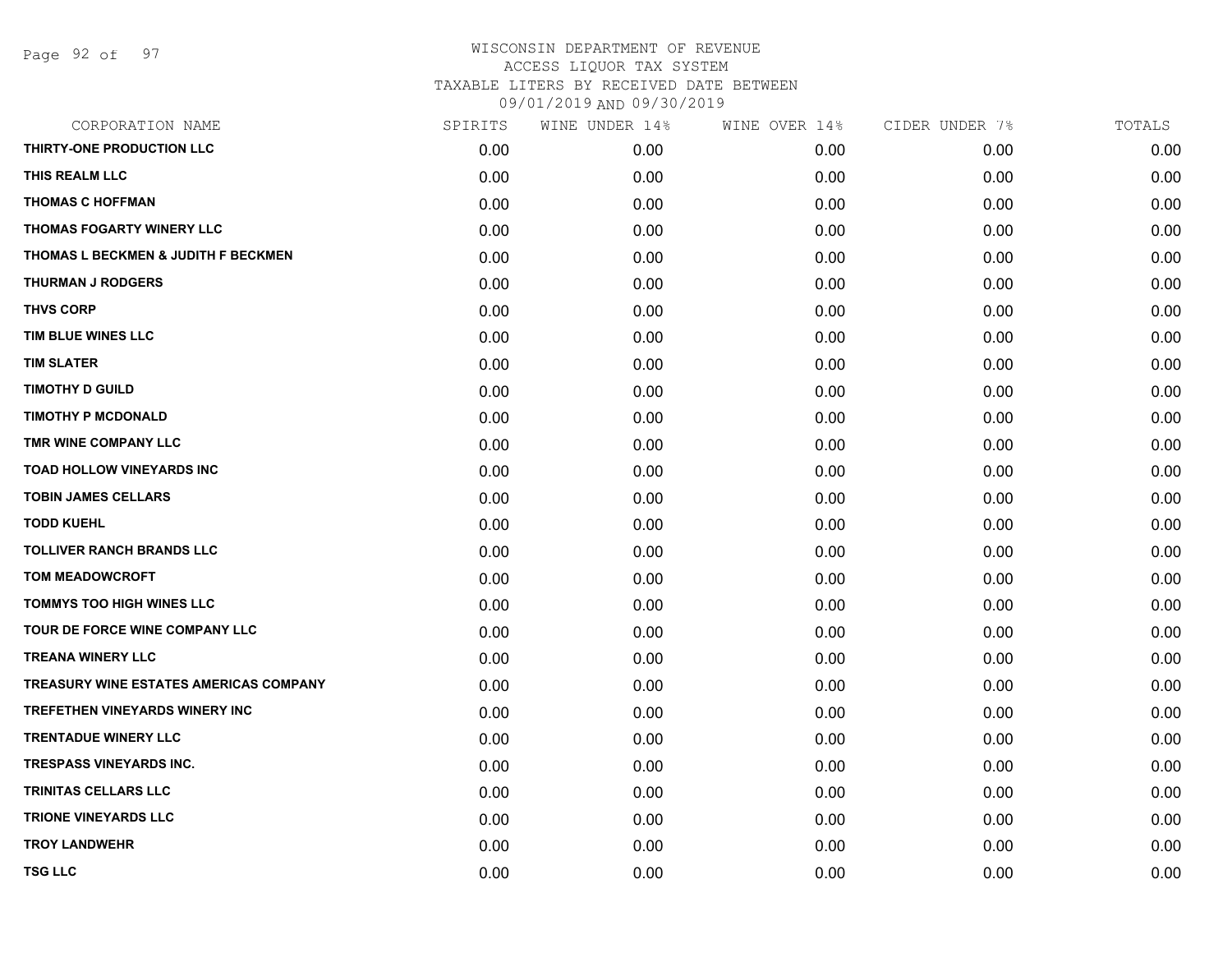| SPIRITS | WINE UNDER 14% | WINE OVER 14% | CIDER UNDER 7% | TOTALS |
|---------|----------------|---------------|----------------|--------|
| 0.00    | 0.00           | 0.00          | 0.00           | 0.00   |
| 0.00    | 0.00           | 0.00          | 0.00           | 0.00   |
| 0.00    | 0.00           | 0.00          | 0.00           | 0.00   |
| 0.00    | 0.00           | 0.00          | 0.00           | 0.00   |
| 0.00    | 0.00           | 0.00          | 0.00           | 0.00   |
| 0.00    | 0.00           | 0.00          | 0.00           | 0.00   |
| 0.00    | 0.00           | 0.00          | 0.00           | 0.00   |
| 0.00    | 0.00           | 0.00          | 0.00           | 0.00   |
| 0.00    | 0.00           | 0.00          | 0.00           | 0.00   |
| 0.00    | 0.00           | 0.00          | 0.00           | 0.00   |
| 0.00    | 0.00           | 0.00          | 0.00           | 0.00   |
| 0.00    | 0.00           | 0.00          | 0.00           | 0.00   |
| 0.00    | 0.00           | 0.00          | 0.00           | 0.00   |
| 0.00    | 0.00           | 0.00          | 0.00           | 0.00   |
| 0.00    | 0.00           | 0.00          | 0.00           | 0.00   |
| 0.00    | 0.00           | 0.00          | 0.00           | 0.00   |
| 0.00    | 0.00           | 0.00          | 0.00           | 0.00   |
| 0.00    | 0.00           | 0.00          | 0.00           | 0.00   |
| 0.00    | 0.00           | 0.00          | 0.00           | 0.00   |
| 0.00    | 0.00           | 0.00          | 0.00           | 0.00   |
| 0.00    | 0.00           | 0.00          | 0.00           | 0.00   |
| 0.00    | 0.00           | 0.00          | 0.00           | 0.00   |
| 0.00    | 0.00           | 0.00          | 0.00           | 0.00   |
| 0.00    | 0.00           | 0.00          | 0.00           | 0.00   |
| 0.00    | 0.00           | 0.00          | 0.00           | 0.00   |
| 0.00    | 0.00           | 0.00          | 0.00           | 0.00   |
| 0.00    | 0.00           | 0.00          | 0.00           | 0.00   |
| 0.00    | 0.00           | 0.00          | 0.00           | 0.00   |
|         |                |               |                |        |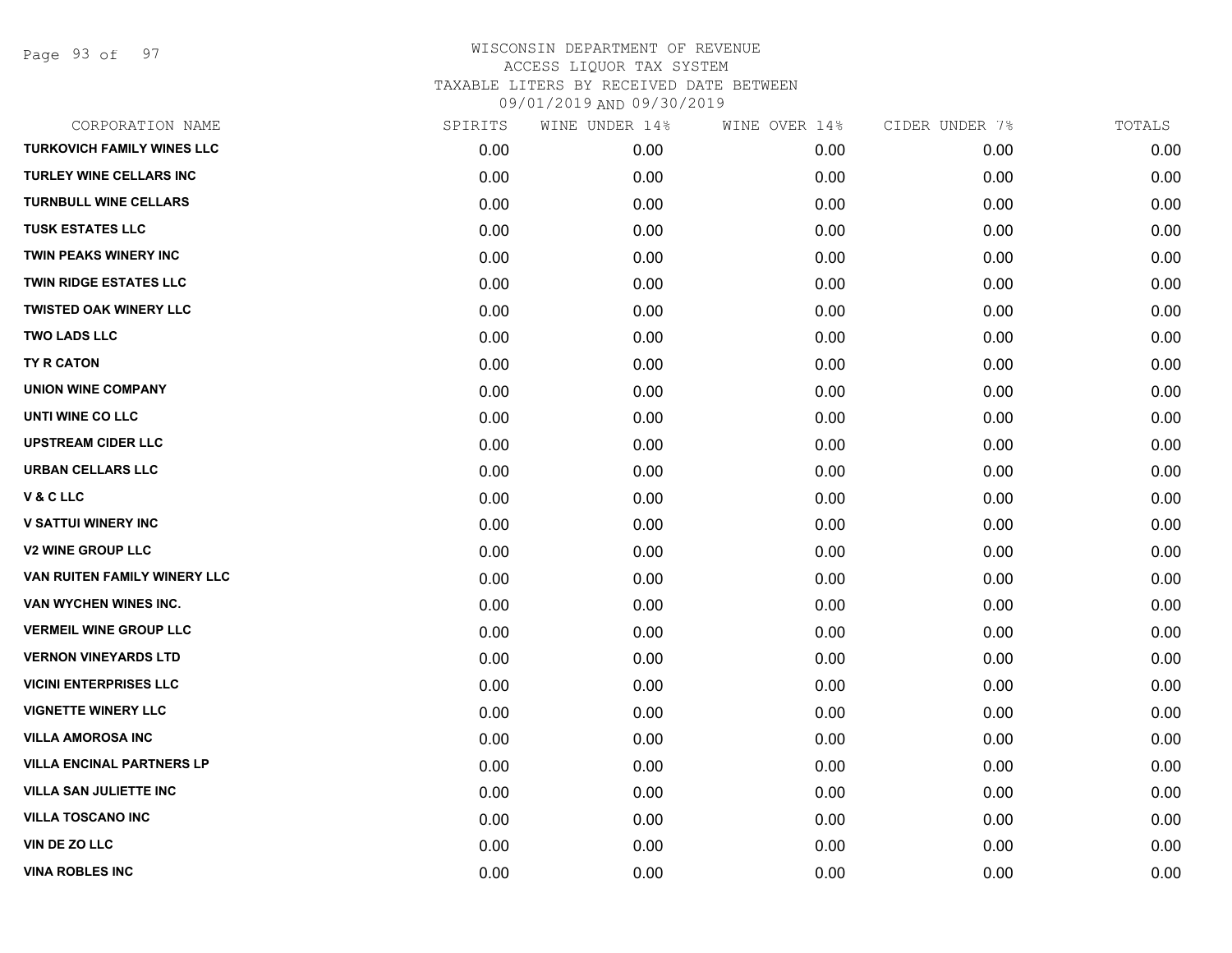Page 93 of 97

| CORPORATION NAME                  | SPIRITS | WINE UNDER 14% | WINE OVER 14% | CIDER UNDER 7% | TOTALS |
|-----------------------------------|---------|----------------|---------------|----------------|--------|
| <b>TURKOVICH FAMILY WINES LLC</b> | 0.00    | 0.00           | 0.00          | 0.00           | 0.00   |
| <b>TURLEY WINE CELLARS INC</b>    | 0.00    | 0.00           | 0.00          | 0.00           | 0.00   |
| <b>TURNBULL WINE CELLARS</b>      | 0.00    | 0.00           | 0.00          | 0.00           | 0.00   |
| <b>TUSK ESTATES LLC</b>           | 0.00    | 0.00           | 0.00          | 0.00           | 0.00   |
| <b>TWIN PEAKS WINERY INC</b>      | 0.00    | 0.00           | 0.00          | 0.00           | 0.00   |
| <b>TWIN RIDGE ESTATES LLC</b>     | 0.00    | 0.00           | 0.00          | 0.00           | 0.00   |
| <b>TWISTED OAK WINERY LLC</b>     | 0.00    | 0.00           | 0.00          | 0.00           | 0.00   |
| <b>TWO LADS LLC</b>               | 0.00    | 0.00           | 0.00          | 0.00           | 0.00   |
| <b>TY R CATON</b>                 | 0.00    | 0.00           | 0.00          | 0.00           | 0.00   |
| <b>UNION WINE COMPANY</b>         | 0.00    | 0.00           | 0.00          | 0.00           | 0.00   |
| UNTI WINE CO LLC                  | 0.00    | 0.00           | 0.00          | 0.00           | 0.00   |
| <b>UPSTREAM CIDER LLC</b>         | 0.00    | 0.00           | 0.00          | 0.00           | 0.00   |
| <b>URBAN CELLARS LLC</b>          | 0.00    | 0.00           | 0.00          | 0.00           | 0.00   |
| V & C LLC                         | 0.00    | 0.00           | 0.00          | 0.00           | 0.00   |
| <b>V SATTUI WINERY INC</b>        | 0.00    | 0.00           | 0.00          | 0.00           | 0.00   |
| <b>V2 WINE GROUP LLC</b>          | 0.00    | 0.00           | 0.00          | 0.00           | 0.00   |
| VAN RUITEN FAMILY WINERY LLC      | 0.00    | 0.00           | 0.00          | 0.00           | 0.00   |
| VAN WYCHEN WINES INC.             | 0.00    | 0.00           | 0.00          | 0.00           | 0.00   |
| <b>VERMEIL WINE GROUP LLC</b>     | 0.00    | 0.00           | 0.00          | 0.00           | 0.00   |
| <b>VERNON VINEYARDS LTD</b>       | 0.00    | 0.00           | 0.00          | 0.00           | 0.00   |
| <b>VICINI ENTERPRISES LLC</b>     | 0.00    | 0.00           | 0.00          | 0.00           | 0.00   |
| <b>VIGNETTE WINERY LLC</b>        | 0.00    | 0.00           | 0.00          | 0.00           | 0.00   |
| <b>VILLA AMOROSA INC</b>          | 0.00    | 0.00           | 0.00          | 0.00           | 0.00   |
| <b>VILLA ENCINAL PARTNERS LP</b>  | 0.00    | 0.00           | 0.00          | 0.00           | 0.00   |
| <b>VILLA SAN JULIETTE INC</b>     | 0.00    | 0.00           | 0.00          | 0.00           | 0.00   |
| <b>VILLA TOSCANO INC</b>          | 0.00    | 0.00           | 0.00          | 0.00           | 0.00   |
| VIN DE ZO LLC                     | 0.00    | 0.00           | 0.00          | 0.00           | 0.00   |
| <b>VINA ROBLES INC</b>            | 0.00    | 0.00           | 0.00          | 0.00           | 0.00   |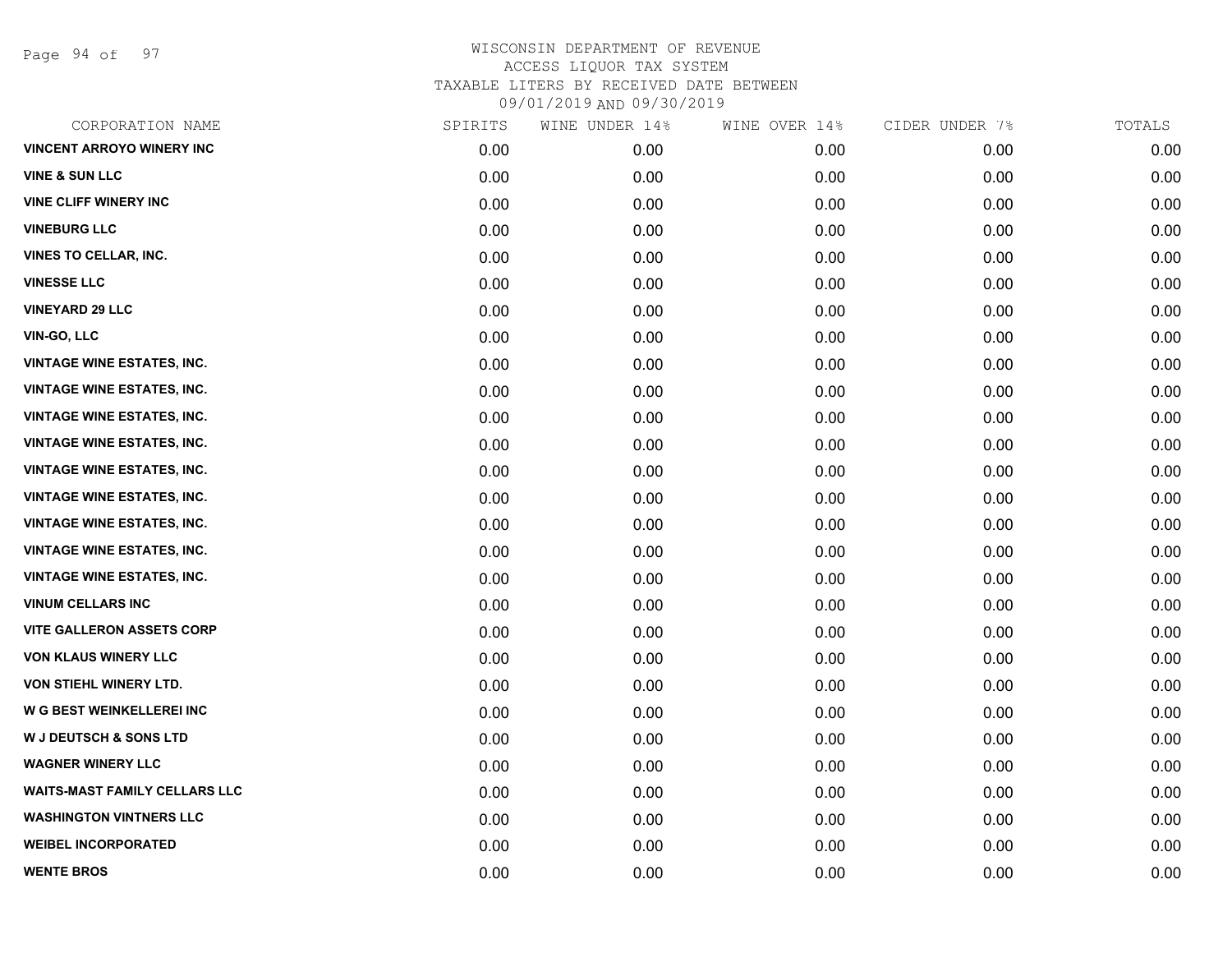Page 94 of 97

| CORPORATION NAME                     | SPIRITS | WINE UNDER 14% | WINE OVER 14% | CIDER UNDER 7% | TOTALS |
|--------------------------------------|---------|----------------|---------------|----------------|--------|
| <b>VINCENT ARROYO WINERY INC</b>     | 0.00    | 0.00           | 0.00          | 0.00           | 0.00   |
| <b>VINE &amp; SUN LLC</b>            | 0.00    | 0.00           | 0.00          | 0.00           | 0.00   |
| <b>VINE CLIFF WINERY INC</b>         | 0.00    | 0.00           | 0.00          | 0.00           | 0.00   |
| <b>VINEBURG LLC</b>                  | 0.00    | 0.00           | 0.00          | 0.00           | 0.00   |
| <b>VINES TO CELLAR, INC.</b>         | 0.00    | 0.00           | 0.00          | 0.00           | 0.00   |
| <b>VINESSE LLC</b>                   | 0.00    | 0.00           | 0.00          | 0.00           | 0.00   |
| <b>VINEYARD 29 LLC</b>               | 0.00    | 0.00           | 0.00          | 0.00           | 0.00   |
| <b>VIN-GO, LLC</b>                   | 0.00    | 0.00           | 0.00          | 0.00           | 0.00   |
| <b>VINTAGE WINE ESTATES, INC.</b>    | 0.00    | 0.00           | 0.00          | 0.00           | 0.00   |
| <b>VINTAGE WINE ESTATES, INC.</b>    | 0.00    | 0.00           | 0.00          | 0.00           | 0.00   |
| <b>VINTAGE WINE ESTATES, INC.</b>    | 0.00    | 0.00           | 0.00          | 0.00           | 0.00   |
| <b>VINTAGE WINE ESTATES, INC.</b>    | 0.00    | 0.00           | 0.00          | 0.00           | 0.00   |
| <b>VINTAGE WINE ESTATES, INC.</b>    | 0.00    | 0.00           | 0.00          | 0.00           | 0.00   |
| <b>VINTAGE WINE ESTATES, INC.</b>    | 0.00    | 0.00           | 0.00          | 0.00           | 0.00   |
| <b>VINTAGE WINE ESTATES, INC.</b>    | 0.00    | 0.00           | 0.00          | 0.00           | 0.00   |
| <b>VINTAGE WINE ESTATES, INC.</b>    | 0.00    | 0.00           | 0.00          | 0.00           | 0.00   |
| <b>VINTAGE WINE ESTATES, INC.</b>    | 0.00    | 0.00           | 0.00          | 0.00           | 0.00   |
| <b>VINUM CELLARS INC</b>             | 0.00    | 0.00           | 0.00          | 0.00           | 0.00   |
| <b>VITE GALLERON ASSETS CORP</b>     | 0.00    | 0.00           | 0.00          | 0.00           | 0.00   |
| <b>VON KLAUS WINERY LLC</b>          | 0.00    | 0.00           | 0.00          | 0.00           | 0.00   |
| VON STIEHL WINERY LTD.               | 0.00    | 0.00           | 0.00          | 0.00           | 0.00   |
| W G BEST WEINKELLEREI INC            | 0.00    | 0.00           | 0.00          | 0.00           | 0.00   |
| <b>W J DEUTSCH &amp; SONS LTD</b>    | 0.00    | 0.00           | 0.00          | 0.00           | 0.00   |
| <b>WAGNER WINERY LLC</b>             | 0.00    | 0.00           | 0.00          | 0.00           | 0.00   |
| <b>WAITS-MAST FAMILY CELLARS LLC</b> | 0.00    | 0.00           | 0.00          | 0.00           | 0.00   |
| <b>WASHINGTON VINTNERS LLC</b>       | 0.00    | 0.00           | 0.00          | 0.00           | 0.00   |
| <b>WEIBEL INCORPORATED</b>           | 0.00    | 0.00           | 0.00          | 0.00           | 0.00   |
| <b>WENTE BROS</b>                    | 0.00    | 0.00           | 0.00          | 0.00           | 0.00   |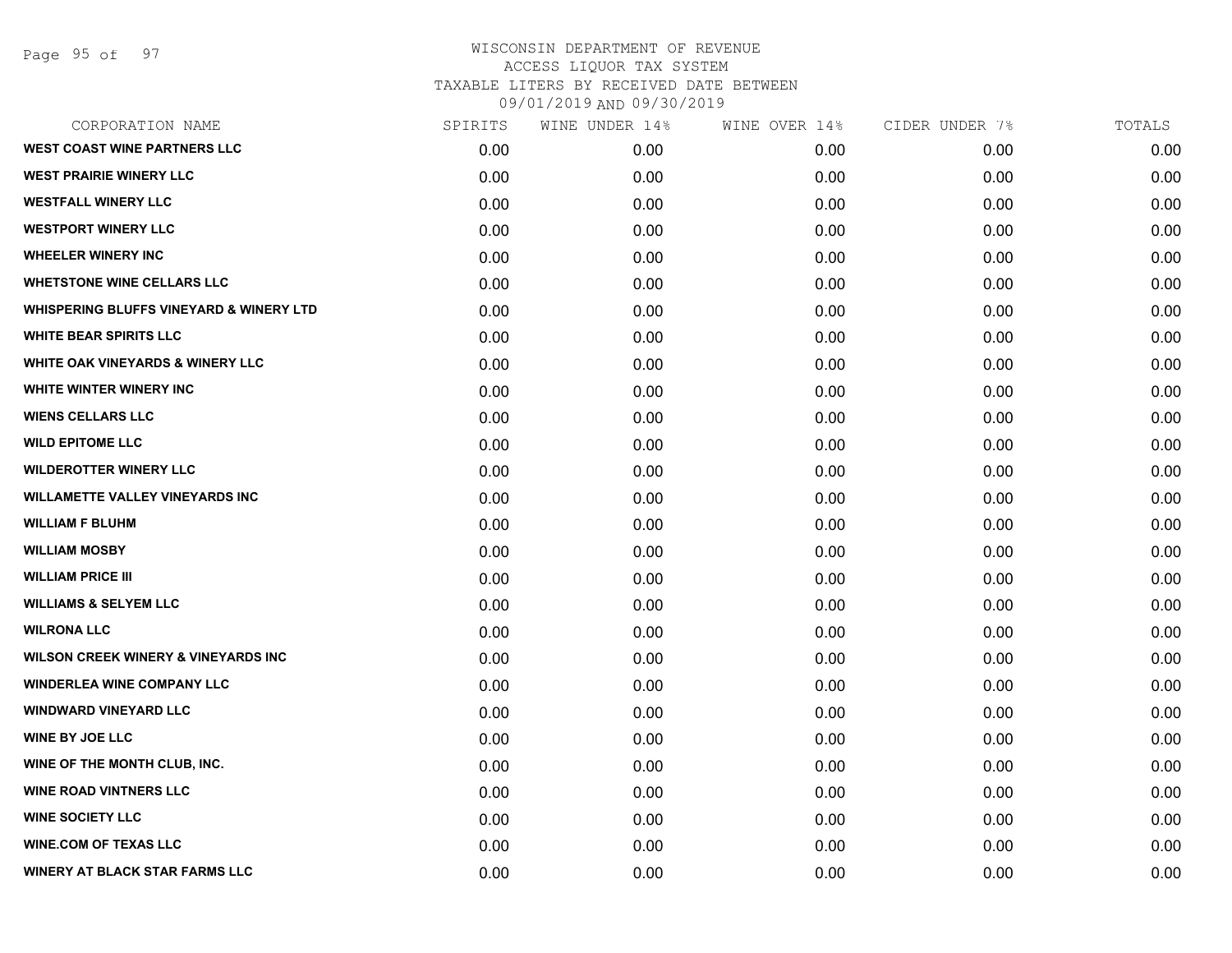Page 95 of 97

| CORPORATION NAME                                   | SPIRITS | WINE UNDER 14% | WINE OVER 14% | CIDER UNDER 7% | TOTALS |
|----------------------------------------------------|---------|----------------|---------------|----------------|--------|
| <b>WEST COAST WINE PARTNERS LLC</b>                | 0.00    | 0.00           | 0.00          | 0.00           | 0.00   |
| <b>WEST PRAIRIE WINERY LLC</b>                     | 0.00    | 0.00           | 0.00          | 0.00           | 0.00   |
| <b>WESTFALL WINERY LLC</b>                         | 0.00    | 0.00           | 0.00          | 0.00           | 0.00   |
| <b>WESTPORT WINERY LLC</b>                         | 0.00    | 0.00           | 0.00          | 0.00           | 0.00   |
| <b>WHEELER WINERY INC</b>                          | 0.00    | 0.00           | 0.00          | 0.00           | 0.00   |
| <b>WHETSTONE WINE CELLARS LLC</b>                  | 0.00    | 0.00           | 0.00          | 0.00           | 0.00   |
| <b>WHISPERING BLUFFS VINEYARD &amp; WINERY LTD</b> | 0.00    | 0.00           | 0.00          | 0.00           | 0.00   |
| <b>WHITE BEAR SPIRITS LLC</b>                      | 0.00    | 0.00           | 0.00          | 0.00           | 0.00   |
| <b>WHITE OAK VINEYARDS &amp; WINERY LLC</b>        | 0.00    | 0.00           | 0.00          | 0.00           | 0.00   |
| WHITE WINTER WINERY INC                            | 0.00    | 0.00           | 0.00          | 0.00           | 0.00   |
| <b>WIENS CELLARS LLC</b>                           | 0.00    | 0.00           | 0.00          | 0.00           | 0.00   |
| <b>WILD EPITOME LLC</b>                            | 0.00    | 0.00           | 0.00          | 0.00           | 0.00   |
| <b>WILDEROTTER WINERY LLC</b>                      | 0.00    | 0.00           | 0.00          | 0.00           | 0.00   |
| <b>WILLAMETTE VALLEY VINEYARDS INC</b>             | 0.00    | 0.00           | 0.00          | 0.00           | 0.00   |
| <b>WILLIAM F BLUHM</b>                             | 0.00    | 0.00           | 0.00          | 0.00           | 0.00   |
| <b>WILLIAM MOSBY</b>                               | 0.00    | 0.00           | 0.00          | 0.00           | 0.00   |
| <b>WILLIAM PRICE III</b>                           | 0.00    | 0.00           | 0.00          | 0.00           | 0.00   |
| <b>WILLIAMS &amp; SELYEM LLC</b>                   | 0.00    | 0.00           | 0.00          | 0.00           | 0.00   |
| <b>WILRONA LLC</b>                                 | 0.00    | 0.00           | 0.00          | 0.00           | 0.00   |
| <b>WILSON CREEK WINERY &amp; VINEYARDS INC</b>     | 0.00    | 0.00           | 0.00          | 0.00           | 0.00   |
| <b>WINDERLEA WINE COMPANY LLC</b>                  | 0.00    | 0.00           | 0.00          | 0.00           | 0.00   |
| <b>WINDWARD VINEYARD LLC</b>                       | 0.00    | 0.00           | 0.00          | 0.00           | 0.00   |
| <b>WINE BY JOE LLC</b>                             | 0.00    | 0.00           | 0.00          | 0.00           | 0.00   |
| WINE OF THE MONTH CLUB, INC.                       | 0.00    | 0.00           | 0.00          | 0.00           | 0.00   |
| <b>WINE ROAD VINTNERS LLC</b>                      | 0.00    | 0.00           | 0.00          | 0.00           | 0.00   |
| <b>WINE SOCIETY LLC</b>                            | 0.00    | 0.00           | 0.00          | 0.00           | 0.00   |
| <b>WINE.COM OF TEXAS LLC</b>                       | 0.00    | 0.00           | 0.00          | 0.00           | 0.00   |
| <b>WINERY AT BLACK STAR FARMS LLC</b>              | 0.00    | 0.00           | 0.00          | 0.00           | 0.00   |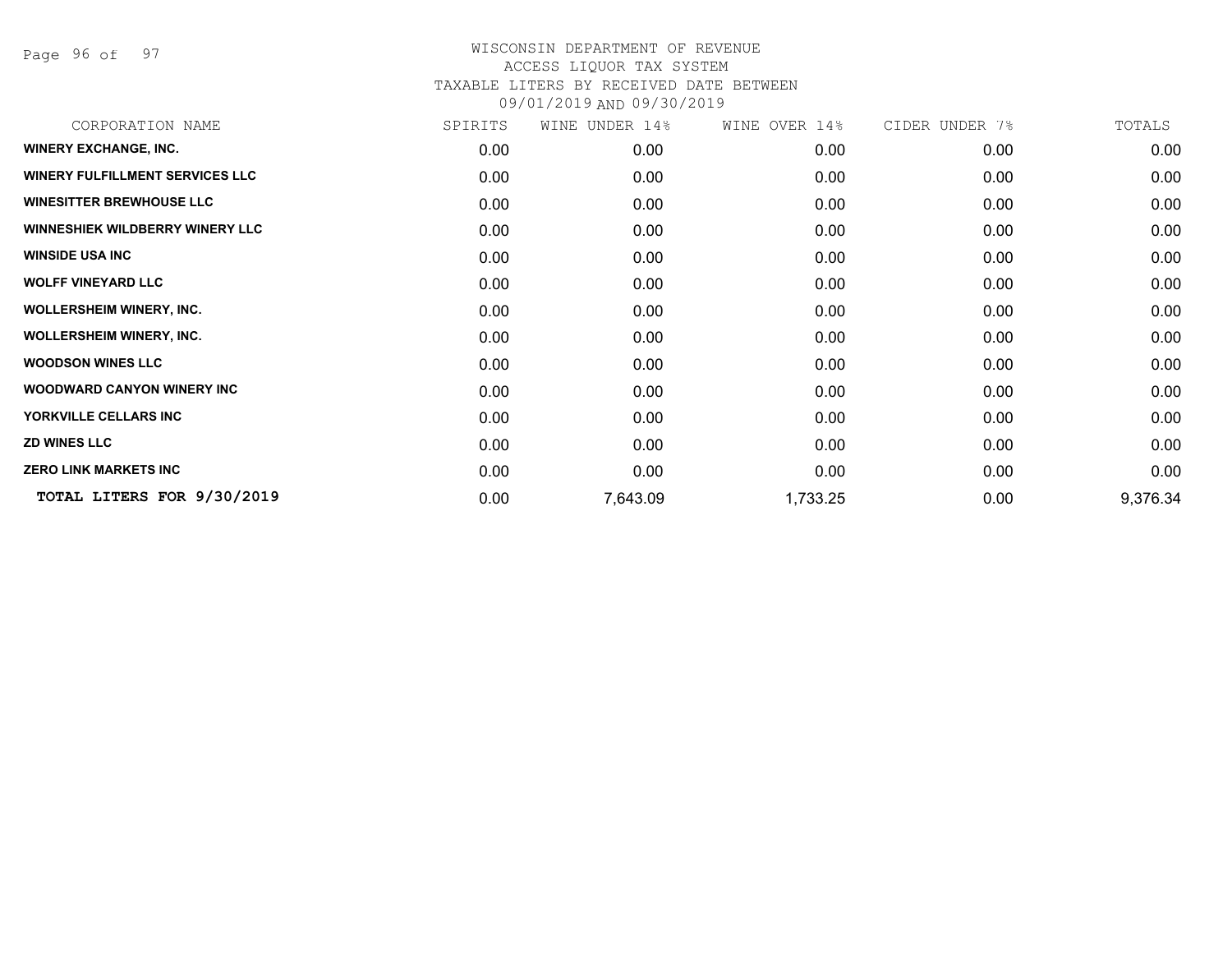Page 96 of 97

| CORPORATION NAME                       | SPIRITS | WINE UNDER 14% | WINE OVER 14% | CIDER UNDER 7% | TOTALS   |
|----------------------------------------|---------|----------------|---------------|----------------|----------|
| <b>WINERY EXCHANGE, INC.</b>           | 0.00    | 0.00           | 0.00          | 0.00           | 0.00     |
| <b>WINERY FULFILLMENT SERVICES LLC</b> | 0.00    | 0.00           | 0.00          | 0.00           | 0.00     |
| <b>WINESITTER BREWHOUSE LLC</b>        | 0.00    | 0.00           | 0.00          | 0.00           | 0.00     |
| <b>WINNESHIEK WILDBERRY WINERY LLC</b> | 0.00    | 0.00           | 0.00          | 0.00           | 0.00     |
| <b>WINSIDE USA INC</b>                 | 0.00    | 0.00           | 0.00          | 0.00           | 0.00     |
| <b>WOLFF VINEYARD LLC</b>              | 0.00    | 0.00           | 0.00          | 0.00           | 0.00     |
| <b>WOLLERSHEIM WINERY, INC.</b>        | 0.00    | 0.00           | 0.00          | 0.00           | 0.00     |
| <b>WOLLERSHEIM WINERY, INC.</b>        | 0.00    | 0.00           | 0.00          | 0.00           | 0.00     |
| <b>WOODSON WINES LLC</b>               | 0.00    | 0.00           | 0.00          | 0.00           | 0.00     |
| <b>WOODWARD CANYON WINERY INC</b>      | 0.00    | 0.00           | 0.00          | 0.00           | 0.00     |
| YORKVILLE CELLARS INC                  | 0.00    | 0.00           | 0.00          | 0.00           | 0.00     |
| <b>ZD WINES LLC</b>                    | 0.00    | 0.00           | 0.00          | 0.00           | 0.00     |
| <b>ZERO LINK MARKETS INC</b>           | 0.00    | 0.00           | 0.00          | 0.00           | 0.00     |
| TOTAL LITERS FOR 9/30/2019             | 0.00    | 7,643.09       | 1,733.25      | 0.00           | 9,376.34 |